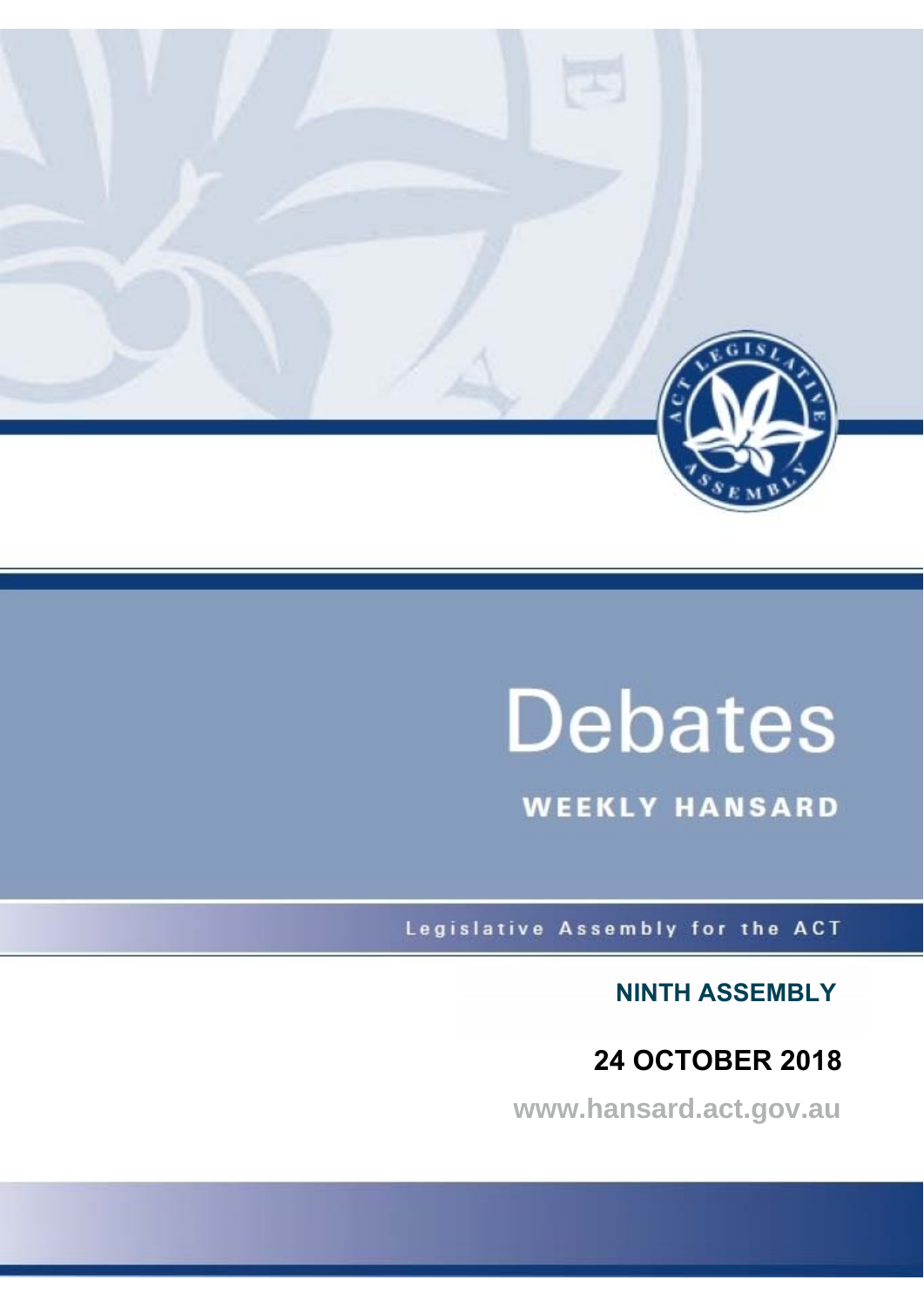

# **Debates**

**WEEKLY HANSARD** 

Legislative Assembly for the ACT

**NINTH ASSEMBLY**

 **24 OCTOBER 2018**

**www.hansard.act.gov.au**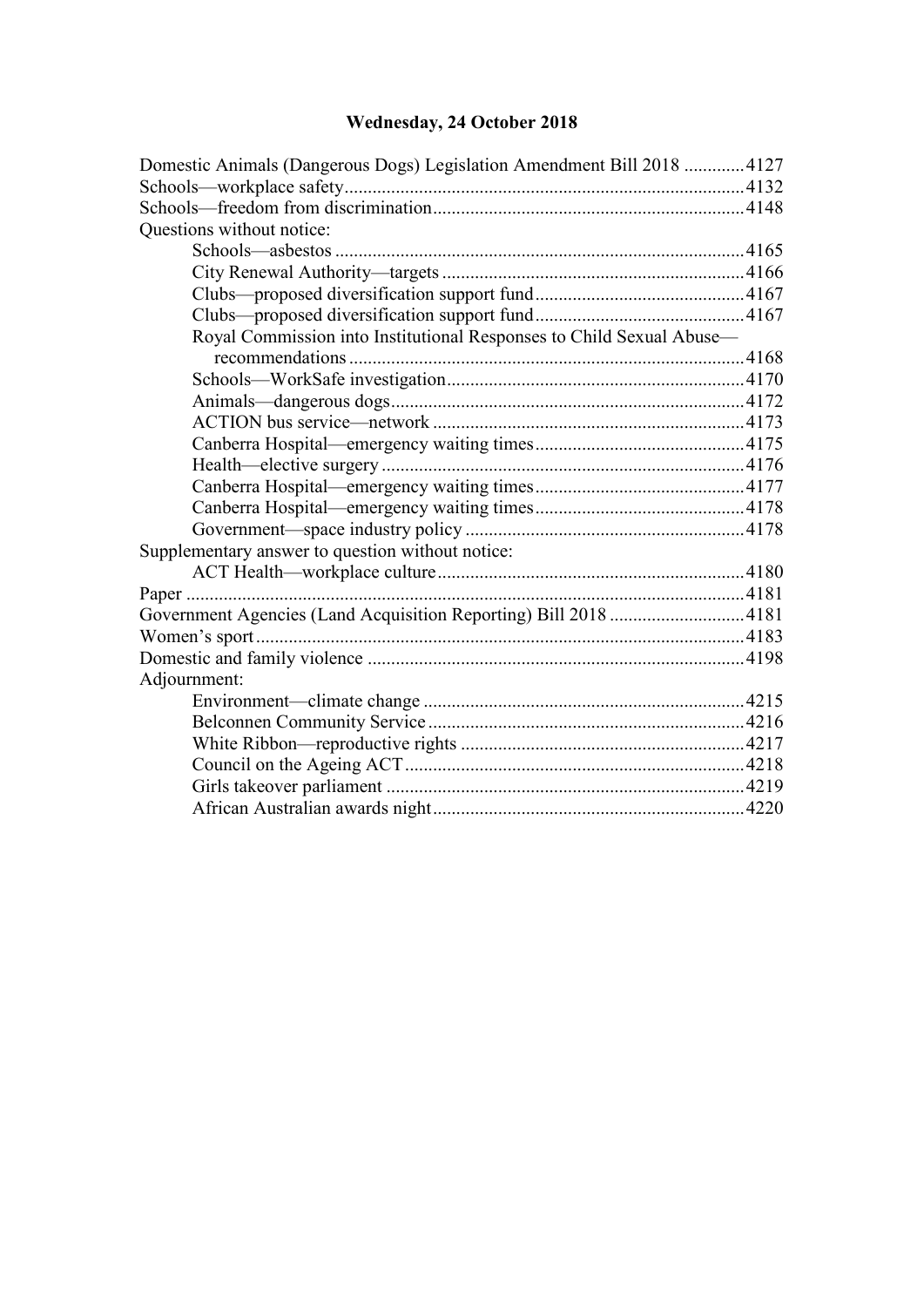## **[Wednesday, 24 October 2018](#page-2-0)**

| Domestic Animals (Dangerous Dogs) Legislation Amendment Bill 2018  4127 |  |
|-------------------------------------------------------------------------|--|
|                                                                         |  |
|                                                                         |  |
| Questions without notice:                                               |  |
| Schools-asbestos.                                                       |  |
|                                                                         |  |
|                                                                         |  |
|                                                                         |  |
| Royal Commission into Institutional Responses to Child Sexual Abuse-    |  |
|                                                                         |  |
|                                                                         |  |
|                                                                         |  |
|                                                                         |  |
|                                                                         |  |
|                                                                         |  |
|                                                                         |  |
|                                                                         |  |
|                                                                         |  |
| Supplementary answer to question without notice:                        |  |
|                                                                         |  |
|                                                                         |  |
| Government Agencies (Land Acquisition Reporting) Bill 2018  4181        |  |
|                                                                         |  |
|                                                                         |  |
| Adjournment:                                                            |  |
|                                                                         |  |
|                                                                         |  |
|                                                                         |  |
|                                                                         |  |
|                                                                         |  |
|                                                                         |  |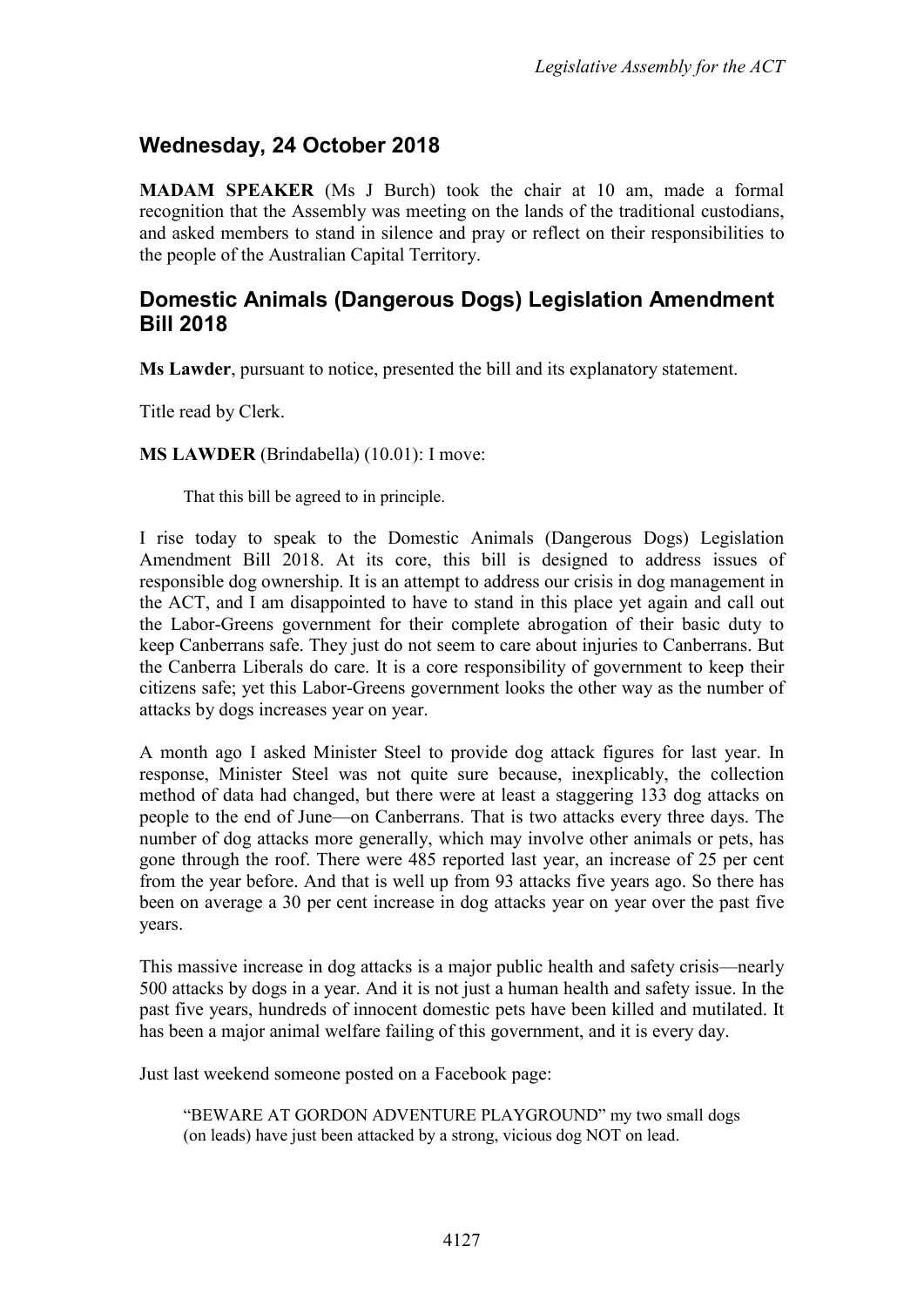### <span id="page-2-0"></span>**Wednesday, 24 October 2018**

**MADAM SPEAKER** (Ms J Burch) took the chair at 10 am, made a formal recognition that the Assembly was meeting on the lands of the traditional custodians, and asked members to stand in silence and pray or reflect on their responsibilities to the people of the Australian Capital Territory.

#### <span id="page-2-1"></span>**Domestic Animals (Dangerous Dogs) Legislation Amendment Bill 2018**

**Ms Lawder**, pursuant to notice, presented the bill and its explanatory statement.

Title read by Clerk.

**MS LAWDER** (Brindabella) (10.01): I move:

That this bill be agreed to in principle.

I rise today to speak to the Domestic Animals (Dangerous Dogs) Legislation Amendment Bill 2018. At its core, this bill is designed to address issues of responsible dog ownership. It is an attempt to address our crisis in dog management in the ACT, and I am disappointed to have to stand in this place yet again and call out the Labor-Greens government for their complete abrogation of their basic duty to keep Canberrans safe. They just do not seem to care about injuries to Canberrans. But the Canberra Liberals do care. It is a core responsibility of government to keep their citizens safe; yet this Labor-Greens government looks the other way as the number of attacks by dogs increases year on year.

A month ago I asked Minister Steel to provide dog attack figures for last year. In response, Minister Steel was not quite sure because, inexplicably, the collection method of data had changed, but there were at least a staggering 133 dog attacks on people to the end of June—on Canberrans. That is two attacks every three days. The number of dog attacks more generally, which may involve other animals or pets, has gone through the roof. There were 485 reported last year, an increase of 25 per cent from the year before. And that is well up from 93 attacks five years ago. So there has been on average a 30 per cent increase in dog attacks year on year over the past five years.

This massive increase in dog attacks is a major public health and safety crisis—nearly 500 attacks by dogs in a year. And it is not just a human health and safety issue. In the past five years, hundreds of innocent domestic pets have been killed and mutilated. It has been a major animal welfare failing of this government, and it is every day.

Just last weekend someone posted on a Facebook page:

"BEWARE AT GORDON ADVENTURE PLAYGROUND" my two small dogs (on leads) have just been attacked by a strong, vicious dog NOT on lead.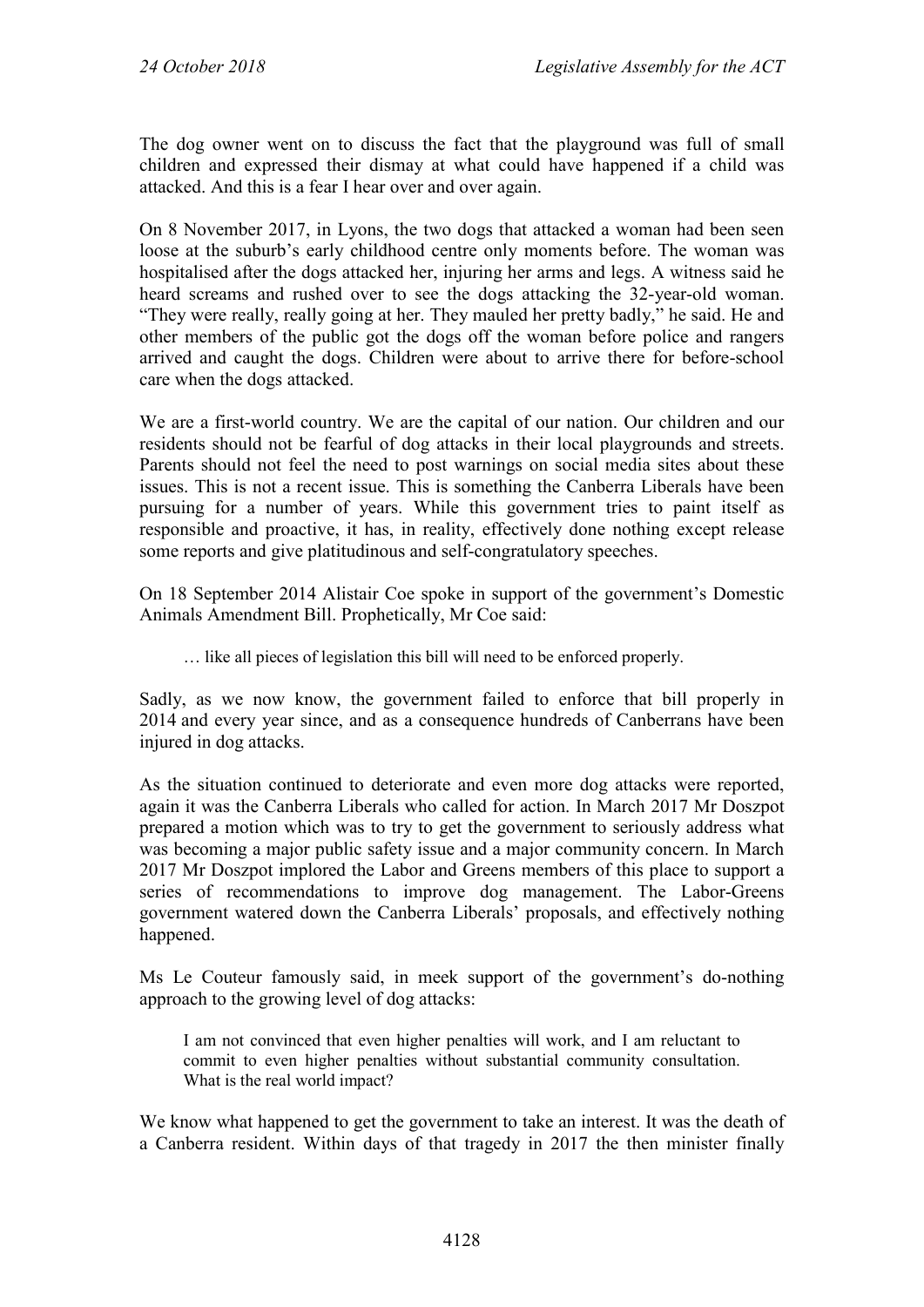The dog owner went on to discuss the fact that the playground was full of small children and expressed their dismay at what could have happened if a child was attacked. And this is a fear I hear over and over again.

On 8 November 2017, in Lyons, the two dogs that attacked a woman had been seen loose at the suburb's early childhood centre only moments before. The woman was hospitalised after the dogs attacked her, injuring her arms and legs. A witness said he heard screams and rushed over to see the dogs attacking the 32-year-old woman. "They were really, really going at her. They mauled her pretty badly," he said. He and other members of the public got the dogs off the woman before police and rangers arrived and caught the dogs. Children were about to arrive there for before-school care when the dogs attacked.

We are a first-world country. We are the capital of our nation. Our children and our residents should not be fearful of dog attacks in their local playgrounds and streets. Parents should not feel the need to post warnings on social media sites about these issues. This is not a recent issue. This is something the Canberra Liberals have been pursuing for a number of years. While this government tries to paint itself as responsible and proactive, it has, in reality, effectively done nothing except release some reports and give platitudinous and self-congratulatory speeches.

On 18 September 2014 Alistair Coe spoke in support of the government's Domestic Animals Amendment Bill. Prophetically, Mr Coe said:

… like all pieces of legislation this bill will need to be enforced properly.

Sadly, as we now know, the government failed to enforce that bill properly in 2014 and every year since, and as a consequence hundreds of Canberrans have been injured in dog attacks.

As the situation continued to deteriorate and even more dog attacks were reported, again it was the Canberra Liberals who called for action. In March 2017 Mr Doszpot prepared a motion which was to try to get the government to seriously address what was becoming a major public safety issue and a major community concern. In March 2017 Mr Doszpot implored the Labor and Greens members of this place to support a series of recommendations to improve dog management. The Labor-Greens government watered down the Canberra Liberals' proposals, and effectively nothing happened.

Ms Le Couteur famously said, in meek support of the government's do-nothing approach to the growing level of dog attacks:

I am not convinced that even higher penalties will work, and I am reluctant to commit to even higher penalties without substantial community consultation. What is the real world impact?

We know what happened to get the government to take an interest. It was the death of a Canberra resident. Within days of that tragedy in 2017 the then minister finally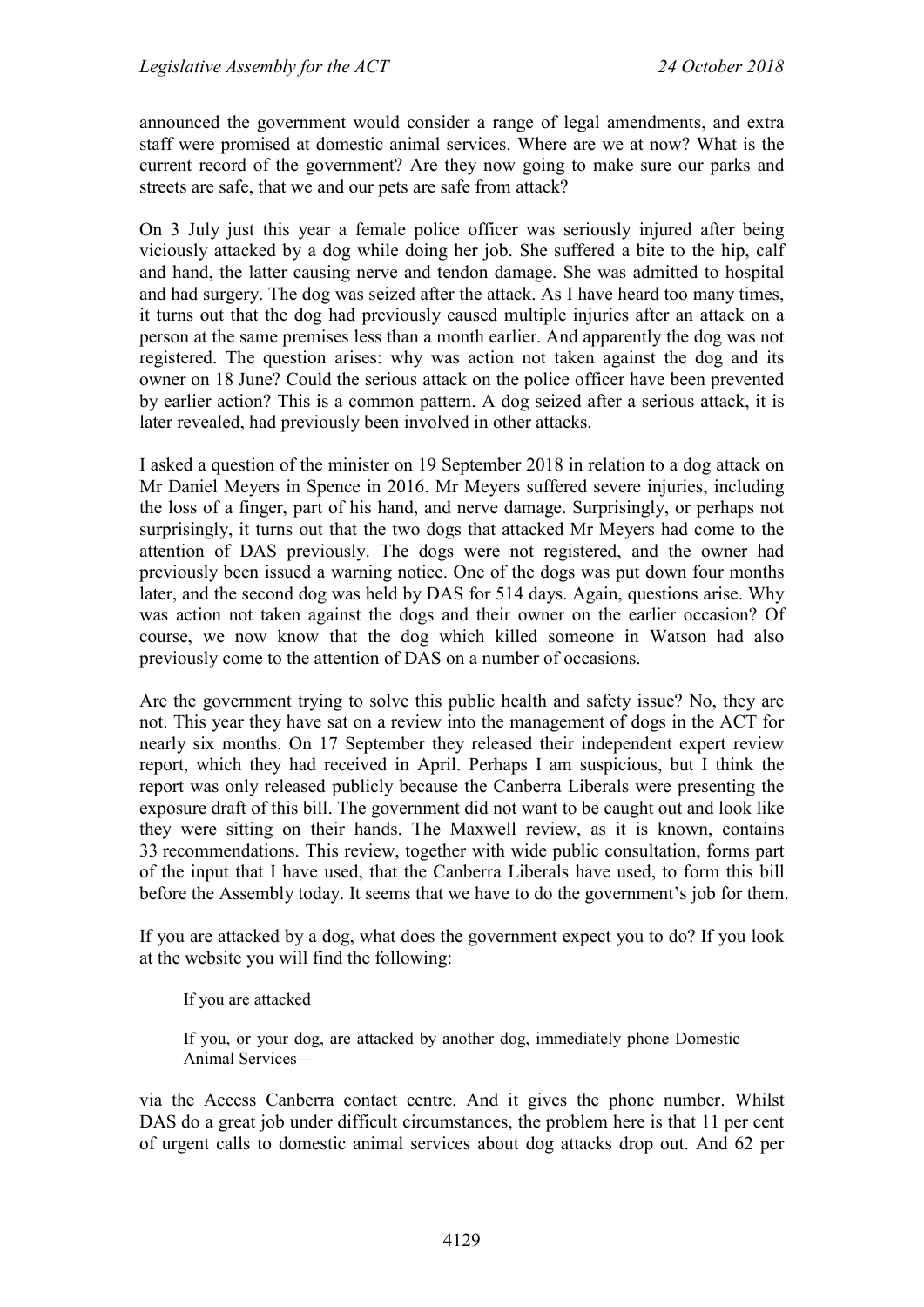announced the government would consider a range of legal amendments, and extra staff were promised at domestic animal services. Where are we at now? What is the current record of the government? Are they now going to make sure our parks and streets are safe, that we and our pets are safe from attack?

On 3 July just this year a female police officer was seriously injured after being viciously attacked by a dog while doing her job. She suffered a bite to the hip, calf and hand, the latter causing nerve and tendon damage. She was admitted to hospital and had surgery. The dog was seized after the attack. As I have heard too many times, it turns out that the dog had previously caused multiple injuries after an attack on a person at the same premises less than a month earlier. And apparently the dog was not registered. The question arises: why was action not taken against the dog and its owner on 18 June? Could the serious attack on the police officer have been prevented by earlier action? This is a common pattern. A dog seized after a serious attack, it is later revealed, had previously been involved in other attacks.

I asked a question of the minister on 19 September 2018 in relation to a dog attack on Mr Daniel Meyers in Spence in 2016. Mr Meyers suffered severe injuries, including the loss of a finger, part of his hand, and nerve damage. Surprisingly, or perhaps not surprisingly, it turns out that the two dogs that attacked Mr Meyers had come to the attention of DAS previously. The dogs were not registered, and the owner had previously been issued a warning notice. One of the dogs was put down four months later, and the second dog was held by DAS for 514 days. Again, questions arise. Why was action not taken against the dogs and their owner on the earlier occasion? Of course, we now know that the dog which killed someone in Watson had also previously come to the attention of DAS on a number of occasions.

Are the government trying to solve this public health and safety issue? No, they are not. This year they have sat on a review into the management of dogs in the ACT for nearly six months. On 17 September they released their independent expert review report, which they had received in April. Perhaps I am suspicious, but I think the report was only released publicly because the Canberra Liberals were presenting the exposure draft of this bill. The government did not want to be caught out and look like they were sitting on their hands. The Maxwell review, as it is known, contains 33 recommendations. This review, together with wide public consultation, forms part of the input that I have used, that the Canberra Liberals have used, to form this bill before the Assembly today. It seems that we have to do the government's job for them.

If you are attacked by a dog, what does the government expect you to do? If you look at the website you will find the following:

If you are attacked

If you, or your dog, are attacked by another dog, immediately phone Domestic Animal Services—

via the Access Canberra contact centre. And it gives the phone number. Whilst DAS do a great job under difficult circumstances, the problem here is that 11 per cent of urgent calls to domestic animal services about dog attacks drop out. And 62 per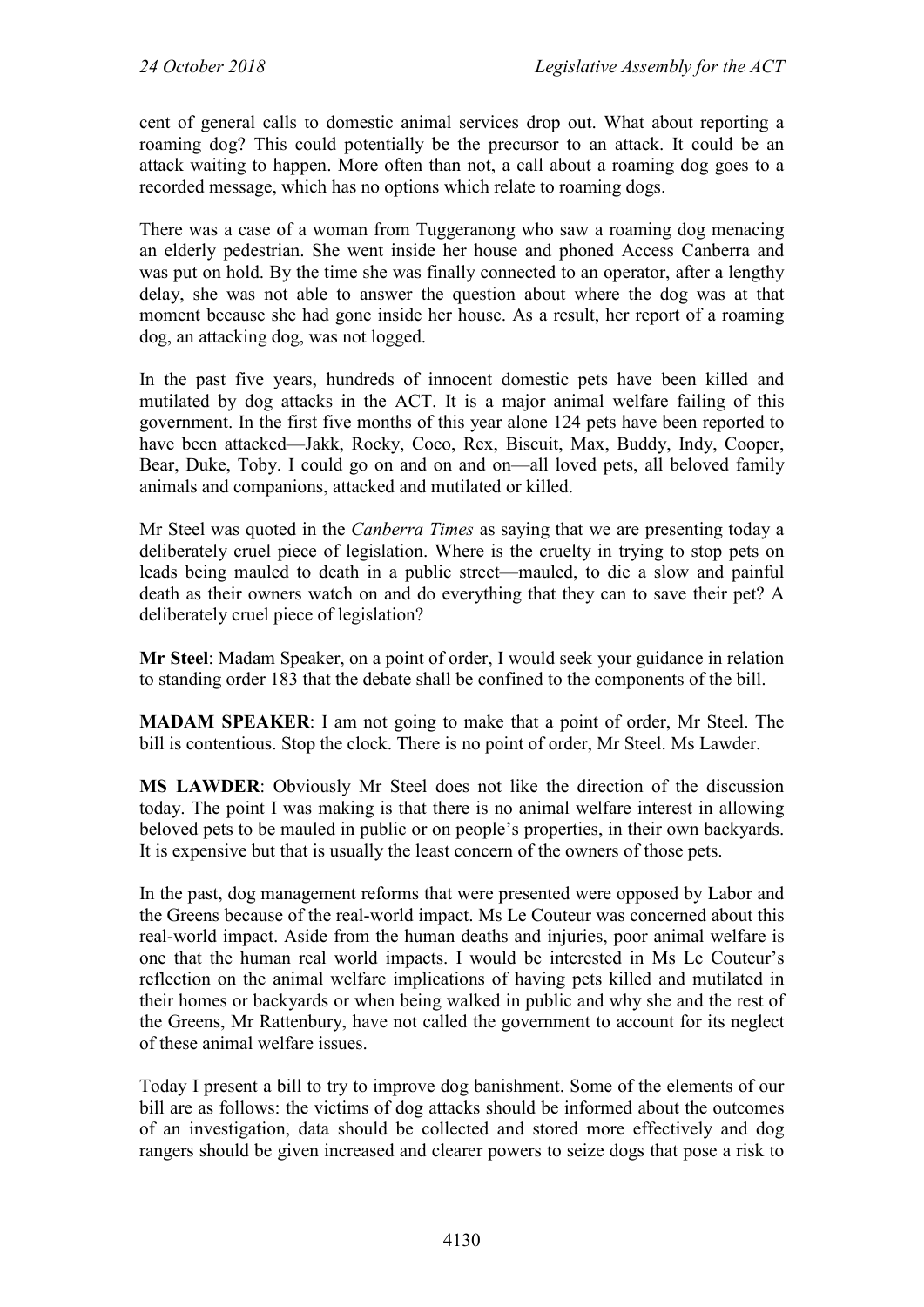cent of general calls to domestic animal services drop out. What about reporting a roaming dog? This could potentially be the precursor to an attack. It could be an attack waiting to happen. More often than not, a call about a roaming dog goes to a recorded message, which has no options which relate to roaming dogs.

There was a case of a woman from Tuggeranong who saw a roaming dog menacing an elderly pedestrian. She went inside her house and phoned Access Canberra and was put on hold. By the time she was finally connected to an operator, after a lengthy delay, she was not able to answer the question about where the dog was at that moment because she had gone inside her house. As a result, her report of a roaming dog, an attacking dog, was not logged.

In the past five years, hundreds of innocent domestic pets have been killed and mutilated by dog attacks in the ACT. It is a major animal welfare failing of this government. In the first five months of this year alone 124 pets have been reported to have been attacked—Jakk, Rocky, Coco, Rex, Biscuit, Max, Buddy, Indy, Cooper, Bear, Duke, Toby. I could go on and on and on—all loved pets, all beloved family animals and companions, attacked and mutilated or killed.

Mr Steel was quoted in the *Canberra Times* as saying that we are presenting today a deliberately cruel piece of legislation. Where is the cruelty in trying to stop pets on leads being mauled to death in a public street—mauled, to die a slow and painful death as their owners watch on and do everything that they can to save their pet? A deliberately cruel piece of legislation?

**Mr Steel**: Madam Speaker, on a point of order, I would seek your guidance in relation to standing order 183 that the debate shall be confined to the components of the bill.

**MADAM SPEAKER**: I am not going to make that a point of order, Mr Steel. The bill is contentious. Stop the clock. There is no point of order, Mr Steel. Ms Lawder.

**MS LAWDER**: Obviously Mr Steel does not like the direction of the discussion today. The point I was making is that there is no animal welfare interest in allowing beloved pets to be mauled in public or on people's properties, in their own backyards. It is expensive but that is usually the least concern of the owners of those pets.

In the past, dog management reforms that were presented were opposed by Labor and the Greens because of the real-world impact. Ms Le Couteur was concerned about this real-world impact. Aside from the human deaths and injuries, poor animal welfare is one that the human real world impacts. I would be interested in Ms Le Couteur's reflection on the animal welfare implications of having pets killed and mutilated in their homes or backyards or when being walked in public and why she and the rest of the Greens, Mr Rattenbury, have not called the government to account for its neglect of these animal welfare issues.

Today I present a bill to try to improve dog banishment. Some of the elements of our bill are as follows: the victims of dog attacks should be informed about the outcomes of an investigation, data should be collected and stored more effectively and dog rangers should be given increased and clearer powers to seize dogs that pose a risk to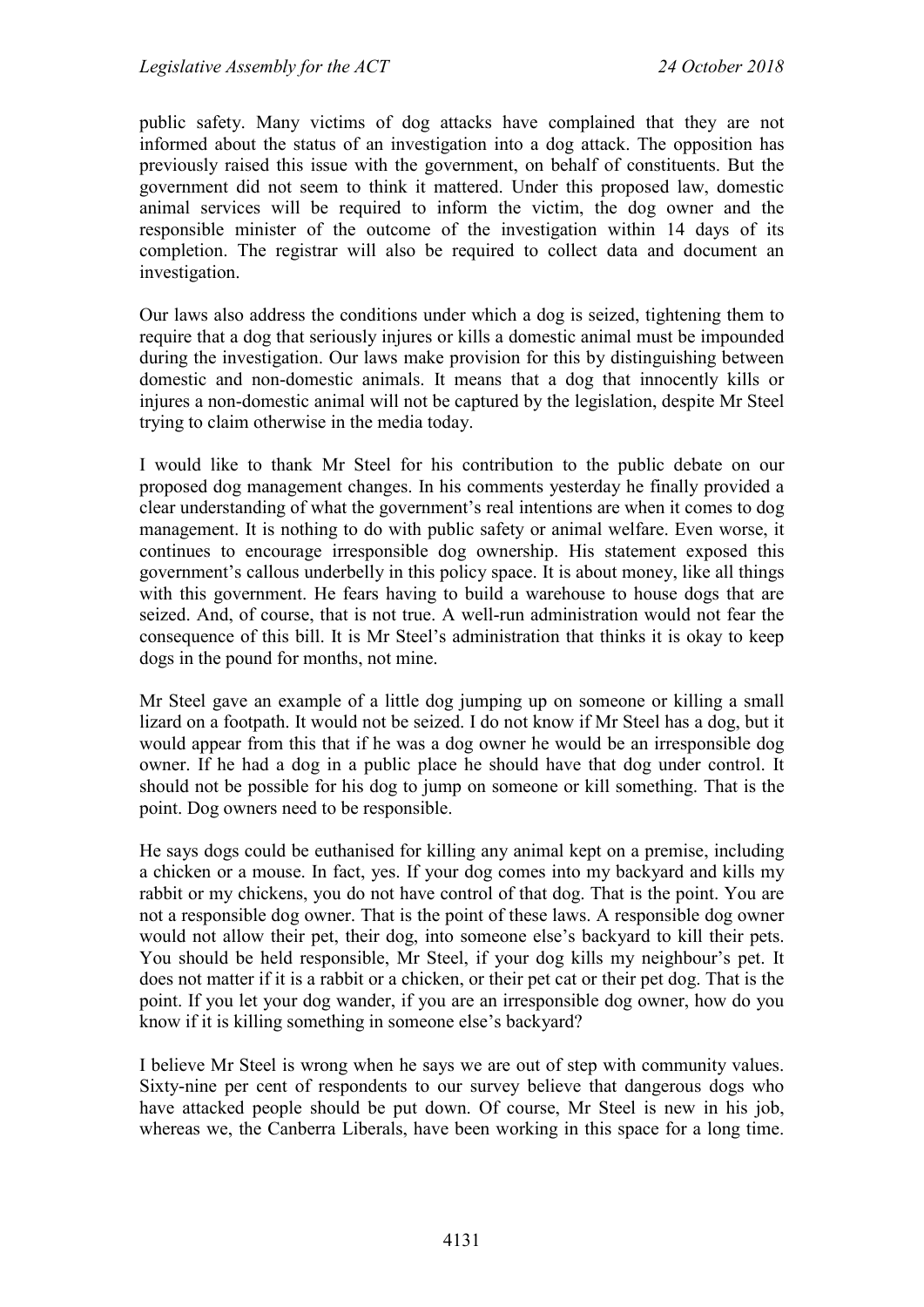public safety. Many victims of dog attacks have complained that they are not informed about the status of an investigation into a dog attack. The opposition has previously raised this issue with the government, on behalf of constituents. But the government did not seem to think it mattered. Under this proposed law, domestic animal services will be required to inform the victim, the dog owner and the responsible minister of the outcome of the investigation within 14 days of its completion. The registrar will also be required to collect data and document an investigation.

Our laws also address the conditions under which a dog is seized, tightening them to require that a dog that seriously injures or kills a domestic animal must be impounded during the investigation. Our laws make provision for this by distinguishing between domestic and non-domestic animals. It means that a dog that innocently kills or injures a non-domestic animal will not be captured by the legislation, despite Mr Steel trying to claim otherwise in the media today.

I would like to thank Mr Steel for his contribution to the public debate on our proposed dog management changes. In his comments yesterday he finally provided a clear understanding of what the government's real intentions are when it comes to dog management. It is nothing to do with public safety or animal welfare. Even worse, it continues to encourage irresponsible dog ownership. His statement exposed this government's callous underbelly in this policy space. It is about money, like all things with this government. He fears having to build a warehouse to house dogs that are seized. And, of course, that is not true. A well-run administration would not fear the consequence of this bill. It is Mr Steel's administration that thinks it is okay to keep dogs in the pound for months, not mine.

Mr Steel gave an example of a little dog jumping up on someone or killing a small lizard on a footpath. It would not be seized. I do not know if Mr Steel has a dog, but it would appear from this that if he was a dog owner he would be an irresponsible dog owner. If he had a dog in a public place he should have that dog under control. It should not be possible for his dog to jump on someone or kill something. That is the point. Dog owners need to be responsible.

He says dogs could be euthanised for killing any animal kept on a premise, including a chicken or a mouse. In fact, yes. If your dog comes into my backyard and kills my rabbit or my chickens, you do not have control of that dog. That is the point. You are not a responsible dog owner. That is the point of these laws. A responsible dog owner would not allow their pet, their dog, into someone else's backyard to kill their pets. You should be held responsible, Mr Steel, if your dog kills my neighbour's pet. It does not matter if it is a rabbit or a chicken, or their pet cat or their pet dog. That is the point. If you let your dog wander, if you are an irresponsible dog owner, how do you know if it is killing something in someone else's backyard?

I believe Mr Steel is wrong when he says we are out of step with community values. Sixty-nine per cent of respondents to our survey believe that dangerous dogs who have attacked people should be put down. Of course, Mr Steel is new in his job, whereas we, the Canberra Liberals, have been working in this space for a long time.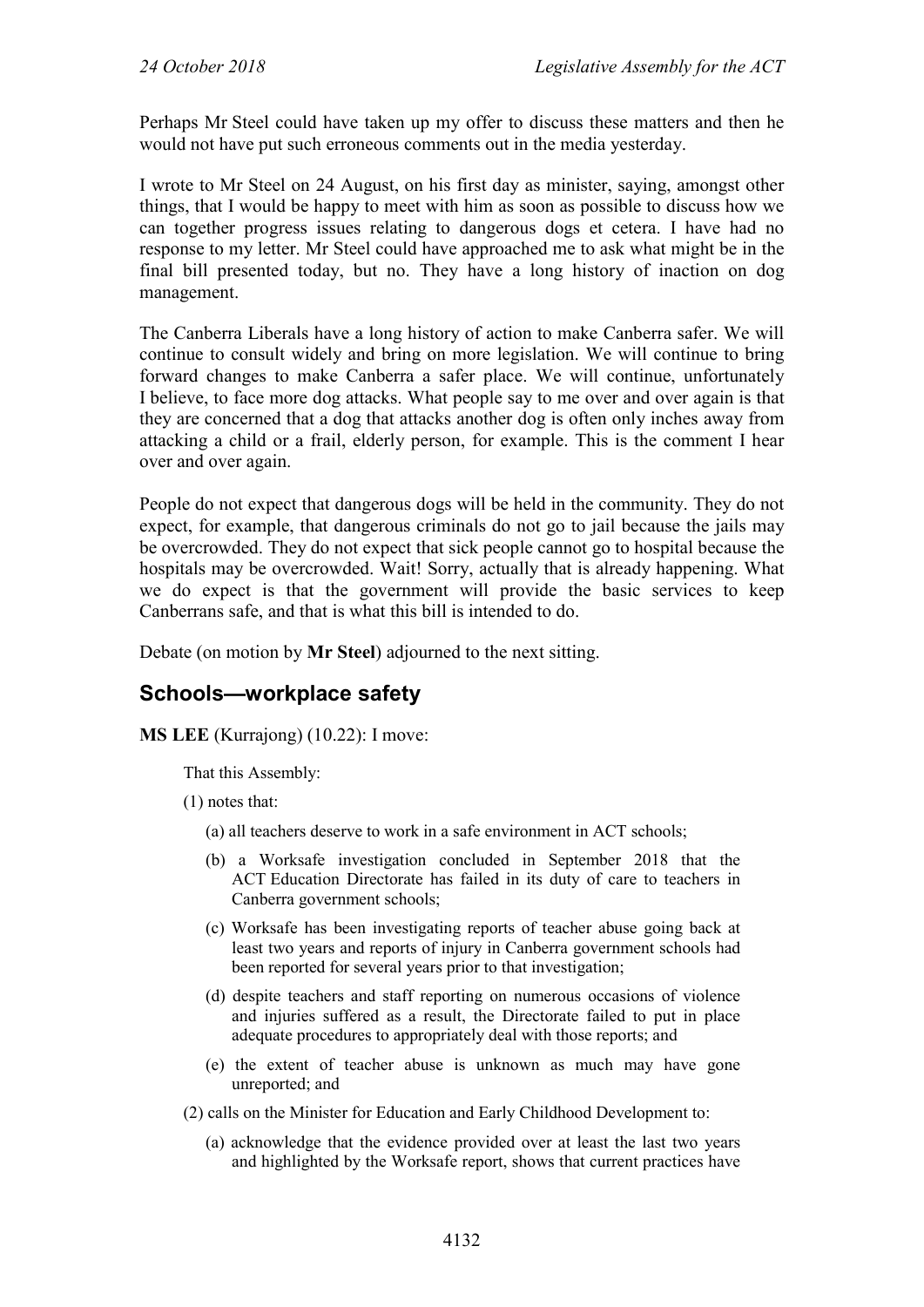Perhaps Mr Steel could have taken up my offer to discuss these matters and then he would not have put such erroneous comments out in the media yesterday.

I wrote to Mr Steel on 24 August, on his first day as minister, saying, amongst other things, that I would be happy to meet with him as soon as possible to discuss how we can together progress issues relating to dangerous dogs et cetera. I have had no response to my letter. Mr Steel could have approached me to ask what might be in the final bill presented today, but no. They have a long history of inaction on dog management.

The Canberra Liberals have a long history of action to make Canberra safer. We will continue to consult widely and bring on more legislation. We will continue to bring forward changes to make Canberra a safer place. We will continue, unfortunately I believe, to face more dog attacks. What people say to me over and over again is that they are concerned that a dog that attacks another dog is often only inches away from attacking a child or a frail, elderly person, for example. This is the comment I hear over and over again.

People do not expect that dangerous dogs will be held in the community. They do not expect, for example, that dangerous criminals do not go to jail because the jails may be overcrowded. They do not expect that sick people cannot go to hospital because the hospitals may be overcrowded. Wait! Sorry, actually that is already happening. What we do expect is that the government will provide the basic services to keep Canberrans safe, and that is what this bill is intended to do.

Debate (on motion by **Mr Steel**) adjourned to the next sitting.

#### <span id="page-7-0"></span>**Schools—workplace safety**

**MS LEE** (Kurrajong) (10.22): I move:

That this Assembly:

(1) notes that:

- (a) all teachers deserve to work in a safe environment in ACT schools;
- (b) a Worksafe investigation concluded in September 2018 that the ACT Education Directorate has failed in its duty of care to teachers in Canberra government schools;
- (c) Worksafe has been investigating reports of teacher abuse going back at least two years and reports of injury in Canberra government schools had been reported for several years prior to that investigation;
- (d) despite teachers and staff reporting on numerous occasions of violence and injuries suffered as a result, the Directorate failed to put in place adequate procedures to appropriately deal with those reports; and
- (e) the extent of teacher abuse is unknown as much may have gone unreported; and

(2) calls on the Minister for Education and Early Childhood Development to:

(a) acknowledge that the evidence provided over at least the last two years and highlighted by the Worksafe report, shows that current practices have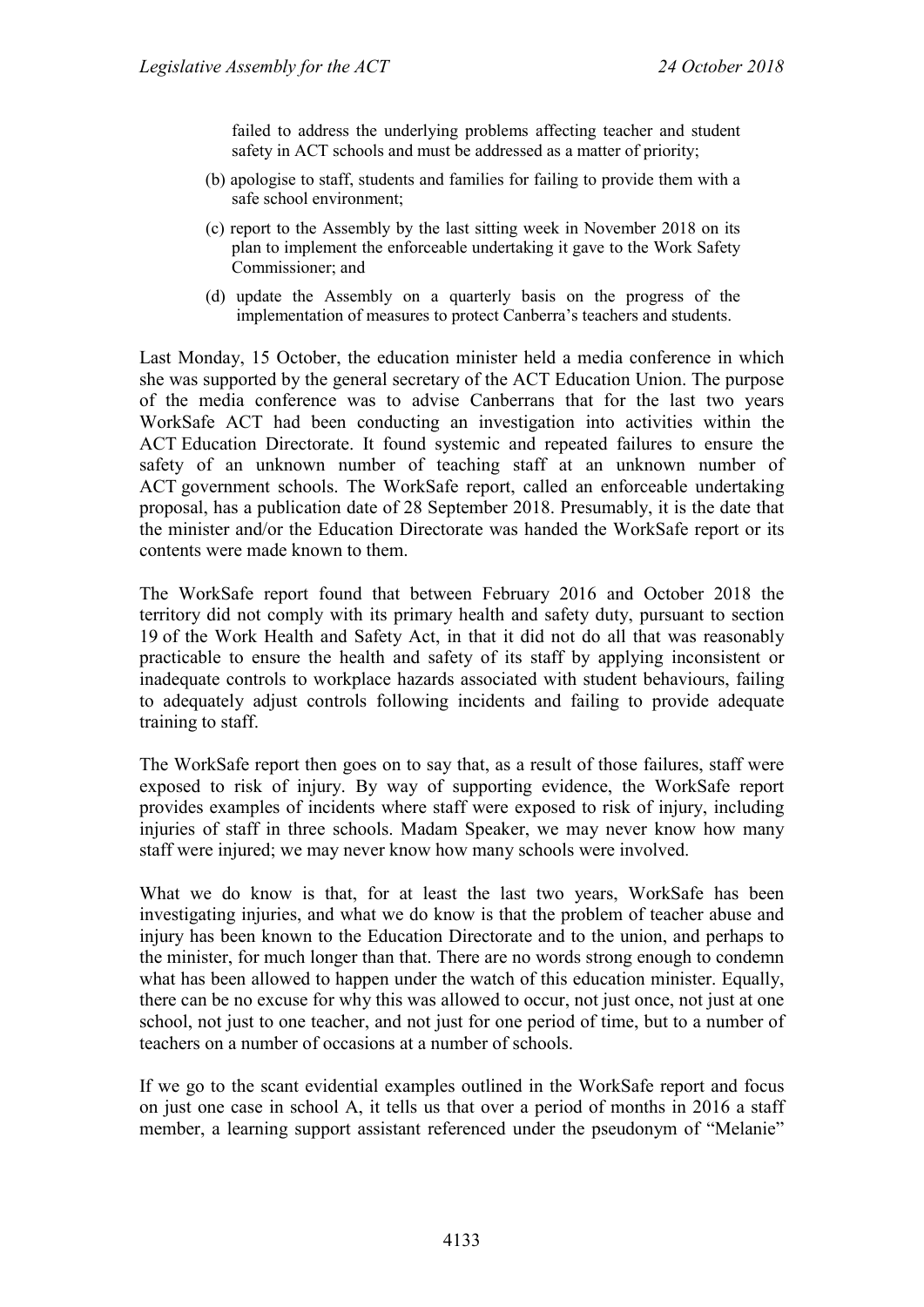failed to address the underlying problems affecting teacher and student safety in ACT schools and must be addressed as a matter of priority;

- (b) apologise to staff, students and families for failing to provide them with a safe school environment;
- (c) report to the Assembly by the last sitting week in November 2018 on its plan to implement the enforceable undertaking it gave to the Work Safety Commissioner; and
- (d) update the Assembly on a quarterly basis on the progress of the implementation of measures to protect Canberra's teachers and students.

Last Monday, 15 October, the education minister held a media conference in which she was supported by the general secretary of the ACT Education Union. The purpose of the media conference was to advise Canberrans that for the last two years WorkSafe ACT had been conducting an investigation into activities within the ACT Education Directorate. It found systemic and repeated failures to ensure the safety of an unknown number of teaching staff at an unknown number of ACT government schools. The WorkSafe report, called an enforceable undertaking proposal, has a publication date of 28 September 2018. Presumably, it is the date that the minister and/or the Education Directorate was handed the WorkSafe report or its contents were made known to them.

The WorkSafe report found that between February 2016 and October 2018 the territory did not comply with its primary health and safety duty, pursuant to section 19 of the Work Health and Safety Act, in that it did not do all that was reasonably practicable to ensure the health and safety of its staff by applying inconsistent or inadequate controls to workplace hazards associated with student behaviours, failing to adequately adjust controls following incidents and failing to provide adequate training to staff.

The WorkSafe report then goes on to say that, as a result of those failures, staff were exposed to risk of injury. By way of supporting evidence, the WorkSafe report provides examples of incidents where staff were exposed to risk of injury, including injuries of staff in three schools. Madam Speaker, we may never know how many staff were injured; we may never know how many schools were involved.

What we do know is that, for at least the last two years, WorkSafe has been investigating injuries, and what we do know is that the problem of teacher abuse and injury has been known to the Education Directorate and to the union, and perhaps to the minister, for much longer than that. There are no words strong enough to condemn what has been allowed to happen under the watch of this education minister. Equally, there can be no excuse for why this was allowed to occur, not just once, not just at one school, not just to one teacher, and not just for one period of time, but to a number of teachers on a number of occasions at a number of schools.

If we go to the scant evidential examples outlined in the WorkSafe report and focus on just one case in school A, it tells us that over a period of months in 2016 a staff member, a learning support assistant referenced under the pseudonym of "Melanie"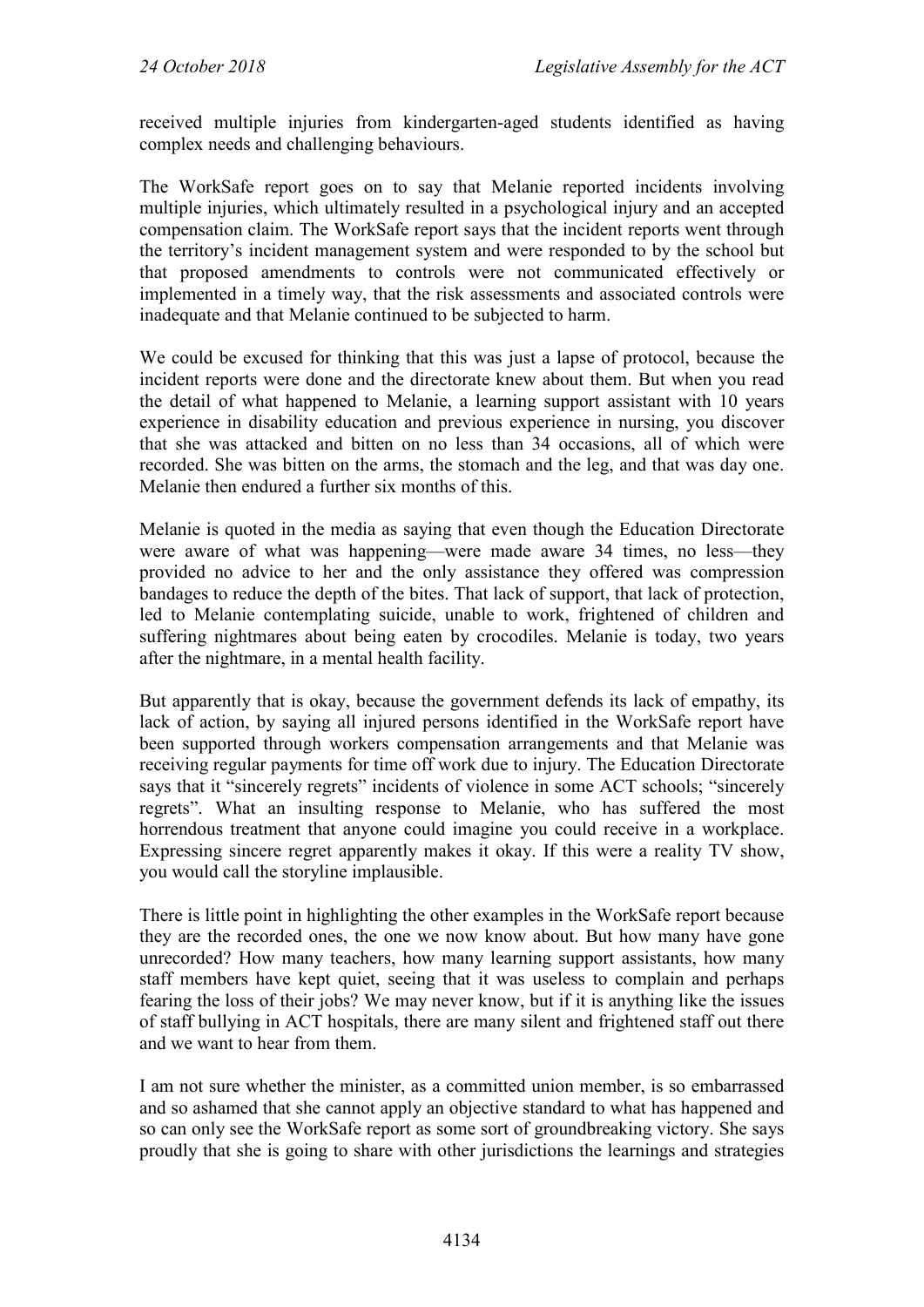received multiple injuries from kindergarten-aged students identified as having complex needs and challenging behaviours.

The WorkSafe report goes on to say that Melanie reported incidents involving multiple injuries, which ultimately resulted in a psychological injury and an accepted compensation claim. The WorkSafe report says that the incident reports went through the territory's incident management system and were responded to by the school but that proposed amendments to controls were not communicated effectively or implemented in a timely way, that the risk assessments and associated controls were inadequate and that Melanie continued to be subjected to harm.

We could be excused for thinking that this was just a lapse of protocol, because the incident reports were done and the directorate knew about them. But when you read the detail of what happened to Melanie, a learning support assistant with 10 years experience in disability education and previous experience in nursing, you discover that she was attacked and bitten on no less than 34 occasions, all of which were recorded. She was bitten on the arms, the stomach and the leg, and that was day one. Melanie then endured a further six months of this.

Melanie is quoted in the media as saying that even though the Education Directorate were aware of what was happening—were made aware 34 times, no less—they provided no advice to her and the only assistance they offered was compression bandages to reduce the depth of the bites. That lack of support, that lack of protection, led to Melanie contemplating suicide, unable to work, frightened of children and suffering nightmares about being eaten by crocodiles. Melanie is today, two years after the nightmare, in a mental health facility.

But apparently that is okay, because the government defends its lack of empathy, its lack of action, by saying all injured persons identified in the WorkSafe report have been supported through workers compensation arrangements and that Melanie was receiving regular payments for time off work due to injury. The Education Directorate says that it "sincerely regrets" incidents of violence in some ACT schools; "sincerely regrets". What an insulting response to Melanie, who has suffered the most horrendous treatment that anyone could imagine you could receive in a workplace. Expressing sincere regret apparently makes it okay. If this were a reality TV show, you would call the storyline implausible.

There is little point in highlighting the other examples in the WorkSafe report because they are the recorded ones, the one we now know about. But how many have gone unrecorded? How many teachers, how many learning support assistants, how many staff members have kept quiet, seeing that it was useless to complain and perhaps fearing the loss of their jobs? We may never know, but if it is anything like the issues of staff bullying in ACT hospitals, there are many silent and frightened staff out there and we want to hear from them.

I am not sure whether the minister, as a committed union member, is so embarrassed and so ashamed that she cannot apply an objective standard to what has happened and so can only see the WorkSafe report as some sort of groundbreaking victory. She says proudly that she is going to share with other jurisdictions the learnings and strategies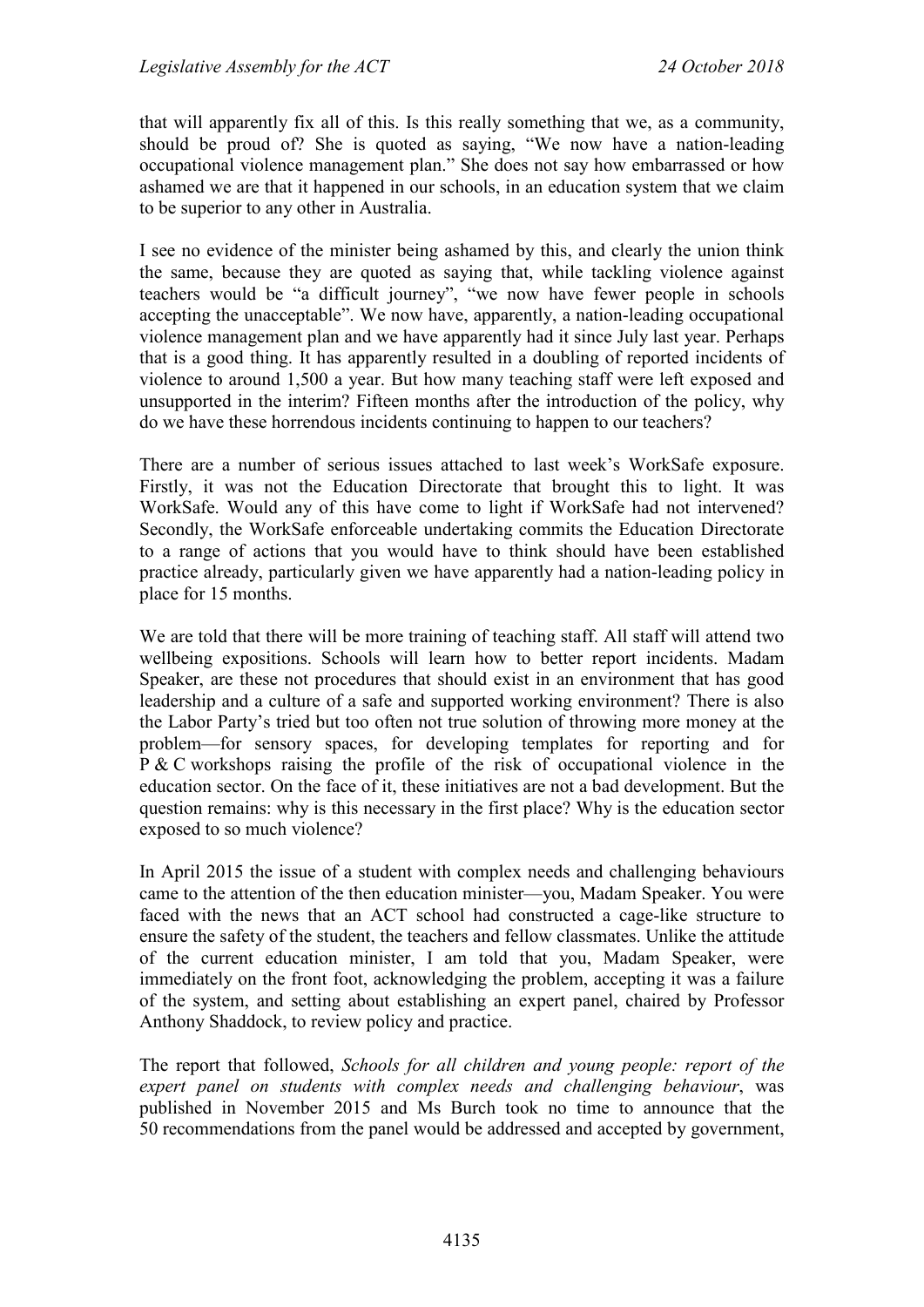that will apparently fix all of this. Is this really something that we, as a community, should be proud of? She is quoted as saying, "We now have a nation-leading occupational violence management plan." She does not say how embarrassed or how ashamed we are that it happened in our schools, in an education system that we claim to be superior to any other in Australia.

I see no evidence of the minister being ashamed by this, and clearly the union think the same, because they are quoted as saying that, while tackling violence against teachers would be "a difficult journey", "we now have fewer people in schools accepting the unacceptable". We now have, apparently, a nation-leading occupational violence management plan and we have apparently had it since July last year. Perhaps that is a good thing. It has apparently resulted in a doubling of reported incidents of violence to around 1,500 a year. But how many teaching staff were left exposed and unsupported in the interim? Fifteen months after the introduction of the policy, why do we have these horrendous incidents continuing to happen to our teachers?

There are a number of serious issues attached to last week's WorkSafe exposure. Firstly, it was not the Education Directorate that brought this to light. It was WorkSafe. Would any of this have come to light if WorkSafe had not intervened? Secondly, the WorkSafe enforceable undertaking commits the Education Directorate to a range of actions that you would have to think should have been established practice already, particularly given we have apparently had a nation-leading policy in place for 15 months.

We are told that there will be more training of teaching staff. All staff will attend two wellbeing expositions. Schools will learn how to better report incidents. Madam Speaker, are these not procedures that should exist in an environment that has good leadership and a culture of a safe and supported working environment? There is also the Labor Party's tried but too often not true solution of throwing more money at the problem—for sensory spaces, for developing templates for reporting and for P & C workshops raising the profile of the risk of occupational violence in the education sector. On the face of it, these initiatives are not a bad development. But the question remains: why is this necessary in the first place? Why is the education sector exposed to so much violence?

In April 2015 the issue of a student with complex needs and challenging behaviours came to the attention of the then education minister—you, Madam Speaker. You were faced with the news that an ACT school had constructed a cage-like structure to ensure the safety of the student, the teachers and fellow classmates. Unlike the attitude of the current education minister, I am told that you, Madam Speaker, were immediately on the front foot, acknowledging the problem, accepting it was a failure of the system, and setting about establishing an expert panel, chaired by Professor Anthony Shaddock, to review policy and practice.

The report that followed, *Schools for all children and young people: report of the expert panel on students with complex needs and challenging behaviour*, was published in November 2015 and Ms Burch took no time to announce that the 50 recommendations from the panel would be addressed and accepted by government,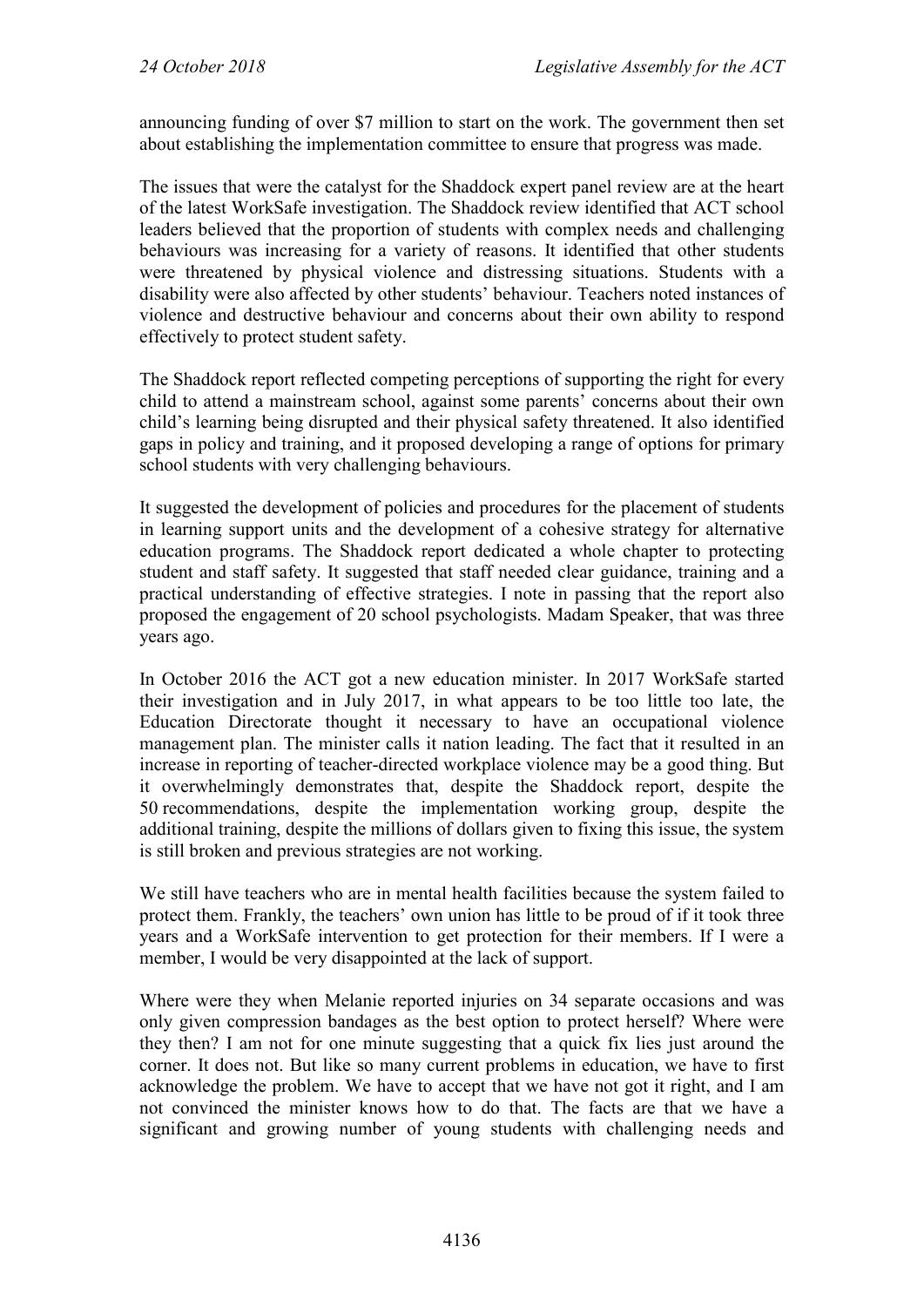announcing funding of over \$7 million to start on the work. The government then set about establishing the implementation committee to ensure that progress was made.

The issues that were the catalyst for the Shaddock expert panel review are at the heart of the latest WorkSafe investigation. The Shaddock review identified that ACT school leaders believed that the proportion of students with complex needs and challenging behaviours was increasing for a variety of reasons. It identified that other students were threatened by physical violence and distressing situations. Students with a disability were also affected by other students' behaviour. Teachers noted instances of violence and destructive behaviour and concerns about their own ability to respond effectively to protect student safety.

The Shaddock report reflected competing perceptions of supporting the right for every child to attend a mainstream school, against some parents' concerns about their own child's learning being disrupted and their physical safety threatened. It also identified gaps in policy and training, and it proposed developing a range of options for primary school students with very challenging behaviours.

It suggested the development of policies and procedures for the placement of students in learning support units and the development of a cohesive strategy for alternative education programs. The Shaddock report dedicated a whole chapter to protecting student and staff safety. It suggested that staff needed clear guidance, training and a practical understanding of effective strategies. I note in passing that the report also proposed the engagement of 20 school psychologists. Madam Speaker, that was three years ago.

In October 2016 the ACT got a new education minister. In 2017 WorkSafe started their investigation and in July 2017, in what appears to be too little too late, the Education Directorate thought it necessary to have an occupational violence management plan. The minister calls it nation leading. The fact that it resulted in an increase in reporting of teacher-directed workplace violence may be a good thing. But it overwhelmingly demonstrates that, despite the Shaddock report, despite the 50 recommendations, despite the implementation working group, despite the additional training, despite the millions of dollars given to fixing this issue, the system is still broken and previous strategies are not working.

We still have teachers who are in mental health facilities because the system failed to protect them. Frankly, the teachers' own union has little to be proud of if it took three years and a WorkSafe intervention to get protection for their members. If I were a member, I would be very disappointed at the lack of support.

Where were they when Melanie reported injuries on 34 separate occasions and was only given compression bandages as the best option to protect herself? Where were they then? I am not for one minute suggesting that a quick fix lies just around the corner. It does not. But like so many current problems in education, we have to first acknowledge the problem. We have to accept that we have not got it right, and I am not convinced the minister knows how to do that. The facts are that we have a significant and growing number of young students with challenging needs and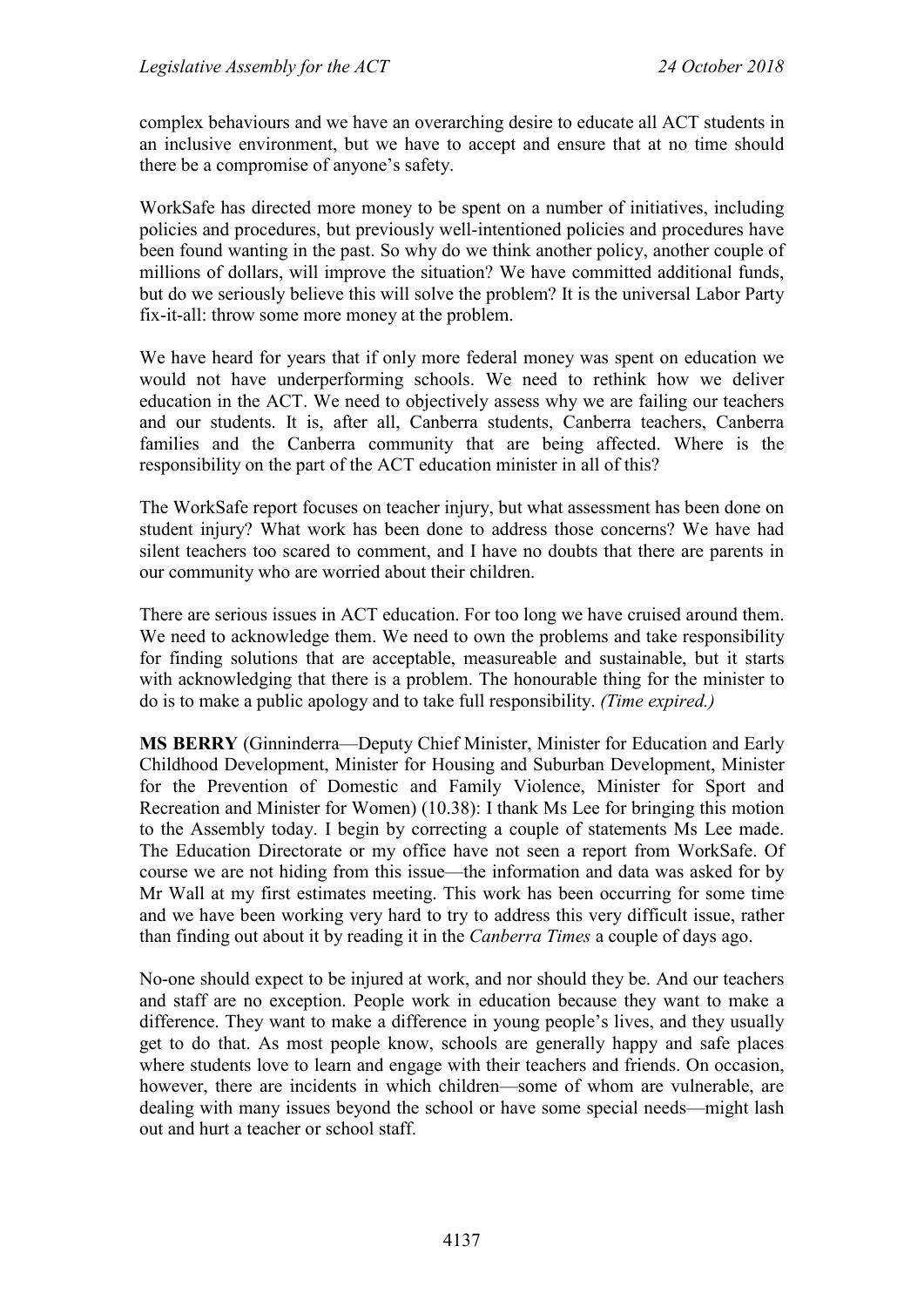complex behaviours and we have an overarching desire to educate all ACT students in an inclusive environment, but we have to accept and ensure that at no time should there be a compromise of anyone's safety.

WorkSafe has directed more money to be spent on a number of initiatives, including policies and procedures, but previously well-intentioned policies and procedures have been found wanting in the past. So why do we think another policy, another couple of millions of dollars, will improve the situation? We have committed additional funds, but do we seriously believe this will solve the problem? It is the universal Labor Party fix-it-all: throw some more money at the problem.

We have heard for years that if only more federal money was spent on education we would not have underperforming schools. We need to rethink how we deliver education in the ACT. We need to objectively assess why we are failing our teachers and our students. It is, after all, Canberra students, Canberra teachers, Canberra families and the Canberra community that are being affected. Where is the responsibility on the part of the ACT education minister in all of this?

The WorkSafe report focuses on teacher injury, but what assessment has been done on student injury? What work has been done to address those concerns? We have had silent teachers too scared to comment, and I have no doubts that there are parents in our community who are worried about their children.

There are serious issues in ACT education. For too long we have cruised around them. We need to acknowledge them. We need to own the problems and take responsibility for finding solutions that are acceptable, measureable and sustainable, but it starts with acknowledging that there is a problem. The honourable thing for the minister to do is to make a public apology and to take full responsibility. *(Time expired.)*

**MS BERRY** (Ginninderra—Deputy Chief Minister, Minister for Education and Early Childhood Development, Minister for Housing and Suburban Development, Minister for the Prevention of Domestic and Family Violence, Minister for Sport and Recreation and Minister for Women) (10.38): I thank Ms Lee for bringing this motion to the Assembly today. I begin by correcting a couple of statements Ms Lee made. The Education Directorate or my office have not seen a report from WorkSafe. Of course we are not hiding from this issue—the information and data was asked for by Mr Wall at my first estimates meeting. This work has been occurring for some time and we have been working very hard to try to address this very difficult issue, rather than finding out about it by reading it in the *Canberra Times* a couple of days ago.

No-one should expect to be injured at work, and nor should they be. And our teachers and staff are no exception. People work in education because they want to make a difference. They want to make a difference in young people's lives, and they usually get to do that. As most people know, schools are generally happy and safe places where students love to learn and engage with their teachers and friends. On occasion, however, there are incidents in which children—some of whom are vulnerable, are dealing with many issues beyond the school or have some special needs—might lash out and hurt a teacher or school staff.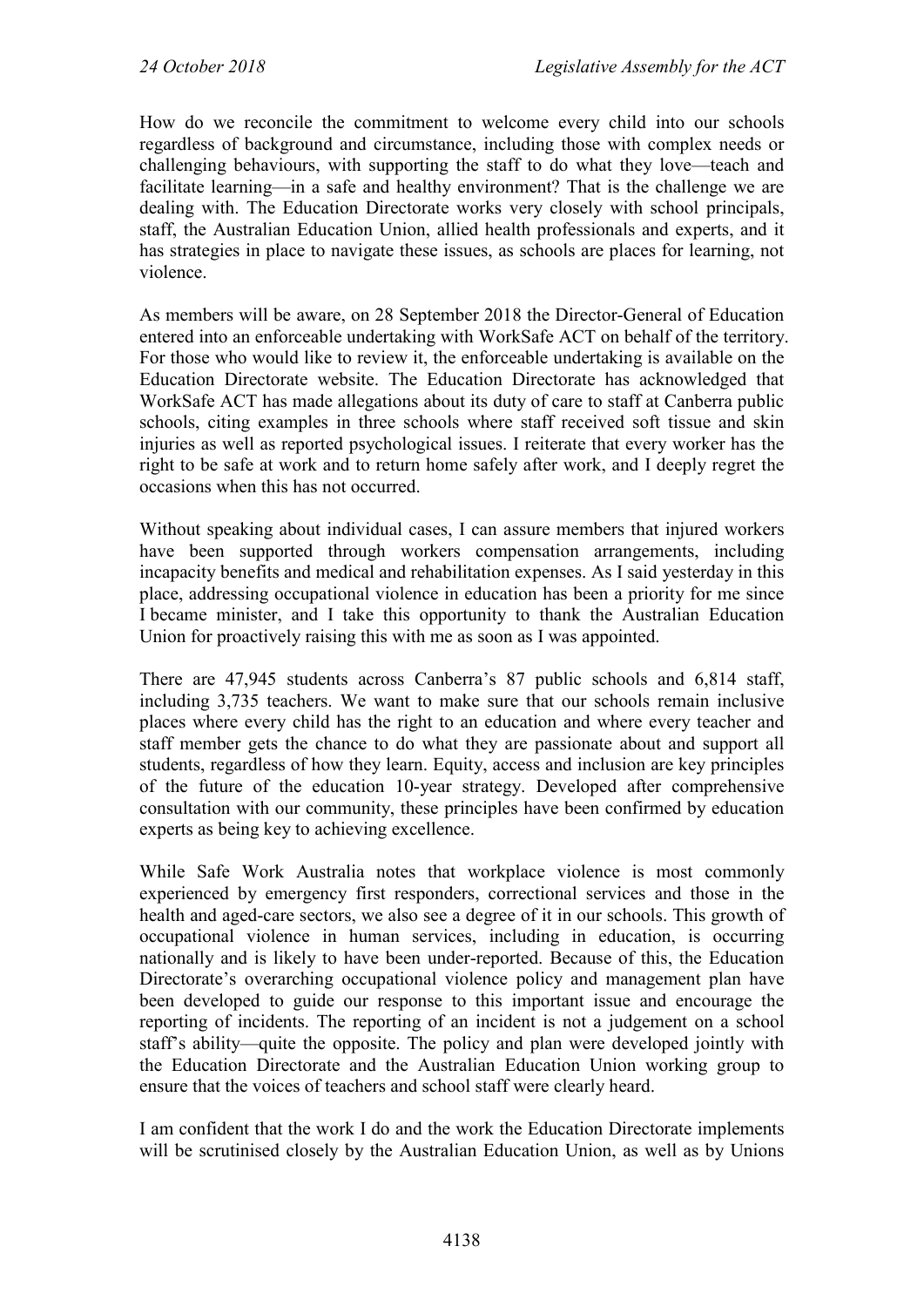How do we reconcile the commitment to welcome every child into our schools regardless of background and circumstance, including those with complex needs or challenging behaviours, with supporting the staff to do what they love—teach and facilitate learning—in a safe and healthy environment? That is the challenge we are dealing with. The Education Directorate works very closely with school principals, staff, the Australian Education Union, allied health professionals and experts, and it has strategies in place to navigate these issues, as schools are places for learning, not violence.

As members will be aware, on 28 September 2018 the Director-General of Education entered into an enforceable undertaking with WorkSafe ACT on behalf of the territory. For those who would like to review it, the enforceable undertaking is available on the Education Directorate website. The Education Directorate has acknowledged that WorkSafe ACT has made allegations about its duty of care to staff at Canberra public schools, citing examples in three schools where staff received soft tissue and skin injuries as well as reported psychological issues. I reiterate that every worker has the right to be safe at work and to return home safely after work, and I deeply regret the occasions when this has not occurred.

Without speaking about individual cases, I can assure members that injured workers have been supported through workers compensation arrangements, including incapacity benefits and medical and rehabilitation expenses. As I said yesterday in this place, addressing occupational violence in education has been a priority for me since I became minister, and I take this opportunity to thank the Australian Education Union for proactively raising this with me as soon as I was appointed.

There are 47,945 students across Canberra's 87 public schools and 6,814 staff, including 3,735 teachers. We want to make sure that our schools remain inclusive places where every child has the right to an education and where every teacher and staff member gets the chance to do what they are passionate about and support all students, regardless of how they learn. Equity, access and inclusion are key principles of the future of the education 10-year strategy. Developed after comprehensive consultation with our community, these principles have been confirmed by education experts as being key to achieving excellence.

While Safe Work Australia notes that workplace violence is most commonly experienced by emergency first responders, correctional services and those in the health and aged-care sectors, we also see a degree of it in our schools. This growth of occupational violence in human services, including in education, is occurring nationally and is likely to have been under-reported. Because of this, the Education Directorate's overarching occupational violence policy and management plan have been developed to guide our response to this important issue and encourage the reporting of incidents. The reporting of an incident is not a judgement on a school staff's ability—quite the opposite. The policy and plan were developed jointly with the Education Directorate and the Australian Education Union working group to ensure that the voices of teachers and school staff were clearly heard.

I am confident that the work I do and the work the Education Directorate implements will be scrutinised closely by the Australian Education Union, as well as by Unions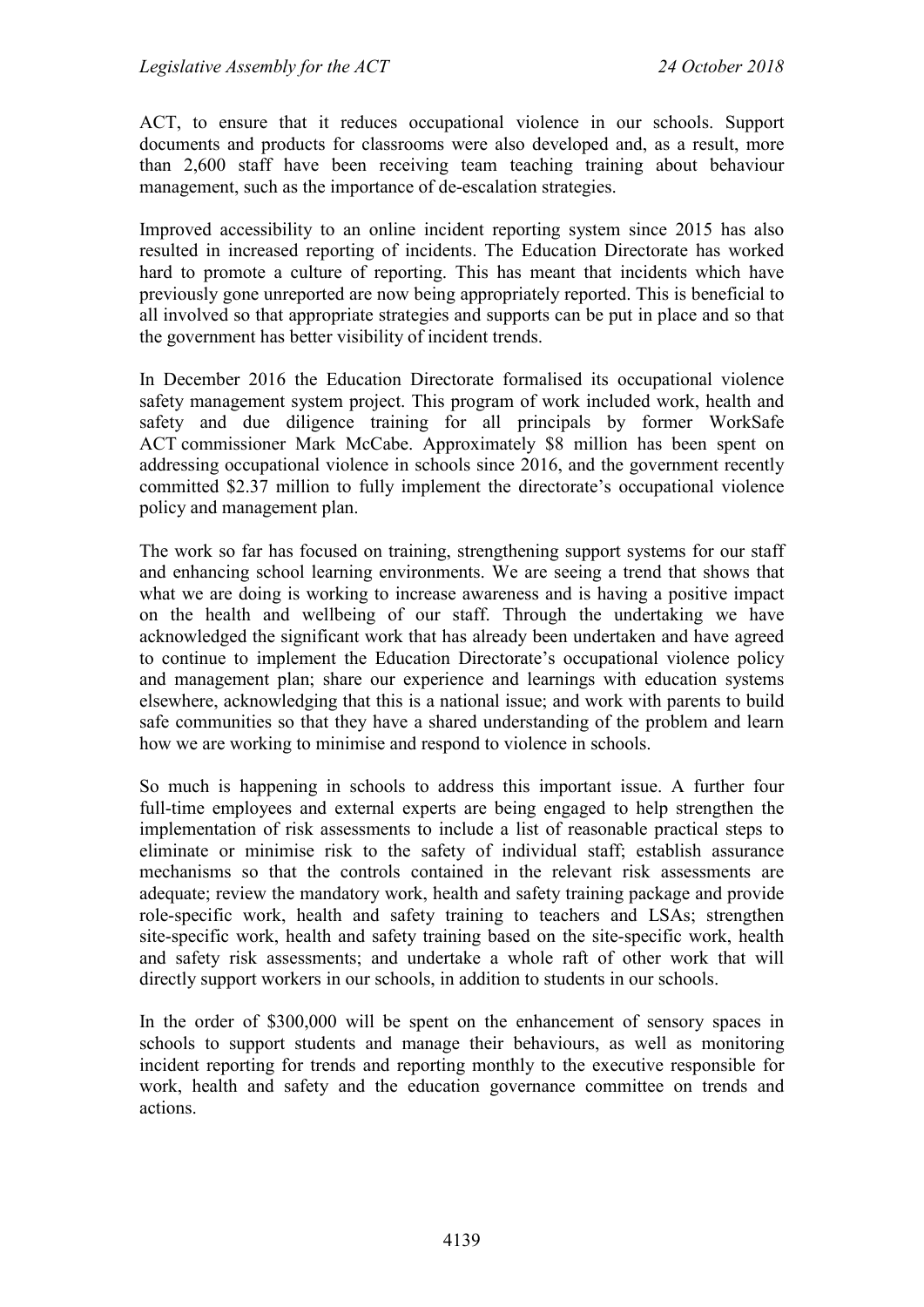ACT, to ensure that it reduces occupational violence in our schools. Support documents and products for classrooms were also developed and, as a result, more than 2,600 staff have been receiving team teaching training about behaviour management, such as the importance of de-escalation strategies.

Improved accessibility to an online incident reporting system since 2015 has also resulted in increased reporting of incidents. The Education Directorate has worked hard to promote a culture of reporting. This has meant that incidents which have previously gone unreported are now being appropriately reported. This is beneficial to all involved so that appropriate strategies and supports can be put in place and so that the government has better visibility of incident trends.

In December 2016 the Education Directorate formalised its occupational violence safety management system project. This program of work included work, health and safety and due diligence training for all principals by former WorkSafe ACT commissioner Mark McCabe. Approximately \$8 million has been spent on addressing occupational violence in schools since 2016, and the government recently committed \$2.37 million to fully implement the directorate's occupational violence policy and management plan.

The work so far has focused on training, strengthening support systems for our staff and enhancing school learning environments. We are seeing a trend that shows that what we are doing is working to increase awareness and is having a positive impact on the health and wellbeing of our staff. Through the undertaking we have acknowledged the significant work that has already been undertaken and have agreed to continue to implement the Education Directorate's occupational violence policy and management plan; share our experience and learnings with education systems elsewhere, acknowledging that this is a national issue; and work with parents to build safe communities so that they have a shared understanding of the problem and learn how we are working to minimise and respond to violence in schools.

So much is happening in schools to address this important issue. A further four full-time employees and external experts are being engaged to help strengthen the implementation of risk assessments to include a list of reasonable practical steps to eliminate or minimise risk to the safety of individual staff; establish assurance mechanisms so that the controls contained in the relevant risk assessments are adequate; review the mandatory work, health and safety training package and provide role-specific work, health and safety training to teachers and LSAs; strengthen site-specific work, health and safety training based on the site-specific work, health and safety risk assessments; and undertake a whole raft of other work that will directly support workers in our schools, in addition to students in our schools.

In the order of \$300,000 will be spent on the enhancement of sensory spaces in schools to support students and manage their behaviours, as well as monitoring incident reporting for trends and reporting monthly to the executive responsible for work, health and safety and the education governance committee on trends and actions.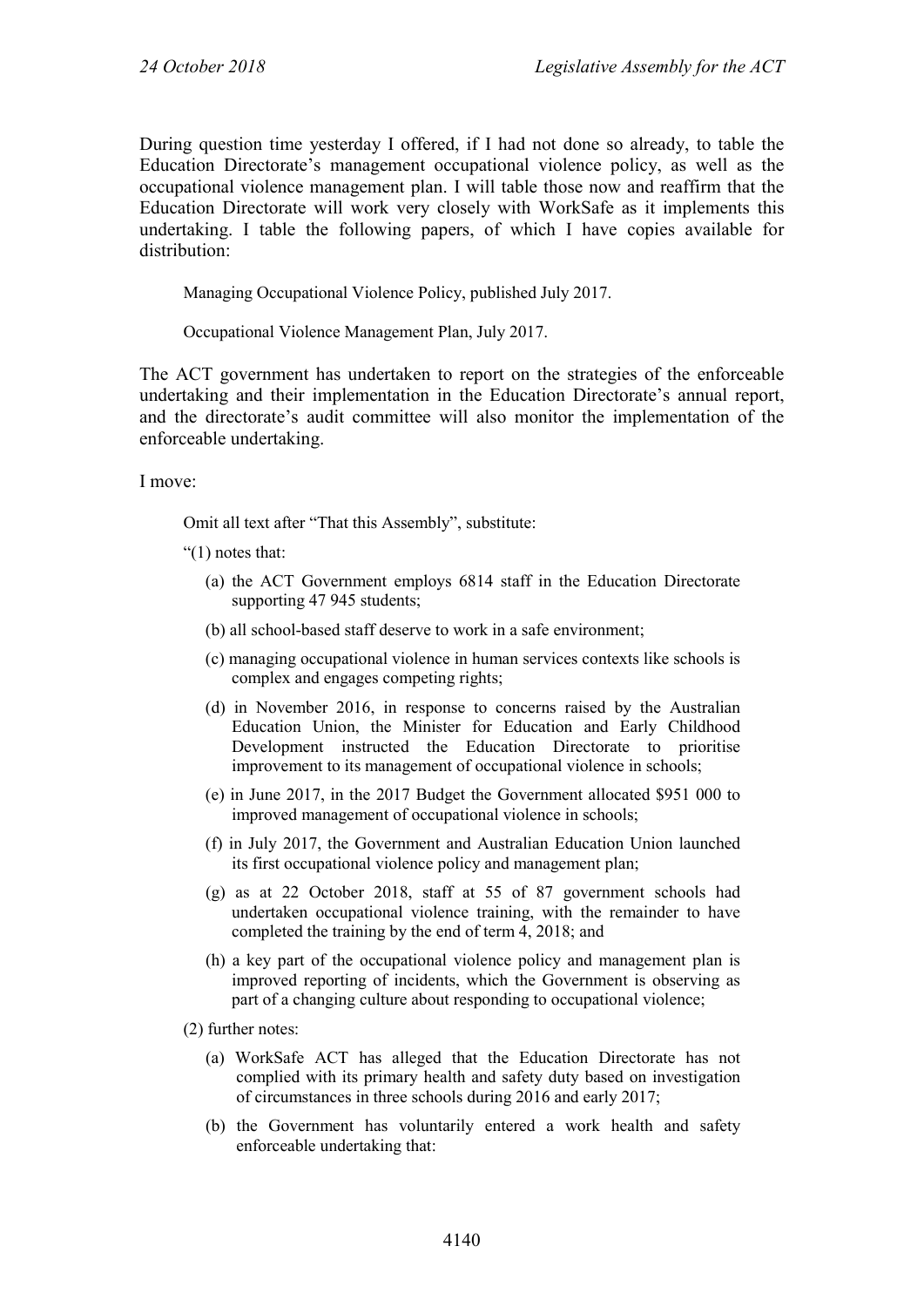During question time yesterday I offered, if I had not done so already, to table the Education Directorate's management occupational violence policy, as well as the occupational violence management plan. I will table those now and reaffirm that the Education Directorate will work very closely with WorkSafe as it implements this undertaking. I table the following papers, of which I have copies available for distribution:

Managing Occupational Violence Policy, published July 2017.

Occupational Violence Management Plan, July 2017.

The ACT government has undertaken to report on the strategies of the enforceable undertaking and their implementation in the Education Directorate's annual report, and the directorate's audit committee will also monitor the implementation of the enforceable undertaking.

I move:

Omit all text after "That this Assembly", substitute:

" $(1)$  notes that:

- (a) the ACT Government employs 6814 staff in the Education Directorate supporting 47 945 students;
- (b) all school-based staff deserve to work in a safe environment;
- (c) managing occupational violence in human services contexts like schools is complex and engages competing rights;
- (d) in November 2016, in response to concerns raised by the Australian Education Union, the Minister for Education and Early Childhood Development instructed the Education Directorate to prioritise improvement to its management of occupational violence in schools;
- (e) in June 2017, in the 2017 Budget the Government allocated \$951 000 to improved management of occupational violence in schools;
- (f) in July 2017, the Government and Australian Education Union launched its first occupational violence policy and management plan;
- (g) as at 22 October 2018, staff at 55 of 87 government schools had undertaken occupational violence training, with the remainder to have completed the training by the end of term 4, 2018; and
- (h) a key part of the occupational violence policy and management plan is improved reporting of incidents, which the Government is observing as part of a changing culture about responding to occupational violence;

(2) further notes:

- (a) WorkSafe ACT has alleged that the Education Directorate has not complied with its primary health and safety duty based on investigation of circumstances in three schools during 2016 and early 2017;
- (b) the Government has voluntarily entered a work health and safety enforceable undertaking that: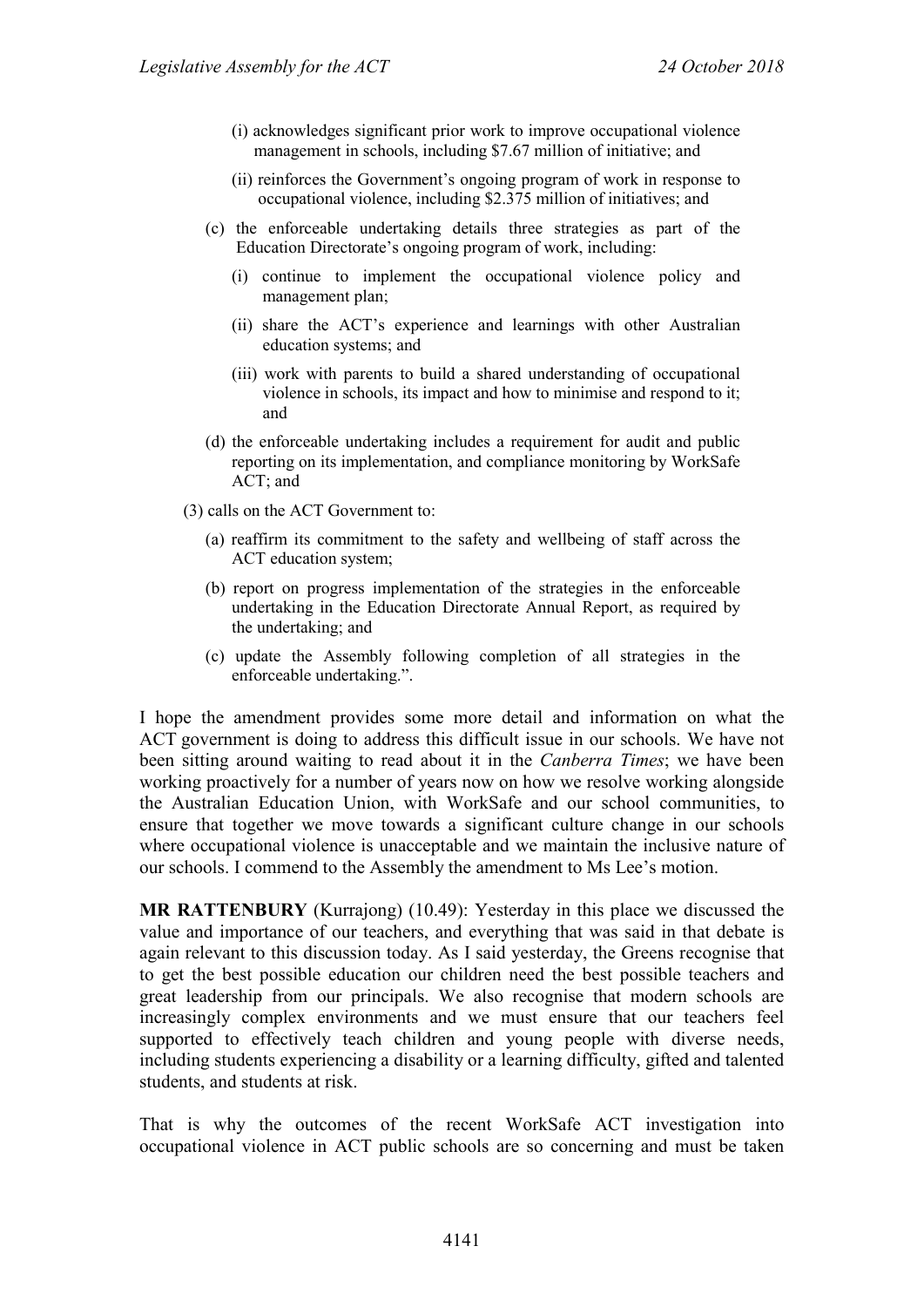- (i) acknowledges significant prior work to improve occupational violence management in schools, including \$7.67 million of initiative; and
- (ii) reinforces the Government's ongoing program of work in response to occupational violence, including \$2.375 million of initiatives; and
- (c) the enforceable undertaking details three strategies as part of the Education Directorate's ongoing program of work, including:
	- (i) continue to implement the occupational violence policy and management plan;
	- (ii) share the ACT's experience and learnings with other Australian education systems; and
	- (iii) work with parents to build a shared understanding of occupational violence in schools, its impact and how to minimise and respond to it; and
- (d) the enforceable undertaking includes a requirement for audit and public reporting on its implementation, and compliance monitoring by WorkSafe ACT; and
- (3) calls on the ACT Government to:
	- (a) reaffirm its commitment to the safety and wellbeing of staff across the ACT education system;
	- (b) report on progress implementation of the strategies in the enforceable undertaking in the Education Directorate Annual Report, as required by the undertaking; and
	- (c) update the Assembly following completion of all strategies in the enforceable undertaking.".

I hope the amendment provides some more detail and information on what the ACT government is doing to address this difficult issue in our schools. We have not been sitting around waiting to read about it in the *Canberra Times*; we have been working proactively for a number of years now on how we resolve working alongside the Australian Education Union, with WorkSafe and our school communities, to ensure that together we move towards a significant culture change in our schools where occupational violence is unacceptable and we maintain the inclusive nature of our schools. I commend to the Assembly the amendment to Ms Lee's motion.

**MR RATTENBURY** (Kurrajong) (10.49): Yesterday in this place we discussed the value and importance of our teachers, and everything that was said in that debate is again relevant to this discussion today. As I said yesterday, the Greens recognise that to get the best possible education our children need the best possible teachers and great leadership from our principals. We also recognise that modern schools are increasingly complex environments and we must ensure that our teachers feel supported to effectively teach children and young people with diverse needs, including students experiencing a disability or a learning difficulty, gifted and talented students, and students at risk.

That is why the outcomes of the recent WorkSafe ACT investigation into occupational violence in ACT public schools are so concerning and must be taken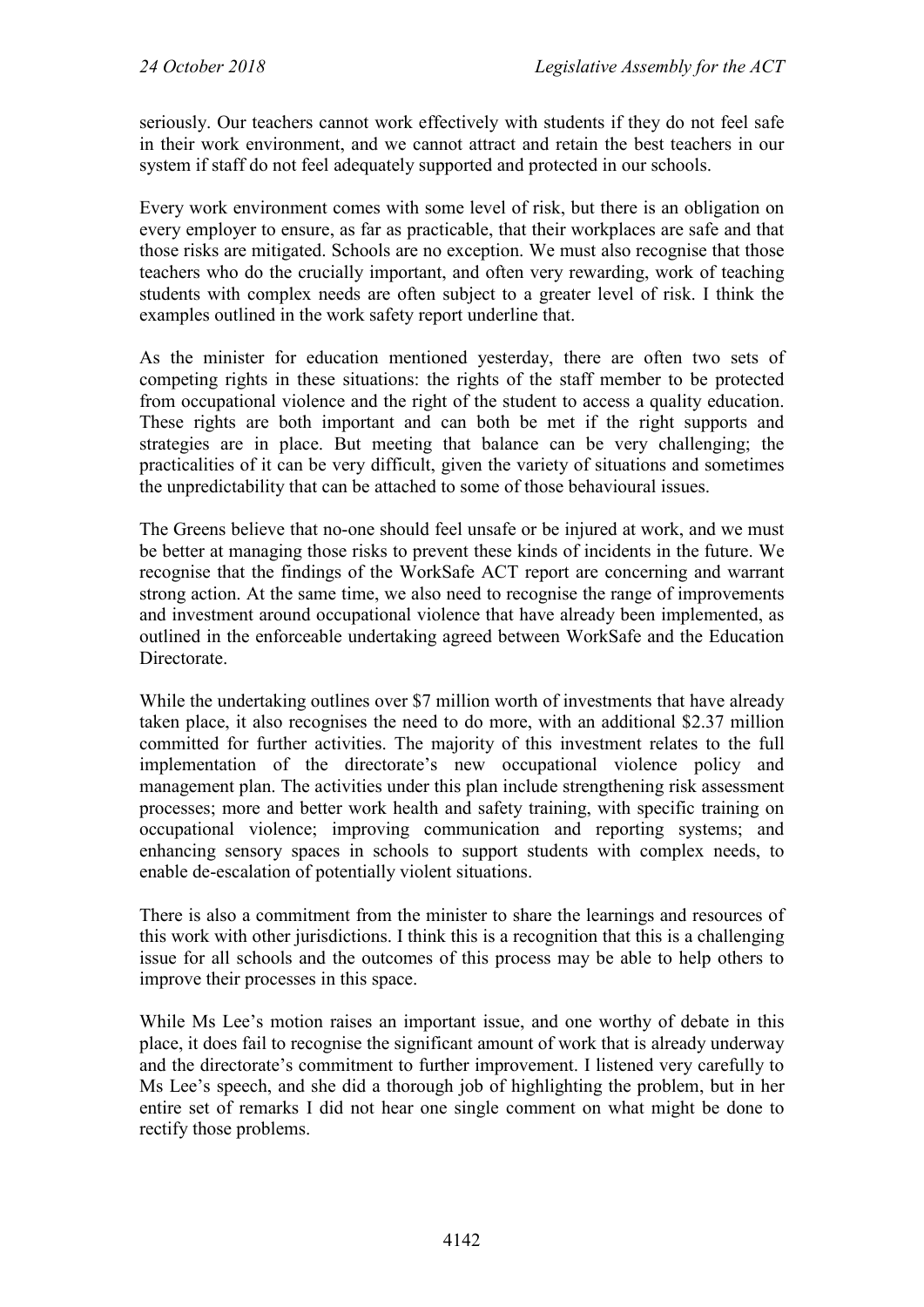seriously. Our teachers cannot work effectively with students if they do not feel safe in their work environment, and we cannot attract and retain the best teachers in our system if staff do not feel adequately supported and protected in our schools.

Every work environment comes with some level of risk, but there is an obligation on every employer to ensure, as far as practicable, that their workplaces are safe and that those risks are mitigated. Schools are no exception. We must also recognise that those teachers who do the crucially important, and often very rewarding, work of teaching students with complex needs are often subject to a greater level of risk. I think the examples outlined in the work safety report underline that.

As the minister for education mentioned yesterday, there are often two sets of competing rights in these situations: the rights of the staff member to be protected from occupational violence and the right of the student to access a quality education. These rights are both important and can both be met if the right supports and strategies are in place. But meeting that balance can be very challenging; the practicalities of it can be very difficult, given the variety of situations and sometimes the unpredictability that can be attached to some of those behavioural issues.

The Greens believe that no-one should feel unsafe or be injured at work, and we must be better at managing those risks to prevent these kinds of incidents in the future. We recognise that the findings of the WorkSafe ACT report are concerning and warrant strong action. At the same time, we also need to recognise the range of improvements and investment around occupational violence that have already been implemented, as outlined in the enforceable undertaking agreed between WorkSafe and the Education Directorate.

While the undertaking outlines over \$7 million worth of investments that have already taken place, it also recognises the need to do more, with an additional \$2.37 million committed for further activities. The majority of this investment relates to the full implementation of the directorate's new occupational violence policy and management plan. The activities under this plan include strengthening risk assessment processes; more and better work health and safety training, with specific training on occupational violence; improving communication and reporting systems; and enhancing sensory spaces in schools to support students with complex needs, to enable de-escalation of potentially violent situations.

There is also a commitment from the minister to share the learnings and resources of this work with other jurisdictions. I think this is a recognition that this is a challenging issue for all schools and the outcomes of this process may be able to help others to improve their processes in this space.

While Ms Lee's motion raises an important issue, and one worthy of debate in this place, it does fail to recognise the significant amount of work that is already underway and the directorate's commitment to further improvement. I listened very carefully to Ms Lee's speech, and she did a thorough job of highlighting the problem, but in her entire set of remarks I did not hear one single comment on what might be done to rectify those problems.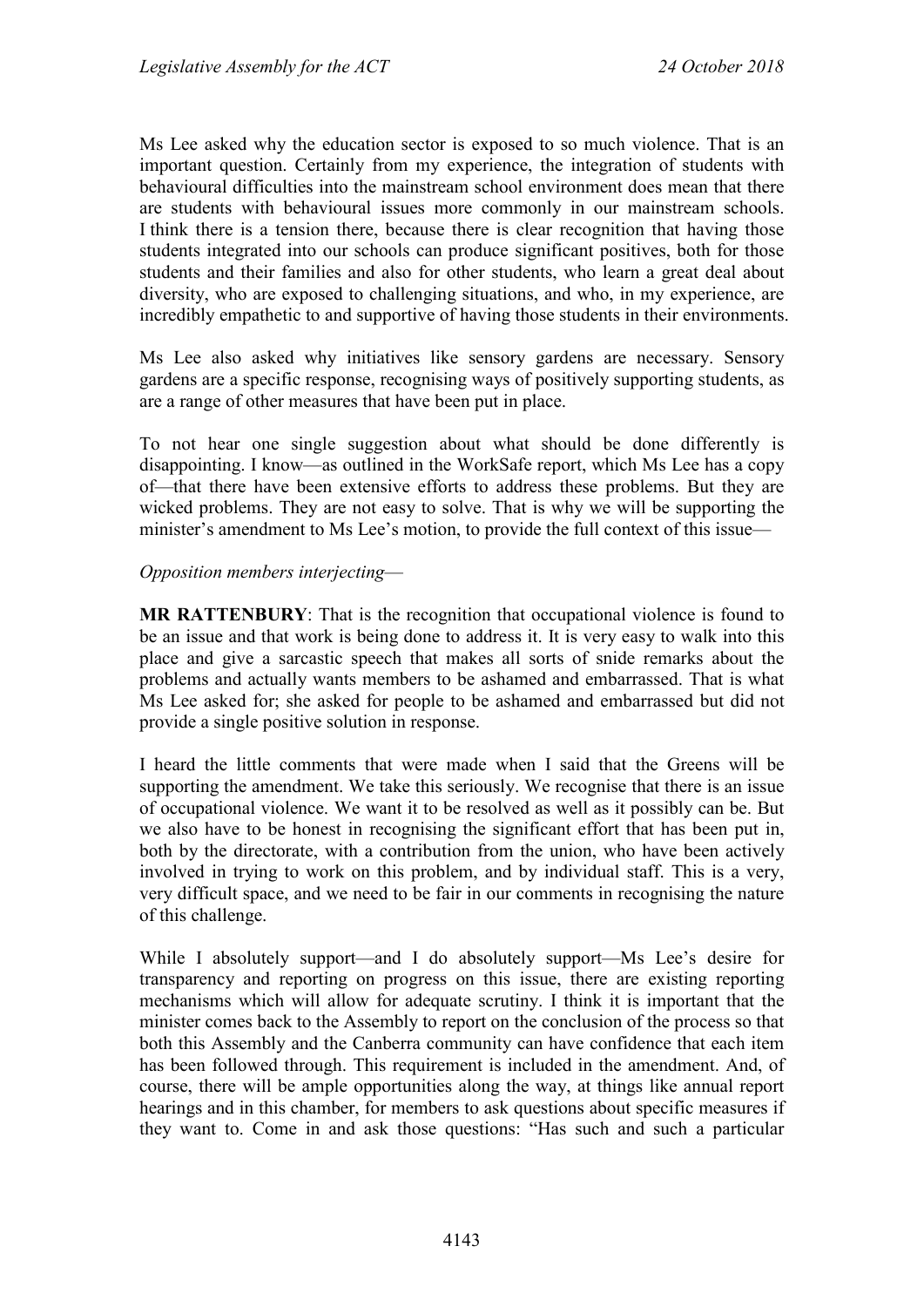Ms Lee asked why the education sector is exposed to so much violence. That is an important question. Certainly from my experience, the integration of students with behavioural difficulties into the mainstream school environment does mean that there are students with behavioural issues more commonly in our mainstream schools. I think there is a tension there, because there is clear recognition that having those students integrated into our schools can produce significant positives, both for those students and their families and also for other students, who learn a great deal about diversity, who are exposed to challenging situations, and who, in my experience, are incredibly empathetic to and supportive of having those students in their environments.

Ms Lee also asked why initiatives like sensory gardens are necessary. Sensory gardens are a specific response, recognising ways of positively supporting students, as are a range of other measures that have been put in place.

To not hear one single suggestion about what should be done differently is disappointing. I know—as outlined in the WorkSafe report, which Ms Lee has a copy of—that there have been extensive efforts to address these problems. But they are wicked problems. They are not easy to solve. That is why we will be supporting the minister's amendment to Ms Lee's motion, to provide the full context of this issue—

#### *Opposition members interjecting*—

**MR RATTENBURY**: That is the recognition that occupational violence is found to be an issue and that work is being done to address it. It is very easy to walk into this place and give a sarcastic speech that makes all sorts of snide remarks about the problems and actually wants members to be ashamed and embarrassed. That is what Ms Lee asked for; she asked for people to be ashamed and embarrassed but did not provide a single positive solution in response.

I heard the little comments that were made when I said that the Greens will be supporting the amendment. We take this seriously. We recognise that there is an issue of occupational violence. We want it to be resolved as well as it possibly can be. But we also have to be honest in recognising the significant effort that has been put in, both by the directorate, with a contribution from the union, who have been actively involved in trying to work on this problem, and by individual staff. This is a very, very difficult space, and we need to be fair in our comments in recognising the nature of this challenge.

While I absolutely support—and I do absolutely support—Ms Lee's desire for transparency and reporting on progress on this issue, there are existing reporting mechanisms which will allow for adequate scrutiny. I think it is important that the minister comes back to the Assembly to report on the conclusion of the process so that both this Assembly and the Canberra community can have confidence that each item has been followed through. This requirement is included in the amendment. And, of course, there will be ample opportunities along the way, at things like annual report hearings and in this chamber, for members to ask questions about specific measures if they want to. Come in and ask those questions: "Has such and such a particular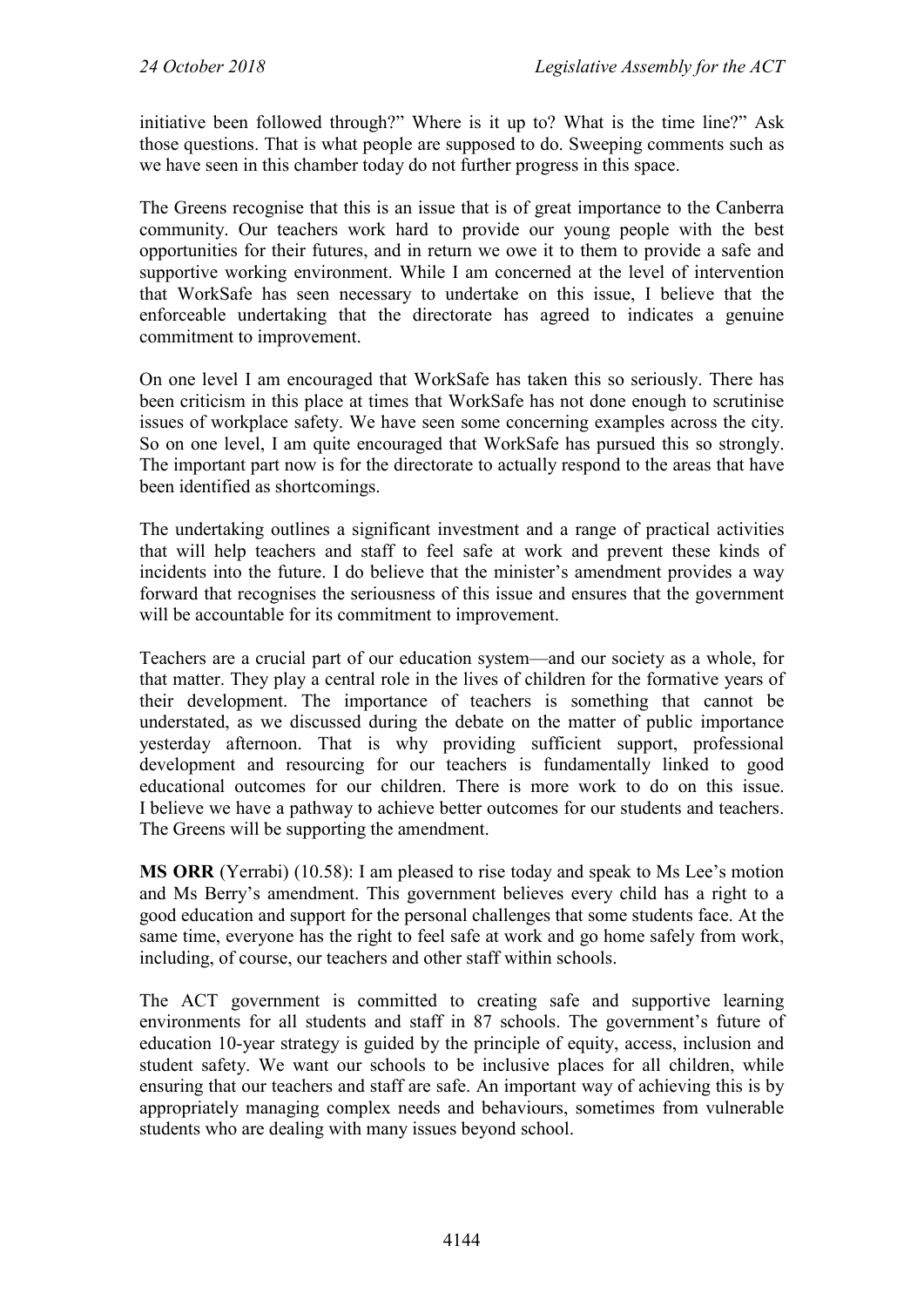initiative been followed through?" Where is it up to? What is the time line?" Ask those questions. That is what people are supposed to do. Sweeping comments such as we have seen in this chamber today do not further progress in this space.

The Greens recognise that this is an issue that is of great importance to the Canberra community. Our teachers work hard to provide our young people with the best opportunities for their futures, and in return we owe it to them to provide a safe and supportive working environment. While I am concerned at the level of intervention that WorkSafe has seen necessary to undertake on this issue, I believe that the enforceable undertaking that the directorate has agreed to indicates a genuine commitment to improvement.

On one level I am encouraged that WorkSafe has taken this so seriously. There has been criticism in this place at times that WorkSafe has not done enough to scrutinise issues of workplace safety. We have seen some concerning examples across the city. So on one level, I am quite encouraged that WorkSafe has pursued this so strongly. The important part now is for the directorate to actually respond to the areas that have been identified as shortcomings.

The undertaking outlines a significant investment and a range of practical activities that will help teachers and staff to feel safe at work and prevent these kinds of incidents into the future. I do believe that the minister's amendment provides a way forward that recognises the seriousness of this issue and ensures that the government will be accountable for its commitment to improvement.

Teachers are a crucial part of our education system—and our society as a whole, for that matter. They play a central role in the lives of children for the formative years of their development. The importance of teachers is something that cannot be understated, as we discussed during the debate on the matter of public importance yesterday afternoon. That is why providing sufficient support, professional development and resourcing for our teachers is fundamentally linked to good educational outcomes for our children. There is more work to do on this issue. I believe we have a pathway to achieve better outcomes for our students and teachers. The Greens will be supporting the amendment.

**MS ORR** (Yerrabi) (10.58): I am pleased to rise today and speak to Ms Lee's motion and Ms Berry's amendment. This government believes every child has a right to a good education and support for the personal challenges that some students face. At the same time, everyone has the right to feel safe at work and go home safely from work, including, of course, our teachers and other staff within schools.

The ACT government is committed to creating safe and supportive learning environments for all students and staff in 87 schools. The government's future of education 10-year strategy is guided by the principle of equity, access, inclusion and student safety. We want our schools to be inclusive places for all children, while ensuring that our teachers and staff are safe. An important way of achieving this is by appropriately managing complex needs and behaviours, sometimes from vulnerable students who are dealing with many issues beyond school.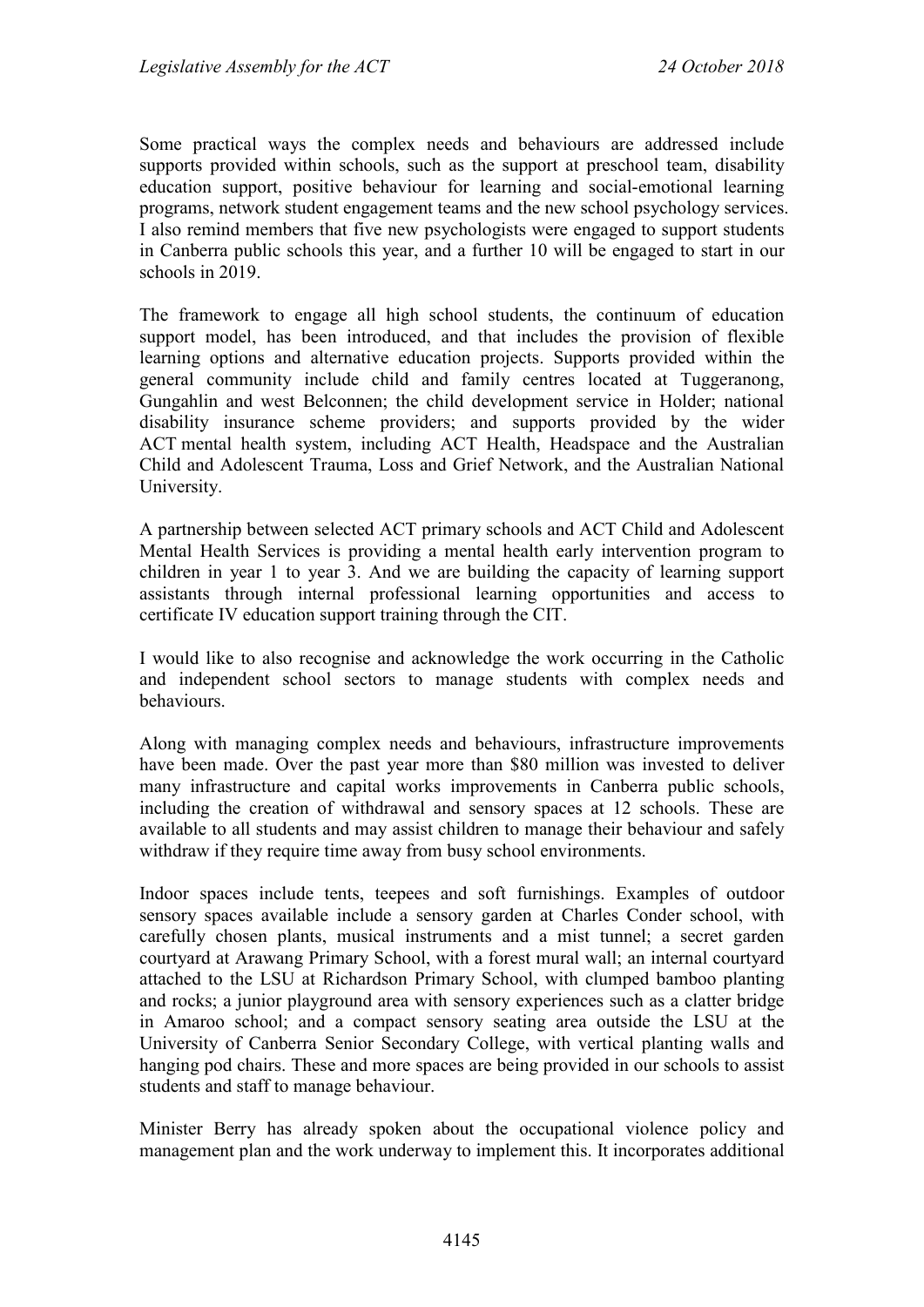Some practical ways the complex needs and behaviours are addressed include supports provided within schools, such as the support at preschool team, disability education support, positive behaviour for learning and social-emotional learning programs, network student engagement teams and the new school psychology services. I also remind members that five new psychologists were engaged to support students in Canberra public schools this year, and a further 10 will be engaged to start in our schools in 2019.

The framework to engage all high school students, the continuum of education support model, has been introduced, and that includes the provision of flexible learning options and alternative education projects. Supports provided within the general community include child and family centres located at Tuggeranong, Gungahlin and west Belconnen; the child development service in Holder; national disability insurance scheme providers; and supports provided by the wider ACT mental health system, including ACT Health, Headspace and the Australian Child and Adolescent Trauma, Loss and Grief Network, and the Australian National University.

A partnership between selected ACT primary schools and ACT Child and Adolescent Mental Health Services is providing a mental health early intervention program to children in year 1 to year 3. And we are building the capacity of learning support assistants through internal professional learning opportunities and access to certificate IV education support training through the CIT.

I would like to also recognise and acknowledge the work occurring in the Catholic and independent school sectors to manage students with complex needs and behaviours.

Along with managing complex needs and behaviours, infrastructure improvements have been made. Over the past year more than \$80 million was invested to deliver many infrastructure and capital works improvements in Canberra public schools, including the creation of withdrawal and sensory spaces at 12 schools. These are available to all students and may assist children to manage their behaviour and safely withdraw if they require time away from busy school environments.

Indoor spaces include tents, teepees and soft furnishings. Examples of outdoor sensory spaces available include a sensory garden at Charles Conder school, with carefully chosen plants, musical instruments and a mist tunnel; a secret garden courtyard at Arawang Primary School, with a forest mural wall; an internal courtyard attached to the LSU at Richardson Primary School, with clumped bamboo planting and rocks; a junior playground area with sensory experiences such as a clatter bridge in Amaroo school; and a compact sensory seating area outside the LSU at the University of Canberra Senior Secondary College, with vertical planting walls and hanging pod chairs. These and more spaces are being provided in our schools to assist students and staff to manage behaviour.

Minister Berry has already spoken about the occupational violence policy and management plan and the work underway to implement this. It incorporates additional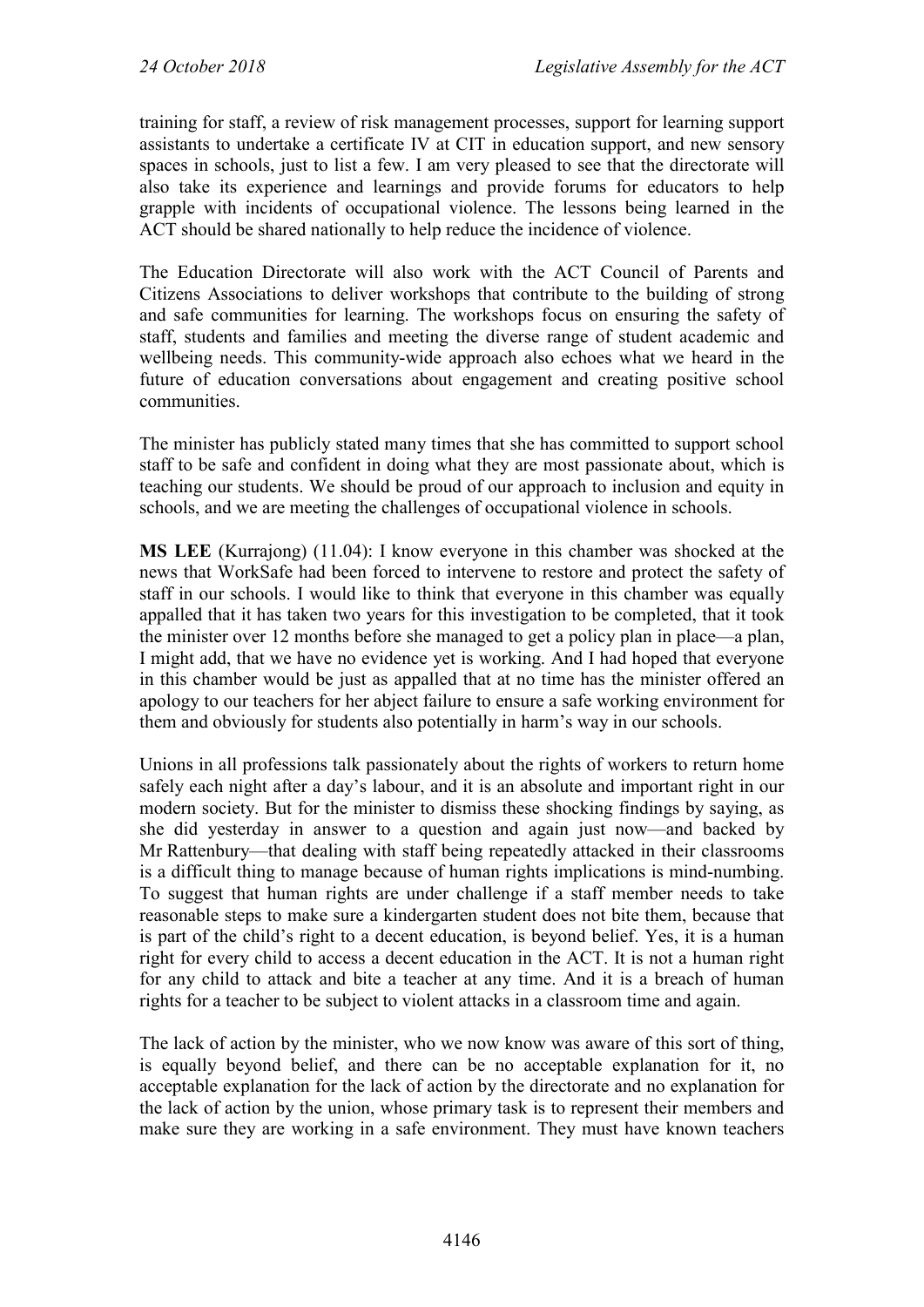training for staff, a review of risk management processes, support for learning support assistants to undertake a certificate IV at CIT in education support, and new sensory spaces in schools, just to list a few. I am very pleased to see that the directorate will also take its experience and learnings and provide forums for educators to help grapple with incidents of occupational violence. The lessons being learned in the ACT should be shared nationally to help reduce the incidence of violence.

The Education Directorate will also work with the ACT Council of Parents and Citizens Associations to deliver workshops that contribute to the building of strong and safe communities for learning. The workshops focus on ensuring the safety of staff, students and families and meeting the diverse range of student academic and wellbeing needs. This community-wide approach also echoes what we heard in the future of education conversations about engagement and creating positive school communities.

The minister has publicly stated many times that she has committed to support school staff to be safe and confident in doing what they are most passionate about, which is teaching our students. We should be proud of our approach to inclusion and equity in schools, and we are meeting the challenges of occupational violence in schools.

**MS LEE** (Kurrajong) (11.04): I know everyone in this chamber was shocked at the news that WorkSafe had been forced to intervene to restore and protect the safety of staff in our schools. I would like to think that everyone in this chamber was equally appalled that it has taken two years for this investigation to be completed, that it took the minister over 12 months before she managed to get a policy plan in place—a plan, I might add, that we have no evidence yet is working. And I had hoped that everyone in this chamber would be just as appalled that at no time has the minister offered an apology to our teachers for her abject failure to ensure a safe working environment for them and obviously for students also potentially in harm's way in our schools.

Unions in all professions talk passionately about the rights of workers to return home safely each night after a day's labour, and it is an absolute and important right in our modern society. But for the minister to dismiss these shocking findings by saying, as she did yesterday in answer to a question and again just now—and backed by Mr Rattenbury—that dealing with staff being repeatedly attacked in their classrooms is a difficult thing to manage because of human rights implications is mind-numbing. To suggest that human rights are under challenge if a staff member needs to take reasonable steps to make sure a kindergarten student does not bite them, because that is part of the child's right to a decent education, is beyond belief. Yes, it is a human right for every child to access a decent education in the ACT. It is not a human right for any child to attack and bite a teacher at any time. And it is a breach of human rights for a teacher to be subject to violent attacks in a classroom time and again.

The lack of action by the minister, who we now know was aware of this sort of thing, is equally beyond belief, and there can be no acceptable explanation for it, no acceptable explanation for the lack of action by the directorate and no explanation for the lack of action by the union, whose primary task is to represent their members and make sure they are working in a safe environment. They must have known teachers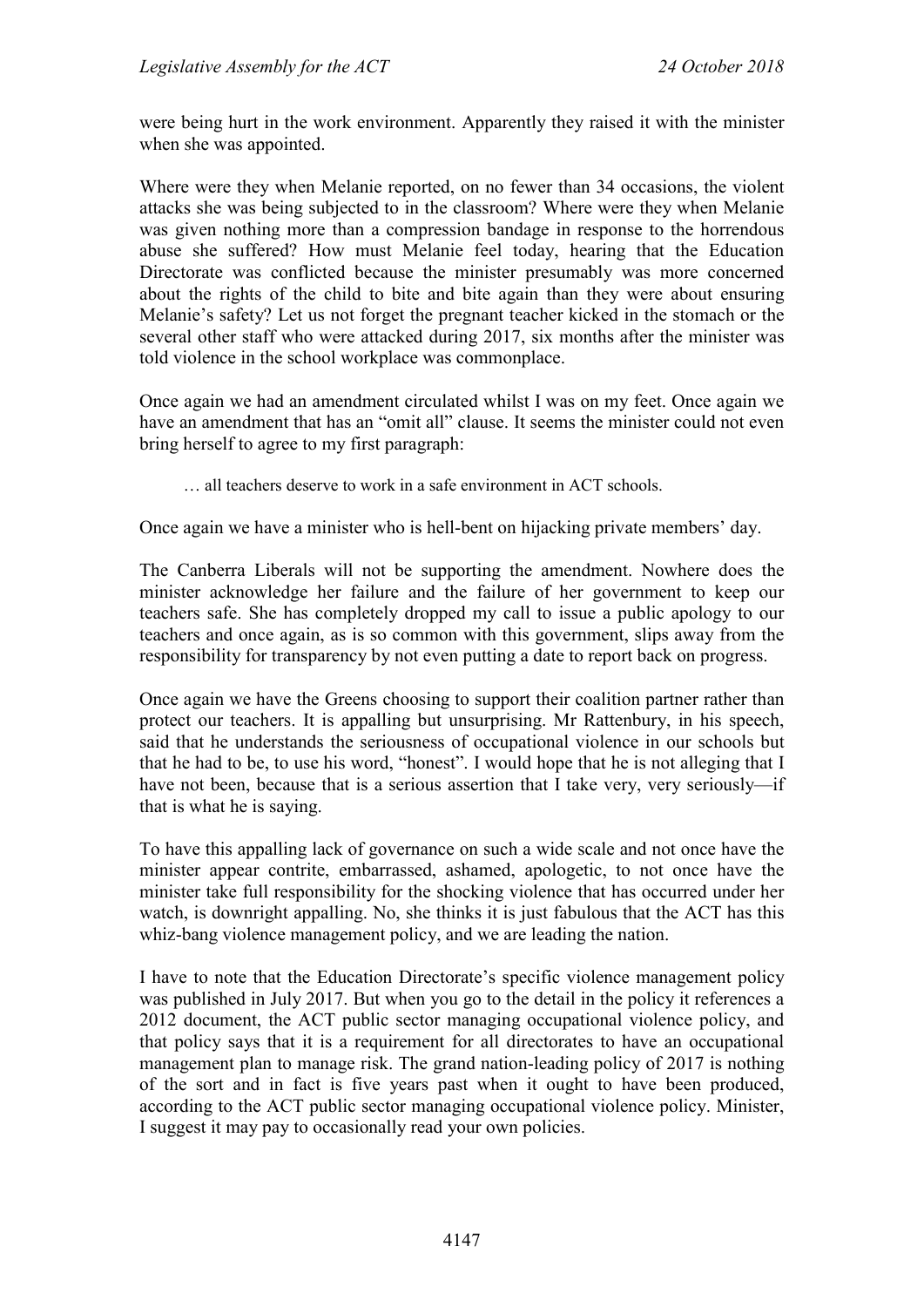were being hurt in the work environment. Apparently they raised it with the minister when she was appointed.

Where were they when Melanie reported, on no fewer than 34 occasions, the violent attacks she was being subjected to in the classroom? Where were they when Melanie was given nothing more than a compression bandage in response to the horrendous abuse she suffered? How must Melanie feel today, hearing that the Education Directorate was conflicted because the minister presumably was more concerned about the rights of the child to bite and bite again than they were about ensuring Melanie's safety? Let us not forget the pregnant teacher kicked in the stomach or the several other staff who were attacked during 2017, six months after the minister was told violence in the school workplace was commonplace.

Once again we had an amendment circulated whilst I was on my feet. Once again we have an amendment that has an "omit all" clause. It seems the minister could not even bring herself to agree to my first paragraph:

… all teachers deserve to work in a safe environment in ACT schools.

Once again we have a minister who is hell-bent on hijacking private members' day.

The Canberra Liberals will not be supporting the amendment. Nowhere does the minister acknowledge her failure and the failure of her government to keep our teachers safe. She has completely dropped my call to issue a public apology to our teachers and once again, as is so common with this government, slips away from the responsibility for transparency by not even putting a date to report back on progress.

Once again we have the Greens choosing to support their coalition partner rather than protect our teachers. It is appalling but unsurprising. Mr Rattenbury, in his speech, said that he understands the seriousness of occupational violence in our schools but that he had to be, to use his word, "honest". I would hope that he is not alleging that I have not been, because that is a serious assertion that I take very, very seriously—if that is what he is saying.

To have this appalling lack of governance on such a wide scale and not once have the minister appear contrite, embarrassed, ashamed, apologetic, to not once have the minister take full responsibility for the shocking violence that has occurred under her watch, is downright appalling. No, she thinks it is just fabulous that the ACT has this whiz-bang violence management policy, and we are leading the nation.

I have to note that the Education Directorate's specific violence management policy was published in July 2017. But when you go to the detail in the policy it references a 2012 document, the ACT public sector managing occupational violence policy, and that policy says that it is a requirement for all directorates to have an occupational management plan to manage risk. The grand nation-leading policy of 2017 is nothing of the sort and in fact is five years past when it ought to have been produced, according to the ACT public sector managing occupational violence policy. Minister, I suggest it may pay to occasionally read your own policies.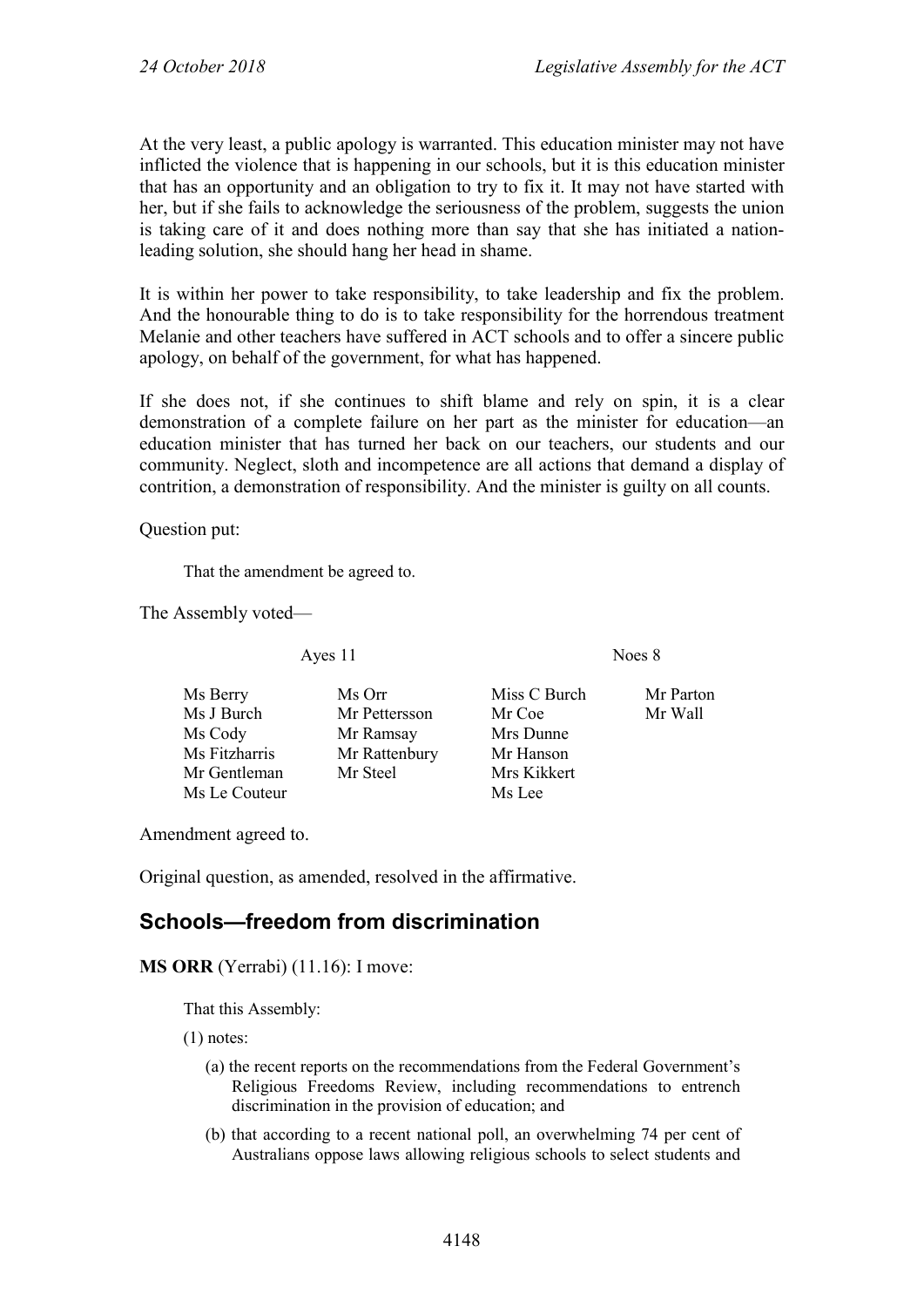At the very least, a public apology is warranted. This education minister may not have inflicted the violence that is happening in our schools, but it is this education minister that has an opportunity and an obligation to try to fix it. It may not have started with her, but if she fails to acknowledge the seriousness of the problem, suggests the union is taking care of it and does nothing more than say that she has initiated a nationleading solution, she should hang her head in shame.

It is within her power to take responsibility, to take leadership and fix the problem. And the honourable thing to do is to take responsibility for the horrendous treatment Melanie and other teachers have suffered in ACT schools and to offer a sincere public apology, on behalf of the government, for what has happened.

If she does not, if she continues to shift blame and rely on spin, it is a clear demonstration of a complete failure on her part as the minister for education—an education minister that has turned her back on our teachers, our students and our community. Neglect, sloth and incompetence are all actions that demand a display of contrition, a demonstration of responsibility. And the minister is guilty on all counts.

Question put:

That the amendment be agreed to.

The Assembly voted—

Ayes 11 Noes 8

Ms Berry Ms Orr Miss C Burch Mr Parton<br>
Ms J Burch Mr Pettersson Mr Coe Mr Wall Ms J Burch Mr Pettersson Mr Coe Ms Cody Mr Ramsay Mrs Dunne Ms Fitzharris Mr Rattenbury Mr Hanson<br>Mr Gentleman Mr Steel Mrs Kikkert Mr Gentleman Mr Steel Mrs Kik<br>
Ms Le Couteur Ms Lee Ms Le Couteur

Amendment agreed to.

Original question, as amended, resolved in the affirmative.

#### <span id="page-23-0"></span>**Schools—freedom from discrimination**

**MS ORR** (Yerrabi) (11.16): I move:

That this Assembly:

(1) notes:

- (a) the recent reports on the recommendations from the Federal Government's Religious Freedoms Review, including recommendations to entrench discrimination in the provision of education; and
- (b) that according to a recent national poll, an overwhelming 74 per cent of Australians oppose laws allowing religious schools to select students and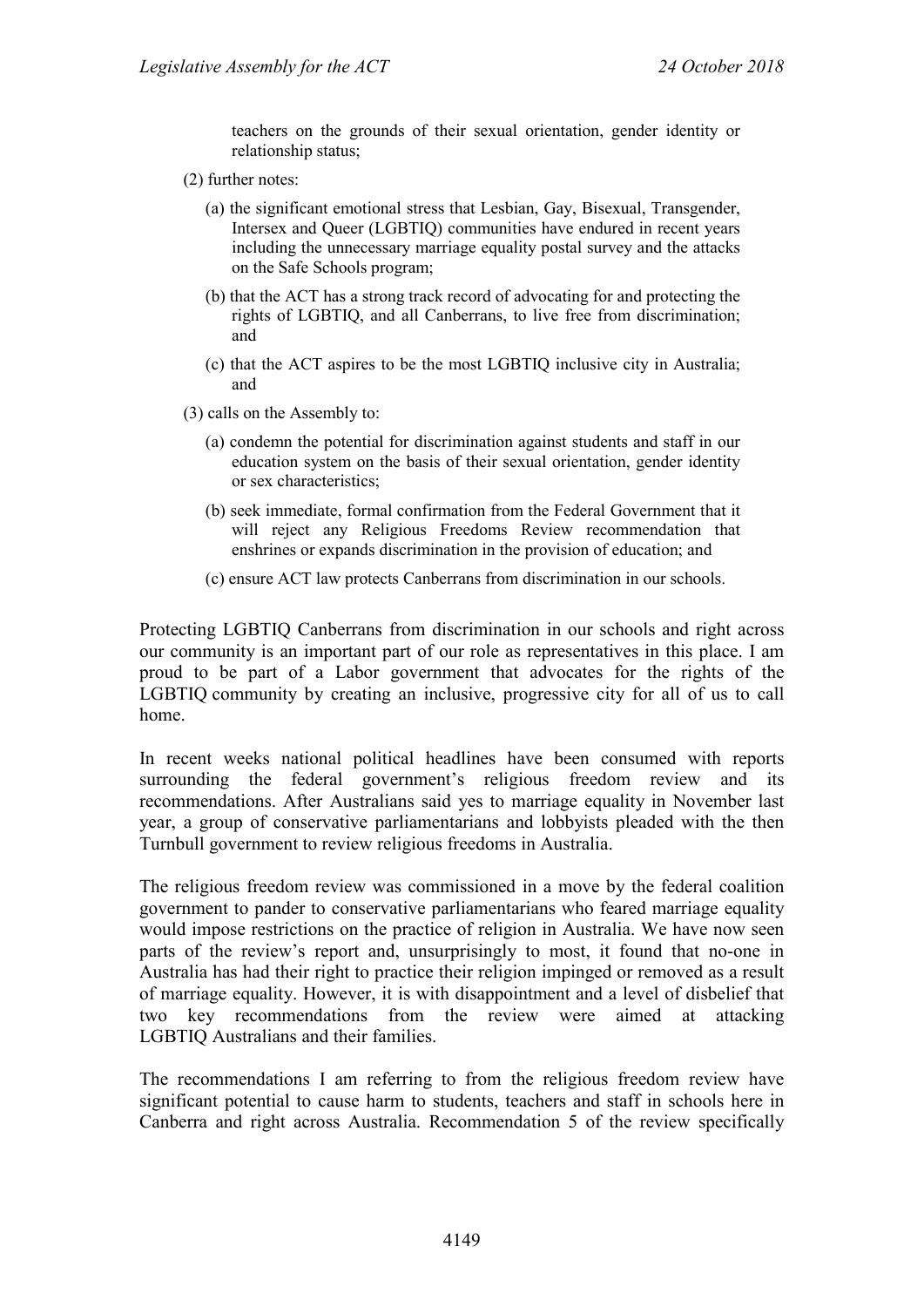teachers on the grounds of their sexual orientation, gender identity or relationship status;

- (2) further notes:
	- (a) the significant emotional stress that Lesbian, Gay, Bisexual, Transgender, Intersex and Queer (LGBTIQ) communities have endured in recent years including the unnecessary marriage equality postal survey and the attacks on the Safe Schools program;
	- (b) that the ACT has a strong track record of advocating for and protecting the rights of LGBTIQ, and all Canberrans, to live free from discrimination; and
	- (c) that the ACT aspires to be the most LGBTIQ inclusive city in Australia; and
- (3) calls on the Assembly to:
	- (a) condemn the potential for discrimination against students and staff in our education system on the basis of their sexual orientation, gender identity or sex characteristics;
	- (b) seek immediate, formal confirmation from the Federal Government that it will reject any Religious Freedoms Review recommendation that enshrines or expands discrimination in the provision of education; and
	- (c) ensure ACT law protects Canberrans from discrimination in our schools.

Protecting LGBTIQ Canberrans from discrimination in our schools and right across our community is an important part of our role as representatives in this place. I am proud to be part of a Labor government that advocates for the rights of the LGBTIQ community by creating an inclusive, progressive city for all of us to call home.

In recent weeks national political headlines have been consumed with reports surrounding the federal government's religious freedom review and its recommendations. After Australians said yes to marriage equality in November last year, a group of conservative parliamentarians and lobbyists pleaded with the then Turnbull government to review religious freedoms in Australia.

The religious freedom review was commissioned in a move by the federal coalition government to pander to conservative parliamentarians who feared marriage equality would impose restrictions on the practice of religion in Australia. We have now seen parts of the review's report and, unsurprisingly to most, it found that no-one in Australia has had their right to practice their religion impinged or removed as a result of marriage equality. However, it is with disappointment and a level of disbelief that two key recommendations from the review were aimed at attacking LGBTIQ Australians and their families.

The recommendations I am referring to from the religious freedom review have significant potential to cause harm to students, teachers and staff in schools here in Canberra and right across Australia. Recommendation 5 of the review specifically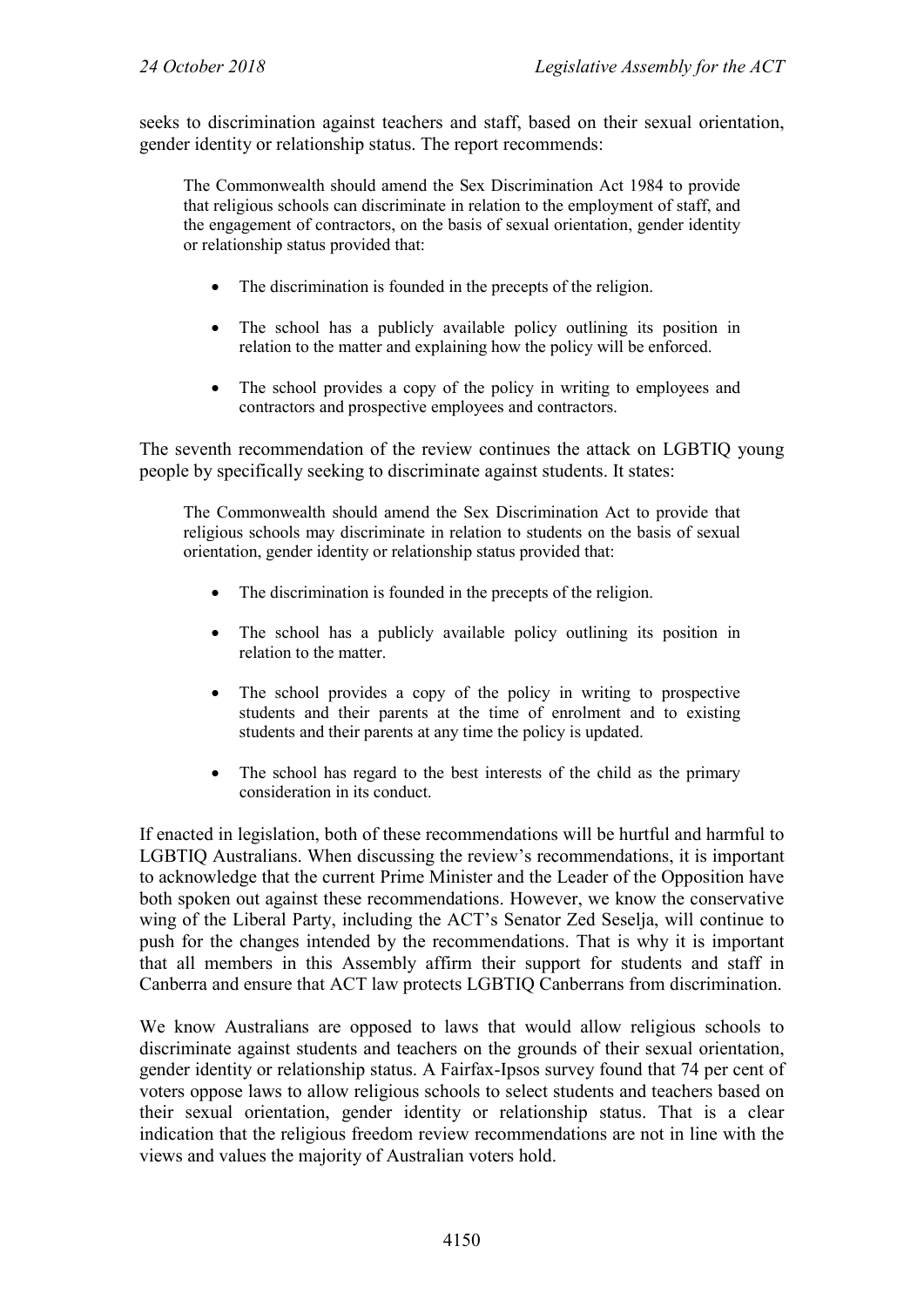seeks to discrimination against teachers and staff, based on their sexual orientation, gender identity or relationship status. The report recommends:

The Commonwealth should amend the Sex Discrimination Act 1984 to provide that religious schools can discriminate in relation to the employment of staff, and the engagement of contractors, on the basis of sexual orientation, gender identity or relationship status provided that:

- The discrimination is founded in the precepts of the religion.
- The school has a publicly available policy outlining its position in relation to the matter and explaining how the policy will be enforced.
- The school provides a copy of the policy in writing to employees and contractors and prospective employees and contractors.

The seventh recommendation of the review continues the attack on LGBTIQ young people by specifically seeking to discriminate against students. It states:

The Commonwealth should amend the Sex Discrimination Act to provide that religious schools may discriminate in relation to students on the basis of sexual orientation, gender identity or relationship status provided that:

- The discrimination is founded in the precepts of the religion.
- The school has a publicly available policy outlining its position in relation to the matter.
- The school provides a copy of the policy in writing to prospective students and their parents at the time of enrolment and to existing students and their parents at any time the policy is updated.
- The school has regard to the best interests of the child as the primary consideration in its conduct.

If enacted in legislation, both of these recommendations will be hurtful and harmful to LGBTIQ Australians. When discussing the review's recommendations, it is important to acknowledge that the current Prime Minister and the Leader of the Opposition have both spoken out against these recommendations. However, we know the conservative wing of the Liberal Party, including the ACT's Senator Zed Seselja, will continue to push for the changes intended by the recommendations. That is why it is important that all members in this Assembly affirm their support for students and staff in Canberra and ensure that ACT law protects LGBTIQ Canberrans from discrimination.

We know Australians are opposed to laws that would allow religious schools to discriminate against students and teachers on the grounds of their sexual orientation, gender identity or relationship status. A Fairfax-Ipsos survey found that 74 per cent of voters oppose laws to allow religious schools to select students and teachers based on their sexual orientation, gender identity or relationship status. That is a clear indication that the religious freedom review recommendations are not in line with the views and values the majority of Australian voters hold.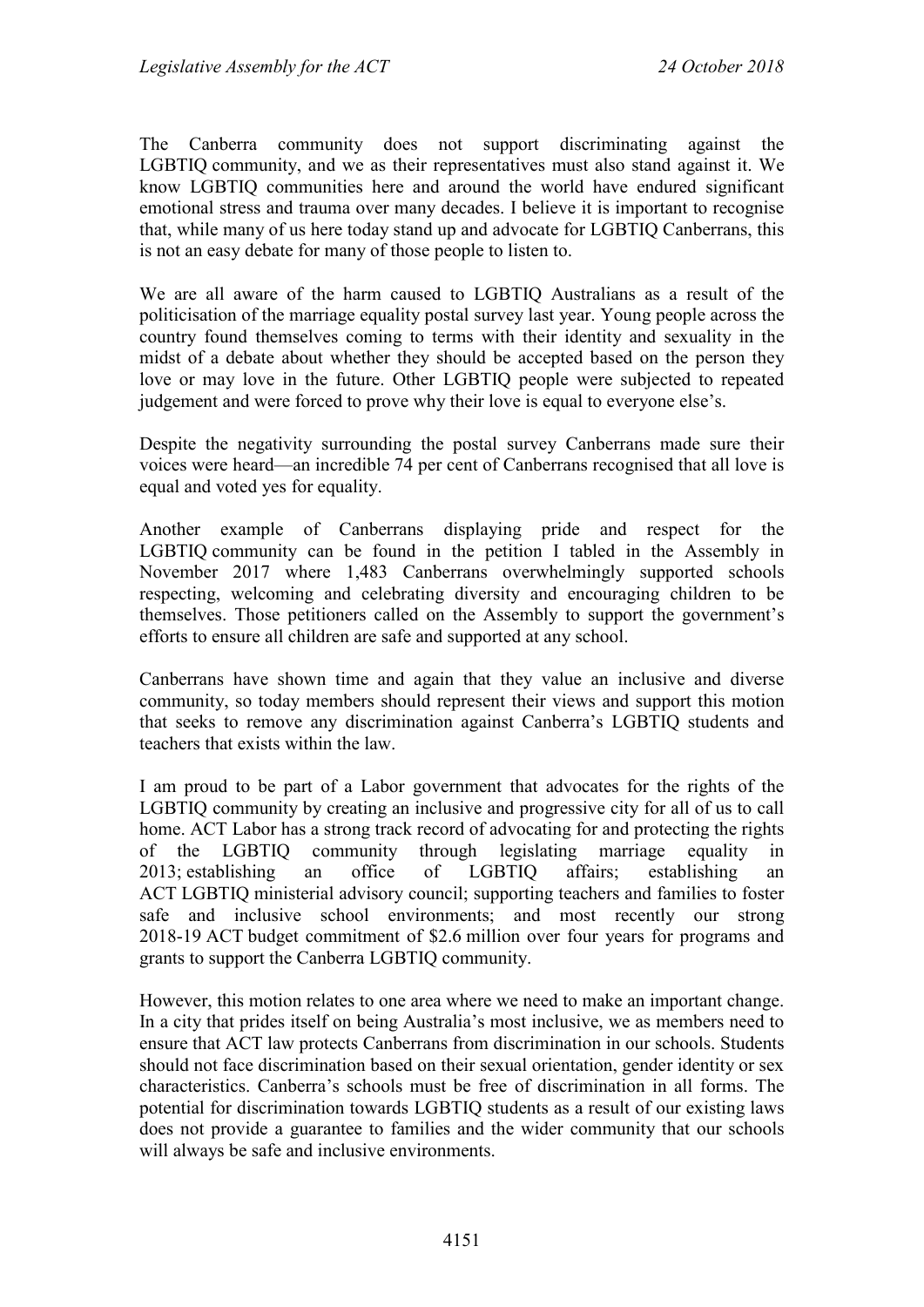The Canberra community does not support discriminating against the LGBTIQ community, and we as their representatives must also stand against it. We know LGBTIQ communities here and around the world have endured significant emotional stress and trauma over many decades. I believe it is important to recognise that, while many of us here today stand up and advocate for LGBTIQ Canberrans, this is not an easy debate for many of those people to listen to.

We are all aware of the harm caused to LGBTIQ Australians as a result of the politicisation of the marriage equality postal survey last year. Young people across the country found themselves coming to terms with their identity and sexuality in the midst of a debate about whether they should be accepted based on the person they love or may love in the future. Other LGBTIQ people were subjected to repeated judgement and were forced to prove why their love is equal to everyone else's.

Despite the negativity surrounding the postal survey Canberrans made sure their voices were heard—an incredible 74 per cent of Canberrans recognised that all love is equal and voted yes for equality.

Another example of Canberrans displaying pride and respect for the LGBTIQ community can be found in the petition I tabled in the Assembly in November 2017 where 1,483 Canberrans overwhelmingly supported schools respecting, welcoming and celebrating diversity and encouraging children to be themselves. Those petitioners called on the Assembly to support the government's efforts to ensure all children are safe and supported at any school.

Canberrans have shown time and again that they value an inclusive and diverse community, so today members should represent their views and support this motion that seeks to remove any discrimination against Canberra's LGBTIQ students and teachers that exists within the law.

I am proud to be part of a Labor government that advocates for the rights of the LGBTIQ community by creating an inclusive and progressive city for all of us to call home. ACT Labor has a strong track record of advocating for and protecting the rights of the LGBTIQ community through legislating marriage equality in 2013; establishing an office of LGBTIQ affairs; establishing an ACT LGBTIQ ministerial advisory council; supporting teachers and families to foster safe and inclusive school environments; and most recently our strong 2018-19 ACT budget commitment of \$2.6 million over four years for programs and grants to support the Canberra LGBTIQ community.

However, this motion relates to one area where we need to make an important change. In a city that prides itself on being Australia's most inclusive, we as members need to ensure that ACT law protects Canberrans from discrimination in our schools. Students should not face discrimination based on their sexual orientation, gender identity or sex characteristics. Canberra's schools must be free of discrimination in all forms. The potential for discrimination towards LGBTIQ students as a result of our existing laws does not provide a guarantee to families and the wider community that our schools will always be safe and inclusive environments.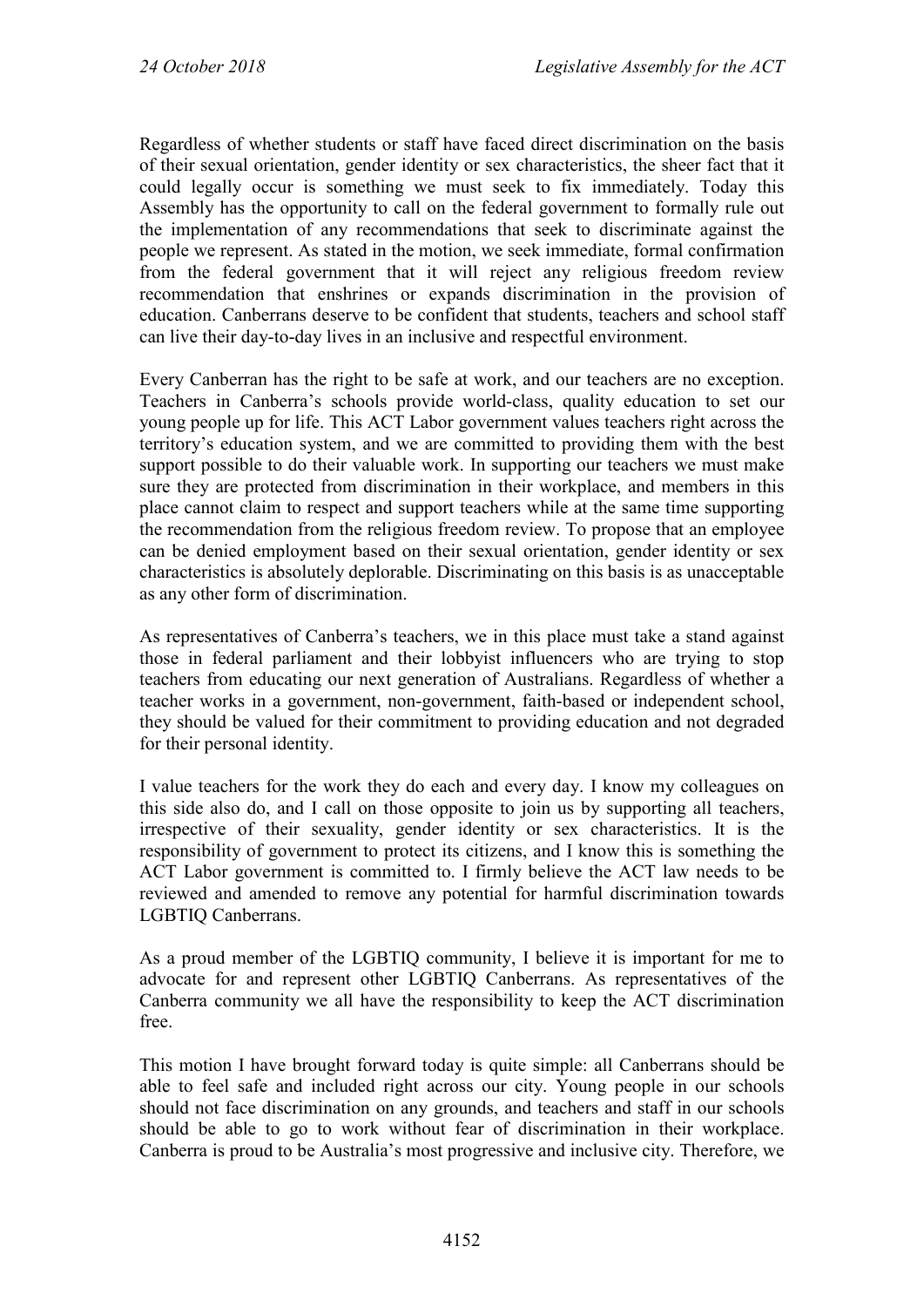Regardless of whether students or staff have faced direct discrimination on the basis of their sexual orientation, gender identity or sex characteristics, the sheer fact that it could legally occur is something we must seek to fix immediately. Today this Assembly has the opportunity to call on the federal government to formally rule out the implementation of any recommendations that seek to discriminate against the people we represent. As stated in the motion, we seek immediate, formal confirmation from the federal government that it will reject any religious freedom review recommendation that enshrines or expands discrimination in the provision of education. Canberrans deserve to be confident that students, teachers and school staff can live their day-to-day lives in an inclusive and respectful environment.

Every Canberran has the right to be safe at work, and our teachers are no exception. Teachers in Canberra's schools provide world-class, quality education to set our young people up for life. This ACT Labor government values teachers right across the territory's education system, and we are committed to providing them with the best support possible to do their valuable work. In supporting our teachers we must make sure they are protected from discrimination in their workplace, and members in this place cannot claim to respect and support teachers while at the same time supporting the recommendation from the religious freedom review. To propose that an employee can be denied employment based on their sexual orientation, gender identity or sex characteristics is absolutely deplorable. Discriminating on this basis is as unacceptable as any other form of discrimination.

As representatives of Canberra's teachers, we in this place must take a stand against those in federal parliament and their lobbyist influencers who are trying to stop teachers from educating our next generation of Australians. Regardless of whether a teacher works in a government, non-government, faith-based or independent school, they should be valued for their commitment to providing education and not degraded for their personal identity.

I value teachers for the work they do each and every day. I know my colleagues on this side also do, and I call on those opposite to join us by supporting all teachers, irrespective of their sexuality, gender identity or sex characteristics. It is the responsibility of government to protect its citizens, and I know this is something the ACT Labor government is committed to. I firmly believe the ACT law needs to be reviewed and amended to remove any potential for harmful discrimination towards LGBTIQ Canberrans.

As a proud member of the LGBTIQ community, I believe it is important for me to advocate for and represent other LGBTIQ Canberrans. As representatives of the Canberra community we all have the responsibility to keep the ACT discrimination free.

This motion I have brought forward today is quite simple: all Canberrans should be able to feel safe and included right across our city. Young people in our schools should not face discrimination on any grounds, and teachers and staff in our schools should be able to go to work without fear of discrimination in their workplace. Canberra is proud to be Australia's most progressive and inclusive city. Therefore, we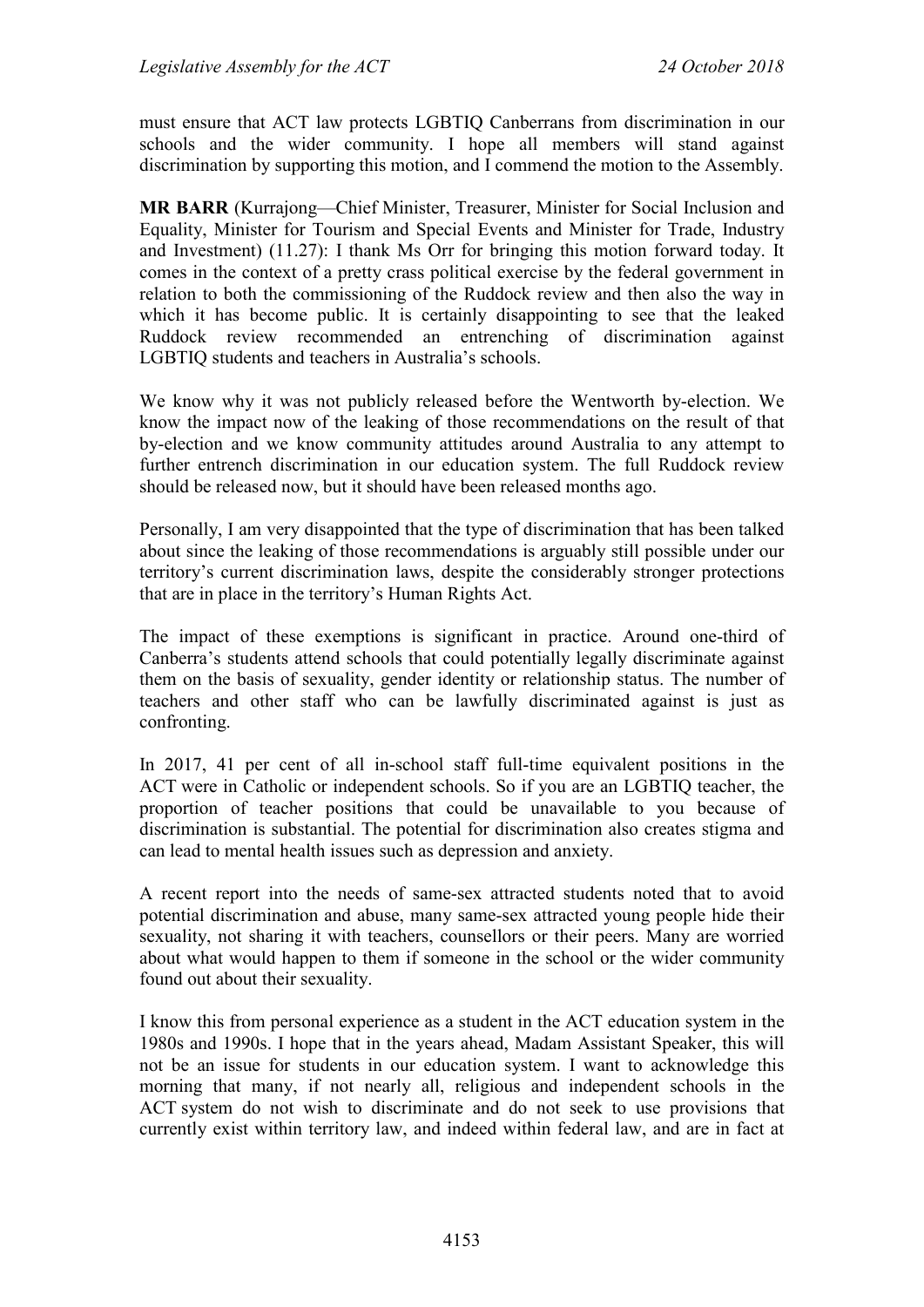must ensure that ACT law protects LGBTIQ Canberrans from discrimination in our schools and the wider community. I hope all members will stand against discrimination by supporting this motion, and I commend the motion to the Assembly.

**MR BARR** (Kurrajong—Chief Minister, Treasurer, Minister for Social Inclusion and Equality, Minister for Tourism and Special Events and Minister for Trade, Industry and Investment) (11.27): I thank Ms Orr for bringing this motion forward today. It comes in the context of a pretty crass political exercise by the federal government in relation to both the commissioning of the Ruddock review and then also the way in which it has become public. It is certainly disappointing to see that the leaked Ruddock review recommended an entrenching of discrimination against LGBTIQ students and teachers in Australia's schools.

We know why it was not publicly released before the Wentworth by-election. We know the impact now of the leaking of those recommendations on the result of that by-election and we know community attitudes around Australia to any attempt to further entrench discrimination in our education system. The full Ruddock review should be released now, but it should have been released months ago.

Personally, I am very disappointed that the type of discrimination that has been talked about since the leaking of those recommendations is arguably still possible under our territory's current discrimination laws, despite the considerably stronger protections that are in place in the territory's Human Rights Act.

The impact of these exemptions is significant in practice. Around one-third of Canberra's students attend schools that could potentially legally discriminate against them on the basis of sexuality, gender identity or relationship status. The number of teachers and other staff who can be lawfully discriminated against is just as confronting.

In 2017, 41 per cent of all in-school staff full-time equivalent positions in the ACT were in Catholic or independent schools. So if you are an LGBTIQ teacher, the proportion of teacher positions that could be unavailable to you because of discrimination is substantial. The potential for discrimination also creates stigma and can lead to mental health issues such as depression and anxiety.

A recent report into the needs of same-sex attracted students noted that to avoid potential discrimination and abuse, many same-sex attracted young people hide their sexuality, not sharing it with teachers, counsellors or their peers. Many are worried about what would happen to them if someone in the school or the wider community found out about their sexuality.

I know this from personal experience as a student in the ACT education system in the 1980s and 1990s. I hope that in the years ahead, Madam Assistant Speaker, this will not be an issue for students in our education system. I want to acknowledge this morning that many, if not nearly all, religious and independent schools in the ACT system do not wish to discriminate and do not seek to use provisions that currently exist within territory law, and indeed within federal law, and are in fact at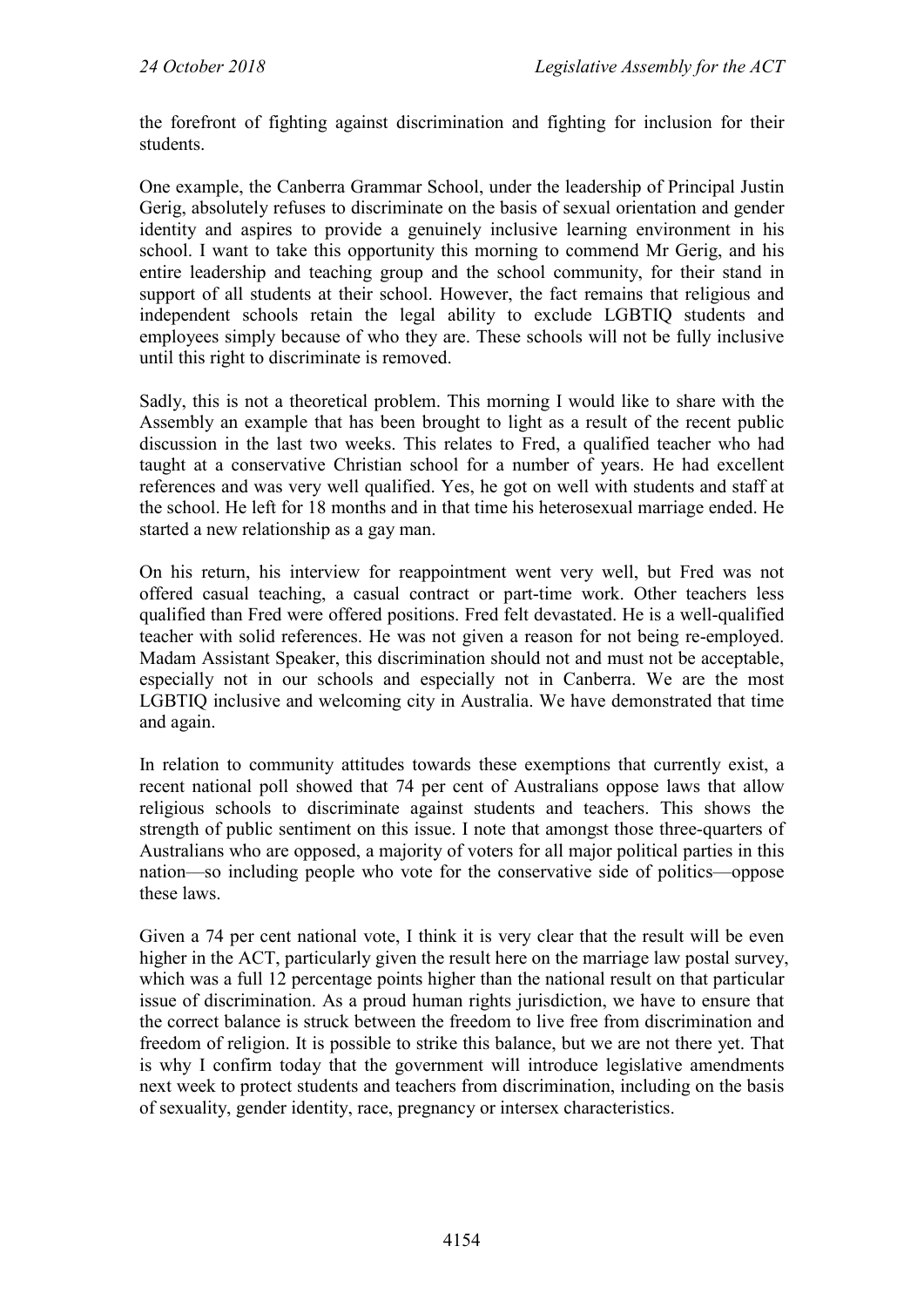the forefront of fighting against discrimination and fighting for inclusion for their students.

One example, the Canberra Grammar School, under the leadership of Principal Justin Gerig, absolutely refuses to discriminate on the basis of sexual orientation and gender identity and aspires to provide a genuinely inclusive learning environment in his school. I want to take this opportunity this morning to commend Mr Gerig, and his entire leadership and teaching group and the school community, for their stand in support of all students at their school. However, the fact remains that religious and independent schools retain the legal ability to exclude LGBTIQ students and employees simply because of who they are. These schools will not be fully inclusive until this right to discriminate is removed.

Sadly, this is not a theoretical problem. This morning I would like to share with the Assembly an example that has been brought to light as a result of the recent public discussion in the last two weeks. This relates to Fred, a qualified teacher who had taught at a conservative Christian school for a number of years. He had excellent references and was very well qualified. Yes, he got on well with students and staff at the school. He left for 18 months and in that time his heterosexual marriage ended. He started a new relationship as a gay man.

On his return, his interview for reappointment went very well, but Fred was not offered casual teaching, a casual contract or part-time work. Other teachers less qualified than Fred were offered positions. Fred felt devastated. He is a well-qualified teacher with solid references. He was not given a reason for not being re-employed. Madam Assistant Speaker, this discrimination should not and must not be acceptable, especially not in our schools and especially not in Canberra. We are the most LGBTIQ inclusive and welcoming city in Australia. We have demonstrated that time and again.

In relation to community attitudes towards these exemptions that currently exist, a recent national poll showed that 74 per cent of Australians oppose laws that allow religious schools to discriminate against students and teachers. This shows the strength of public sentiment on this issue. I note that amongst those three-quarters of Australians who are opposed, a majority of voters for all major political parties in this nation—so including people who vote for the conservative side of politics—oppose these laws.

Given a 74 per cent national vote, I think it is very clear that the result will be even higher in the ACT, particularly given the result here on the marriage law postal survey, which was a full 12 percentage points higher than the national result on that particular issue of discrimination. As a proud human rights jurisdiction, we have to ensure that the correct balance is struck between the freedom to live free from discrimination and freedom of religion. It is possible to strike this balance, but we are not there yet. That is why I confirm today that the government will introduce legislative amendments next week to protect students and teachers from discrimination, including on the basis of sexuality, gender identity, race, pregnancy or intersex characteristics.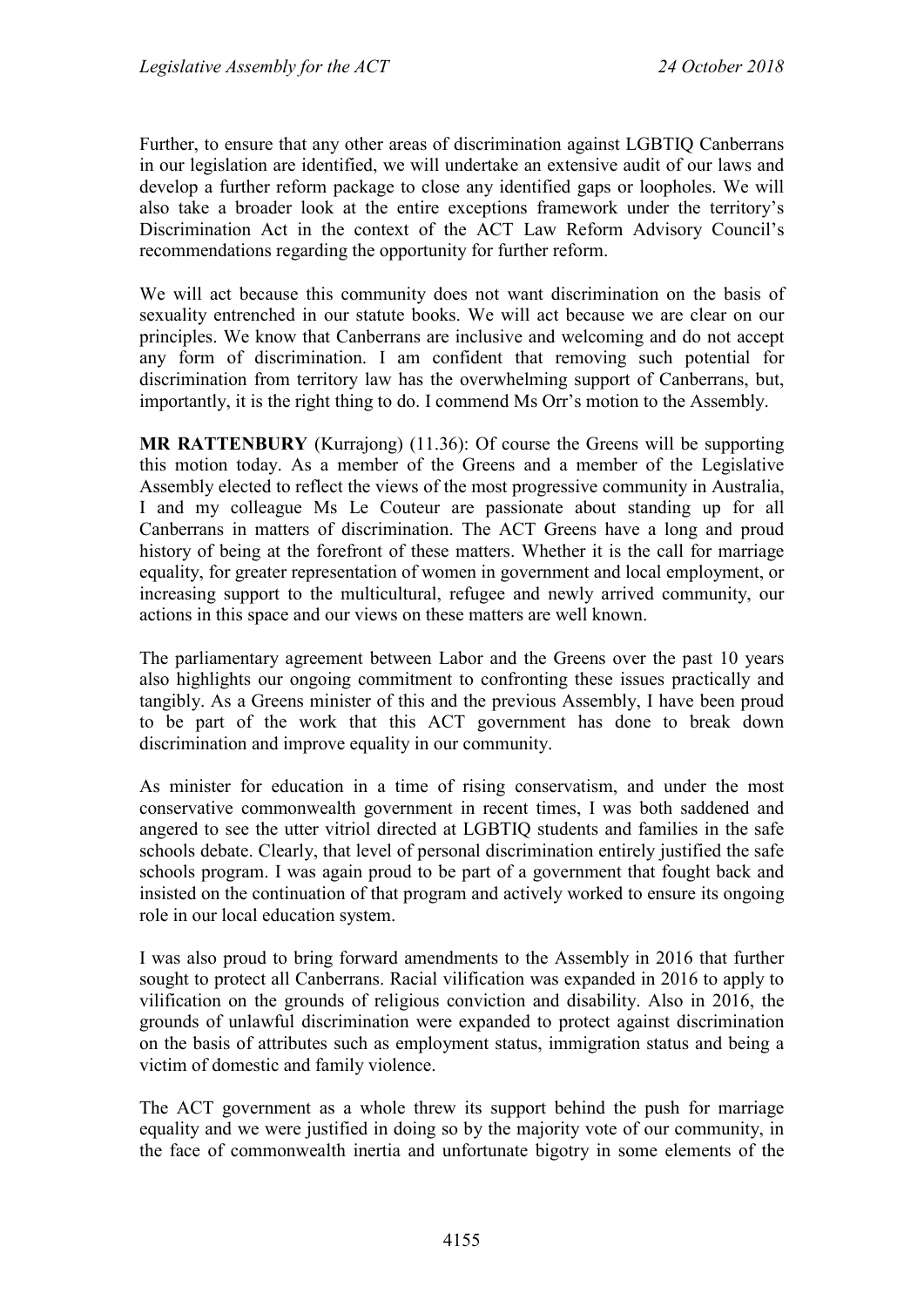Further, to ensure that any other areas of discrimination against LGBTIQ Canberrans in our legislation are identified, we will undertake an extensive audit of our laws and develop a further reform package to close any identified gaps or loopholes. We will also take a broader look at the entire exceptions framework under the territory's Discrimination Act in the context of the ACT Law Reform Advisory Council's recommendations regarding the opportunity for further reform.

We will act because this community does not want discrimination on the basis of sexuality entrenched in our statute books. We will act because we are clear on our principles. We know that Canberrans are inclusive and welcoming and do not accept any form of discrimination. I am confident that removing such potential for discrimination from territory law has the overwhelming support of Canberrans, but, importantly, it is the right thing to do. I commend Ms Orr's motion to the Assembly.

**MR RATTENBURY** (Kurrajong) (11.36): Of course the Greens will be supporting this motion today. As a member of the Greens and a member of the Legislative Assembly elected to reflect the views of the most progressive community in Australia, I and my colleague Ms Le Couteur are passionate about standing up for all Canberrans in matters of discrimination. The ACT Greens have a long and proud history of being at the forefront of these matters. Whether it is the call for marriage equality, for greater representation of women in government and local employment, or increasing support to the multicultural, refugee and newly arrived community, our actions in this space and our views on these matters are well known.

The parliamentary agreement between Labor and the Greens over the past 10 years also highlights our ongoing commitment to confronting these issues practically and tangibly. As a Greens minister of this and the previous Assembly, I have been proud to be part of the work that this ACT government has done to break down discrimination and improve equality in our community.

As minister for education in a time of rising conservatism, and under the most conservative commonwealth government in recent times, I was both saddened and angered to see the utter vitriol directed at LGBTIQ students and families in the safe schools debate. Clearly, that level of personal discrimination entirely justified the safe schools program. I was again proud to be part of a government that fought back and insisted on the continuation of that program and actively worked to ensure its ongoing role in our local education system.

I was also proud to bring forward amendments to the Assembly in 2016 that further sought to protect all Canberrans. Racial vilification was expanded in 2016 to apply to vilification on the grounds of religious conviction and disability. Also in 2016, the grounds of unlawful discrimination were expanded to protect against discrimination on the basis of attributes such as employment status, immigration status and being a victim of domestic and family violence.

The ACT government as a whole threw its support behind the push for marriage equality and we were justified in doing so by the majority vote of our community, in the face of commonwealth inertia and unfortunate bigotry in some elements of the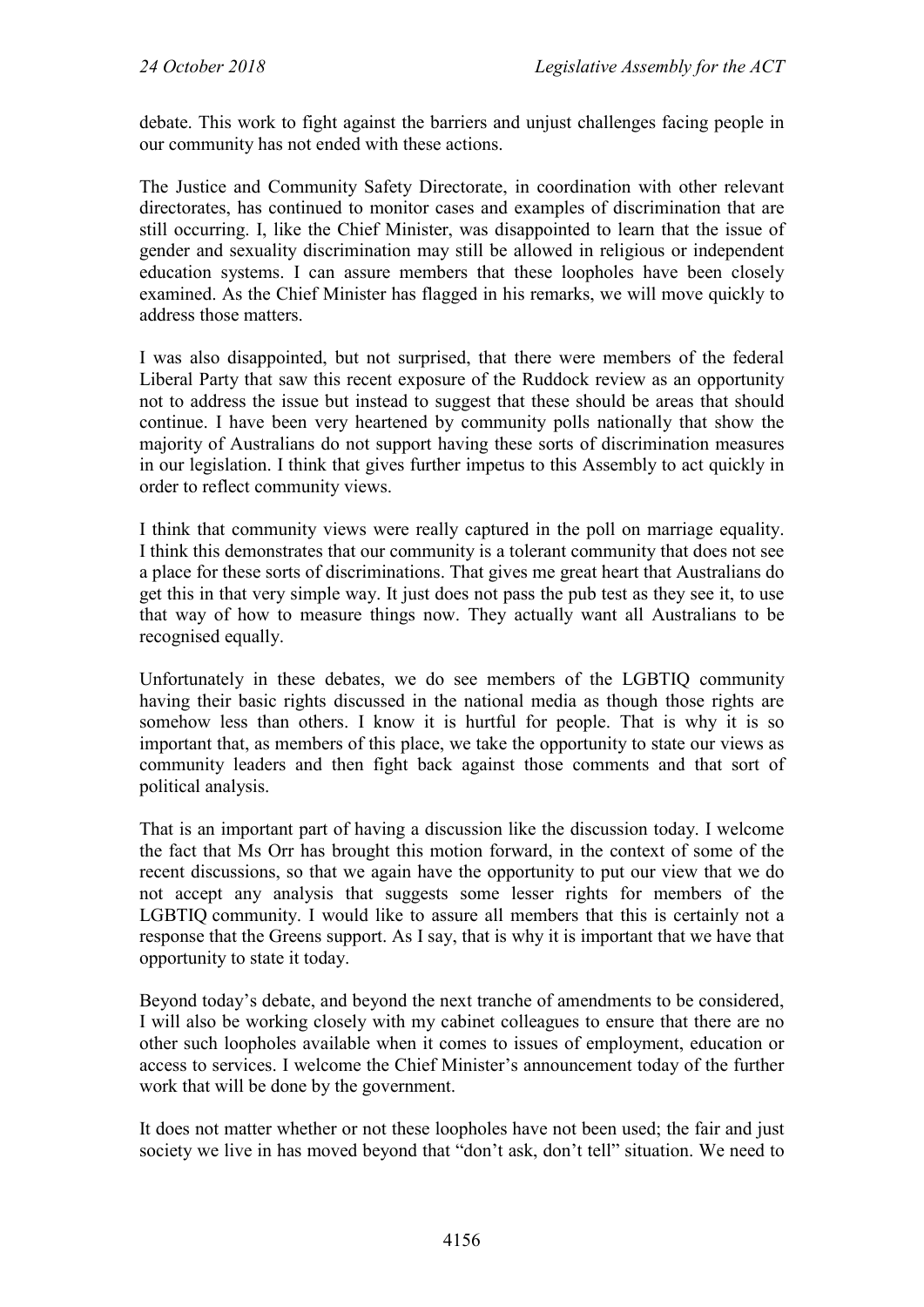debate. This work to fight against the barriers and unjust challenges facing people in our community has not ended with these actions.

The Justice and Community Safety Directorate, in coordination with other relevant directorates, has continued to monitor cases and examples of discrimination that are still occurring. I, like the Chief Minister, was disappointed to learn that the issue of gender and sexuality discrimination may still be allowed in religious or independent education systems. I can assure members that these loopholes have been closely examined. As the Chief Minister has flagged in his remarks, we will move quickly to address those matters.

I was also disappointed, but not surprised, that there were members of the federal Liberal Party that saw this recent exposure of the Ruddock review as an opportunity not to address the issue but instead to suggest that these should be areas that should continue. I have been very heartened by community polls nationally that show the majority of Australians do not support having these sorts of discrimination measures in our legislation. I think that gives further impetus to this Assembly to act quickly in order to reflect community views.

I think that community views were really captured in the poll on marriage equality. I think this demonstrates that our community is a tolerant community that does not see a place for these sorts of discriminations. That gives me great heart that Australians do get this in that very simple way. It just does not pass the pub test as they see it, to use that way of how to measure things now. They actually want all Australians to be recognised equally.

Unfortunately in these debates, we do see members of the LGBTIQ community having their basic rights discussed in the national media as though those rights are somehow less than others. I know it is hurtful for people. That is why it is so important that, as members of this place, we take the opportunity to state our views as community leaders and then fight back against those comments and that sort of political analysis.

That is an important part of having a discussion like the discussion today. I welcome the fact that Ms Orr has brought this motion forward, in the context of some of the recent discussions, so that we again have the opportunity to put our view that we do not accept any analysis that suggests some lesser rights for members of the LGBTIQ community. I would like to assure all members that this is certainly not a response that the Greens support. As I say, that is why it is important that we have that opportunity to state it today.

Beyond today's debate, and beyond the next tranche of amendments to be considered, I will also be working closely with my cabinet colleagues to ensure that there are no other such loopholes available when it comes to issues of employment, education or access to services. I welcome the Chief Minister's announcement today of the further work that will be done by the government.

It does not matter whether or not these loopholes have not been used; the fair and just society we live in has moved beyond that "don't ask, don't tell" situation. We need to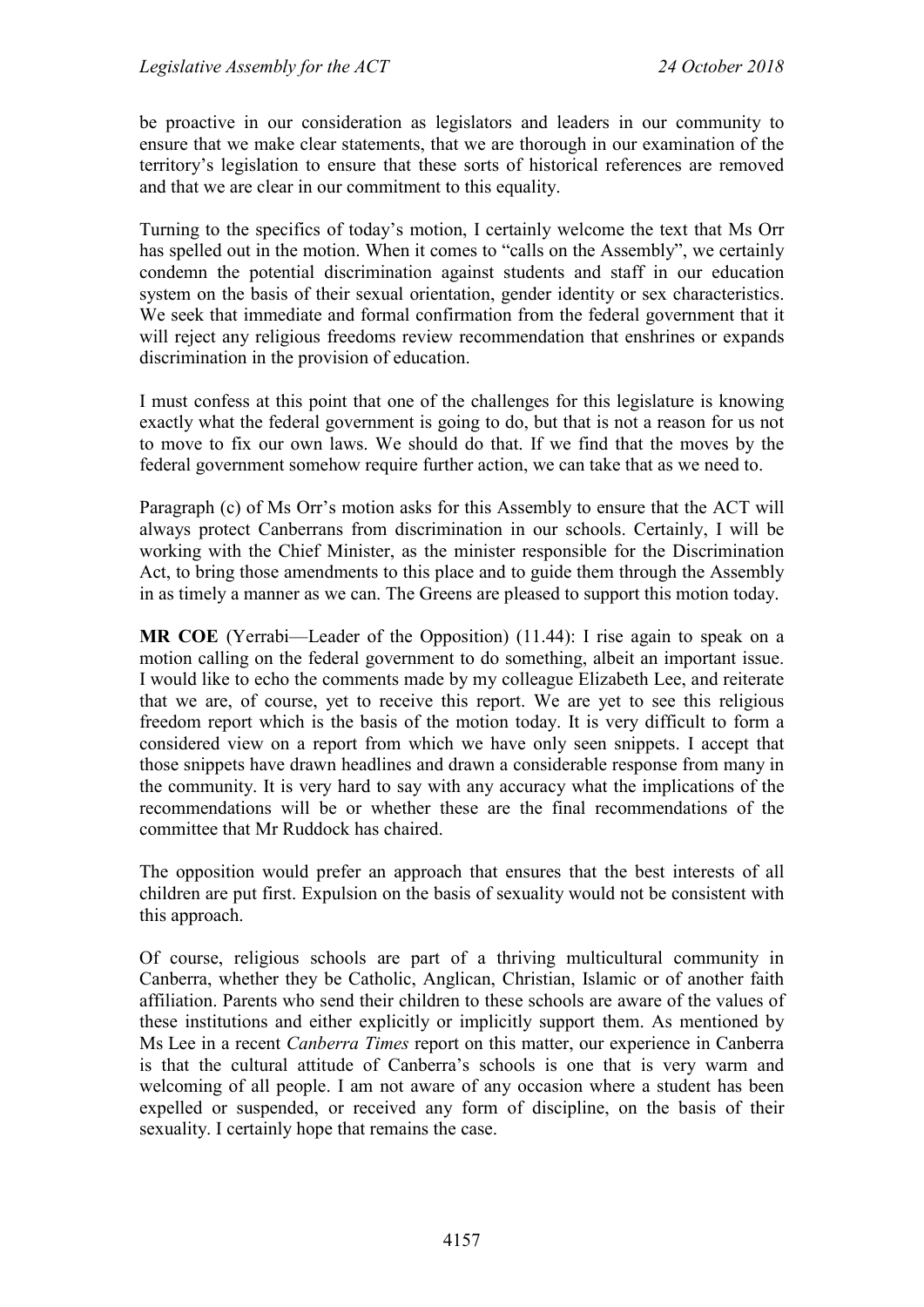be proactive in our consideration as legislators and leaders in our community to ensure that we make clear statements, that we are thorough in our examination of the territory's legislation to ensure that these sorts of historical references are removed and that we are clear in our commitment to this equality.

Turning to the specifics of today's motion, I certainly welcome the text that Ms Orr has spelled out in the motion. When it comes to "calls on the Assembly", we certainly condemn the potential discrimination against students and staff in our education system on the basis of their sexual orientation, gender identity or sex characteristics. We seek that immediate and formal confirmation from the federal government that it will reject any religious freedoms review recommendation that enshrines or expands discrimination in the provision of education.

I must confess at this point that one of the challenges for this legislature is knowing exactly what the federal government is going to do, but that is not a reason for us not to move to fix our own laws. We should do that. If we find that the moves by the federal government somehow require further action, we can take that as we need to.

Paragraph (c) of Ms Orr's motion asks for this Assembly to ensure that the ACT will always protect Canberrans from discrimination in our schools. Certainly, I will be working with the Chief Minister, as the minister responsible for the Discrimination Act, to bring those amendments to this place and to guide them through the Assembly in as timely a manner as we can. The Greens are pleased to support this motion today.

**MR COE** (Yerrabi—Leader of the Opposition) (11.44): I rise again to speak on a motion calling on the federal government to do something, albeit an important issue. I would like to echo the comments made by my colleague Elizabeth Lee, and reiterate that we are, of course, yet to receive this report. We are yet to see this religious freedom report which is the basis of the motion today. It is very difficult to form a considered view on a report from which we have only seen snippets. I accept that those snippets have drawn headlines and drawn a considerable response from many in the community. It is very hard to say with any accuracy what the implications of the recommendations will be or whether these are the final recommendations of the committee that Mr Ruddock has chaired.

The opposition would prefer an approach that ensures that the best interests of all children are put first. Expulsion on the basis of sexuality would not be consistent with this approach.

Of course, religious schools are part of a thriving multicultural community in Canberra, whether they be Catholic, Anglican, Christian, Islamic or of another faith affiliation. Parents who send their children to these schools are aware of the values of these institutions and either explicitly or implicitly support them. As mentioned by Ms Lee in a recent *Canberra Times* report on this matter, our experience in Canberra is that the cultural attitude of Canberra's schools is one that is very warm and welcoming of all people. I am not aware of any occasion where a student has been expelled or suspended, or received any form of discipline, on the basis of their sexuality. I certainly hope that remains the case.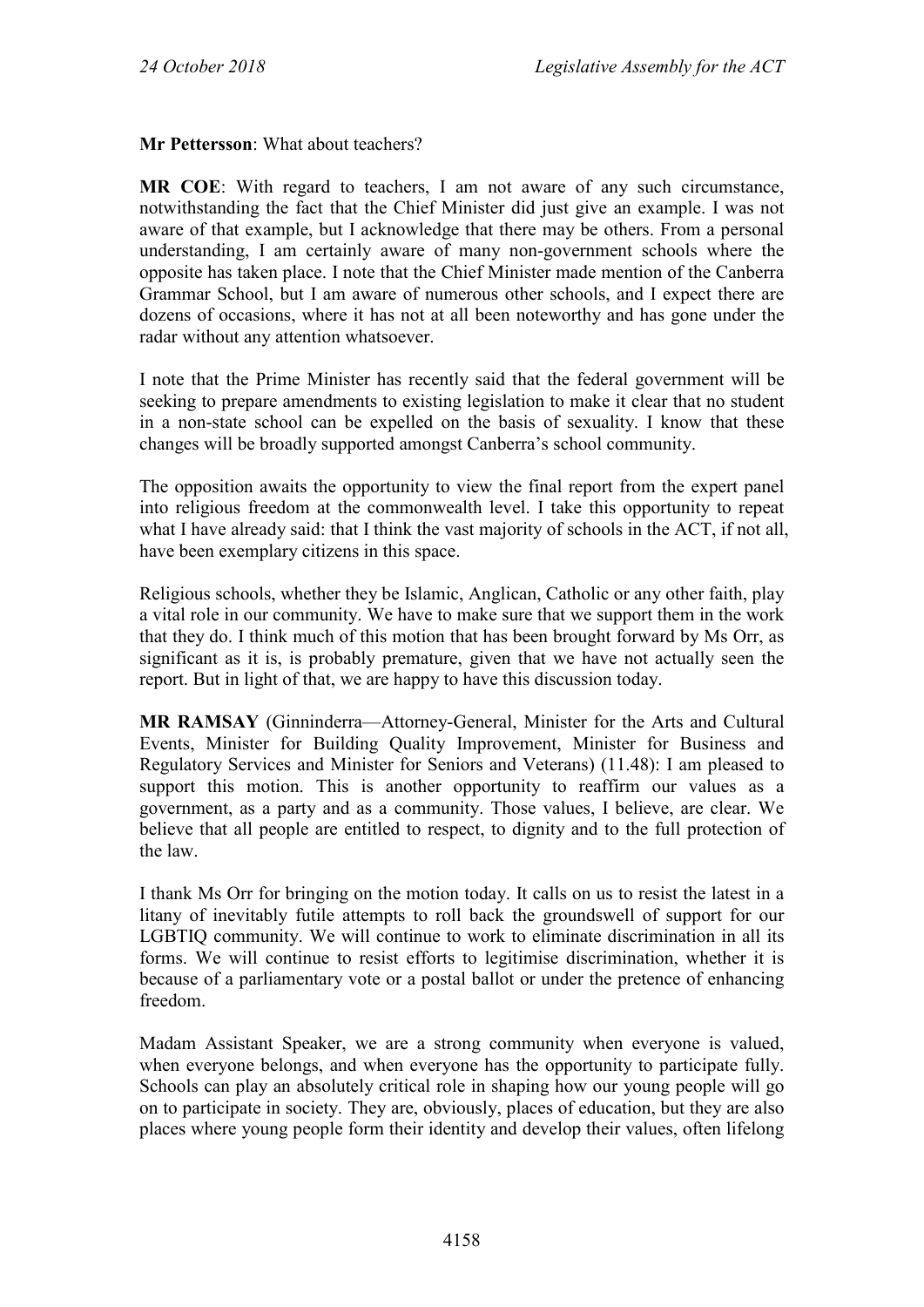**Mr Pettersson**: What about teachers?

**MR COE**: With regard to teachers, I am not aware of any such circumstance, notwithstanding the fact that the Chief Minister did just give an example. I was not aware of that example, but I acknowledge that there may be others. From a personal understanding, I am certainly aware of many non-government schools where the opposite has taken place. I note that the Chief Minister made mention of the Canberra Grammar School, but I am aware of numerous other schools, and I expect there are dozens of occasions, where it has not at all been noteworthy and has gone under the radar without any attention whatsoever.

I note that the Prime Minister has recently said that the federal government will be seeking to prepare amendments to existing legislation to make it clear that no student in a non-state school can be expelled on the basis of sexuality. I know that these changes will be broadly supported amongst Canberra's school community.

The opposition awaits the opportunity to view the final report from the expert panel into religious freedom at the commonwealth level. I take this opportunity to repeat what I have already said: that I think the vast majority of schools in the ACT, if not all, have been exemplary citizens in this space.

Religious schools, whether they be Islamic, Anglican, Catholic or any other faith, play a vital role in our community. We have to make sure that we support them in the work that they do. I think much of this motion that has been brought forward by Ms Orr, as significant as it is, is probably premature, given that we have not actually seen the report. But in light of that, we are happy to have this discussion today.

**MR RAMSAY** (Ginninderra—Attorney-General, Minister for the Arts and Cultural Events, Minister for Building Quality Improvement, Minister for Business and Regulatory Services and Minister for Seniors and Veterans) (11.48): I am pleased to support this motion. This is another opportunity to reaffirm our values as a government, as a party and as a community. Those values, I believe, are clear. We believe that all people are entitled to respect, to dignity and to the full protection of the law.

I thank Ms Orr for bringing on the motion today. It calls on us to resist the latest in a litany of inevitably futile attempts to roll back the groundswell of support for our LGBTIQ community. We will continue to work to eliminate discrimination in all its forms. We will continue to resist efforts to legitimise discrimination, whether it is because of a parliamentary vote or a postal ballot or under the pretence of enhancing freedom.

Madam Assistant Speaker, we are a strong community when everyone is valued, when everyone belongs, and when everyone has the opportunity to participate fully. Schools can play an absolutely critical role in shaping how our young people will go on to participate in society. They are, obviously, places of education, but they are also places where young people form their identity and develop their values, often lifelong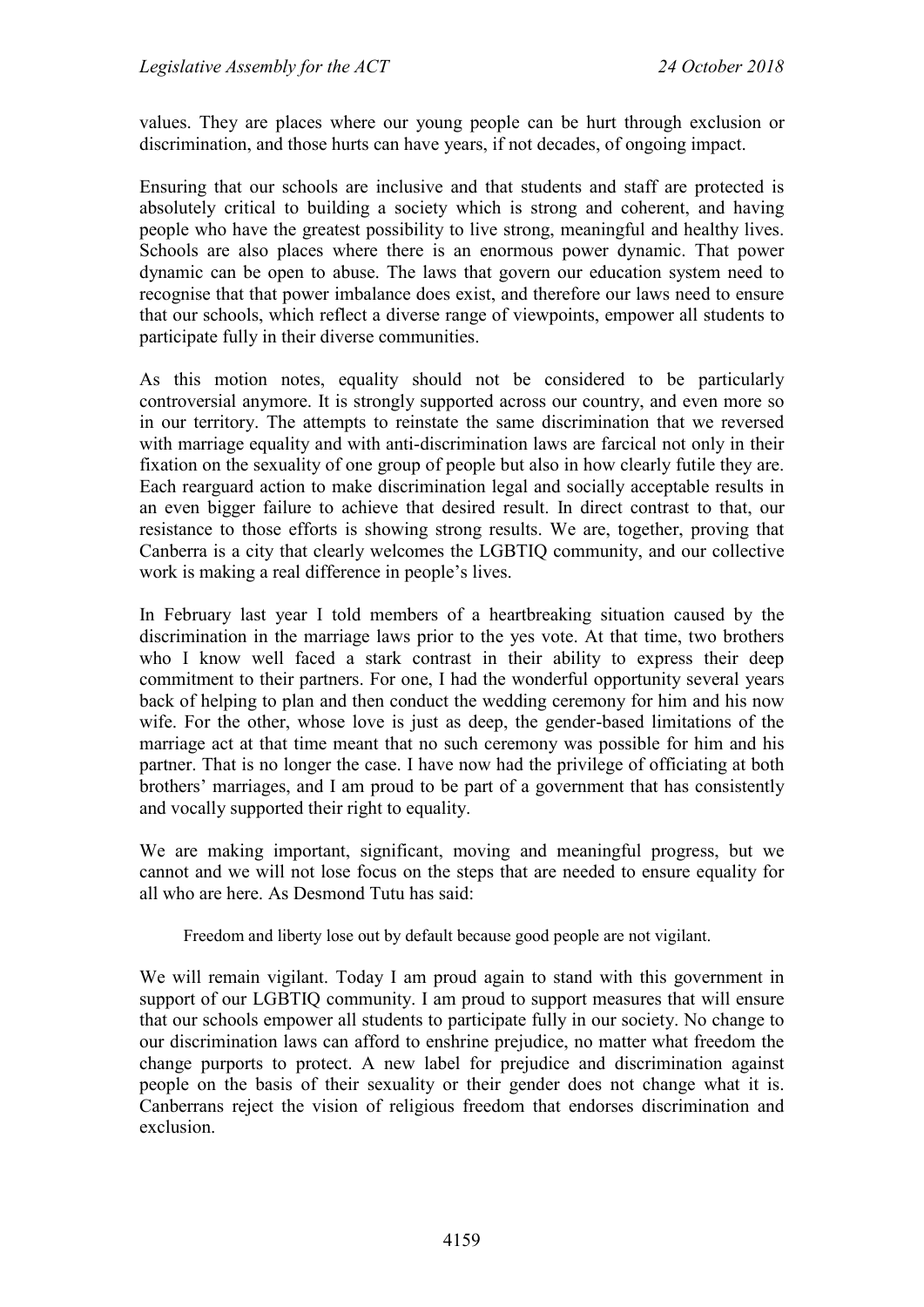values. They are places where our young people can be hurt through exclusion or discrimination, and those hurts can have years, if not decades, of ongoing impact.

Ensuring that our schools are inclusive and that students and staff are protected is absolutely critical to building a society which is strong and coherent, and having people who have the greatest possibility to live strong, meaningful and healthy lives. Schools are also places where there is an enormous power dynamic. That power dynamic can be open to abuse. The laws that govern our education system need to recognise that that power imbalance does exist, and therefore our laws need to ensure that our schools, which reflect a diverse range of viewpoints, empower all students to participate fully in their diverse communities.

As this motion notes, equality should not be considered to be particularly controversial anymore. It is strongly supported across our country, and even more so in our territory. The attempts to reinstate the same discrimination that we reversed with marriage equality and with anti-discrimination laws are farcical not only in their fixation on the sexuality of one group of people but also in how clearly futile they are. Each rearguard action to make discrimination legal and socially acceptable results in an even bigger failure to achieve that desired result. In direct contrast to that, our resistance to those efforts is showing strong results. We are, together, proving that Canberra is a city that clearly welcomes the LGBTIQ community, and our collective work is making a real difference in people's lives.

In February last year I told members of a heartbreaking situation caused by the discrimination in the marriage laws prior to the yes vote. At that time, two brothers who I know well faced a stark contrast in their ability to express their deep commitment to their partners. For one, I had the wonderful opportunity several years back of helping to plan and then conduct the wedding ceremony for him and his now wife. For the other, whose love is just as deep, the gender-based limitations of the marriage act at that time meant that no such ceremony was possible for him and his partner. That is no longer the case. I have now had the privilege of officiating at both brothers' marriages, and I am proud to be part of a government that has consistently and vocally supported their right to equality.

We are making important, significant, moving and meaningful progress, but we cannot and we will not lose focus on the steps that are needed to ensure equality for all who are here. As Desmond Tutu has said:

Freedom and liberty lose out by default because good people are not vigilant.

We will remain vigilant. Today I am proud again to stand with this government in support of our LGBTIQ community. I am proud to support measures that will ensure that our schools empower all students to participate fully in our society. No change to our discrimination laws can afford to enshrine prejudice, no matter what freedom the change purports to protect. A new label for prejudice and discrimination against people on the basis of their sexuality or their gender does not change what it is. Canberrans reject the vision of religious freedom that endorses discrimination and exclusion.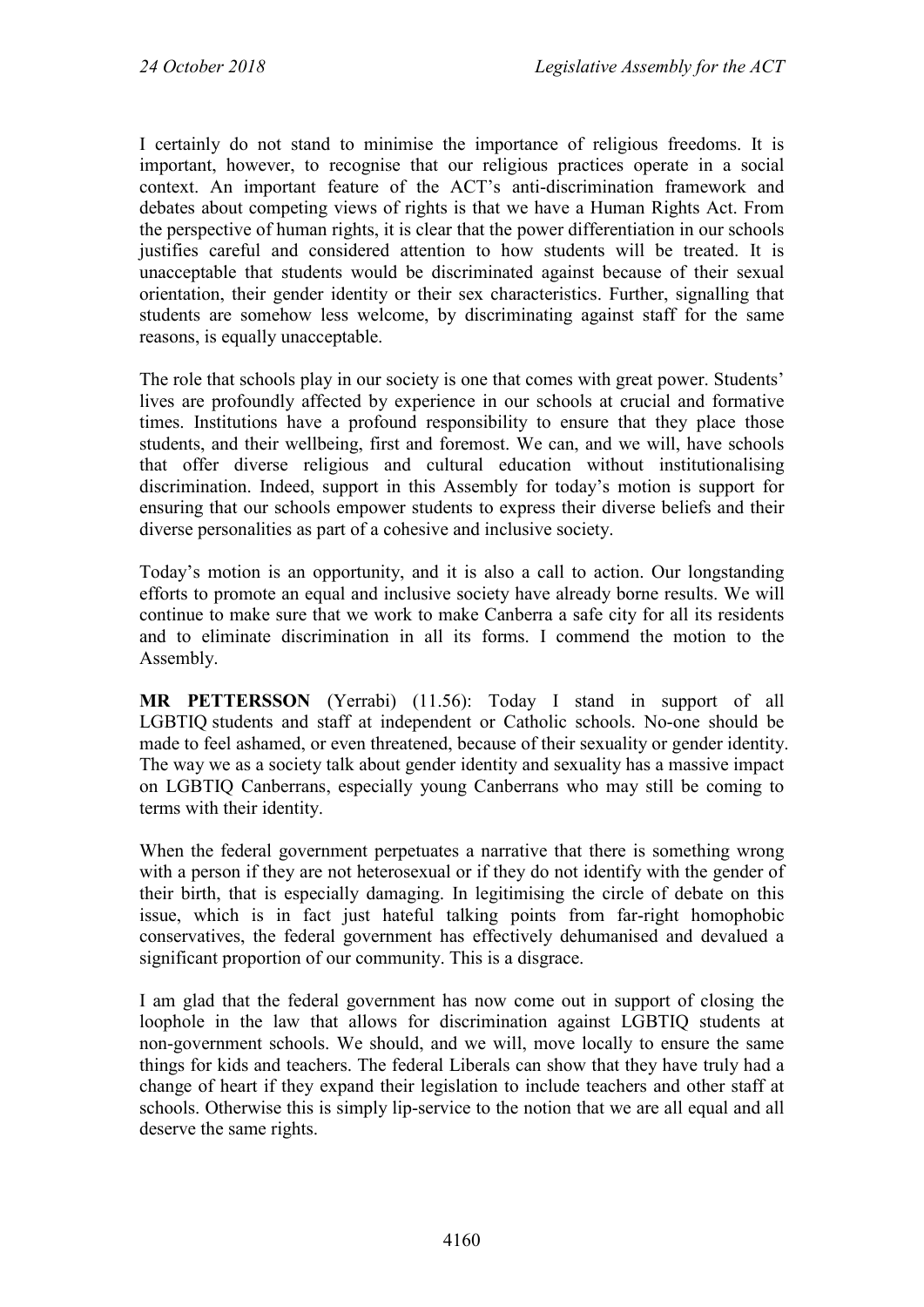I certainly do not stand to minimise the importance of religious freedoms. It is important, however, to recognise that our religious practices operate in a social context. An important feature of the ACT's anti-discrimination framework and debates about competing views of rights is that we have a Human Rights Act. From the perspective of human rights, it is clear that the power differentiation in our schools justifies careful and considered attention to how students will be treated. It is unacceptable that students would be discriminated against because of their sexual orientation, their gender identity or their sex characteristics. Further, signalling that students are somehow less welcome, by discriminating against staff for the same reasons, is equally unacceptable.

The role that schools play in our society is one that comes with great power. Students' lives are profoundly affected by experience in our schools at crucial and formative times. Institutions have a profound responsibility to ensure that they place those students, and their wellbeing, first and foremost. We can, and we will, have schools that offer diverse religious and cultural education without institutionalising discrimination. Indeed, support in this Assembly for today's motion is support for ensuring that our schools empower students to express their diverse beliefs and their diverse personalities as part of a cohesive and inclusive society.

Today's motion is an opportunity, and it is also a call to action. Our longstanding efforts to promote an equal and inclusive society have already borne results. We will continue to make sure that we work to make Canberra a safe city for all its residents and to eliminate discrimination in all its forms. I commend the motion to the Assembly.

**MR PETTERSSON** (Yerrabi) (11.56): Today I stand in support of all LGBTIQ students and staff at independent or Catholic schools. No-one should be made to feel ashamed, or even threatened, because of their sexuality or gender identity. The way we as a society talk about gender identity and sexuality has a massive impact on LGBTIQ Canberrans, especially young Canberrans who may still be coming to terms with their identity.

When the federal government perpetuates a narrative that there is something wrong with a person if they are not heterosexual or if they do not identify with the gender of their birth, that is especially damaging. In legitimising the circle of debate on this issue, which is in fact just hateful talking points from far-right homophobic conservatives, the federal government has effectively dehumanised and devalued a significant proportion of our community. This is a disgrace.

I am glad that the federal government has now come out in support of closing the loophole in the law that allows for discrimination against LGBTIQ students at non-government schools. We should, and we will, move locally to ensure the same things for kids and teachers. The federal Liberals can show that they have truly had a change of heart if they expand their legislation to include teachers and other staff at schools. Otherwise this is simply lip-service to the notion that we are all equal and all deserve the same rights.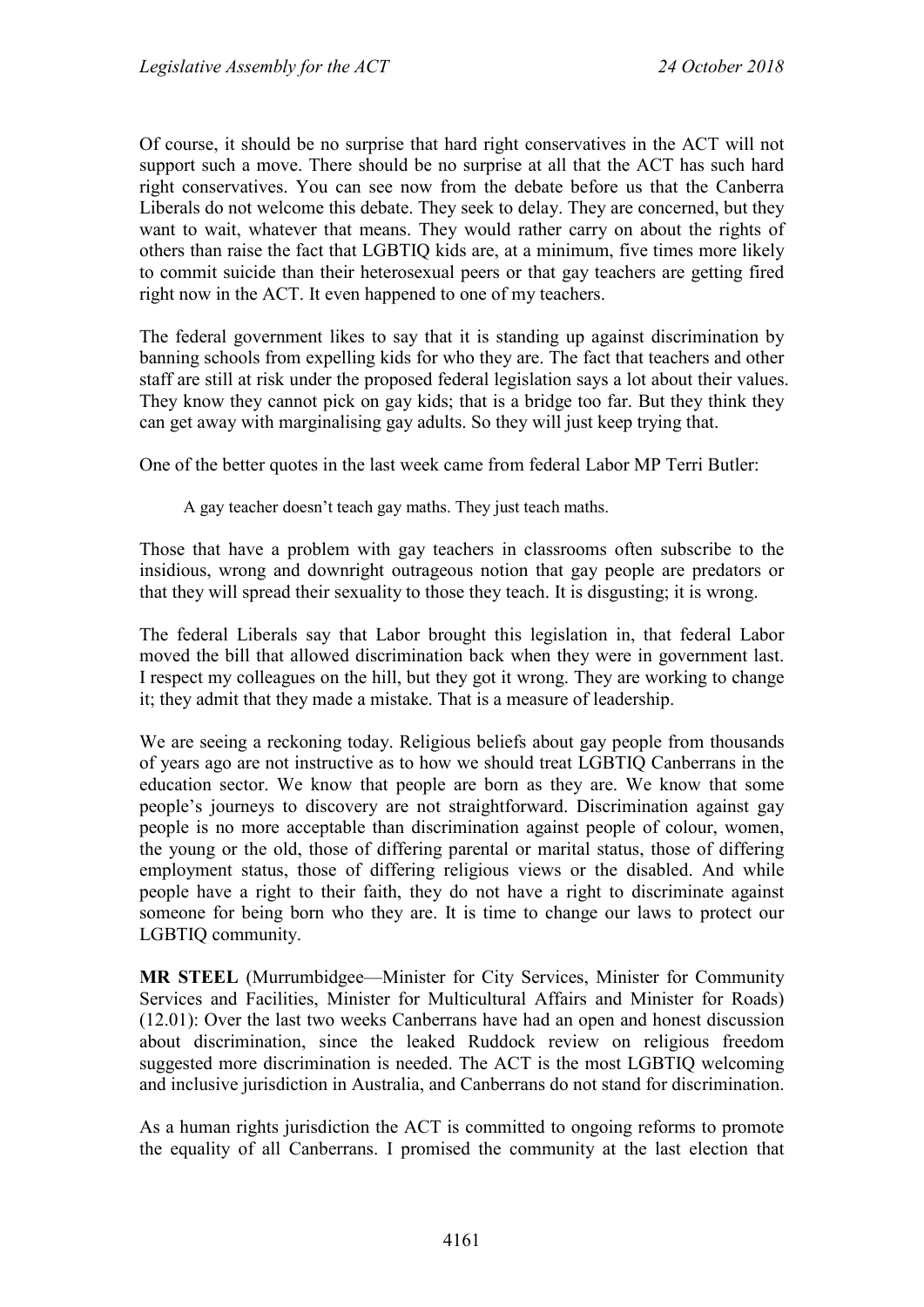Of course, it should be no surprise that hard right conservatives in the ACT will not support such a move. There should be no surprise at all that the ACT has such hard right conservatives. You can see now from the debate before us that the Canberra Liberals do not welcome this debate. They seek to delay. They are concerned, but they want to wait, whatever that means. They would rather carry on about the rights of others than raise the fact that LGBTIQ kids are, at a minimum, five times more likely to commit suicide than their heterosexual peers or that gay teachers are getting fired right now in the ACT. It even happened to one of my teachers.

The federal government likes to say that it is standing up against discrimination by banning schools from expelling kids for who they are. The fact that teachers and other staff are still at risk under the proposed federal legislation says a lot about their values. They know they cannot pick on gay kids; that is a bridge too far. But they think they can get away with marginalising gay adults. So they will just keep trying that.

One of the better quotes in the last week came from federal Labor MP Terri Butler:

A gay teacher doesn't teach gay maths. They just teach maths.

Those that have a problem with gay teachers in classrooms often subscribe to the insidious, wrong and downright outrageous notion that gay people are predators or that they will spread their sexuality to those they teach. It is disgusting; it is wrong.

The federal Liberals say that Labor brought this legislation in, that federal Labor moved the bill that allowed discrimination back when they were in government last. I respect my colleagues on the hill, but they got it wrong. They are working to change it; they admit that they made a mistake. That is a measure of leadership.

We are seeing a reckoning today. Religious beliefs about gay people from thousands of years ago are not instructive as to how we should treat LGBTIQ Canberrans in the education sector. We know that people are born as they are. We know that some people's journeys to discovery are not straightforward. Discrimination against gay people is no more acceptable than discrimination against people of colour, women, the young or the old, those of differing parental or marital status, those of differing employment status, those of differing religious views or the disabled. And while people have a right to their faith, they do not have a right to discriminate against someone for being born who they are. It is time to change our laws to protect our LGBTIQ community.

**MR STEEL** (Murrumbidgee—Minister for City Services, Minister for Community Services and Facilities, Minister for Multicultural Affairs and Minister for Roads) (12.01): Over the last two weeks Canberrans have had an open and honest discussion about discrimination, since the leaked Ruddock review on religious freedom suggested more discrimination is needed. The ACT is the most LGBTIQ welcoming and inclusive jurisdiction in Australia, and Canberrans do not stand for discrimination.

As a human rights jurisdiction the ACT is committed to ongoing reforms to promote the equality of all Canberrans. I promised the community at the last election that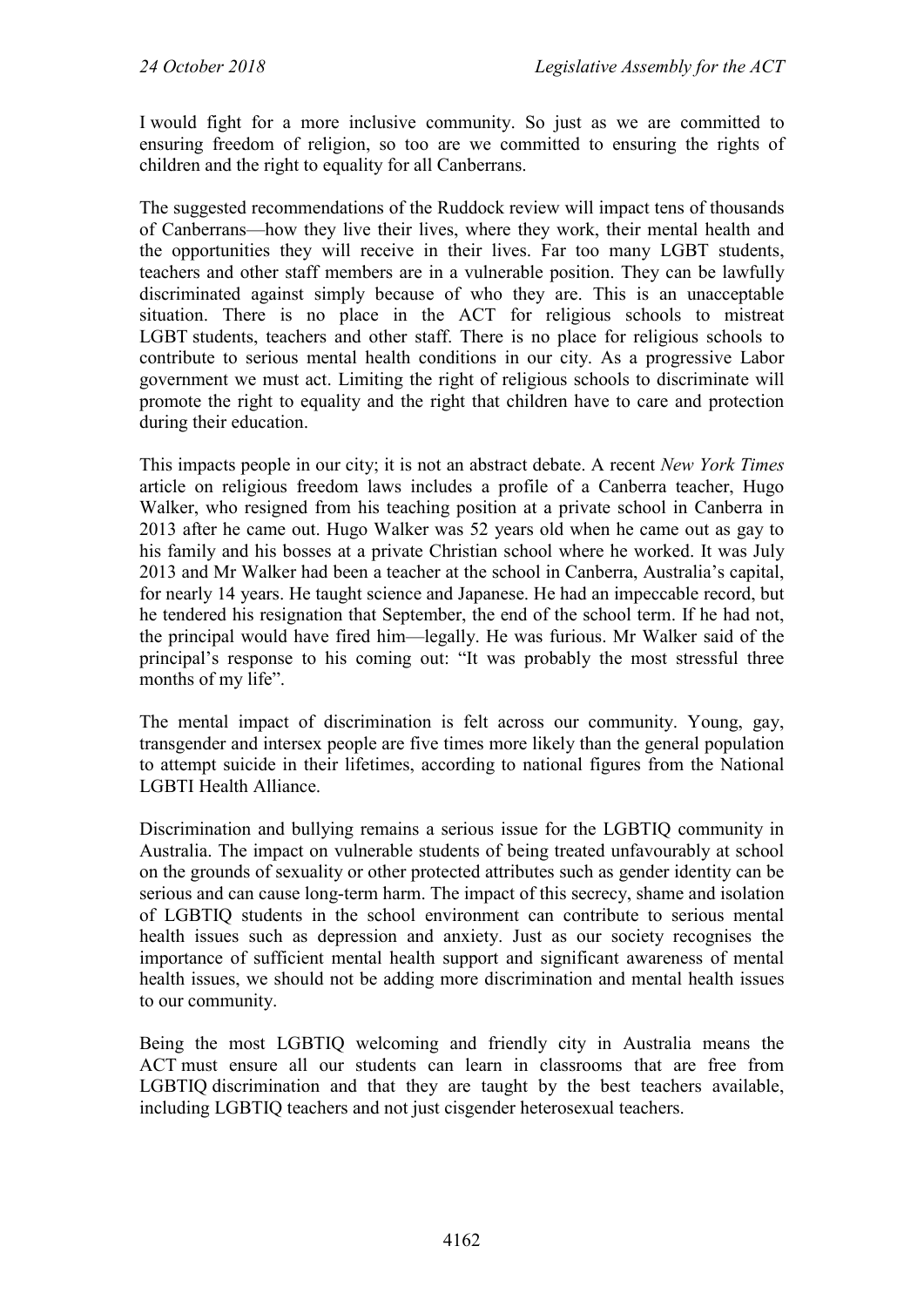I would fight for a more inclusive community. So just as we are committed to ensuring freedom of religion, so too are we committed to ensuring the rights of children and the right to equality for all Canberrans.

The suggested recommendations of the Ruddock review will impact tens of thousands of Canberrans—how they live their lives, where they work, their mental health and the opportunities they will receive in their lives. Far too many LGBT students, teachers and other staff members are in a vulnerable position. They can be lawfully discriminated against simply because of who they are. This is an unacceptable situation. There is no place in the ACT for religious schools to mistreat LGBT students, teachers and other staff. There is no place for religious schools to contribute to serious mental health conditions in our city. As a progressive Labor government we must act. Limiting the right of religious schools to discriminate will promote the right to equality and the right that children have to care and protection during their education.

This impacts people in our city; it is not an abstract debate. A recent *New York Times* article on religious freedom laws includes a profile of a Canberra teacher, Hugo Walker, who resigned from his teaching position at a private school in Canberra in 2013 after he came out. Hugo Walker was 52 years old when he came out as gay to his family and his bosses at a private Christian school where he worked. It was July 2013 and Mr Walker had been a teacher at the school in Canberra, Australia's capital, for nearly 14 years. He taught science and Japanese. He had an impeccable record, but he tendered his resignation that September, the end of the school term. If he had not, the principal would have fired him—legally. He was furious. Mr Walker said of the principal's response to his coming out: "It was probably the most stressful three months of my life".

The mental impact of discrimination is felt across our community. Young, gay, transgender and intersex people are five times more likely than the general population to attempt suicide in their lifetimes, according to national figures from the National LGBTI Health Alliance.

Discrimination and bullying remains a serious issue for the LGBTIQ community in Australia. The impact on vulnerable students of being treated unfavourably at school on the grounds of sexuality or other protected attributes such as gender identity can be serious and can cause long-term harm. The impact of this secrecy, shame and isolation of LGBTIQ students in the school environment can contribute to serious mental health issues such as depression and anxiety. Just as our society recognises the importance of sufficient mental health support and significant awareness of mental health issues, we should not be adding more discrimination and mental health issues to our community.

Being the most LGBTIQ welcoming and friendly city in Australia means the ACT must ensure all our students can learn in classrooms that are free from LGBTIQ discrimination and that they are taught by the best teachers available, including LGBTIQ teachers and not just cisgender heterosexual teachers.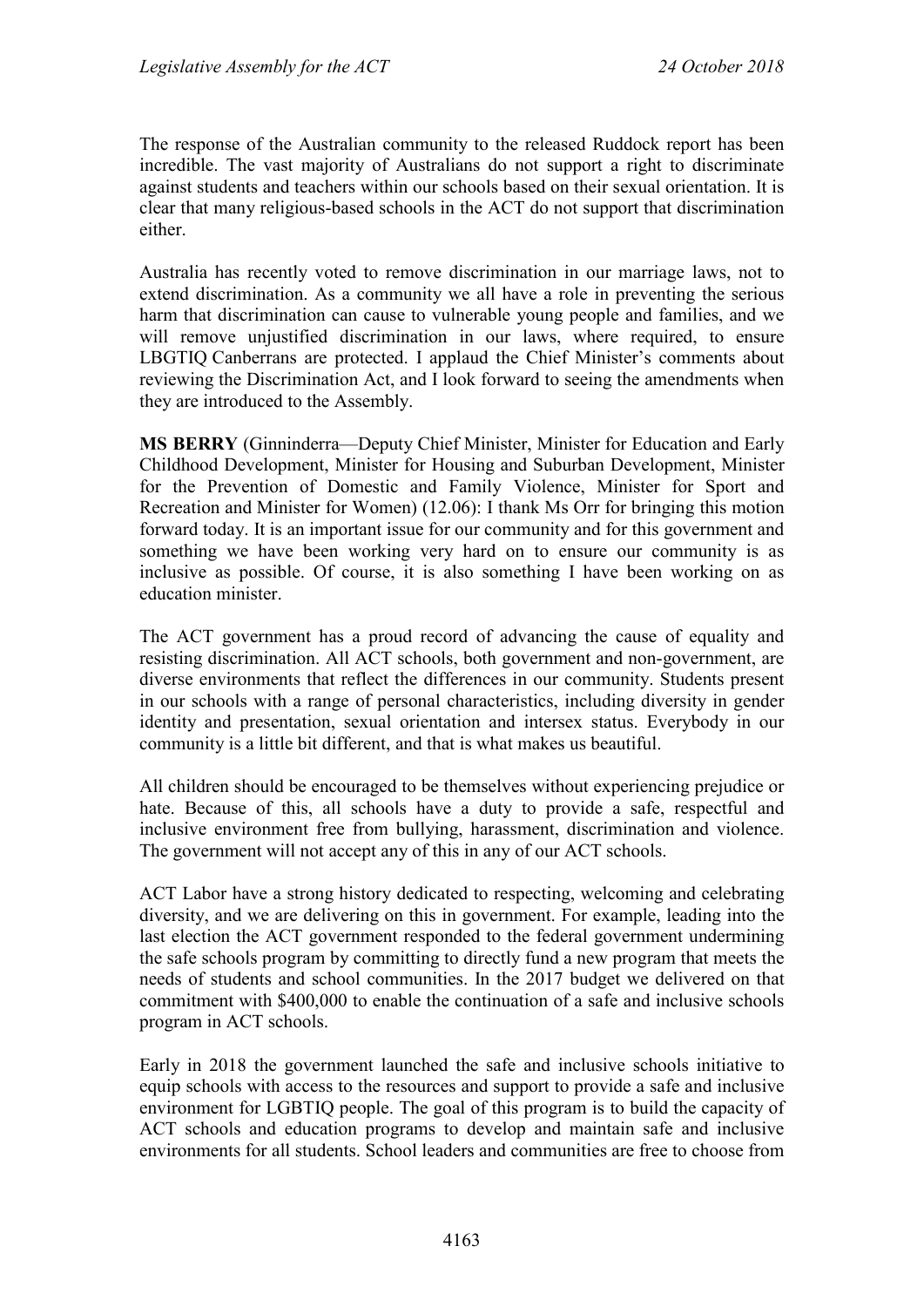The response of the Australian community to the released Ruddock report has been incredible. The vast majority of Australians do not support a right to discriminate against students and teachers within our schools based on their sexual orientation. It is clear that many religious-based schools in the ACT do not support that discrimination either.

Australia has recently voted to remove discrimination in our marriage laws, not to extend discrimination. As a community we all have a role in preventing the serious harm that discrimination can cause to vulnerable young people and families, and we will remove unjustified discrimination in our laws, where required, to ensure LBGTIQ Canberrans are protected. I applaud the Chief Minister's comments about reviewing the Discrimination Act, and I look forward to seeing the amendments when they are introduced to the Assembly.

**MS BERRY** (Ginninderra—Deputy Chief Minister, Minister for Education and Early Childhood Development, Minister for Housing and Suburban Development, Minister for the Prevention of Domestic and Family Violence, Minister for Sport and Recreation and Minister for Women) (12.06): I thank Ms Orr for bringing this motion forward today. It is an important issue for our community and for this government and something we have been working very hard on to ensure our community is as inclusive as possible. Of course, it is also something I have been working on as education minister.

The ACT government has a proud record of advancing the cause of equality and resisting discrimination. All ACT schools, both government and non-government, are diverse environments that reflect the differences in our community. Students present in our schools with a range of personal characteristics, including diversity in gender identity and presentation, sexual orientation and intersex status. Everybody in our community is a little bit different, and that is what makes us beautiful.

All children should be encouraged to be themselves without experiencing prejudice or hate. Because of this, all schools have a duty to provide a safe, respectful and inclusive environment free from bullying, harassment, discrimination and violence. The government will not accept any of this in any of our ACT schools.

ACT Labor have a strong history dedicated to respecting, welcoming and celebrating diversity, and we are delivering on this in government. For example, leading into the last election the ACT government responded to the federal government undermining the safe schools program by committing to directly fund a new program that meets the needs of students and school communities. In the 2017 budget we delivered on that commitment with \$400,000 to enable the continuation of a safe and inclusive schools program in ACT schools.

Early in 2018 the government launched the safe and inclusive schools initiative to equip schools with access to the resources and support to provide a safe and inclusive environment for LGBTIQ people. The goal of this program is to build the capacity of ACT schools and education programs to develop and maintain safe and inclusive environments for all students. School leaders and communities are free to choose from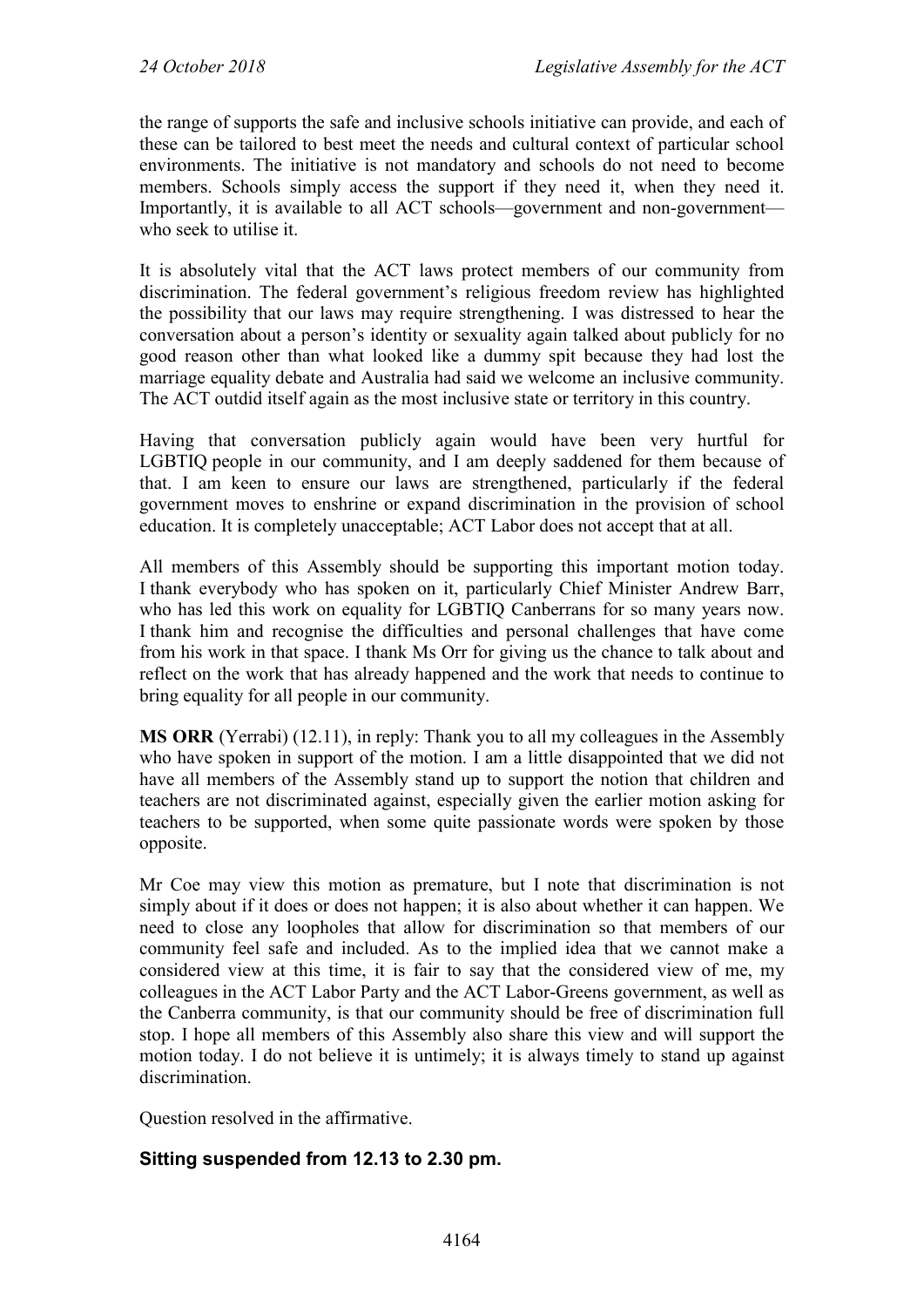the range of supports the safe and inclusive schools initiative can provide, and each of these can be tailored to best meet the needs and cultural context of particular school environments. The initiative is not mandatory and schools do not need to become members. Schools simply access the support if they need it, when they need it. Importantly, it is available to all ACT schools—government and non-government who seek to utilise it.

It is absolutely vital that the ACT laws protect members of our community from discrimination. The federal government's religious freedom review has highlighted the possibility that our laws may require strengthening. I was distressed to hear the conversation about a person's identity or sexuality again talked about publicly for no good reason other than what looked like a dummy spit because they had lost the marriage equality debate and Australia had said we welcome an inclusive community. The ACT outdid itself again as the most inclusive state or territory in this country.

Having that conversation publicly again would have been very hurtful for LGBTIQ people in our community, and I am deeply saddened for them because of that. I am keen to ensure our laws are strengthened, particularly if the federal government moves to enshrine or expand discrimination in the provision of school education. It is completely unacceptable; ACT Labor does not accept that at all.

All members of this Assembly should be supporting this important motion today. I thank everybody who has spoken on it, particularly Chief Minister Andrew Barr, who has led this work on equality for LGBTIQ Canberrans for so many years now. I thank him and recognise the difficulties and personal challenges that have come from his work in that space. I thank Ms Orr for giving us the chance to talk about and reflect on the work that has already happened and the work that needs to continue to bring equality for all people in our community.

**MS ORR** (Yerrabi) (12.11), in reply: Thank you to all my colleagues in the Assembly who have spoken in support of the motion. I am a little disappointed that we did not have all members of the Assembly stand up to support the notion that children and teachers are not discriminated against, especially given the earlier motion asking for teachers to be supported, when some quite passionate words were spoken by those opposite.

Mr Coe may view this motion as premature, but I note that discrimination is not simply about if it does or does not happen; it is also about whether it can happen. We need to close any loopholes that allow for discrimination so that members of our community feel safe and included. As to the implied idea that we cannot make a considered view at this time, it is fair to say that the considered view of me, my colleagues in the ACT Labor Party and the ACT Labor-Greens government, as well as the Canberra community, is that our community should be free of discrimination full stop. I hope all members of this Assembly also share this view and will support the motion today. I do not believe it is untimely; it is always timely to stand up against discrimination.

Question resolved in the affirmative.

## **Sitting suspended from 12.13 to 2.30 pm.**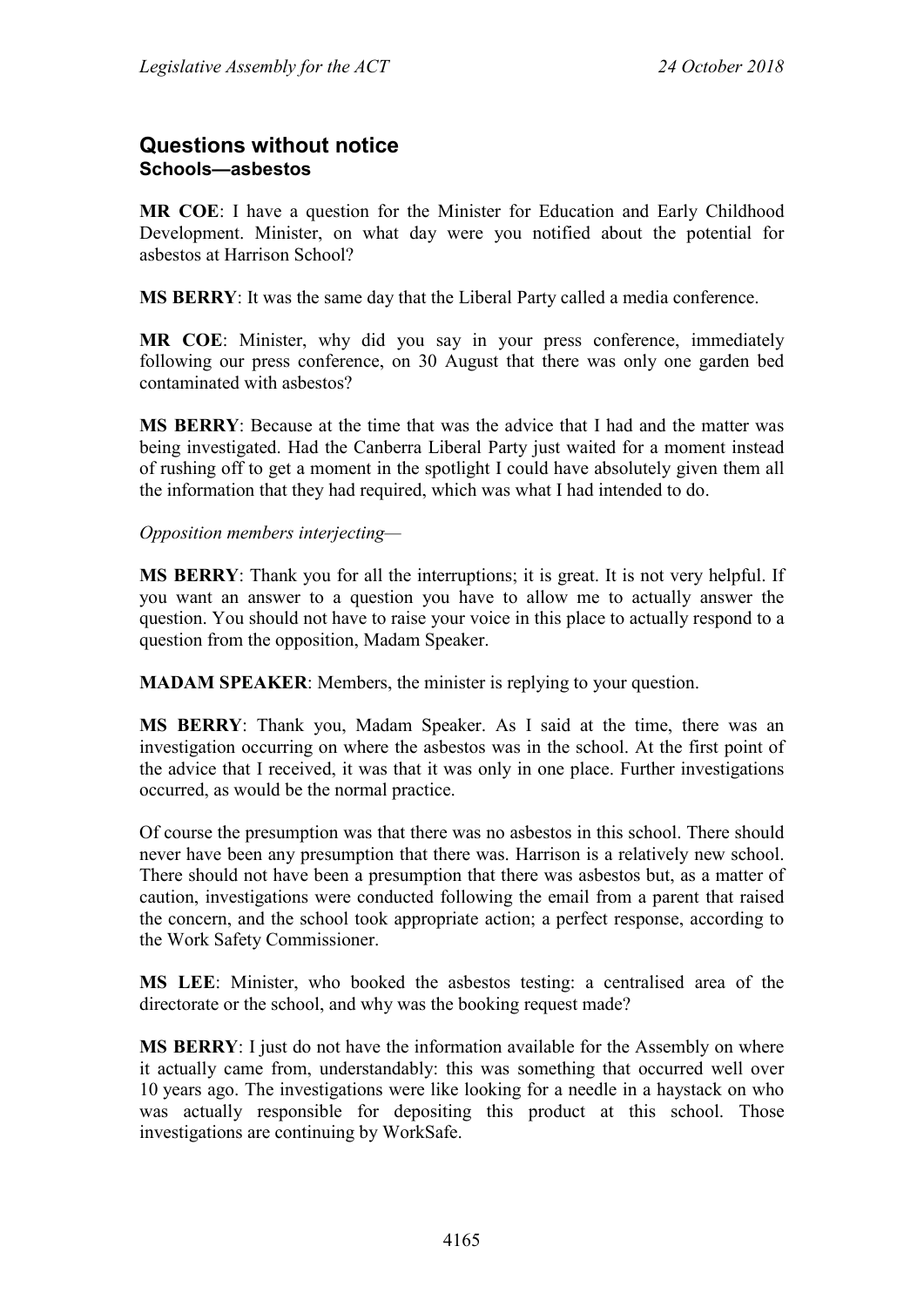# **Questions without notice Schools—asbestos**

**MR COE**: I have a question for the Minister for Education and Early Childhood Development. Minister, on what day were you notified about the potential for asbestos at Harrison School?

**MS BERRY**: It was the same day that the Liberal Party called a media conference.

**MR COE**: Minister, why did you say in your press conference, immediately following our press conference, on 30 August that there was only one garden bed contaminated with asbestos?

**MS BERRY**: Because at the time that was the advice that I had and the matter was being investigated. Had the Canberra Liberal Party just waited for a moment instead of rushing off to get a moment in the spotlight I could have absolutely given them all the information that they had required, which was what I had intended to do.

#### *Opposition members interjecting—*

**MS BERRY**: Thank you for all the interruptions; it is great. It is not very helpful. If you want an answer to a question you have to allow me to actually answer the question. You should not have to raise your voice in this place to actually respond to a question from the opposition, Madam Speaker.

**MADAM SPEAKER**: Members, the minister is replying to your question.

**MS BERRY**: Thank you, Madam Speaker. As I said at the time, there was an investigation occurring on where the asbestos was in the school. At the first point of the advice that I received, it was that it was only in one place. Further investigations occurred, as would be the normal practice.

Of course the presumption was that there was no asbestos in this school. There should never have been any presumption that there was. Harrison is a relatively new school. There should not have been a presumption that there was asbestos but, as a matter of caution, investigations were conducted following the email from a parent that raised the concern, and the school took appropriate action; a perfect response, according to the Work Safety Commissioner.

**MS LEE**: Minister, who booked the asbestos testing: a centralised area of the directorate or the school, and why was the booking request made?

**MS BERRY**: I just do not have the information available for the Assembly on where it actually came from, understandably: this was something that occurred well over 10 years ago. The investigations were like looking for a needle in a haystack on who was actually responsible for depositing this product at this school. Those investigations are continuing by WorkSafe.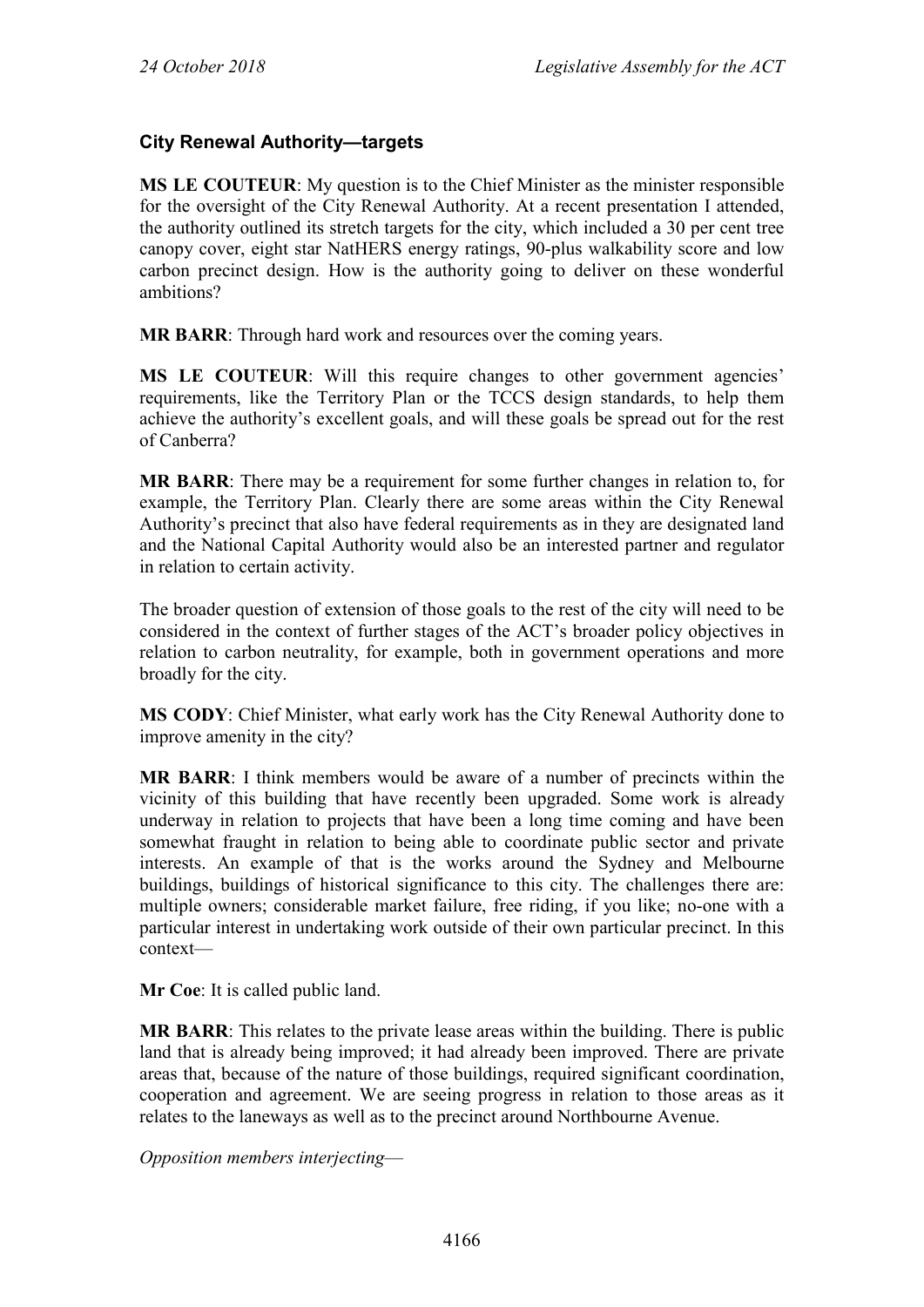# **City Renewal Authority—targets**

**MS LE COUTEUR**: My question is to the Chief Minister as the minister responsible for the oversight of the City Renewal Authority. At a recent presentation I attended, the authority outlined its stretch targets for the city, which included a 30 per cent tree canopy cover, eight star NatHERS energy ratings, 90-plus walkability score and low carbon precinct design. How is the authority going to deliver on these wonderful ambitions?

**MR BARR**: Through hard work and resources over the coming years.

**MS LE COUTEUR**: Will this require changes to other government agencies' requirements, like the Territory Plan or the TCCS design standards, to help them achieve the authority's excellent goals, and will these goals be spread out for the rest of Canberra?

**MR BARR**: There may be a requirement for some further changes in relation to, for example, the Territory Plan. Clearly there are some areas within the City Renewal Authority's precinct that also have federal requirements as in they are designated land and the National Capital Authority would also be an interested partner and regulator in relation to certain activity.

The broader question of extension of those goals to the rest of the city will need to be considered in the context of further stages of the ACT's broader policy objectives in relation to carbon neutrality, for example, both in government operations and more broadly for the city.

**MS CODY**: Chief Minister, what early work has the City Renewal Authority done to improve amenity in the city?

**MR BARR**: I think members would be aware of a number of precincts within the vicinity of this building that have recently been upgraded. Some work is already underway in relation to projects that have been a long time coming and have been somewhat fraught in relation to being able to coordinate public sector and private interests. An example of that is the works around the Sydney and Melbourne buildings, buildings of historical significance to this city. The challenges there are: multiple owners; considerable market failure, free riding, if you like; no-one with a particular interest in undertaking work outside of their own particular precinct. In this context—

**Mr Coe**: It is called public land.

**MR BARR**: This relates to the private lease areas within the building. There is public land that is already being improved; it had already been improved. There are private areas that, because of the nature of those buildings, required significant coordination, cooperation and agreement. We are seeing progress in relation to those areas as it relates to the laneways as well as to the precinct around Northbourne Avenue.

*Opposition members interjecting*—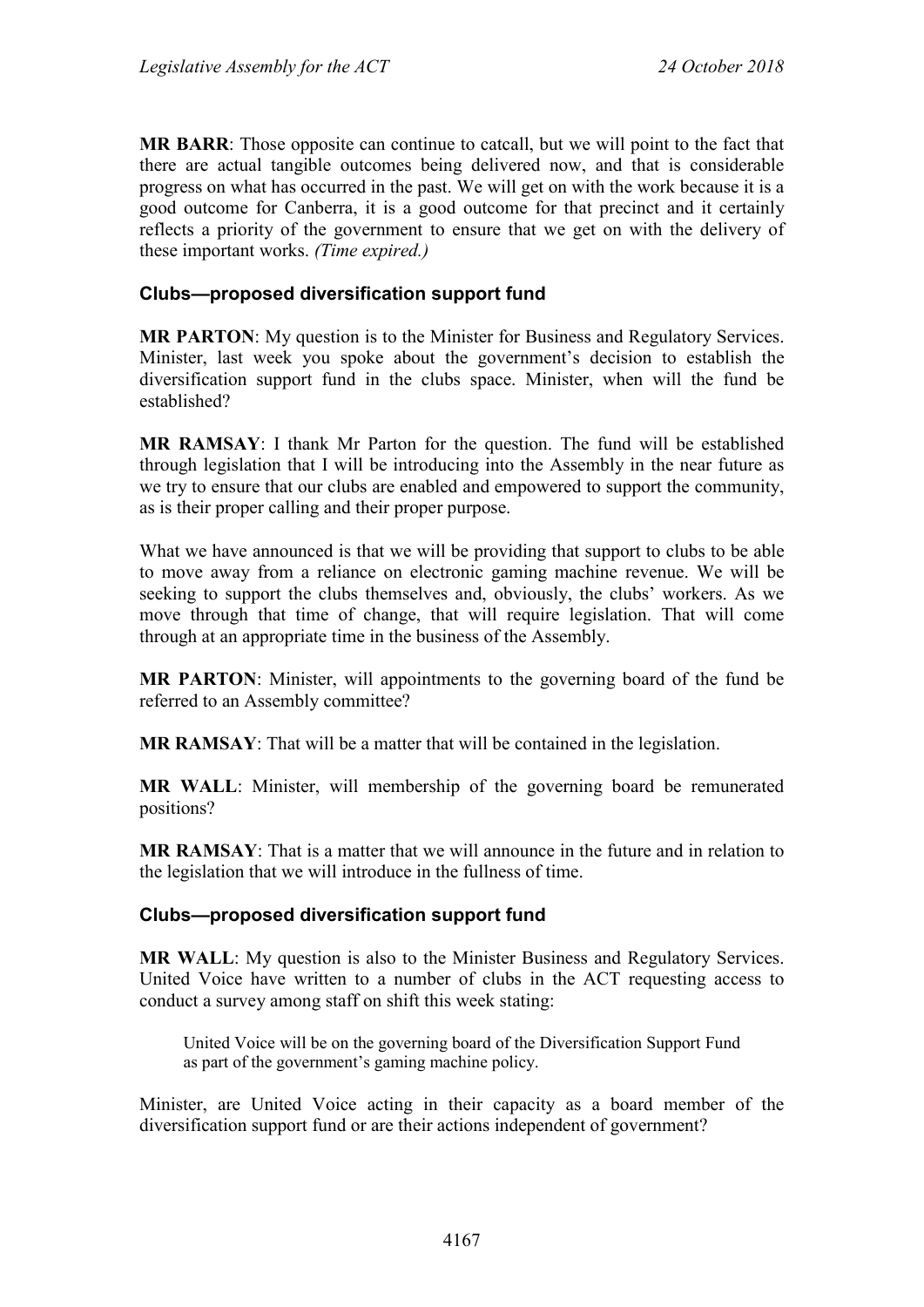**MR BARR**: Those opposite can continue to catcall, but we will point to the fact that there are actual tangible outcomes being delivered now, and that is considerable progress on what has occurred in the past. We will get on with the work because it is a good outcome for Canberra, it is a good outcome for that precinct and it certainly reflects a priority of the government to ensure that we get on with the delivery of these important works. *(Time expired.)*

#### **Clubs—proposed diversification support fund**

**MR PARTON**: My question is to the Minister for Business and Regulatory Services. Minister, last week you spoke about the government's decision to establish the diversification support fund in the clubs space. Minister, when will the fund be established?

**MR RAMSAY**: I thank Mr Parton for the question. The fund will be established through legislation that I will be introducing into the Assembly in the near future as we try to ensure that our clubs are enabled and empowered to support the community, as is their proper calling and their proper purpose.

What we have announced is that we will be providing that support to clubs to be able to move away from a reliance on electronic gaming machine revenue. We will be seeking to support the clubs themselves and, obviously, the clubs' workers. As we move through that time of change, that will require legislation. That will come through at an appropriate time in the business of the Assembly.

**MR PARTON**: Minister, will appointments to the governing board of the fund be referred to an Assembly committee?

**MR RAMSAY**: That will be a matter that will be contained in the legislation.

**MR WALL**: Minister, will membership of the governing board be remunerated positions?

**MR RAMSAY**: That is a matter that we will announce in the future and in relation to the legislation that we will introduce in the fullness of time.

#### **Clubs—proposed diversification support fund**

**MR WALL**: My question is also to the Minister Business and Regulatory Services. United Voice have written to a number of clubs in the ACT requesting access to conduct a survey among staff on shift this week stating:

United Voice will be on the governing board of the Diversification Support Fund as part of the government's gaming machine policy.

Minister, are United Voice acting in their capacity as a board member of the diversification support fund or are their actions independent of government?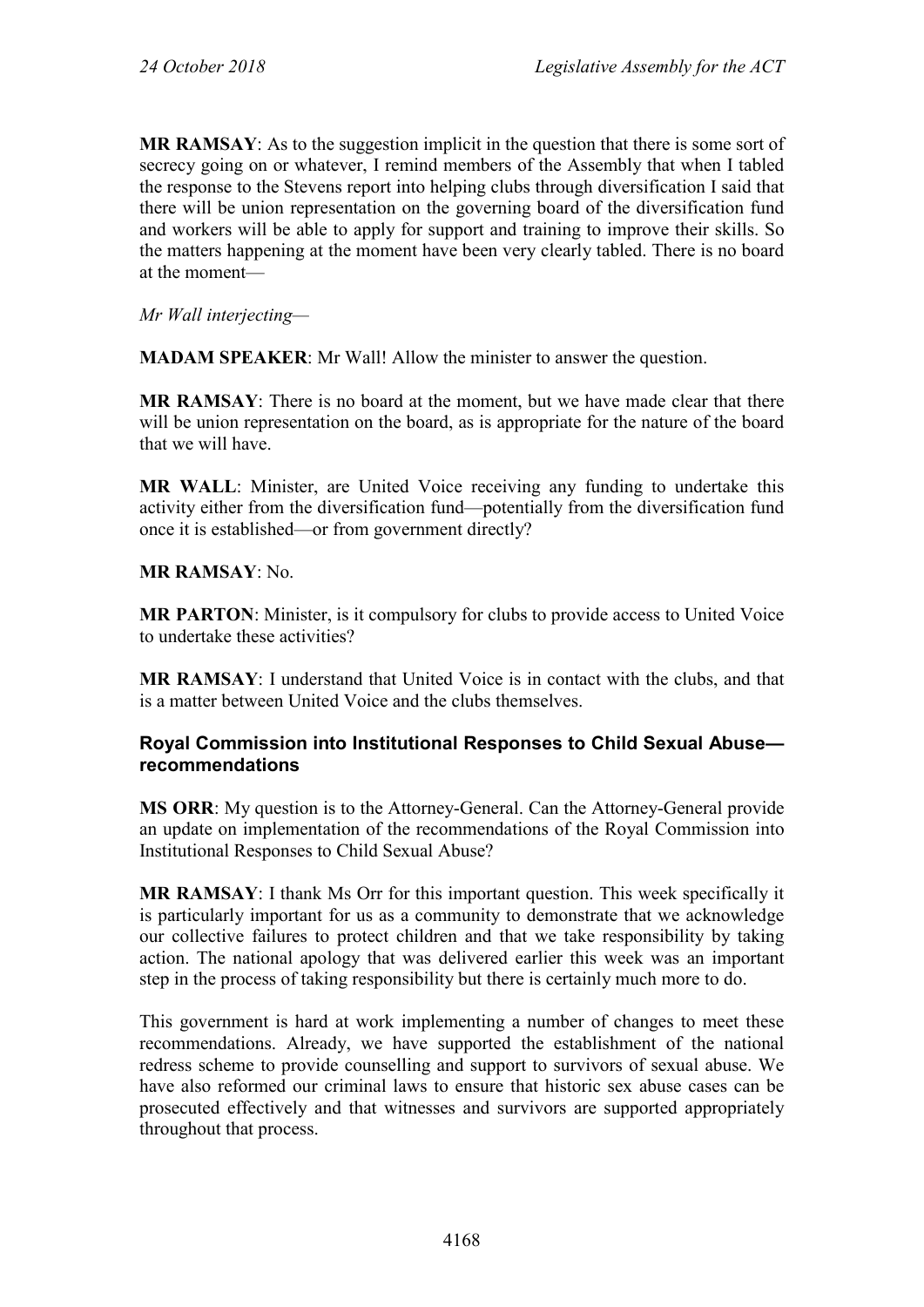**MR RAMSAY**: As to the suggestion implicit in the question that there is some sort of secrecy going on or whatever, I remind members of the Assembly that when I tabled the response to the Stevens report into helping clubs through diversification I said that there will be union representation on the governing board of the diversification fund and workers will be able to apply for support and training to improve their skills. So the matters happening at the moment have been very clearly tabled. There is no board at the moment—

*Mr Wall interjecting—*

**MADAM SPEAKER**: Mr Wall! Allow the minister to answer the question.

**MR RAMSAY**: There is no board at the moment, but we have made clear that there will be union representation on the board, as is appropriate for the nature of the board that we will have.

**MR WALL**: Minister, are United Voice receiving any funding to undertake this activity either from the diversification fund—potentially from the diversification fund once it is established—or from government directly?

#### **MR RAMSAY**: No.

**MR PARTON**: Minister, is it compulsory for clubs to provide access to United Voice to undertake these activities?

**MR RAMSAY**: I understand that United Voice is in contact with the clubs, and that is a matter between United Voice and the clubs themselves.

#### **Royal Commission into Institutional Responses to Child Sexual Abuse recommendations**

**MS ORR**: My question is to the Attorney-General. Can the Attorney-General provide an update on implementation of the recommendations of the Royal Commission into Institutional Responses to Child Sexual Abuse?

**MR RAMSAY**: I thank Ms Orr for this important question. This week specifically it is particularly important for us as a community to demonstrate that we acknowledge our collective failures to protect children and that we take responsibility by taking action. The national apology that was delivered earlier this week was an important step in the process of taking responsibility but there is certainly much more to do.

This government is hard at work implementing a number of changes to meet these recommendations. Already, we have supported the establishment of the national redress scheme to provide counselling and support to survivors of sexual abuse. We have also reformed our criminal laws to ensure that historic sex abuse cases can be prosecuted effectively and that witnesses and survivors are supported appropriately throughout that process.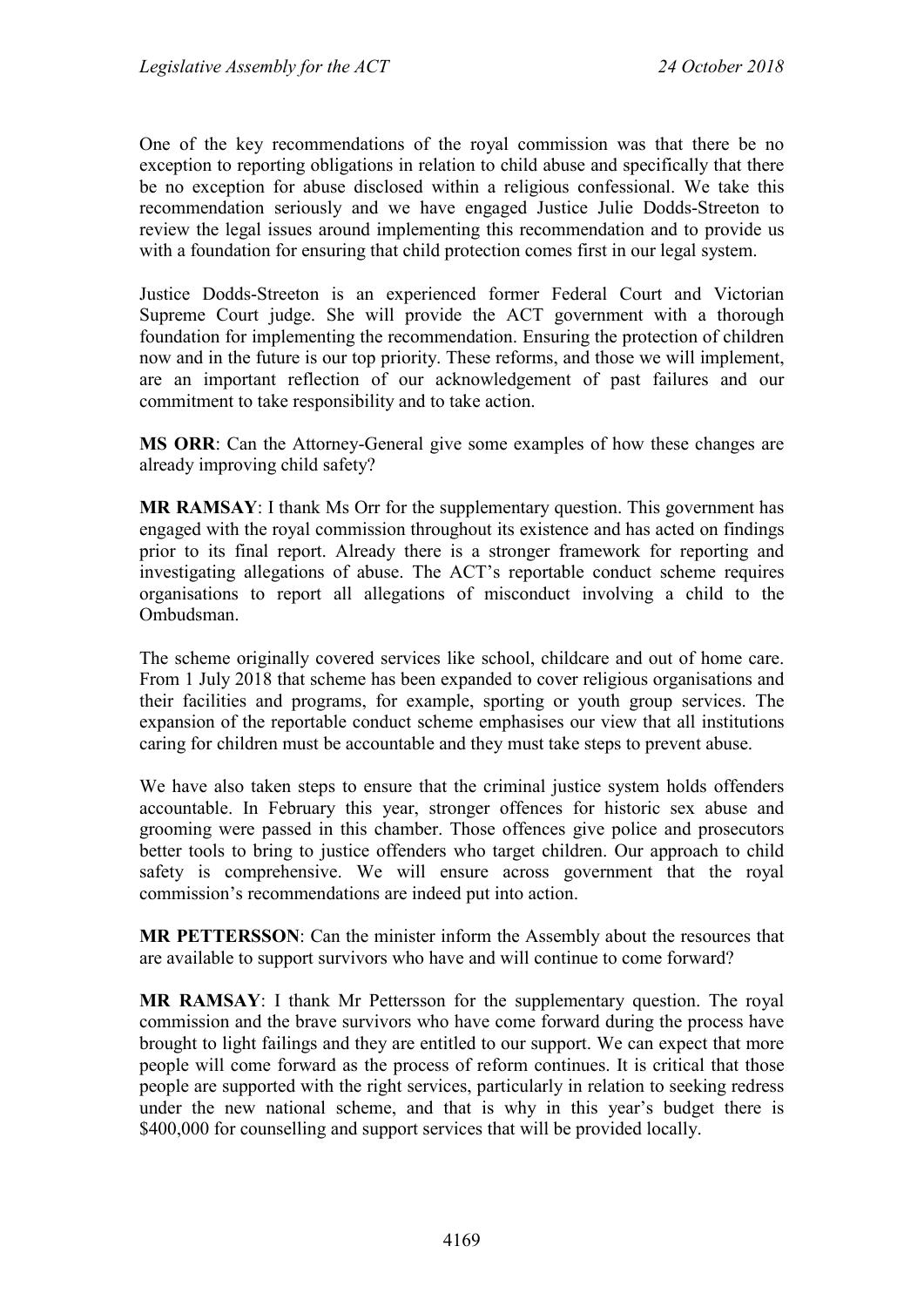One of the key recommendations of the royal commission was that there be no exception to reporting obligations in relation to child abuse and specifically that there be no exception for abuse disclosed within a religious confessional. We take this recommendation seriously and we have engaged Justice Julie Dodds-Streeton to review the legal issues around implementing this recommendation and to provide us with a foundation for ensuring that child protection comes first in our legal system.

Justice Dodds-Streeton is an experienced former Federal Court and Victorian Supreme Court judge. She will provide the ACT government with a thorough foundation for implementing the recommendation. Ensuring the protection of children now and in the future is our top priority. These reforms, and those we will implement, are an important reflection of our acknowledgement of past failures and our commitment to take responsibility and to take action.

**MS ORR**: Can the Attorney-General give some examples of how these changes are already improving child safety?

**MR RAMSAY**: I thank Ms Orr for the supplementary question. This government has engaged with the royal commission throughout its existence and has acted on findings prior to its final report. Already there is a stronger framework for reporting and investigating allegations of abuse. The ACT's reportable conduct scheme requires organisations to report all allegations of misconduct involving a child to the Ombudsman.

The scheme originally covered services like school, childcare and out of home care. From 1 July 2018 that scheme has been expanded to cover religious organisations and their facilities and programs, for example, sporting or youth group services. The expansion of the reportable conduct scheme emphasises our view that all institutions caring for children must be accountable and they must take steps to prevent abuse.

We have also taken steps to ensure that the criminal justice system holds offenders accountable. In February this year, stronger offences for historic sex abuse and grooming were passed in this chamber. Those offences give police and prosecutors better tools to bring to justice offenders who target children. Our approach to child safety is comprehensive. We will ensure across government that the royal commission's recommendations are indeed put into action.

**MR PETTERSSON**: Can the minister inform the Assembly about the resources that are available to support survivors who have and will continue to come forward?

**MR RAMSAY**: I thank Mr Pettersson for the supplementary question. The royal commission and the brave survivors who have come forward during the process have brought to light failings and they are entitled to our support. We can expect that more people will come forward as the process of reform continues. It is critical that those people are supported with the right services, particularly in relation to seeking redress under the new national scheme, and that is why in this year's budget there is \$400,000 for counselling and support services that will be provided locally.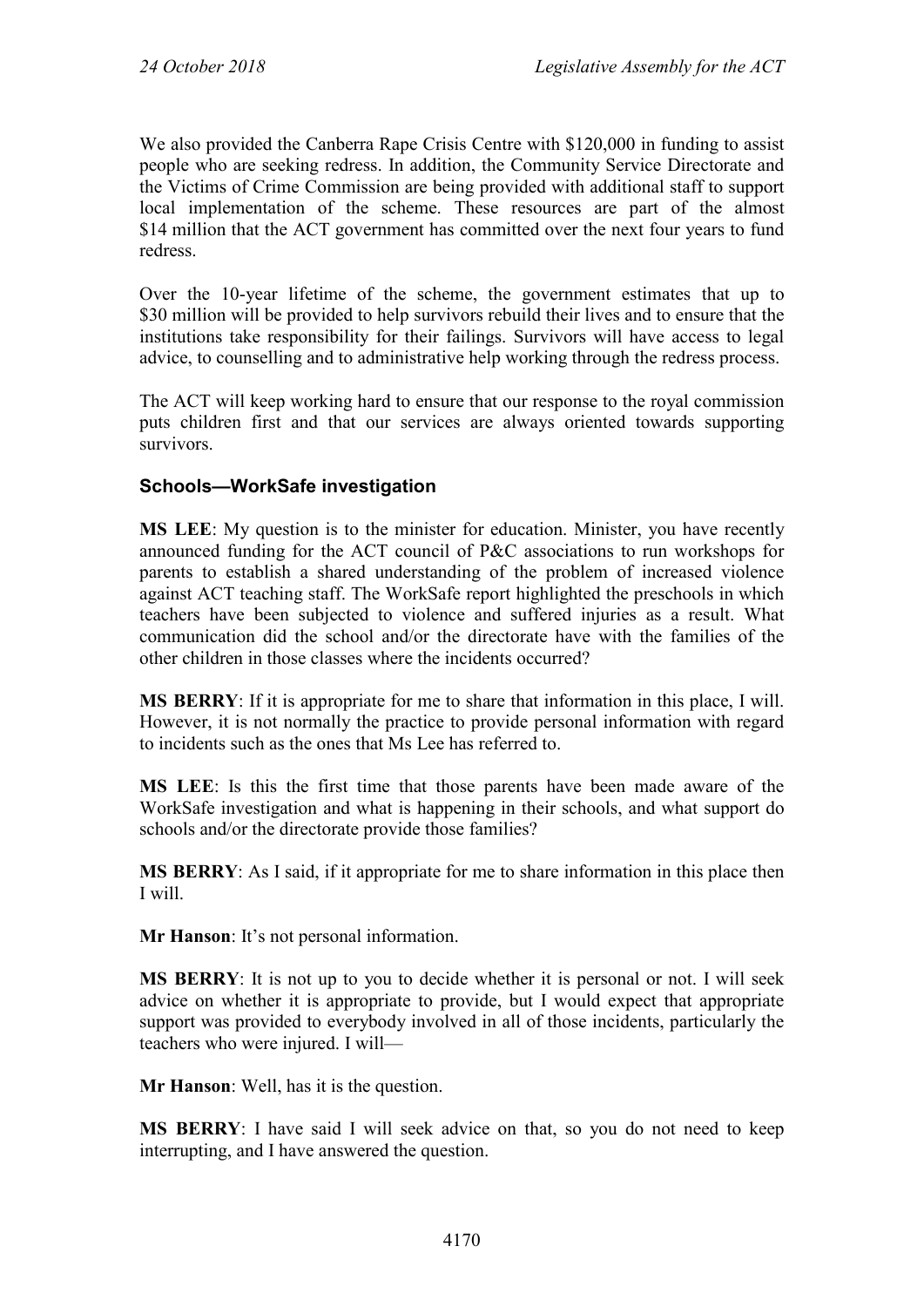We also provided the Canberra Rape Crisis Centre with \$120,000 in funding to assist people who are seeking redress. In addition, the Community Service Directorate and the Victims of Crime Commission are being provided with additional staff to support local implementation of the scheme. These resources are part of the almost \$14 million that the ACT government has committed over the next four years to fund redress.

Over the 10-year lifetime of the scheme, the government estimates that up to \$30 million will be provided to help survivors rebuild their lives and to ensure that the institutions take responsibility for their failings. Survivors will have access to legal advice, to counselling and to administrative help working through the redress process.

The ACT will keep working hard to ensure that our response to the royal commission puts children first and that our services are always oriented towards supporting survivors.

## **Schools—WorkSafe investigation**

**MS LEE**: My question is to the minister for education. Minister, you have recently announced funding for the ACT council of P&C associations to run workshops for parents to establish a shared understanding of the problem of increased violence against ACT teaching staff. The WorkSafe report highlighted the preschools in which teachers have been subjected to violence and suffered injuries as a result. What communication did the school and/or the directorate have with the families of the other children in those classes where the incidents occurred?

**MS BERRY**: If it is appropriate for me to share that information in this place, I will. However, it is not normally the practice to provide personal information with regard to incidents such as the ones that Ms Lee has referred to.

**MS LEE**: Is this the first time that those parents have been made aware of the WorkSafe investigation and what is happening in their schools, and what support do schools and/or the directorate provide those families?

**MS BERRY**: As I said, if it appropriate for me to share information in this place then I will.

**Mr Hanson**: It's not personal information.

**MS BERRY**: It is not up to you to decide whether it is personal or not. I will seek advice on whether it is appropriate to provide, but I would expect that appropriate support was provided to everybody involved in all of those incidents, particularly the teachers who were injured. I will—

**Mr Hanson**: Well, has it is the question.

**MS BERRY**: I have said I will seek advice on that, so you do not need to keep interrupting, and I have answered the question.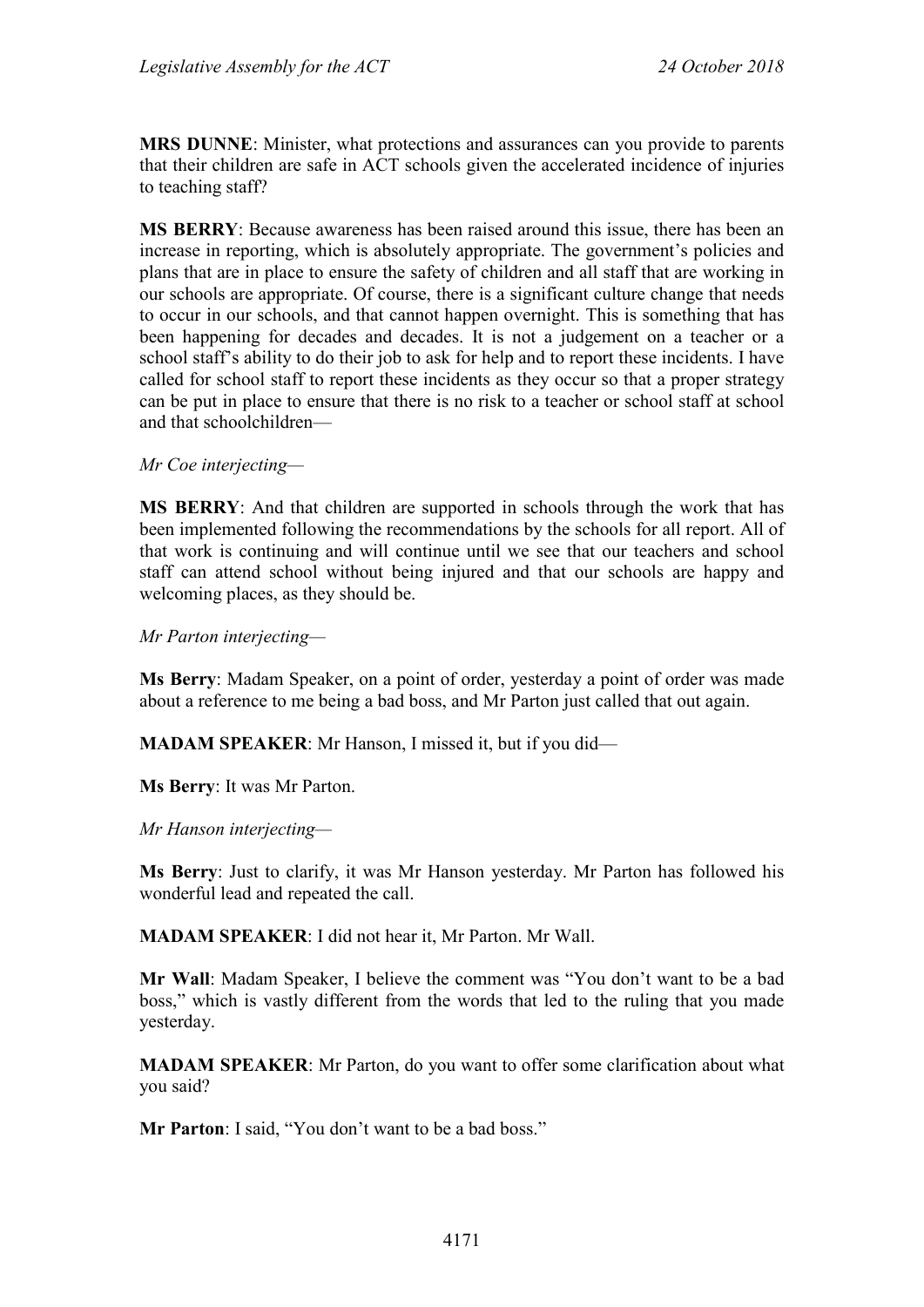**MRS DUNNE**: Minister, what protections and assurances can you provide to parents that their children are safe in ACT schools given the accelerated incidence of injuries to teaching staff?

**MS BERRY**: Because awareness has been raised around this issue, there has been an increase in reporting, which is absolutely appropriate. The government's policies and plans that are in place to ensure the safety of children and all staff that are working in our schools are appropriate. Of course, there is a significant culture change that needs to occur in our schools, and that cannot happen overnight. This is something that has been happening for decades and decades. It is not a judgement on a teacher or a school staff's ability to do their job to ask for help and to report these incidents. I have called for school staff to report these incidents as they occur so that a proper strategy can be put in place to ensure that there is no risk to a teacher or school staff at school and that schoolchildren—

#### *Mr Coe interjecting—*

**MS BERRY**: And that children are supported in schools through the work that has been implemented following the recommendations by the schools for all report. All of that work is continuing and will continue until we see that our teachers and school staff can attend school without being injured and that our schools are happy and welcoming places, as they should be.

*Mr Parton interjecting—*

**Ms Berry**: Madam Speaker, on a point of order, yesterday a point of order was made about a reference to me being a bad boss, and Mr Parton just called that out again.

**MADAM SPEAKER**: Mr Hanson, I missed it, but if you did—

**Ms Berry**: It was Mr Parton.

*Mr Hanson interjecting—*

**Ms Berry**: Just to clarify, it was Mr Hanson yesterday. Mr Parton has followed his wonderful lead and repeated the call.

**MADAM SPEAKER**: I did not hear it, Mr Parton. Mr Wall.

**Mr Wall**: Madam Speaker, I believe the comment was "You don't want to be a bad boss," which is vastly different from the words that led to the ruling that you made yesterday.

**MADAM SPEAKER**: Mr Parton, do you want to offer some clarification about what you said?

**Mr Parton**: I said, "You don't want to be a bad boss."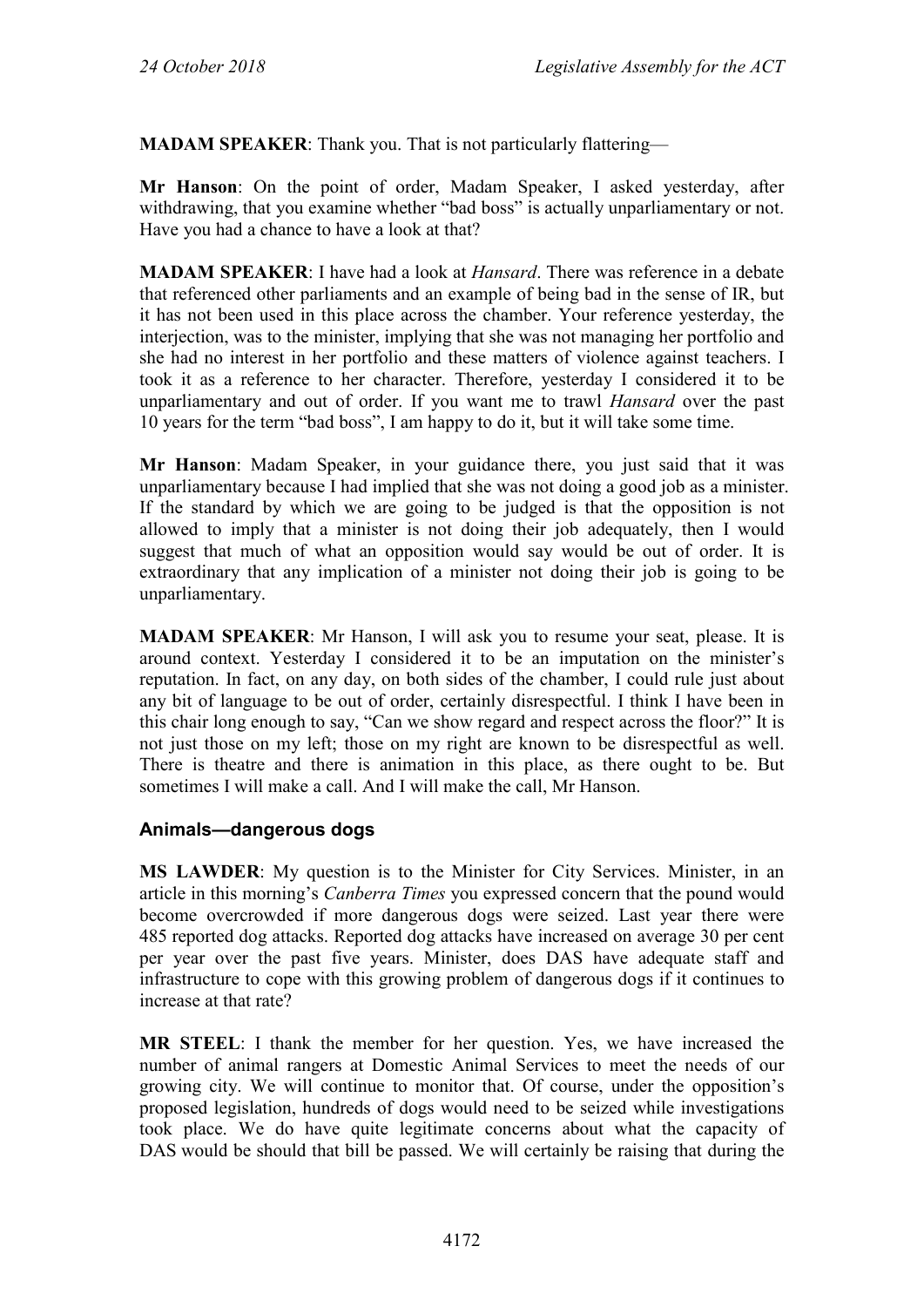**MADAM SPEAKER**: Thank you. That is not particularly flattering—

**Mr Hanson**: On the point of order, Madam Speaker, I asked yesterday, after withdrawing, that you examine whether "bad boss" is actually unparliamentary or not. Have you had a chance to have a look at that?

**MADAM SPEAKER**: I have had a look at *Hansard*. There was reference in a debate that referenced other parliaments and an example of being bad in the sense of IR, but it has not been used in this place across the chamber. Your reference yesterday, the interjection, was to the minister, implying that she was not managing her portfolio and she had no interest in her portfolio and these matters of violence against teachers. I took it as a reference to her character. Therefore, yesterday I considered it to be unparliamentary and out of order. If you want me to trawl *Hansard* over the past 10 years for the term "bad boss", I am happy to do it, but it will take some time.

**Mr Hanson**: Madam Speaker, in your guidance there, you just said that it was unparliamentary because I had implied that she was not doing a good job as a minister. If the standard by which we are going to be judged is that the opposition is not allowed to imply that a minister is not doing their job adequately, then I would suggest that much of what an opposition would say would be out of order. It is extraordinary that any implication of a minister not doing their job is going to be unparliamentary.

**MADAM SPEAKER**: Mr Hanson, I will ask you to resume your seat, please. It is around context. Yesterday I considered it to be an imputation on the minister's reputation. In fact, on any day, on both sides of the chamber, I could rule just about any bit of language to be out of order, certainly disrespectful. I think I have been in this chair long enough to say, "Can we show regard and respect across the floor?" It is not just those on my left; those on my right are known to be disrespectful as well. There is theatre and there is animation in this place, as there ought to be. But sometimes I will make a call. And I will make the call, Mr Hanson.

## **Animals—dangerous dogs**

**MS LAWDER**: My question is to the Minister for City Services. Minister, in an article in this morning's *Canberra Times* you expressed concern that the pound would become overcrowded if more dangerous dogs were seized. Last year there were 485 reported dog attacks. Reported dog attacks have increased on average 30 per cent per year over the past five years. Minister, does DAS have adequate staff and infrastructure to cope with this growing problem of dangerous dogs if it continues to increase at that rate?

**MR STEEL**: I thank the member for her question. Yes, we have increased the number of animal rangers at Domestic Animal Services to meet the needs of our growing city. We will continue to monitor that. Of course, under the opposition's proposed legislation, hundreds of dogs would need to be seized while investigations took place. We do have quite legitimate concerns about what the capacity of DAS would be should that bill be passed. We will certainly be raising that during the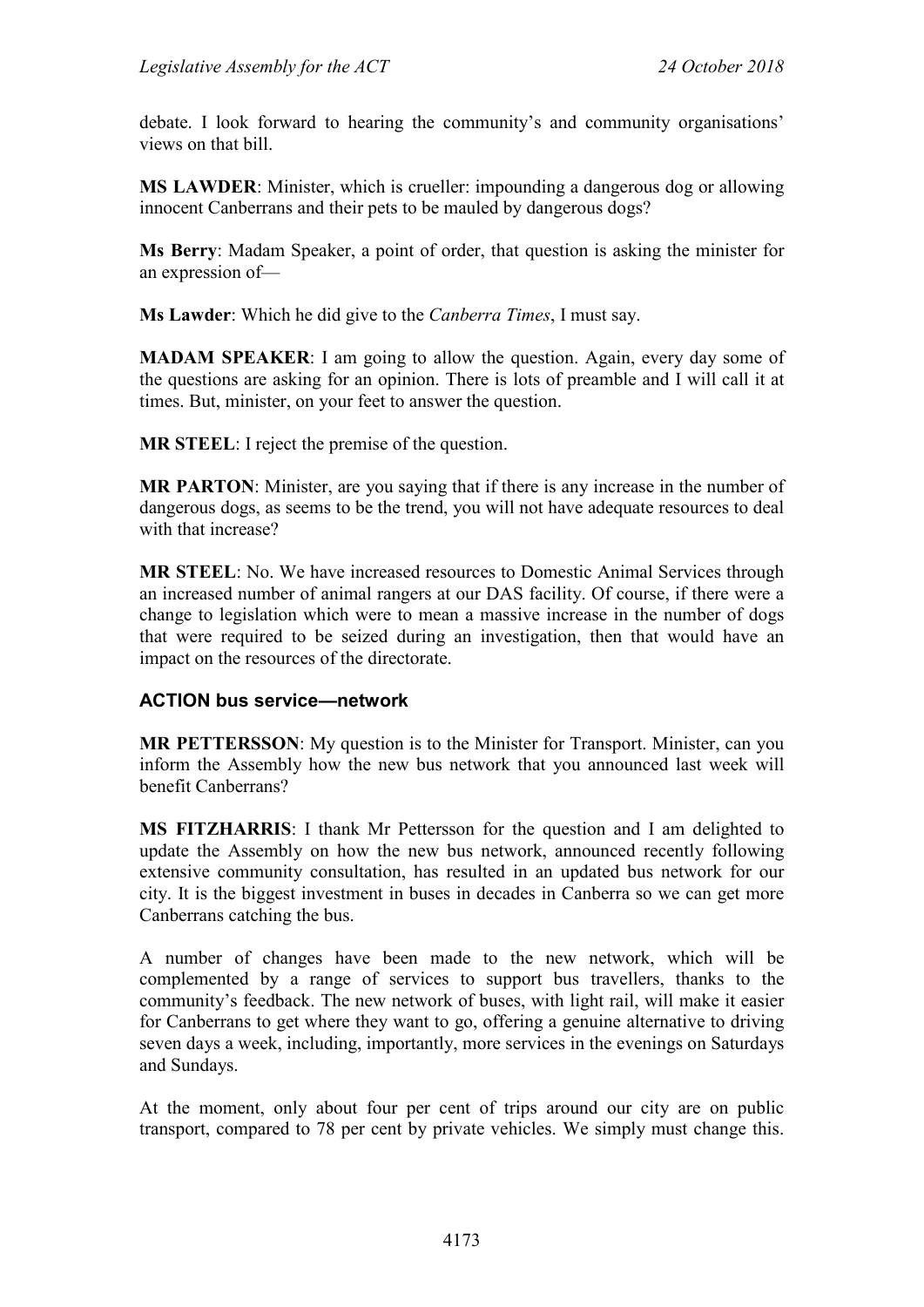debate. I look forward to hearing the community's and community organisations' views on that bill.

**MS LAWDER**: Minister, which is crueller: impounding a dangerous dog or allowing innocent Canberrans and their pets to be mauled by dangerous dogs?

**Ms Berry**: Madam Speaker, a point of order, that question is asking the minister for an expression of—

**Ms Lawder**: Which he did give to the *Canberra Times*, I must say.

**MADAM SPEAKER:** I am going to allow the question. Again, every day some of the questions are asking for an opinion. There is lots of preamble and I will call it at times. But, minister, on your feet to answer the question.

**MR STEEL**: I reject the premise of the question.

**MR PARTON**: Minister, are you saying that if there is any increase in the number of dangerous dogs, as seems to be the trend, you will not have adequate resources to deal with that increase?

**MR STEEL**: No. We have increased resources to Domestic Animal Services through an increased number of animal rangers at our DAS facility. Of course, if there were a change to legislation which were to mean a massive increase in the number of dogs that were required to be seized during an investigation, then that would have an impact on the resources of the directorate.

## **ACTION bus service—network**

**MR PETTERSSON**: My question is to the Minister for Transport. Minister, can you inform the Assembly how the new bus network that you announced last week will benefit Canberrans?

**MS FITZHARRIS**: I thank Mr Pettersson for the question and I am delighted to update the Assembly on how the new bus network, announced recently following extensive community consultation, has resulted in an updated bus network for our city. It is the biggest investment in buses in decades in Canberra so we can get more Canberrans catching the bus.

A number of changes have been made to the new network, which will be complemented by a range of services to support bus travellers, thanks to the community's feedback. The new network of buses, with light rail, will make it easier for Canberrans to get where they want to go, offering a genuine alternative to driving seven days a week, including, importantly, more services in the evenings on Saturdays and Sundays.

At the moment, only about four per cent of trips around our city are on public transport, compared to 78 per cent by private vehicles. We simply must change this.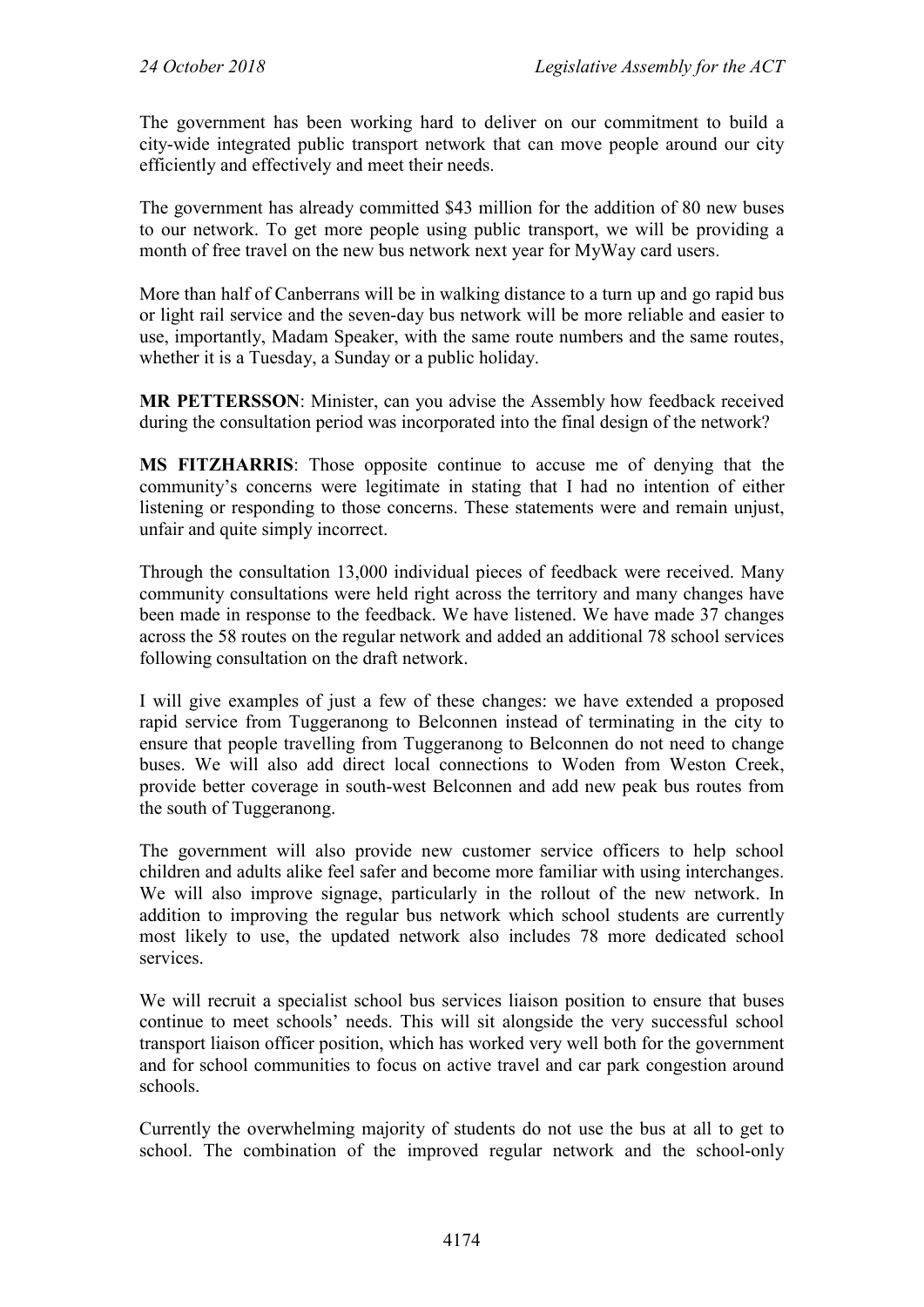The government has been working hard to deliver on our commitment to build a city-wide integrated public transport network that can move people around our city efficiently and effectively and meet their needs.

The government has already committed \$43 million for the addition of 80 new buses to our network. To get more people using public transport, we will be providing a month of free travel on the new bus network next year for MyWay card users.

More than half of Canberrans will be in walking distance to a turn up and go rapid bus or light rail service and the seven-day bus network will be more reliable and easier to use, importantly, Madam Speaker, with the same route numbers and the same routes, whether it is a Tuesday, a Sunday or a public holiday.

**MR PETTERSSON**: Minister, can you advise the Assembly how feedback received during the consultation period was incorporated into the final design of the network?

**MS FITZHARRIS**: Those opposite continue to accuse me of denying that the community's concerns were legitimate in stating that I had no intention of either listening or responding to those concerns. These statements were and remain unjust, unfair and quite simply incorrect.

Through the consultation 13,000 individual pieces of feedback were received. Many community consultations were held right across the territory and many changes have been made in response to the feedback. We have listened. We have made 37 changes across the 58 routes on the regular network and added an additional 78 school services following consultation on the draft network.

I will give examples of just a few of these changes: we have extended a proposed rapid service from Tuggeranong to Belconnen instead of terminating in the city to ensure that people travelling from Tuggeranong to Belconnen do not need to change buses. We will also add direct local connections to Woden from Weston Creek, provide better coverage in south-west Belconnen and add new peak bus routes from the south of Tuggeranong.

The government will also provide new customer service officers to help school children and adults alike feel safer and become more familiar with using interchanges. We will also improve signage, particularly in the rollout of the new network. In addition to improving the regular bus network which school students are currently most likely to use, the updated network also includes 78 more dedicated school services.

We will recruit a specialist school bus services liaison position to ensure that buses continue to meet schools' needs. This will sit alongside the very successful school transport liaison officer position, which has worked very well both for the government and for school communities to focus on active travel and car park congestion around schools.

Currently the overwhelming majority of students do not use the bus at all to get to school. The combination of the improved regular network and the school-only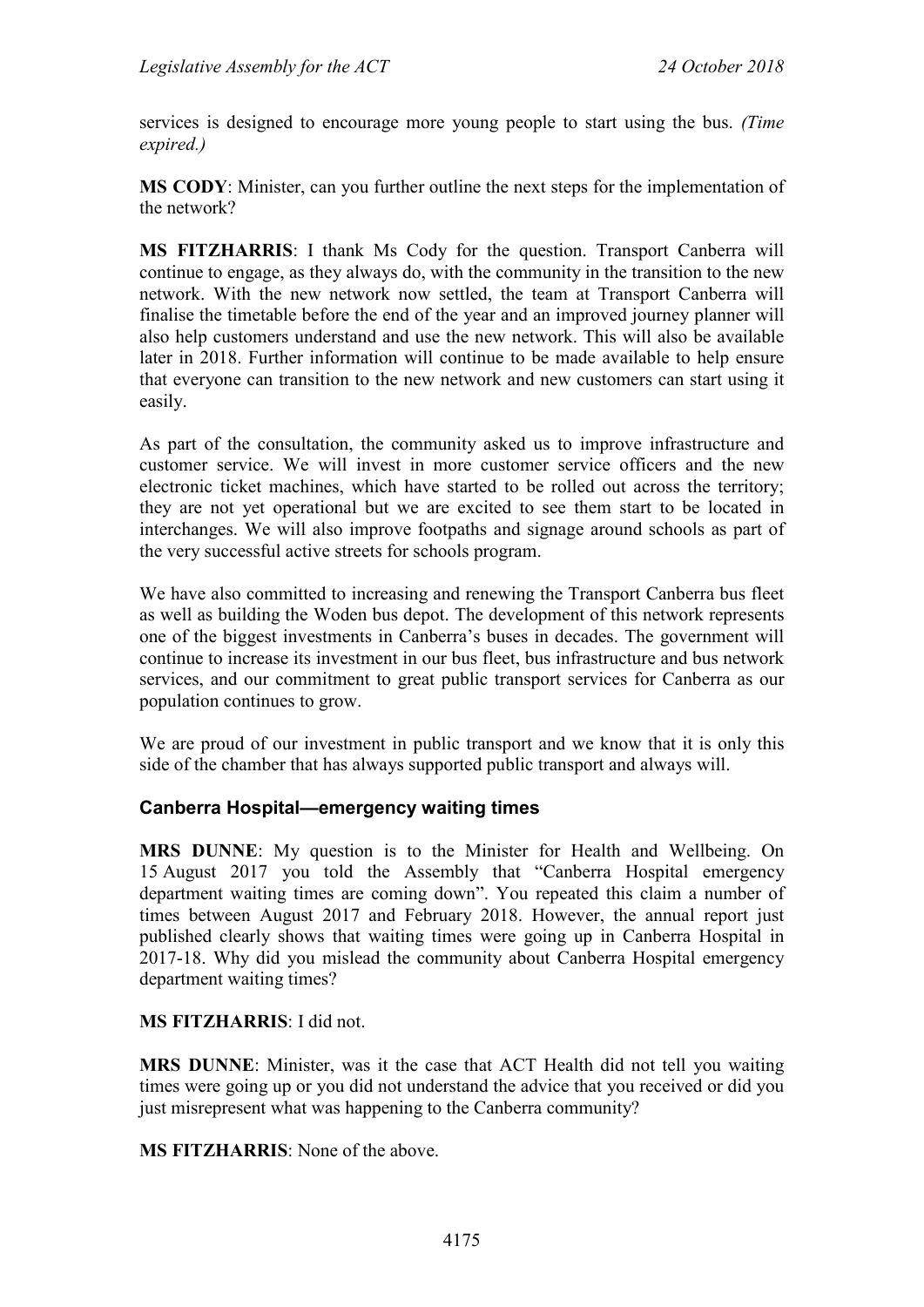services is designed to encourage more young people to start using the bus. *(Time expired.)*

**MS CODY**: Minister, can you further outline the next steps for the implementation of the network?

**MS FITZHARRIS**: I thank Ms Cody for the question. Transport Canberra will continue to engage, as they always do, with the community in the transition to the new network. With the new network now settled, the team at Transport Canberra will finalise the timetable before the end of the year and an improved journey planner will also help customers understand and use the new network. This will also be available later in 2018. Further information will continue to be made available to help ensure that everyone can transition to the new network and new customers can start using it easily.

As part of the consultation, the community asked us to improve infrastructure and customer service. We will invest in more customer service officers and the new electronic ticket machines, which have started to be rolled out across the territory; they are not yet operational but we are excited to see them start to be located in interchanges. We will also improve footpaths and signage around schools as part of the very successful active streets for schools program.

We have also committed to increasing and renewing the Transport Canberra bus fleet as well as building the Woden bus depot. The development of this network represents one of the biggest investments in Canberra's buses in decades. The government will continue to increase its investment in our bus fleet, bus infrastructure and bus network services, and our commitment to great public transport services for Canberra as our population continues to grow.

We are proud of our investment in public transport and we know that it is only this side of the chamber that has always supported public transport and always will.

#### **Canberra Hospital—emergency waiting times**

**MRS DUNNE**: My question is to the Minister for Health and Wellbeing. On 15 August 2017 you told the Assembly that "Canberra Hospital emergency department waiting times are coming down". You repeated this claim a number of times between August 2017 and February 2018. However, the annual report just published clearly shows that waiting times were going up in Canberra Hospital in 2017-18. Why did you mislead the community about Canberra Hospital emergency department waiting times?

#### **MS FITZHARRIS**: I did not.

**MRS DUNNE**: Minister, was it the case that ACT Health did not tell you waiting times were going up or you did not understand the advice that you received or did you just misrepresent what was happening to the Canberra community?

**MS FITZHARRIS**: None of the above.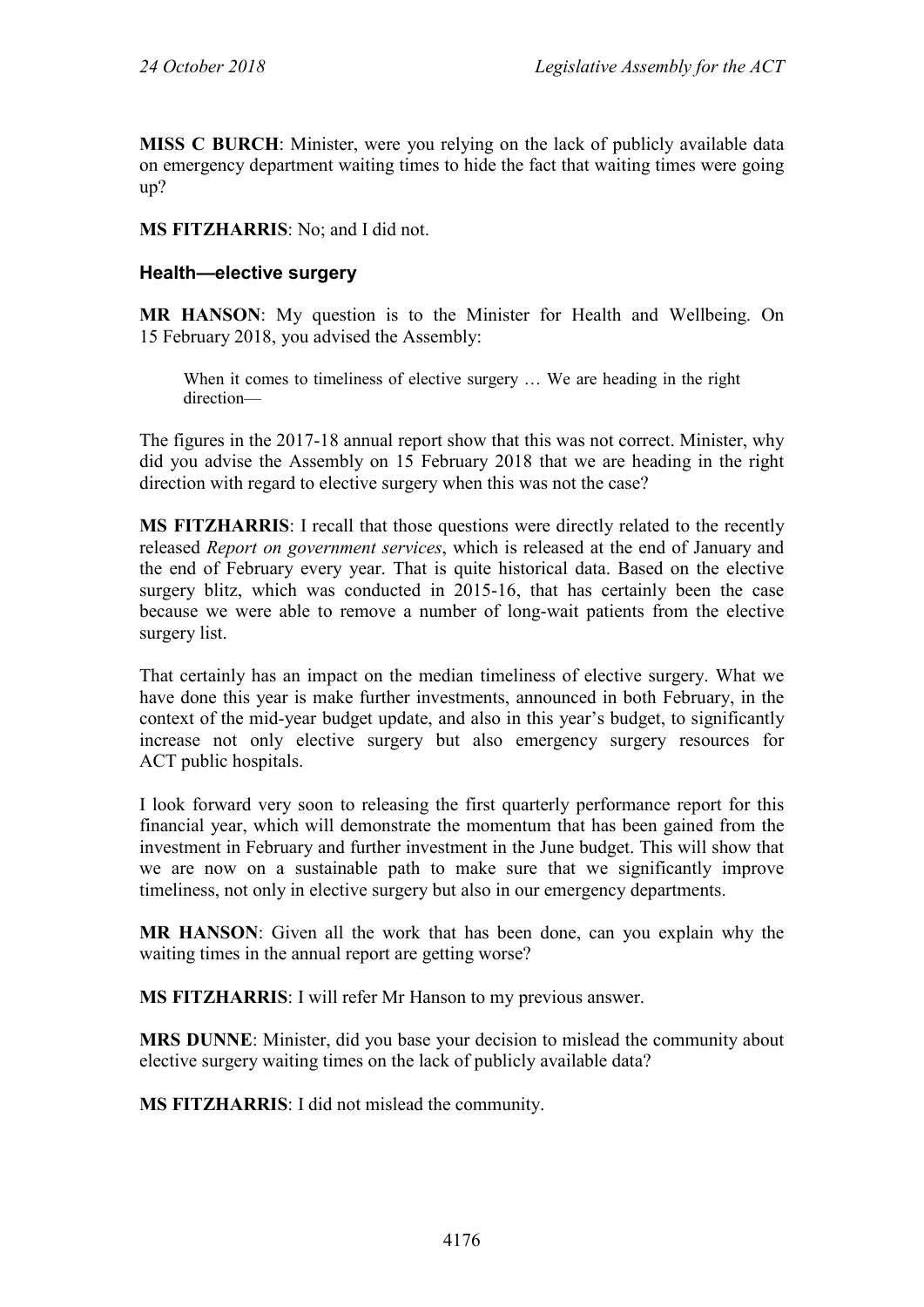**MISS C BURCH**: Minister, were you relying on the lack of publicly available data on emergency department waiting times to hide the fact that waiting times were going up?

**MS FITZHARRIS**: No; and I did not.

#### **Health—elective surgery**

**MR HANSON**: My question is to the Minister for Health and Wellbeing. On 15 February 2018, you advised the Assembly:

When it comes to timeliness of elective surgery … We are heading in the right direction—

The figures in the 2017-18 annual report show that this was not correct. Minister, why did you advise the Assembly on 15 February 2018 that we are heading in the right direction with regard to elective surgery when this was not the case?

**MS FITZHARRIS**: I recall that those questions were directly related to the recently released *Report on government services*, which is released at the end of January and the end of February every year. That is quite historical data. Based on the elective surgery blitz, which was conducted in 2015-16, that has certainly been the case because we were able to remove a number of long-wait patients from the elective surgery list.

That certainly has an impact on the median timeliness of elective surgery. What we have done this year is make further investments, announced in both February, in the context of the mid-year budget update, and also in this year's budget, to significantly increase not only elective surgery but also emergency surgery resources for ACT public hospitals.

I look forward very soon to releasing the first quarterly performance report for this financial year, which will demonstrate the momentum that has been gained from the investment in February and further investment in the June budget. This will show that we are now on a sustainable path to make sure that we significantly improve timeliness, not only in elective surgery but also in our emergency departments.

**MR HANSON**: Given all the work that has been done, can you explain why the waiting times in the annual report are getting worse?

**MS FITZHARRIS**: I will refer Mr Hanson to my previous answer.

**MRS DUNNE**: Minister, did you base your decision to mislead the community about elective surgery waiting times on the lack of publicly available data?

**MS FITZHARRIS**: I did not mislead the community.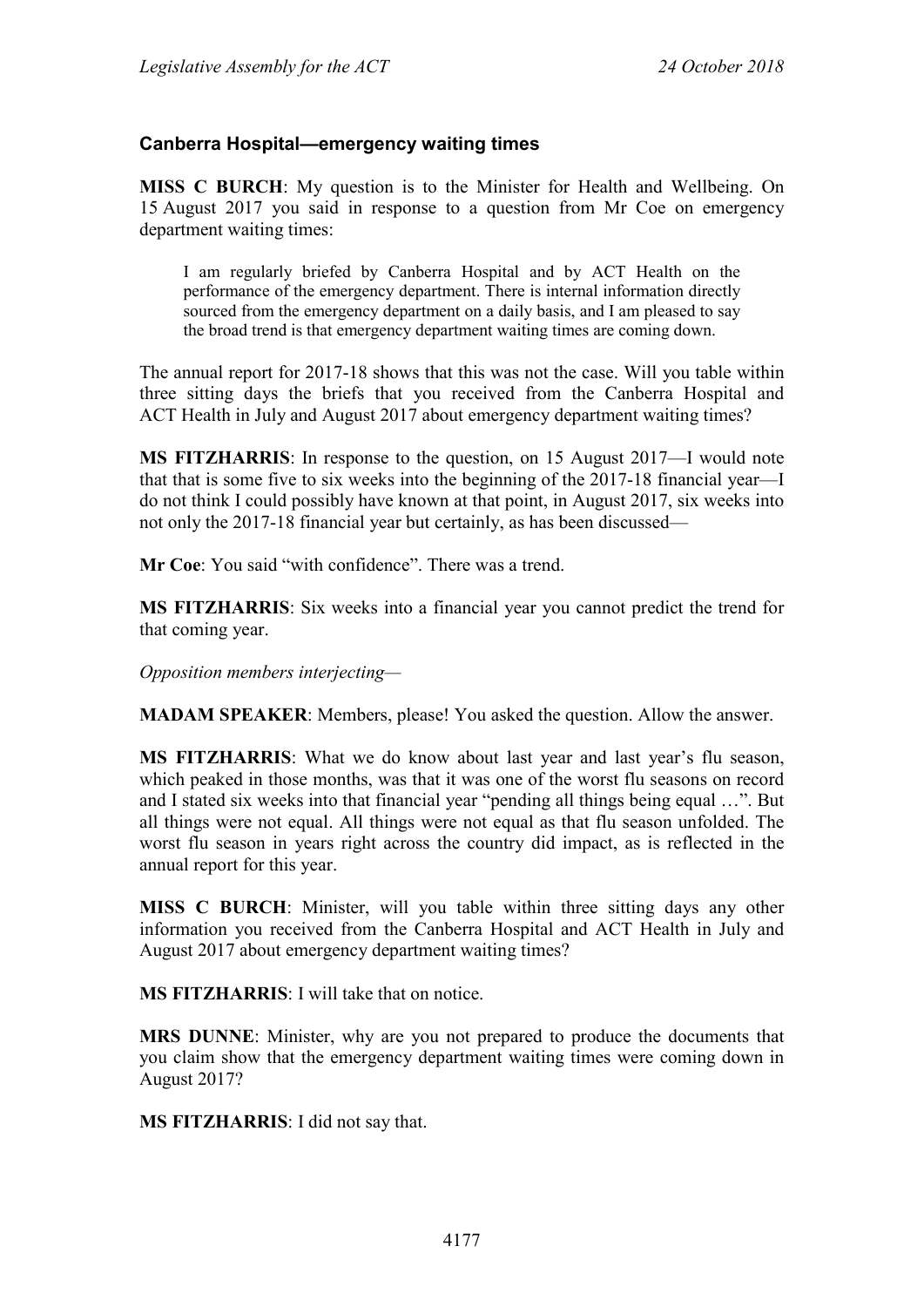#### **Canberra Hospital—emergency waiting times**

**MISS C BURCH**: My question is to the Minister for Health and Wellbeing. On 15 August 2017 you said in response to a question from Mr Coe on emergency department waiting times:

I am regularly briefed by Canberra Hospital and by ACT Health on the performance of the emergency department. There is internal information directly sourced from the emergency department on a daily basis, and I am pleased to say the broad trend is that emergency department waiting times are coming down.

The annual report for 2017-18 shows that this was not the case. Will you table within three sitting days the briefs that you received from the Canberra Hospital and ACT Health in July and August 2017 about emergency department waiting times?

**MS FITZHARRIS**: In response to the question, on 15 August 2017—I would note that that is some five to six weeks into the beginning of the 2017-18 financial year—I do not think I could possibly have known at that point, in August 2017, six weeks into not only the 2017-18 financial year but certainly, as has been discussed—

**Mr Coe**: You said "with confidence". There was a trend.

**MS FITZHARRIS**: Six weeks into a financial year you cannot predict the trend for that coming year.

*Opposition members interjecting—*

**MADAM SPEAKER**: Members, please! You asked the question. Allow the answer.

**MS FITZHARRIS**: What we do know about last year and last year's flu season, which peaked in those months, was that it was one of the worst flu seasons on record and I stated six weeks into that financial year "pending all things being equal …". But all things were not equal. All things were not equal as that flu season unfolded. The worst flu season in years right across the country did impact, as is reflected in the annual report for this year.

**MISS C BURCH**: Minister, will you table within three sitting days any other information you received from the Canberra Hospital and ACT Health in July and August 2017 about emergency department waiting times?

**MS FITZHARRIS**: I will take that on notice.

**MRS DUNNE**: Minister, why are you not prepared to produce the documents that you claim show that the emergency department waiting times were coming down in August 2017?

**MS FITZHARRIS**: I did not say that.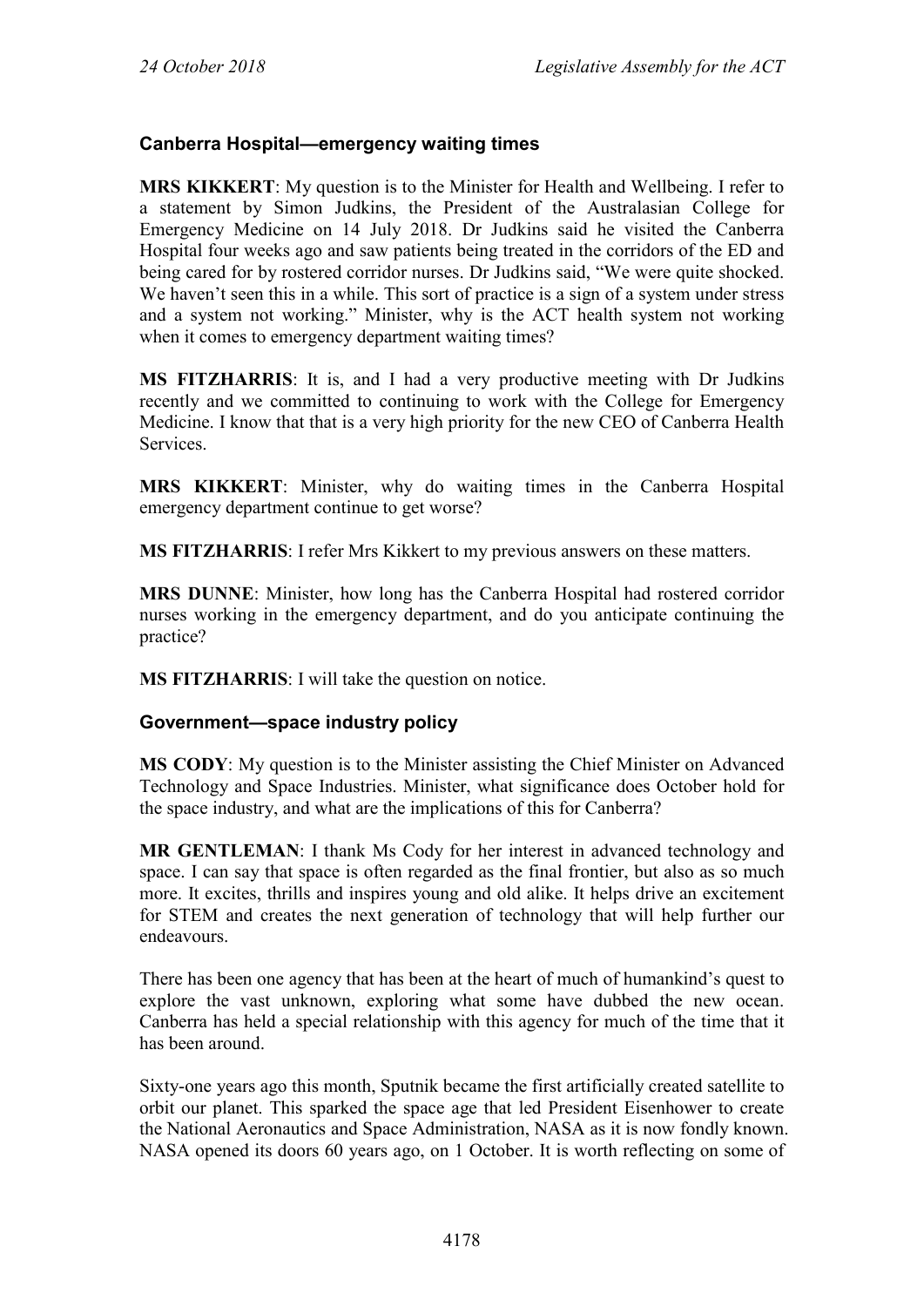### **Canberra Hospital—emergency waiting times**

**MRS KIKKERT**: My question is to the Minister for Health and Wellbeing. I refer to a statement by Simon Judkins, the President of the Australasian College for Emergency Medicine on 14 July 2018. Dr Judkins said he visited the Canberra Hospital four weeks ago and saw patients being treated in the corridors of the ED and being cared for by rostered corridor nurses. Dr Judkins said, "We were quite shocked. We haven't seen this in a while. This sort of practice is a sign of a system under stress and a system not working." Minister, why is the ACT health system not working when it comes to emergency department waiting times?

**MS FITZHARRIS**: It is, and I had a very productive meeting with Dr Judkins recently and we committed to continuing to work with the College for Emergency Medicine. I know that that is a very high priority for the new CEO of Canberra Health Services.

**MRS KIKKERT**: Minister, why do waiting times in the Canberra Hospital emergency department continue to get worse?

**MS FITZHARRIS**: I refer Mrs Kikkert to my previous answers on these matters.

**MRS DUNNE**: Minister, how long has the Canberra Hospital had rostered corridor nurses working in the emergency department, and do you anticipate continuing the practice?

**MS FITZHARRIS**: I will take the question on notice.

#### **Government—space industry policy**

**MS CODY**: My question is to the Minister assisting the Chief Minister on Advanced Technology and Space Industries. Minister, what significance does October hold for the space industry, and what are the implications of this for Canberra?

**MR GENTLEMAN**: I thank Ms Cody for her interest in advanced technology and space. I can say that space is often regarded as the final frontier, but also as so much more. It excites, thrills and inspires young and old alike. It helps drive an excitement for STEM and creates the next generation of technology that will help further our endeavours.

There has been one agency that has been at the heart of much of humankind's quest to explore the vast unknown, exploring what some have dubbed the new ocean. Canberra has held a special relationship with this agency for much of the time that it has been around.

Sixty-one years ago this month, Sputnik became the first artificially created satellite to orbit our planet. This sparked the space age that led President Eisenhower to create the National Aeronautics and Space Administration, NASA as it is now fondly known. NASA opened its doors 60 years ago, on 1 October. It is worth reflecting on some of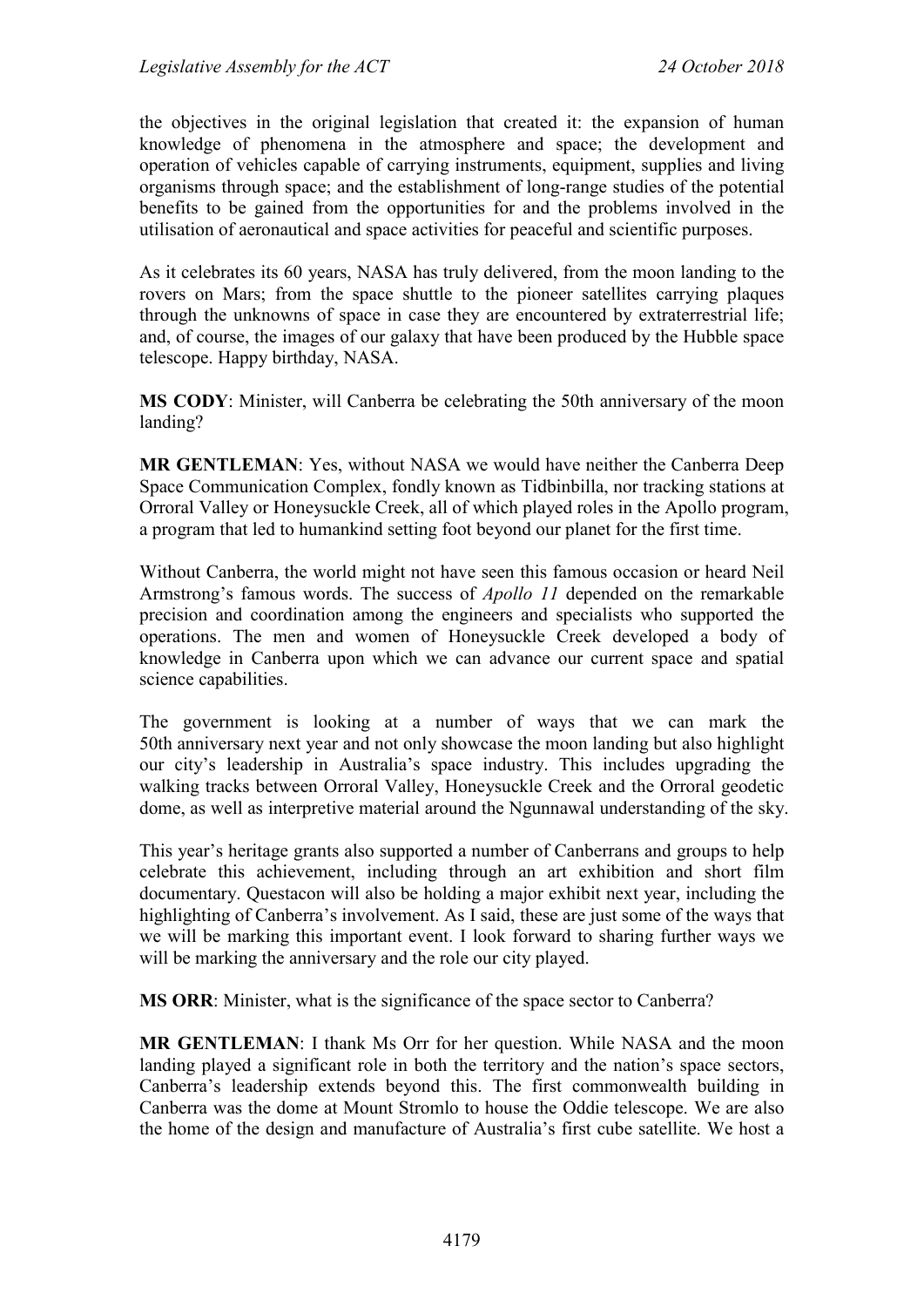the objectives in the original legislation that created it: the expansion of human knowledge of phenomena in the atmosphere and space; the development and operation of vehicles capable of carrying instruments, equipment, supplies and living organisms through space; and the establishment of long-range studies of the potential benefits to be gained from the opportunities for and the problems involved in the utilisation of aeronautical and space activities for peaceful and scientific purposes.

As it celebrates its 60 years, NASA has truly delivered, from the moon landing to the rovers on Mars; from the space shuttle to the pioneer satellites carrying plaques through the unknowns of space in case they are encountered by extraterrestrial life; and, of course, the images of our galaxy that have been produced by the Hubble space telescope. Happy birthday, NASA.

**MS CODY**: Minister, will Canberra be celebrating the 50th anniversary of the moon landing?

**MR GENTLEMAN**: Yes, without NASA we would have neither the Canberra Deep Space Communication Complex, fondly known as Tidbinbilla, nor tracking stations at Orroral Valley or Honeysuckle Creek, all of which played roles in the Apollo program, a program that led to humankind setting foot beyond our planet for the first time.

Without Canberra, the world might not have seen this famous occasion or heard Neil Armstrong's famous words. The success of *Apollo 11* depended on the remarkable precision and coordination among the engineers and specialists who supported the operations. The men and women of Honeysuckle Creek developed a body of knowledge in Canberra upon which we can advance our current space and spatial science capabilities.

The government is looking at a number of ways that we can mark the 50th anniversary next year and not only showcase the moon landing but also highlight our city's leadership in Australia's space industry. This includes upgrading the walking tracks between Orroral Valley, Honeysuckle Creek and the Orroral geodetic dome, as well as interpretive material around the Ngunnawal understanding of the sky.

This year's heritage grants also supported a number of Canberrans and groups to help celebrate this achievement, including through an art exhibition and short film documentary. Questacon will also be holding a major exhibit next year, including the highlighting of Canberra's involvement. As I said, these are just some of the ways that we will be marking this important event. I look forward to sharing further ways we will be marking the anniversary and the role our city played.

**MS ORR**: Minister, what is the significance of the space sector to Canberra?

**MR GENTLEMAN**: I thank Ms Orr for her question. While NASA and the moon landing played a significant role in both the territory and the nation's space sectors, Canberra's leadership extends beyond this. The first commonwealth building in Canberra was the dome at Mount Stromlo to house the Oddie telescope. We are also the home of the design and manufacture of Australia's first cube satellite. We host a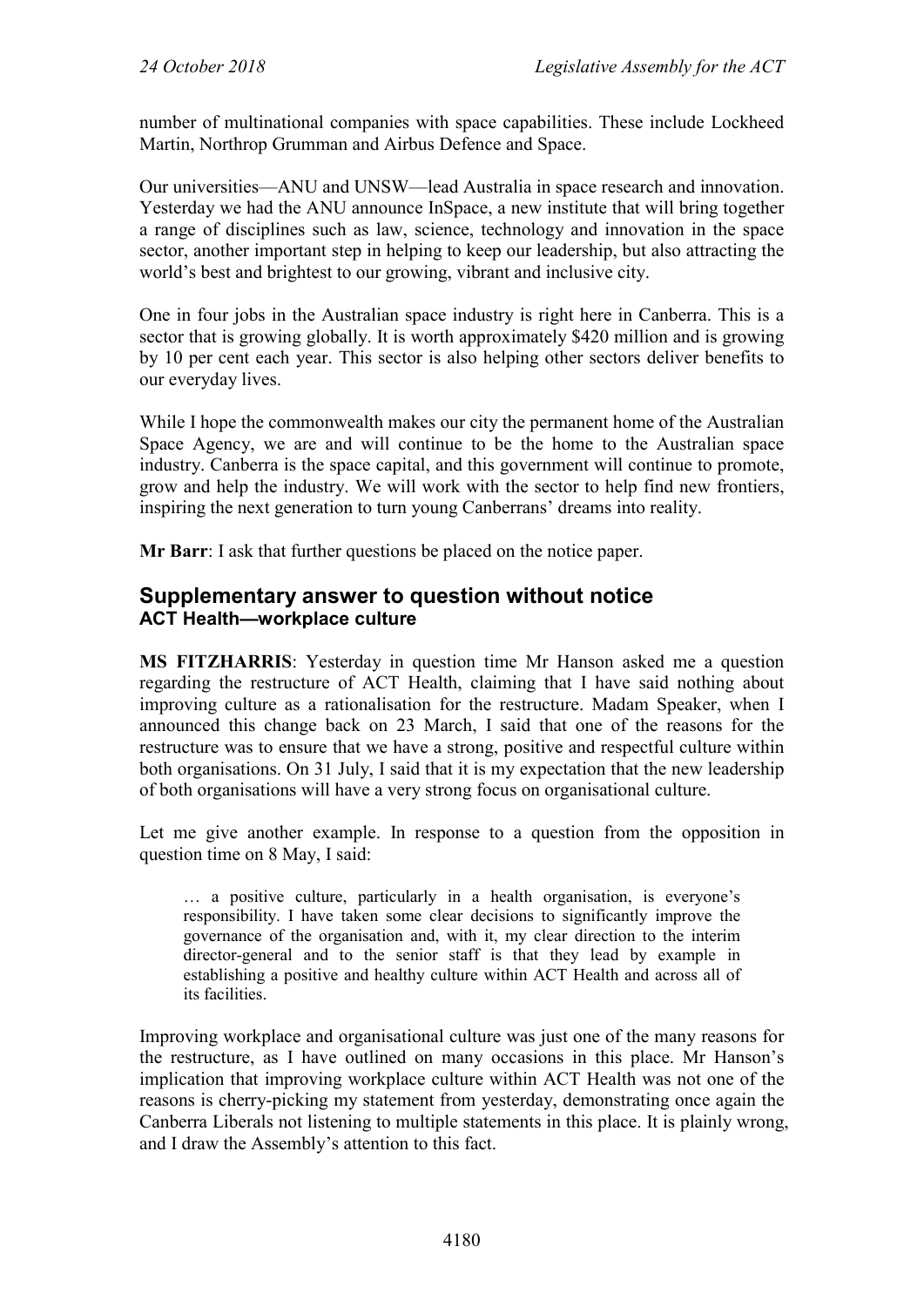number of multinational companies with space capabilities. These include Lockheed Martin, Northrop Grumman and Airbus Defence and Space.

Our universities—ANU and UNSW—lead Australia in space research and innovation. Yesterday we had the ANU announce InSpace, a new institute that will bring together a range of disciplines such as law, science, technology and innovation in the space sector, another important step in helping to keep our leadership, but also attracting the world's best and brightest to our growing, vibrant and inclusive city.

One in four jobs in the Australian space industry is right here in Canberra. This is a sector that is growing globally. It is worth approximately \$420 million and is growing by 10 per cent each year. This sector is also helping other sectors deliver benefits to our everyday lives.

While I hope the commonwealth makes our city the permanent home of the Australian Space Agency, we are and will continue to be the home to the Australian space industry. Canberra is the space capital, and this government will continue to promote, grow and help the industry. We will work with the sector to help find new frontiers, inspiring the next generation to turn young Canberrans' dreams into reality.

**Mr Barr**: I ask that further questions be placed on the notice paper.

## **Supplementary answer to question without notice ACT Health—workplace culture**

**MS FITZHARRIS**: Yesterday in question time Mr Hanson asked me a question regarding the restructure of ACT Health, claiming that I have said nothing about improving culture as a rationalisation for the restructure. Madam Speaker, when I announced this change back on 23 March, I said that one of the reasons for the restructure was to ensure that we have a strong, positive and respectful culture within both organisations. On 31 July, I said that it is my expectation that the new leadership of both organisations will have a very strong focus on organisational culture.

Let me give another example. In response to a question from the opposition in question time on 8 May, I said:

… a positive culture, particularly in a health organisation, is everyone's responsibility. I have taken some clear decisions to significantly improve the governance of the organisation and, with it, my clear direction to the interim director-general and to the senior staff is that they lead by example in establishing a positive and healthy culture within ACT Health and across all of its facilities.

Improving workplace and organisational culture was just one of the many reasons for the restructure, as I have outlined on many occasions in this place. Mr Hanson's implication that improving workplace culture within ACT Health was not one of the reasons is cherry-picking my statement from yesterday, demonstrating once again the Canberra Liberals not listening to multiple statements in this place. It is plainly wrong, and I draw the Assembly's attention to this fact.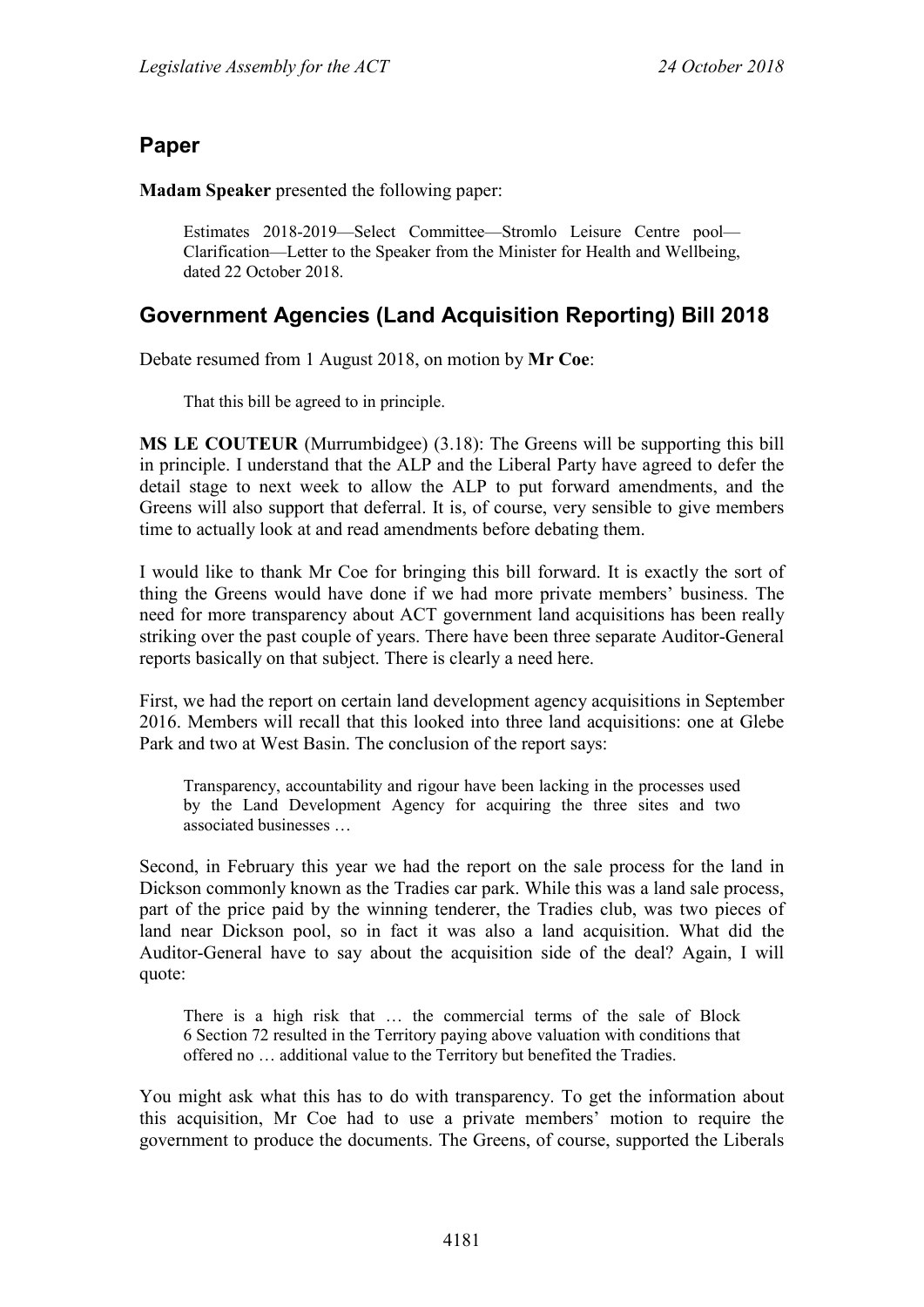# **Paper**

**Madam Speaker** presented the following paper:

Estimates 2018-2019—Select Committee—Stromlo Leisure Centre pool— Clarification—Letter to the Speaker from the Minister for Health and Wellbeing, dated 22 October 2018.

# **Government Agencies (Land Acquisition Reporting) Bill 2018**

Debate resumed from 1 August 2018, on motion by **Mr Coe**:

That this bill be agreed to in principle.

**MS LE COUTEUR** (Murrumbidgee) (3.18): The Greens will be supporting this bill in principle. I understand that the ALP and the Liberal Party have agreed to defer the detail stage to next week to allow the ALP to put forward amendments, and the Greens will also support that deferral. It is, of course, very sensible to give members time to actually look at and read amendments before debating them.

I would like to thank Mr Coe for bringing this bill forward. It is exactly the sort of thing the Greens would have done if we had more private members' business. The need for more transparency about ACT government land acquisitions has been really striking over the past couple of years. There have been three separate Auditor-General reports basically on that subject. There is clearly a need here.

First, we had the report on certain land development agency acquisitions in September 2016. Members will recall that this looked into three land acquisitions: one at Glebe Park and two at West Basin. The conclusion of the report says:

Transparency, accountability and rigour have been lacking in the processes used by the Land Development Agency for acquiring the three sites and two associated businesses …

Second, in February this year we had the report on the sale process for the land in Dickson commonly known as the Tradies car park. While this was a land sale process, part of the price paid by the winning tenderer, the Tradies club, was two pieces of land near Dickson pool, so in fact it was also a land acquisition. What did the Auditor-General have to say about the acquisition side of the deal? Again, I will quote:

There is a high risk that … the commercial terms of the sale of Block 6 Section 72 resulted in the Territory paying above valuation with conditions that offered no … additional value to the Territory but benefited the Tradies.

You might ask what this has to do with transparency. To get the information about this acquisition, Mr Coe had to use a private members' motion to require the government to produce the documents. The Greens, of course, supported the Liberals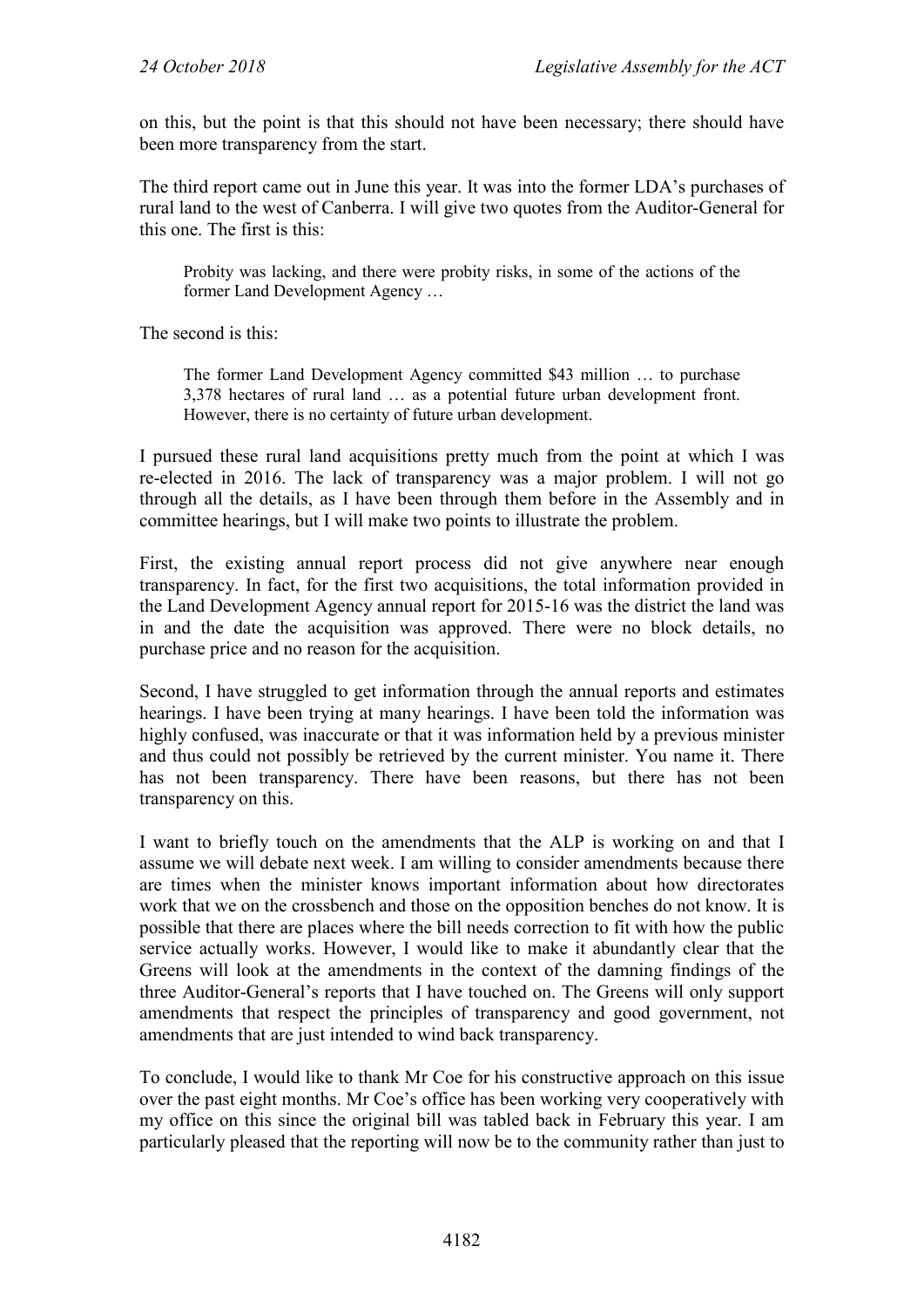on this, but the point is that this should not have been necessary; there should have been more transparency from the start.

The third report came out in June this year. It was into the former LDA's purchases of rural land to the west of Canberra. I will give two quotes from the Auditor-General for this one. The first is this:

Probity was lacking, and there were probity risks, in some of the actions of the former Land Development Agency …

The second is this:

The former Land Development Agency committed \$43 million … to purchase 3,378 hectares of rural land … as a potential future urban development front. However, there is no certainty of future urban development.

I pursued these rural land acquisitions pretty much from the point at which I was re-elected in 2016. The lack of transparency was a major problem. I will not go through all the details, as I have been through them before in the Assembly and in committee hearings, but I will make two points to illustrate the problem.

First, the existing annual report process did not give anywhere near enough transparency. In fact, for the first two acquisitions, the total information provided in the Land Development Agency annual report for 2015-16 was the district the land was in and the date the acquisition was approved. There were no block details, no purchase price and no reason for the acquisition.

Second, I have struggled to get information through the annual reports and estimates hearings. I have been trying at many hearings. I have been told the information was highly confused, was inaccurate or that it was information held by a previous minister and thus could not possibly be retrieved by the current minister. You name it. There has not been transparency. There have been reasons, but there has not been transparency on this.

I want to briefly touch on the amendments that the ALP is working on and that I assume we will debate next week. I am willing to consider amendments because there are times when the minister knows important information about how directorates work that we on the crossbench and those on the opposition benches do not know. It is possible that there are places where the bill needs correction to fit with how the public service actually works. However, I would like to make it abundantly clear that the Greens will look at the amendments in the context of the damning findings of the three Auditor-General's reports that I have touched on. The Greens will only support amendments that respect the principles of transparency and good government, not amendments that are just intended to wind back transparency.

To conclude, I would like to thank Mr Coe for his constructive approach on this issue over the past eight months. Mr Coe's office has been working very cooperatively with my office on this since the original bill was tabled back in February this year. I am particularly pleased that the reporting will now be to the community rather than just to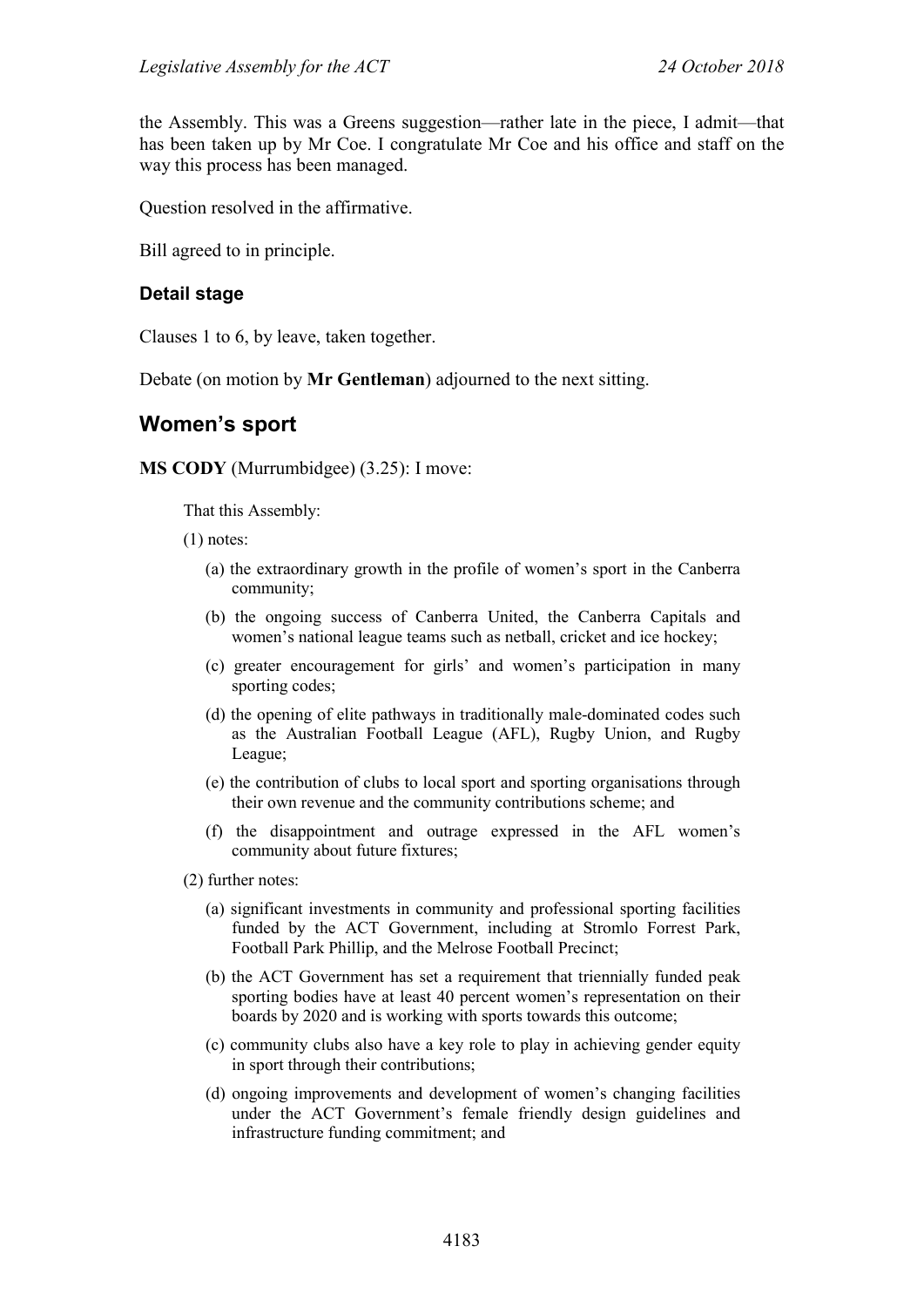the Assembly. This was a Greens suggestion—rather late in the piece, I admit—that has been taken up by Mr Coe. I congratulate Mr Coe and his office and staff on the way this process has been managed.

Question resolved in the affirmative.

Bill agreed to in principle.

#### **Detail stage**

Clauses 1 to 6, by leave, taken together.

Debate (on motion by **Mr Gentleman**) adjourned to the next sitting.

# **Women's sport**

**MS CODY** (Murrumbidgee) (3.25): I move:

That this Assembly:

(1) notes:

- (a) the extraordinary growth in the profile of women's sport in the Canberra community;
- (b) the ongoing success of Canberra United, the Canberra Capitals and women's national league teams such as netball, cricket and ice hockey;
- (c) greater encouragement for girls' and women's participation in many sporting codes;
- (d) the opening of elite pathways in traditionally male-dominated codes such as the Australian Football League (AFL), Rugby Union, and Rugby League;
- (e) the contribution of clubs to local sport and sporting organisations through their own revenue and the community contributions scheme; and
- (f) the disappointment and outrage expressed in the AFL women's community about future fixtures;
- (2) further notes:
	- (a) significant investments in community and professional sporting facilities funded by the ACT Government, including at Stromlo Forrest Park, Football Park Phillip, and the Melrose Football Precinct;
	- (b) the ACT Government has set a requirement that triennially funded peak sporting bodies have at least 40 percent women's representation on their boards by 2020 and is working with sports towards this outcome;
	- (c) community clubs also have a key role to play in achieving gender equity in sport through their contributions;
	- (d) ongoing improvements and development of women's changing facilities under the ACT Government's female friendly design guidelines and infrastructure funding commitment; and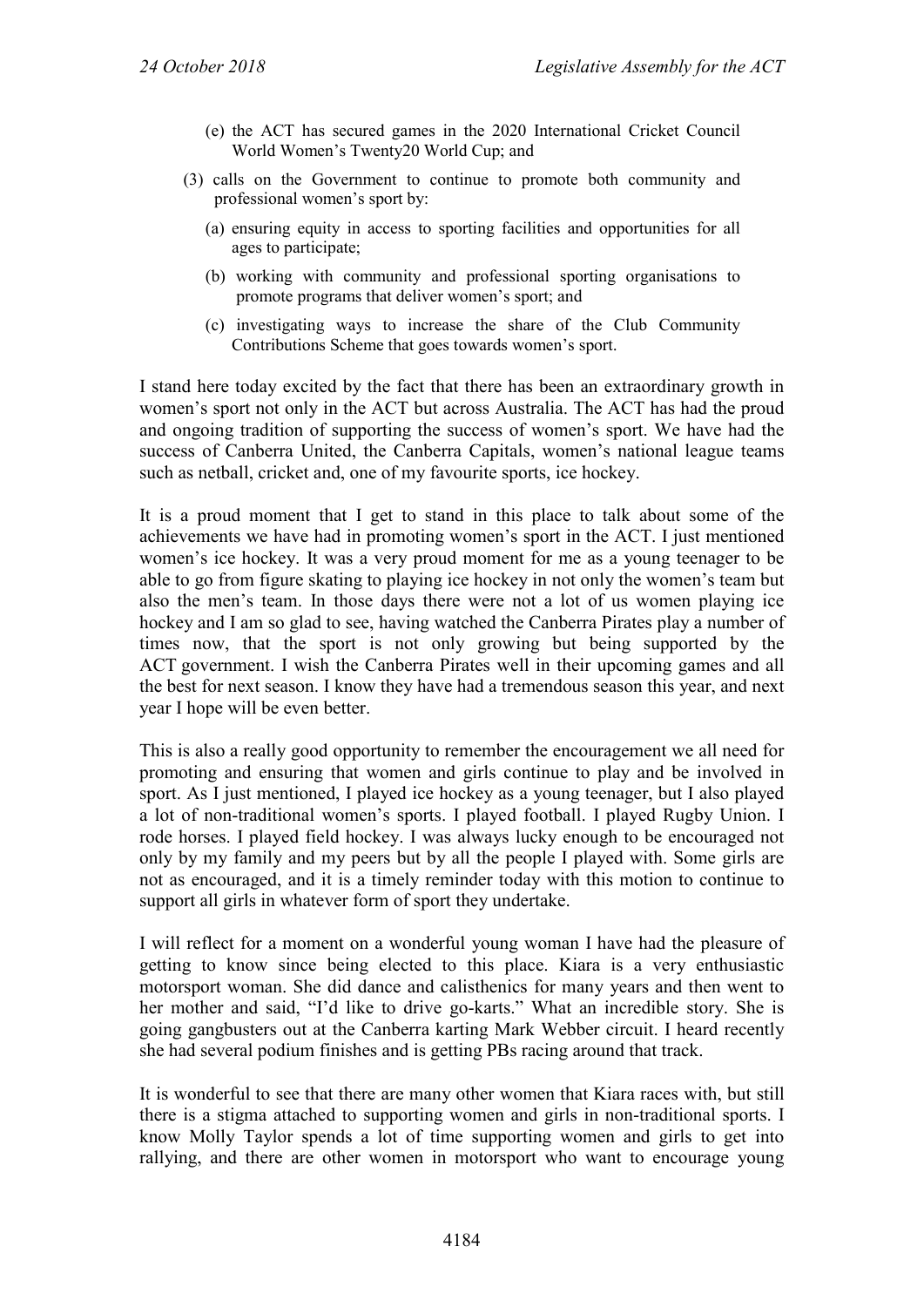- (e) the ACT has secured games in the 2020 International Cricket Council World Women's Twenty20 World Cup; and
- (3) calls on the Government to continue to promote both community and professional women's sport by:
	- (a) ensuring equity in access to sporting facilities and opportunities for all ages to participate;
	- (b) working with community and professional sporting organisations to promote programs that deliver women's sport; and
	- (c) investigating ways to increase the share of the Club Community Contributions Scheme that goes towards women's sport.

I stand here today excited by the fact that there has been an extraordinary growth in women's sport not only in the ACT but across Australia. The ACT has had the proud and ongoing tradition of supporting the success of women's sport. We have had the success of Canberra United, the Canberra Capitals, women's national league teams such as netball, cricket and, one of my favourite sports, ice hockey.

It is a proud moment that I get to stand in this place to talk about some of the achievements we have had in promoting women's sport in the ACT. I just mentioned women's ice hockey. It was a very proud moment for me as a young teenager to be able to go from figure skating to playing ice hockey in not only the women's team but also the men's team. In those days there were not a lot of us women playing ice hockey and I am so glad to see, having watched the Canberra Pirates play a number of times now, that the sport is not only growing but being supported by the ACT government. I wish the Canberra Pirates well in their upcoming games and all the best for next season. I know they have had a tremendous season this year, and next year I hope will be even better.

This is also a really good opportunity to remember the encouragement we all need for promoting and ensuring that women and girls continue to play and be involved in sport. As I just mentioned, I played ice hockey as a young teenager, but I also played a lot of non-traditional women's sports. I played football. I played Rugby Union. I rode horses. I played field hockey. I was always lucky enough to be encouraged not only by my family and my peers but by all the people I played with. Some girls are not as encouraged, and it is a timely reminder today with this motion to continue to support all girls in whatever form of sport they undertake.

I will reflect for a moment on a wonderful young woman I have had the pleasure of getting to know since being elected to this place. Kiara is a very enthusiastic motorsport woman. She did dance and calisthenics for many years and then went to her mother and said, "I'd like to drive go-karts." What an incredible story. She is going gangbusters out at the Canberra karting Mark Webber circuit. I heard recently she had several podium finishes and is getting PBs racing around that track.

It is wonderful to see that there are many other women that Kiara races with, but still there is a stigma attached to supporting women and girls in non-traditional sports. I know Molly Taylor spends a lot of time supporting women and girls to get into rallying, and there are other women in motorsport who want to encourage young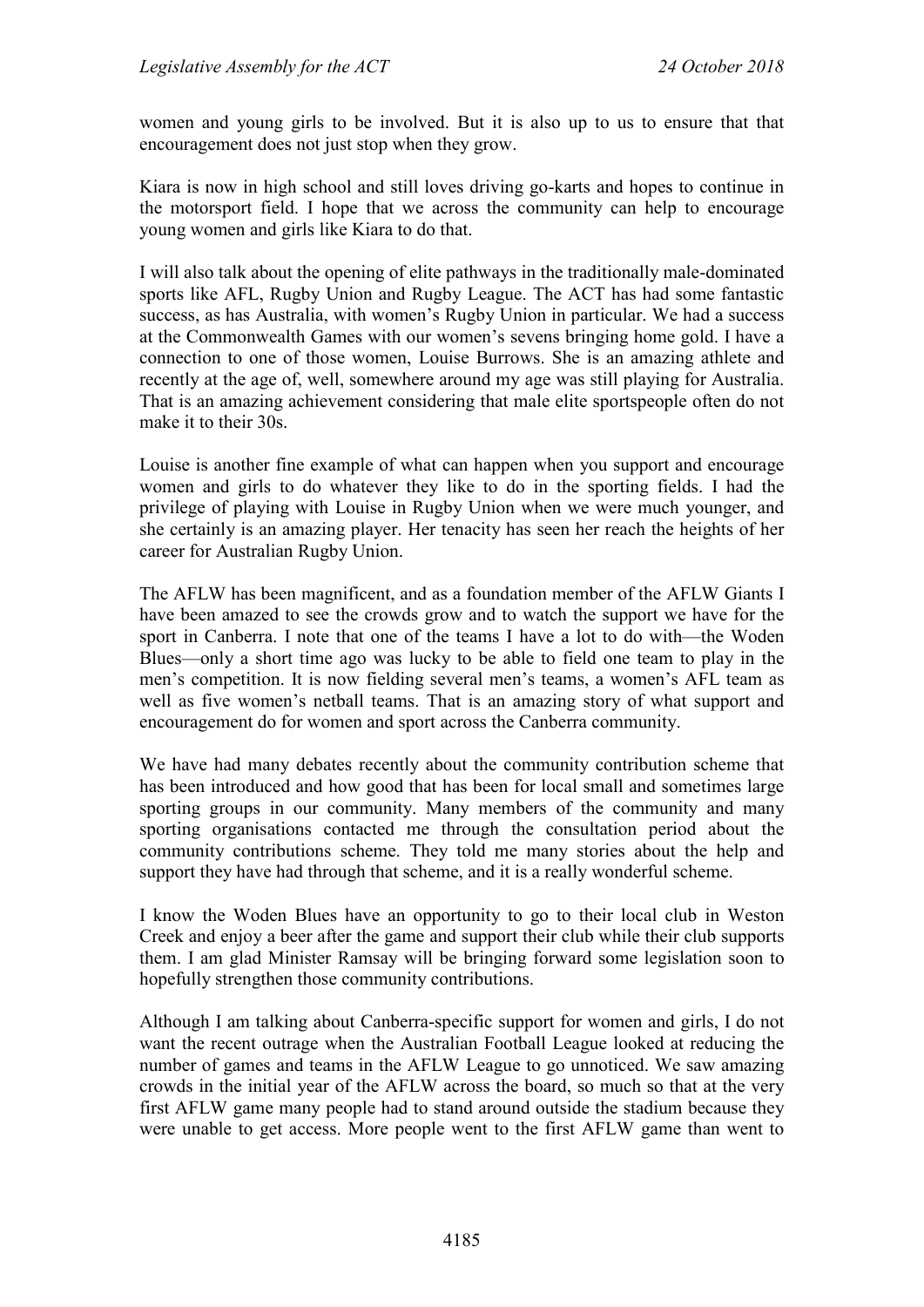women and young girls to be involved. But it is also up to us to ensure that that encouragement does not just stop when they grow.

Kiara is now in high school and still loves driving go-karts and hopes to continue in the motorsport field. I hope that we across the community can help to encourage young women and girls like Kiara to do that.

I will also talk about the opening of elite pathways in the traditionally male-dominated sports like AFL, Rugby Union and Rugby League. The ACT has had some fantastic success, as has Australia, with women's Rugby Union in particular. We had a success at the Commonwealth Games with our women's sevens bringing home gold. I have a connection to one of those women, Louise Burrows. She is an amazing athlete and recently at the age of, well, somewhere around my age was still playing for Australia. That is an amazing achievement considering that male elite sportspeople often do not make it to their 30s.

Louise is another fine example of what can happen when you support and encourage women and girls to do whatever they like to do in the sporting fields. I had the privilege of playing with Louise in Rugby Union when we were much younger, and she certainly is an amazing player. Her tenacity has seen her reach the heights of her career for Australian Rugby Union.

The AFLW has been magnificent, and as a foundation member of the AFLW Giants I have been amazed to see the crowds grow and to watch the support we have for the sport in Canberra. I note that one of the teams I have a lot to do with—the Woden Blues—only a short time ago was lucky to be able to field one team to play in the men's competition. It is now fielding several men's teams, a women's AFL team as well as five women's netball teams. That is an amazing story of what support and encouragement do for women and sport across the Canberra community.

We have had many debates recently about the community contribution scheme that has been introduced and how good that has been for local small and sometimes large sporting groups in our community. Many members of the community and many sporting organisations contacted me through the consultation period about the community contributions scheme. They told me many stories about the help and support they have had through that scheme, and it is a really wonderful scheme.

I know the Woden Blues have an opportunity to go to their local club in Weston Creek and enjoy a beer after the game and support their club while their club supports them. I am glad Minister Ramsay will be bringing forward some legislation soon to hopefully strengthen those community contributions.

Although I am talking about Canberra-specific support for women and girls, I do not want the recent outrage when the Australian Football League looked at reducing the number of games and teams in the AFLW League to go unnoticed. We saw amazing crowds in the initial year of the AFLW across the board, so much so that at the very first AFLW game many people had to stand around outside the stadium because they were unable to get access. More people went to the first AFLW game than went to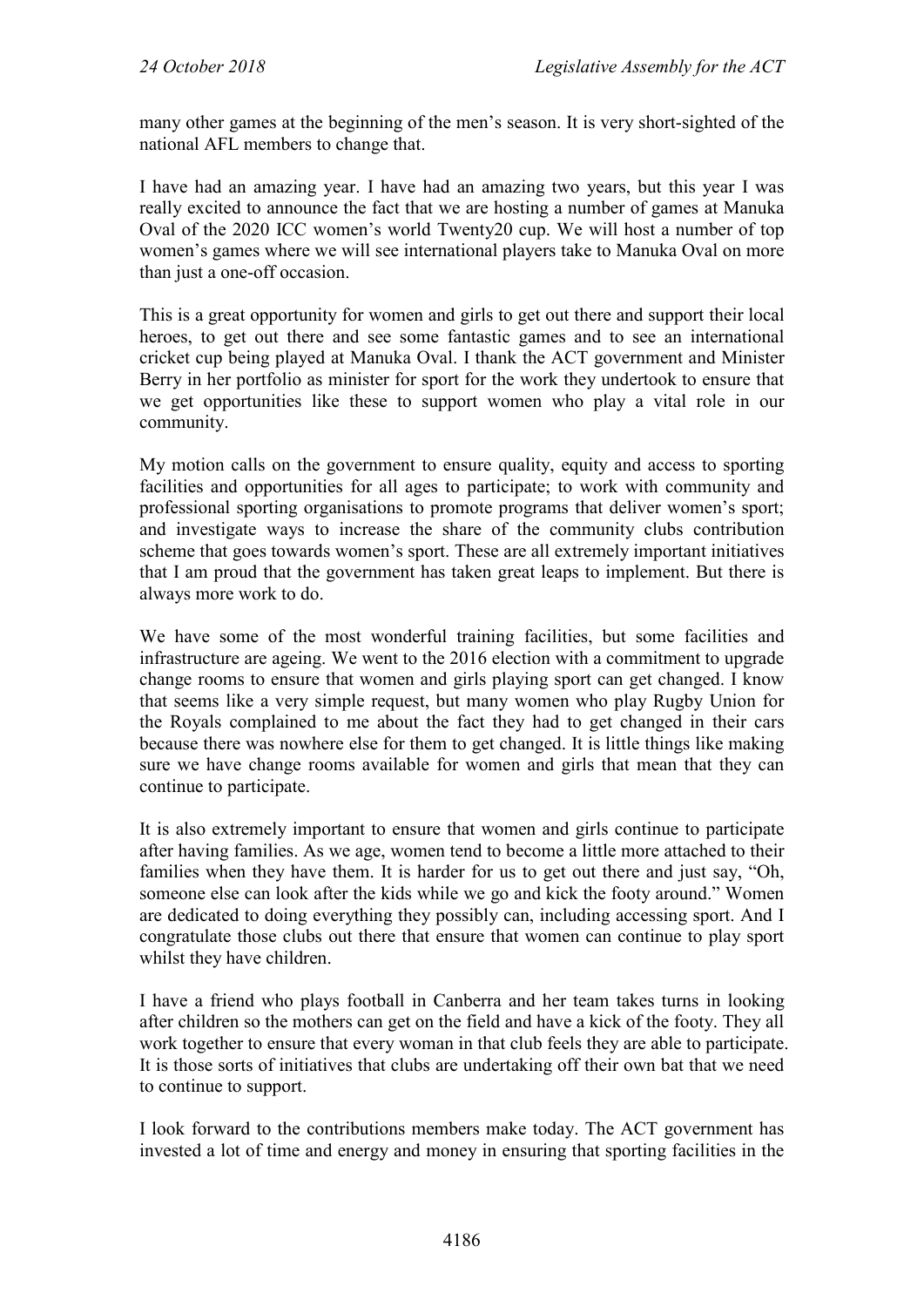many other games at the beginning of the men's season. It is very short-sighted of the national AFL members to change that.

I have had an amazing year. I have had an amazing two years, but this year I was really excited to announce the fact that we are hosting a number of games at Manuka Oval of the 2020 ICC women's world Twenty20 cup. We will host a number of top women's games where we will see international players take to Manuka Oval on more than just a one-off occasion.

This is a great opportunity for women and girls to get out there and support their local heroes, to get out there and see some fantastic games and to see an international cricket cup being played at Manuka Oval. I thank the ACT government and Minister Berry in her portfolio as minister for sport for the work they undertook to ensure that we get opportunities like these to support women who play a vital role in our community.

My motion calls on the government to ensure quality, equity and access to sporting facilities and opportunities for all ages to participate; to work with community and professional sporting organisations to promote programs that deliver women's sport; and investigate ways to increase the share of the community clubs contribution scheme that goes towards women's sport. These are all extremely important initiatives that I am proud that the government has taken great leaps to implement. But there is always more work to do.

We have some of the most wonderful training facilities, but some facilities and infrastructure are ageing. We went to the 2016 election with a commitment to upgrade change rooms to ensure that women and girls playing sport can get changed. I know that seems like a very simple request, but many women who play Rugby Union for the Royals complained to me about the fact they had to get changed in their cars because there was nowhere else for them to get changed. It is little things like making sure we have change rooms available for women and girls that mean that they can continue to participate.

It is also extremely important to ensure that women and girls continue to participate after having families. As we age, women tend to become a little more attached to their families when they have them. It is harder for us to get out there and just say, "Oh, someone else can look after the kids while we go and kick the footy around." Women are dedicated to doing everything they possibly can, including accessing sport. And I congratulate those clubs out there that ensure that women can continue to play sport whilst they have children.

I have a friend who plays football in Canberra and her team takes turns in looking after children so the mothers can get on the field and have a kick of the footy. They all work together to ensure that every woman in that club feels they are able to participate. It is those sorts of initiatives that clubs are undertaking off their own bat that we need to continue to support.

I look forward to the contributions members make today. The ACT government has invested a lot of time and energy and money in ensuring that sporting facilities in the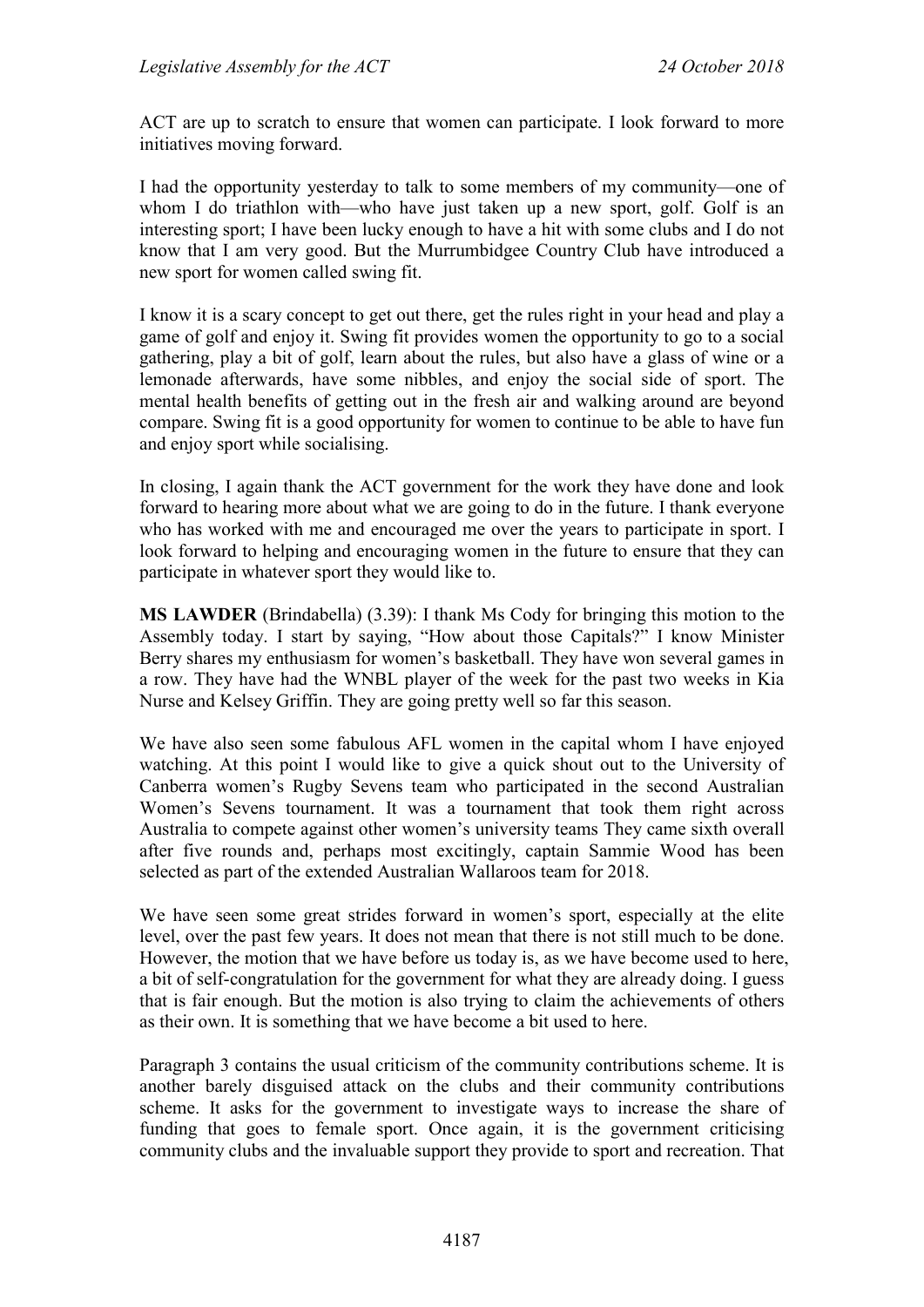ACT are up to scratch to ensure that women can participate. I look forward to more initiatives moving forward.

I had the opportunity yesterday to talk to some members of my community—one of whom I do triathlon with—who have just taken up a new sport, golf. Golf is an interesting sport; I have been lucky enough to have a hit with some clubs and I do not know that I am very good. But the Murrumbidgee Country Club have introduced a new sport for women called swing fit.

I know it is a scary concept to get out there, get the rules right in your head and play a game of golf and enjoy it. Swing fit provides women the opportunity to go to a social gathering, play a bit of golf, learn about the rules, but also have a glass of wine or a lemonade afterwards, have some nibbles, and enjoy the social side of sport. The mental health benefits of getting out in the fresh air and walking around are beyond compare. Swing fit is a good opportunity for women to continue to be able to have fun and enjoy sport while socialising.

In closing, I again thank the ACT government for the work they have done and look forward to hearing more about what we are going to do in the future. I thank everyone who has worked with me and encouraged me over the years to participate in sport. I look forward to helping and encouraging women in the future to ensure that they can participate in whatever sport they would like to.

**MS LAWDER** (Brindabella) (3.39): I thank Ms Cody for bringing this motion to the Assembly today. I start by saying, "How about those Capitals?" I know Minister Berry shares my enthusiasm for women's basketball. They have won several games in a row. They have had the WNBL player of the week for the past two weeks in Kia Nurse and Kelsey Griffin. They are going pretty well so far this season.

We have also seen some fabulous AFL women in the capital whom I have enjoyed watching. At this point I would like to give a quick shout out to the University of Canberra women's Rugby Sevens team who participated in the second Australian Women's Sevens tournament. It was a tournament that took them right across Australia to compete against other women's university teams They came sixth overall after five rounds and, perhaps most excitingly, captain Sammie Wood has been selected as part of the extended Australian Wallaroos team for 2018.

We have seen some great strides forward in women's sport, especially at the elite level, over the past few years. It does not mean that there is not still much to be done. However, the motion that we have before us today is, as we have become used to here, a bit of self-congratulation for the government for what they are already doing. I guess that is fair enough. But the motion is also trying to claim the achievements of others as their own. It is something that we have become a bit used to here.

Paragraph 3 contains the usual criticism of the community contributions scheme. It is another barely disguised attack on the clubs and their community contributions scheme. It asks for the government to investigate ways to increase the share of funding that goes to female sport. Once again, it is the government criticising community clubs and the invaluable support they provide to sport and recreation. That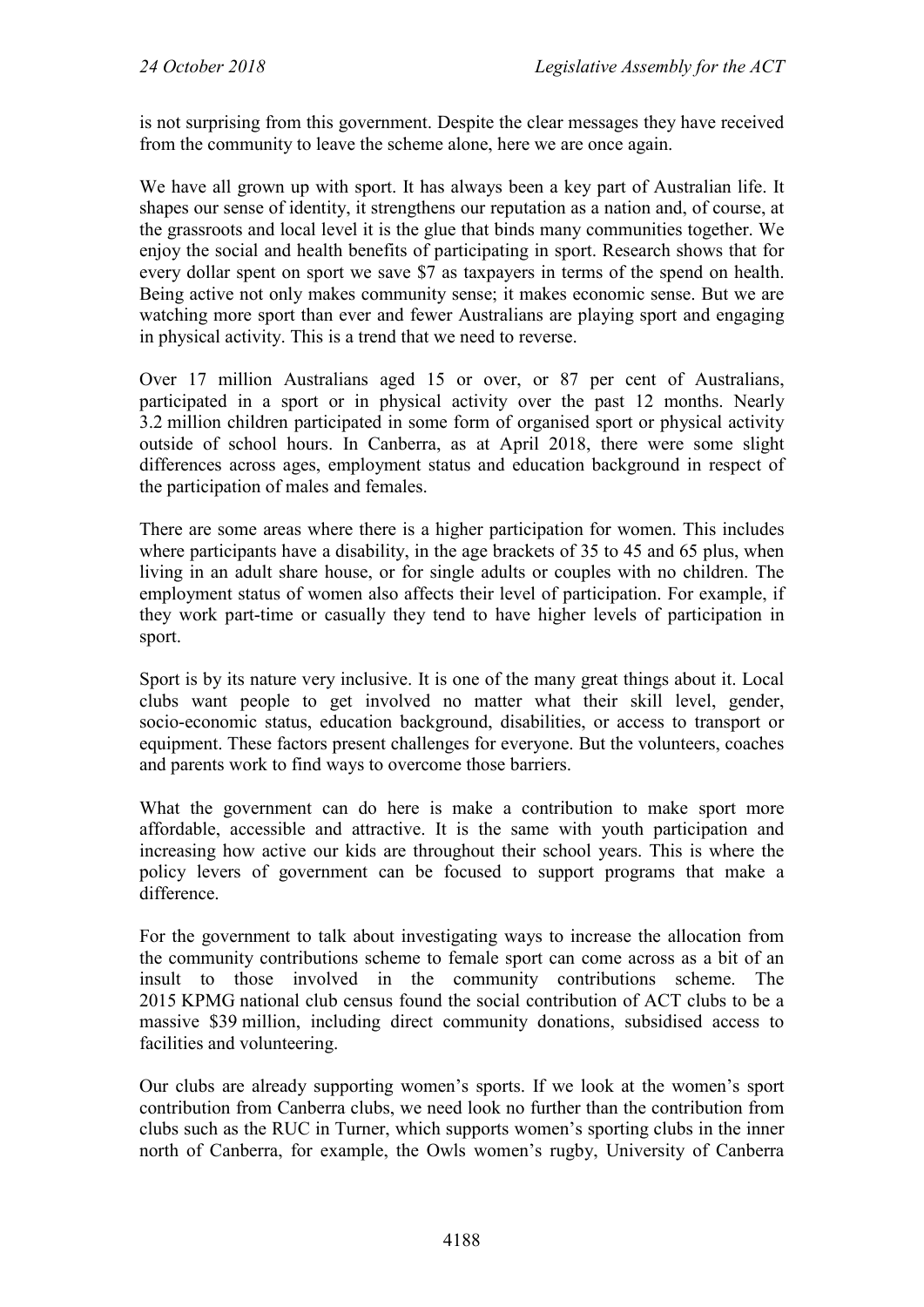is not surprising from this government. Despite the clear messages they have received from the community to leave the scheme alone, here we are once again.

We have all grown up with sport. It has always been a key part of Australian life. It shapes our sense of identity, it strengthens our reputation as a nation and, of course, at the grassroots and local level it is the glue that binds many communities together. We enjoy the social and health benefits of participating in sport. Research shows that for every dollar spent on sport we save \$7 as taxpayers in terms of the spend on health. Being active not only makes community sense; it makes economic sense. But we are watching more sport than ever and fewer Australians are playing sport and engaging in physical activity. This is a trend that we need to reverse.

Over 17 million Australians aged 15 or over, or 87 per cent of Australians, participated in a sport or in physical activity over the past 12 months. Nearly 3.2 million children participated in some form of organised sport or physical activity outside of school hours. In Canberra, as at April 2018, there were some slight differences across ages, employment status and education background in respect of the participation of males and females.

There are some areas where there is a higher participation for women. This includes where participants have a disability, in the age brackets of 35 to 45 and 65 plus, when living in an adult share house, or for single adults or couples with no children. The employment status of women also affects their level of participation. For example, if they work part-time or casually they tend to have higher levels of participation in sport.

Sport is by its nature very inclusive. It is one of the many great things about it. Local clubs want people to get involved no matter what their skill level, gender, socio-economic status, education background, disabilities, or access to transport or equipment. These factors present challenges for everyone. But the volunteers, coaches and parents work to find ways to overcome those barriers.

What the government can do here is make a contribution to make sport more affordable, accessible and attractive. It is the same with youth participation and increasing how active our kids are throughout their school years. This is where the policy levers of government can be focused to support programs that make a difference.

For the government to talk about investigating ways to increase the allocation from the community contributions scheme to female sport can come across as a bit of an insult to those involved in the community contributions scheme. The 2015 KPMG national club census found the social contribution of ACT clubs to be a massive \$39 million, including direct community donations, subsidised access to facilities and volunteering.

Our clubs are already supporting women's sports. If we look at the women's sport contribution from Canberra clubs, we need look no further than the contribution from clubs such as the RUC in Turner, which supports women's sporting clubs in the inner north of Canberra, for example, the Owls women's rugby, University of Canberra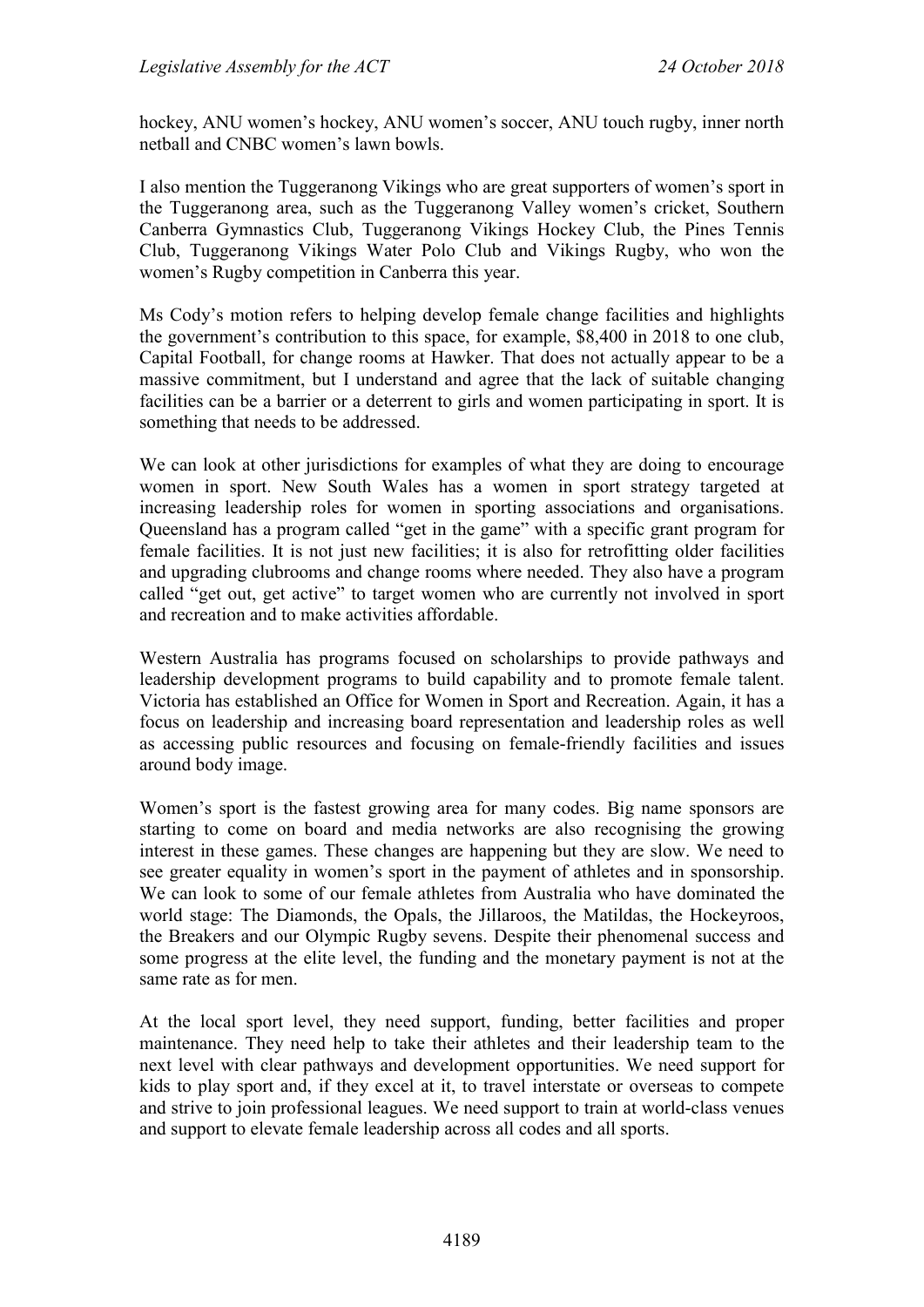hockey, ANU women's hockey, ANU women's soccer, ANU touch rugby, inner north netball and CNBC women's lawn bowls.

I also mention the Tuggeranong Vikings who are great supporters of women's sport in the Tuggeranong area, such as the Tuggeranong Valley women's cricket, Southern Canberra Gymnastics Club, Tuggeranong Vikings Hockey Club, the Pines Tennis Club, Tuggeranong Vikings Water Polo Club and Vikings Rugby, who won the women's Rugby competition in Canberra this year.

Ms Cody's motion refers to helping develop female change facilities and highlights the government's contribution to this space, for example, \$8,400 in 2018 to one club, Capital Football, for change rooms at Hawker. That does not actually appear to be a massive commitment, but I understand and agree that the lack of suitable changing facilities can be a barrier or a deterrent to girls and women participating in sport. It is something that needs to be addressed.

We can look at other jurisdictions for examples of what they are doing to encourage women in sport. New South Wales has a women in sport strategy targeted at increasing leadership roles for women in sporting associations and organisations. Queensland has a program called "get in the game" with a specific grant program for female facilities. It is not just new facilities; it is also for retrofitting older facilities and upgrading clubrooms and change rooms where needed. They also have a program called "get out, get active" to target women who are currently not involved in sport and recreation and to make activities affordable.

Western Australia has programs focused on scholarships to provide pathways and leadership development programs to build capability and to promote female talent. Victoria has established an Office for Women in Sport and Recreation. Again, it has a focus on leadership and increasing board representation and leadership roles as well as accessing public resources and focusing on female-friendly facilities and issues around body image.

Women's sport is the fastest growing area for many codes. Big name sponsors are starting to come on board and media networks are also recognising the growing interest in these games. These changes are happening but they are slow. We need to see greater equality in women's sport in the payment of athletes and in sponsorship. We can look to some of our female athletes from Australia who have dominated the world stage: The Diamonds, the Opals, the Jillaroos, the Matildas, the Hockeyroos, the Breakers and our Olympic Rugby sevens. Despite their phenomenal success and some progress at the elite level, the funding and the monetary payment is not at the same rate as for men.

At the local sport level, they need support, funding, better facilities and proper maintenance. They need help to take their athletes and their leadership team to the next level with clear pathways and development opportunities. We need support for kids to play sport and, if they excel at it, to travel interstate or overseas to compete and strive to join professional leagues. We need support to train at world-class venues and support to elevate female leadership across all codes and all sports.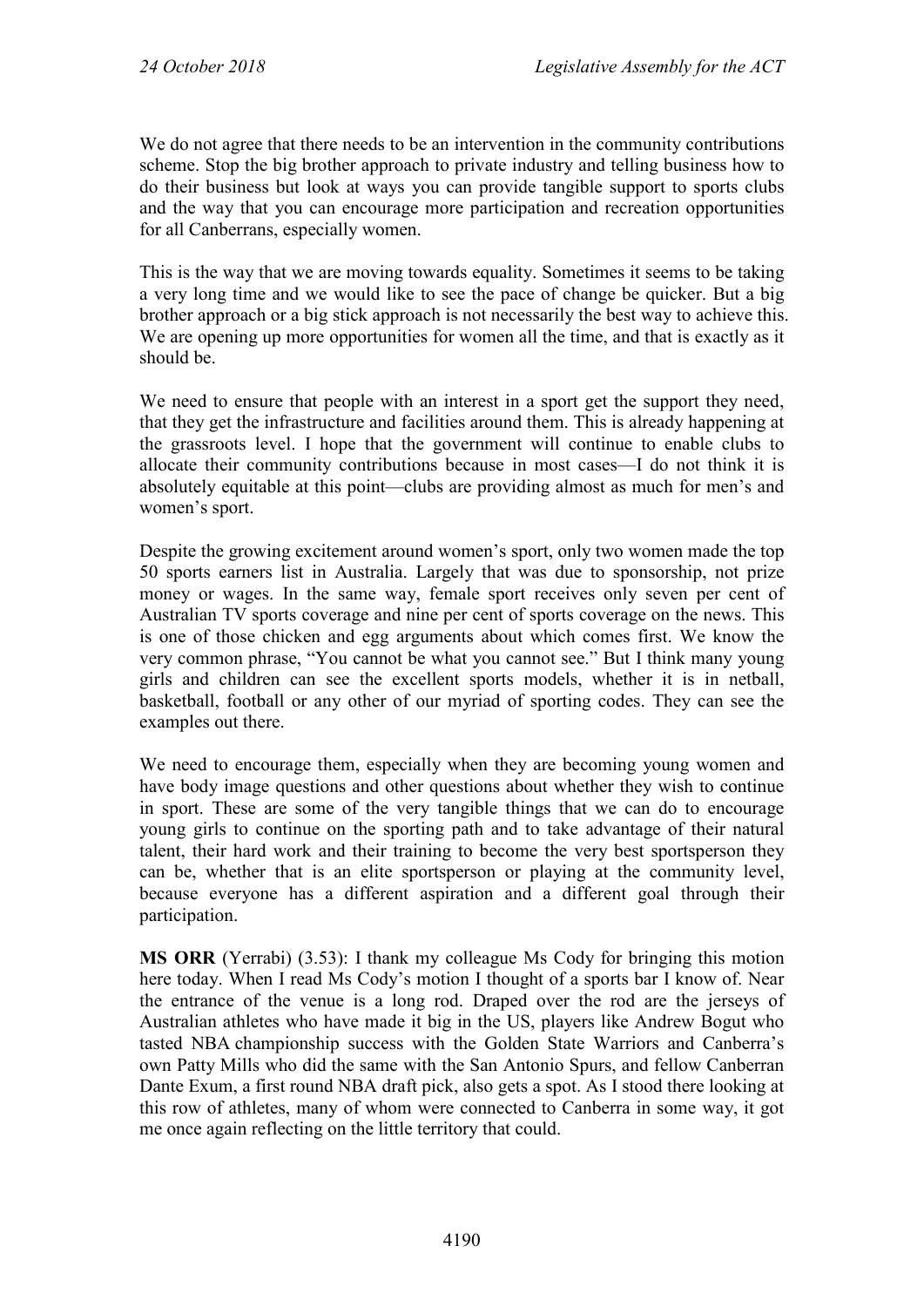We do not agree that there needs to be an intervention in the community contributions scheme. Stop the big brother approach to private industry and telling business how to do their business but look at ways you can provide tangible support to sports clubs and the way that you can encourage more participation and recreation opportunities for all Canberrans, especially women.

This is the way that we are moving towards equality. Sometimes it seems to be taking a very long time and we would like to see the pace of change be quicker. But a big brother approach or a big stick approach is not necessarily the best way to achieve this. We are opening up more opportunities for women all the time, and that is exactly as it should be.

We need to ensure that people with an interest in a sport get the support they need, that they get the infrastructure and facilities around them. This is already happening at the grassroots level. I hope that the government will continue to enable clubs to allocate their community contributions because in most cases—I do not think it is absolutely equitable at this point—clubs are providing almost as much for men's and women's sport.

Despite the growing excitement around women's sport, only two women made the top 50 sports earners list in Australia. Largely that was due to sponsorship, not prize money or wages. In the same way, female sport receives only seven per cent of Australian TV sports coverage and nine per cent of sports coverage on the news. This is one of those chicken and egg arguments about which comes first. We know the very common phrase, "You cannot be what you cannot see." But I think many young girls and children can see the excellent sports models, whether it is in netball, basketball, football or any other of our myriad of sporting codes. They can see the examples out there.

We need to encourage them, especially when they are becoming young women and have body image questions and other questions about whether they wish to continue in sport. These are some of the very tangible things that we can do to encourage young girls to continue on the sporting path and to take advantage of their natural talent, their hard work and their training to become the very best sportsperson they can be, whether that is an elite sportsperson or playing at the community level, because everyone has a different aspiration and a different goal through their participation.

**MS ORR** (Yerrabi) (3.53): I thank my colleague Ms Cody for bringing this motion here today. When I read Ms Cody's motion I thought of a sports bar I know of. Near the entrance of the venue is a long rod. Draped over the rod are the jerseys of Australian athletes who have made it big in the US, players like Andrew Bogut who tasted NBA championship success with the Golden State Warriors and Canberra's own Patty Mills who did the same with the San Antonio Spurs, and fellow Canberran Dante Exum, a first round NBA draft pick, also gets a spot. As I stood there looking at this row of athletes, many of whom were connected to Canberra in some way, it got me once again reflecting on the little territory that could.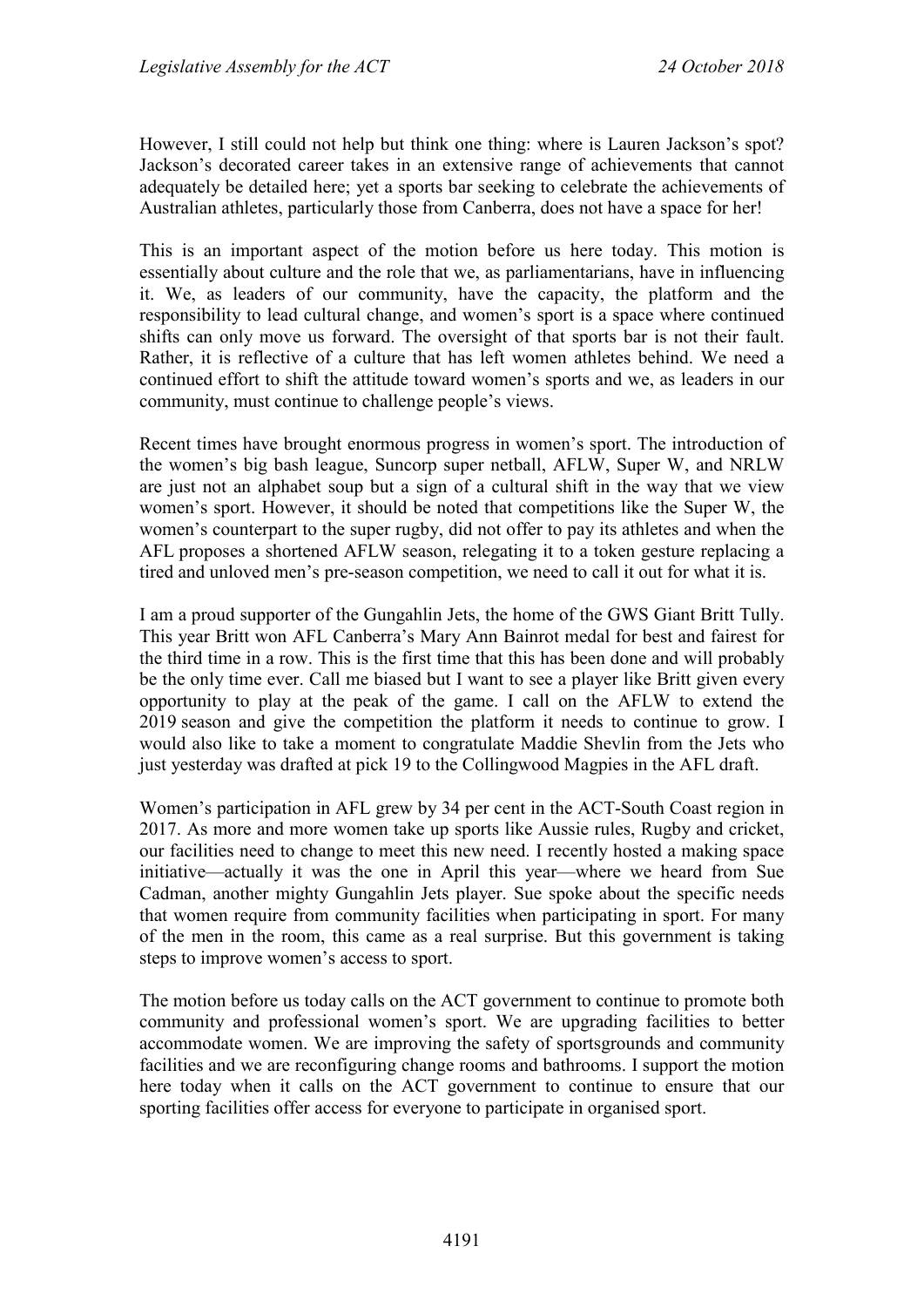However, I still could not help but think one thing: where is Lauren Jackson's spot? Jackson's decorated career takes in an extensive range of achievements that cannot adequately be detailed here; yet a sports bar seeking to celebrate the achievements of Australian athletes, particularly those from Canberra, does not have a space for her!

This is an important aspect of the motion before us here today. This motion is essentially about culture and the role that we, as parliamentarians, have in influencing it. We, as leaders of our community, have the capacity, the platform and the responsibility to lead cultural change, and women's sport is a space where continued shifts can only move us forward. The oversight of that sports bar is not their fault. Rather, it is reflective of a culture that has left women athletes behind. We need a continued effort to shift the attitude toward women's sports and we, as leaders in our community, must continue to challenge people's views.

Recent times have brought enormous progress in women's sport. The introduction of the women's big bash league, Suncorp super netball, AFLW, Super W, and NRLW are just not an alphabet soup but a sign of a cultural shift in the way that we view women's sport. However, it should be noted that competitions like the Super W, the women's counterpart to the super rugby, did not offer to pay its athletes and when the AFL proposes a shortened AFLW season, relegating it to a token gesture replacing a tired and unloved men's pre-season competition, we need to call it out for what it is.

I am a proud supporter of the Gungahlin Jets, the home of the GWS Giant Britt Tully. This year Britt won AFL Canberra's Mary Ann Bainrot medal for best and fairest for the third time in a row. This is the first time that this has been done and will probably be the only time ever. Call me biased but I want to see a player like Britt given every opportunity to play at the peak of the game. I call on the AFLW to extend the 2019 season and give the competition the platform it needs to continue to grow. I would also like to take a moment to congratulate Maddie Shevlin from the Jets who just yesterday was drafted at pick 19 to the Collingwood Magpies in the AFL draft.

Women's participation in AFL grew by 34 per cent in the ACT-South Coast region in 2017. As more and more women take up sports like Aussie rules, Rugby and cricket, our facilities need to change to meet this new need. I recently hosted a making space initiative—actually it was the one in April this year—where we heard from Sue Cadman, another mighty Gungahlin Jets player. Sue spoke about the specific needs that women require from community facilities when participating in sport. For many of the men in the room, this came as a real surprise. But this government is taking steps to improve women's access to sport.

The motion before us today calls on the ACT government to continue to promote both community and professional women's sport. We are upgrading facilities to better accommodate women. We are improving the safety of sportsgrounds and community facilities and we are reconfiguring change rooms and bathrooms. I support the motion here today when it calls on the ACT government to continue to ensure that our sporting facilities offer access for everyone to participate in organised sport.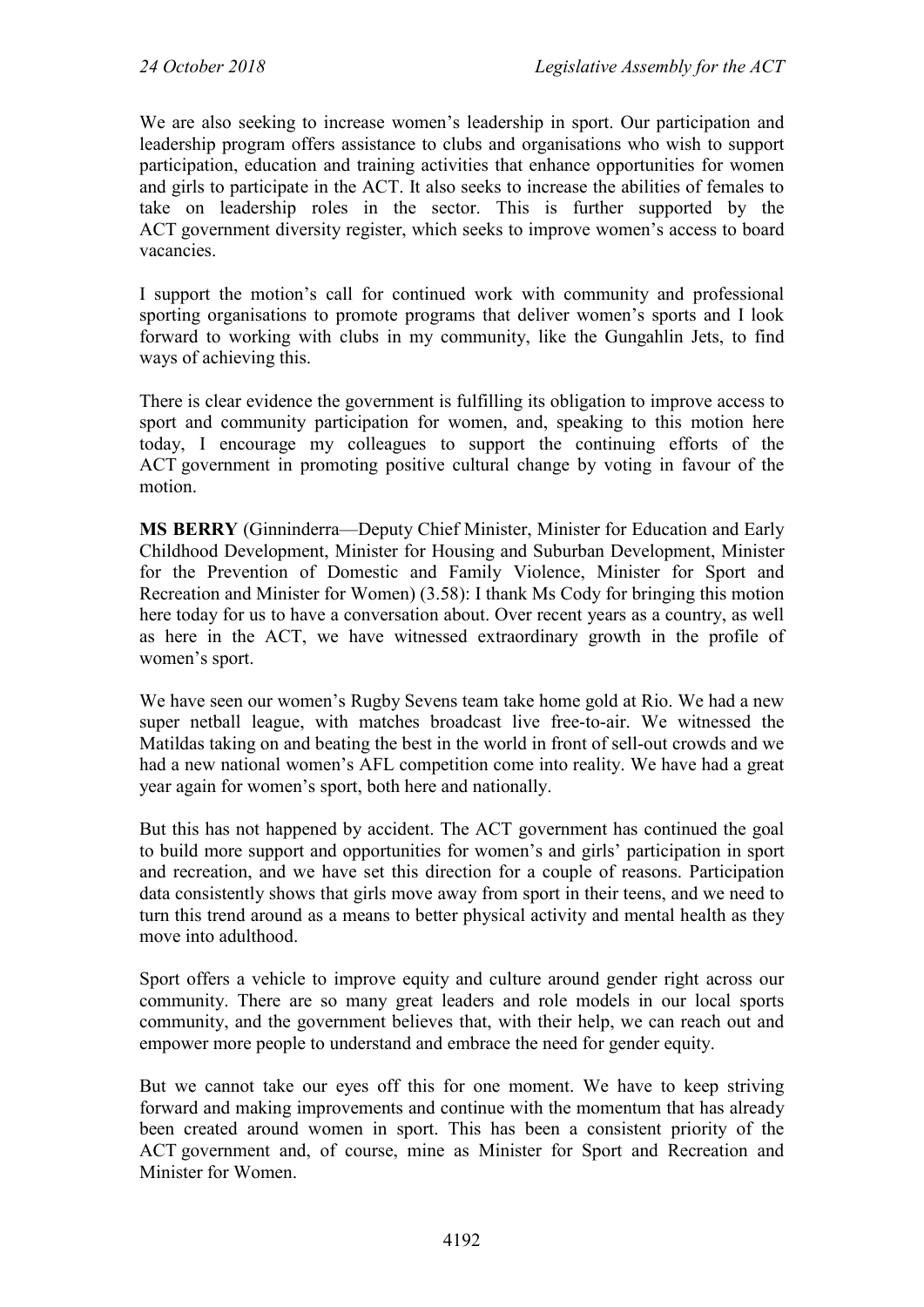We are also seeking to increase women's leadership in sport. Our participation and leadership program offers assistance to clubs and organisations who wish to support participation, education and training activities that enhance opportunities for women and girls to participate in the ACT. It also seeks to increase the abilities of females to take on leadership roles in the sector. This is further supported by the ACT government diversity register, which seeks to improve women's access to board vacancies.

I support the motion's call for continued work with community and professional sporting organisations to promote programs that deliver women's sports and I look forward to working with clubs in my community, like the Gungahlin Jets, to find ways of achieving this.

There is clear evidence the government is fulfilling its obligation to improve access to sport and community participation for women, and, speaking to this motion here today, I encourage my colleagues to support the continuing efforts of the ACT government in promoting positive cultural change by voting in favour of the motion.

**MS BERRY** (Ginninderra—Deputy Chief Minister, Minister for Education and Early Childhood Development, Minister for Housing and Suburban Development, Minister for the Prevention of Domestic and Family Violence, Minister for Sport and Recreation and Minister for Women) (3.58): I thank Ms Cody for bringing this motion here today for us to have a conversation about. Over recent years as a country, as well as here in the ACT, we have witnessed extraordinary growth in the profile of women's sport.

We have seen our women's Rugby Sevens team take home gold at Rio. We had a new super netball league, with matches broadcast live free-to-air. We witnessed the Matildas taking on and beating the best in the world in front of sell-out crowds and we had a new national women's AFL competition come into reality. We have had a great year again for women's sport, both here and nationally.

But this has not happened by accident. The ACT government has continued the goal to build more support and opportunities for women's and girls' participation in sport and recreation, and we have set this direction for a couple of reasons. Participation data consistently shows that girls move away from sport in their teens, and we need to turn this trend around as a means to better physical activity and mental health as they move into adulthood.

Sport offers a vehicle to improve equity and culture around gender right across our community. There are so many great leaders and role models in our local sports community, and the government believes that, with their help, we can reach out and empower more people to understand and embrace the need for gender equity.

But we cannot take our eyes off this for one moment. We have to keep striving forward and making improvements and continue with the momentum that has already been created around women in sport. This has been a consistent priority of the ACT government and, of course, mine as Minister for Sport and Recreation and Minister for Women.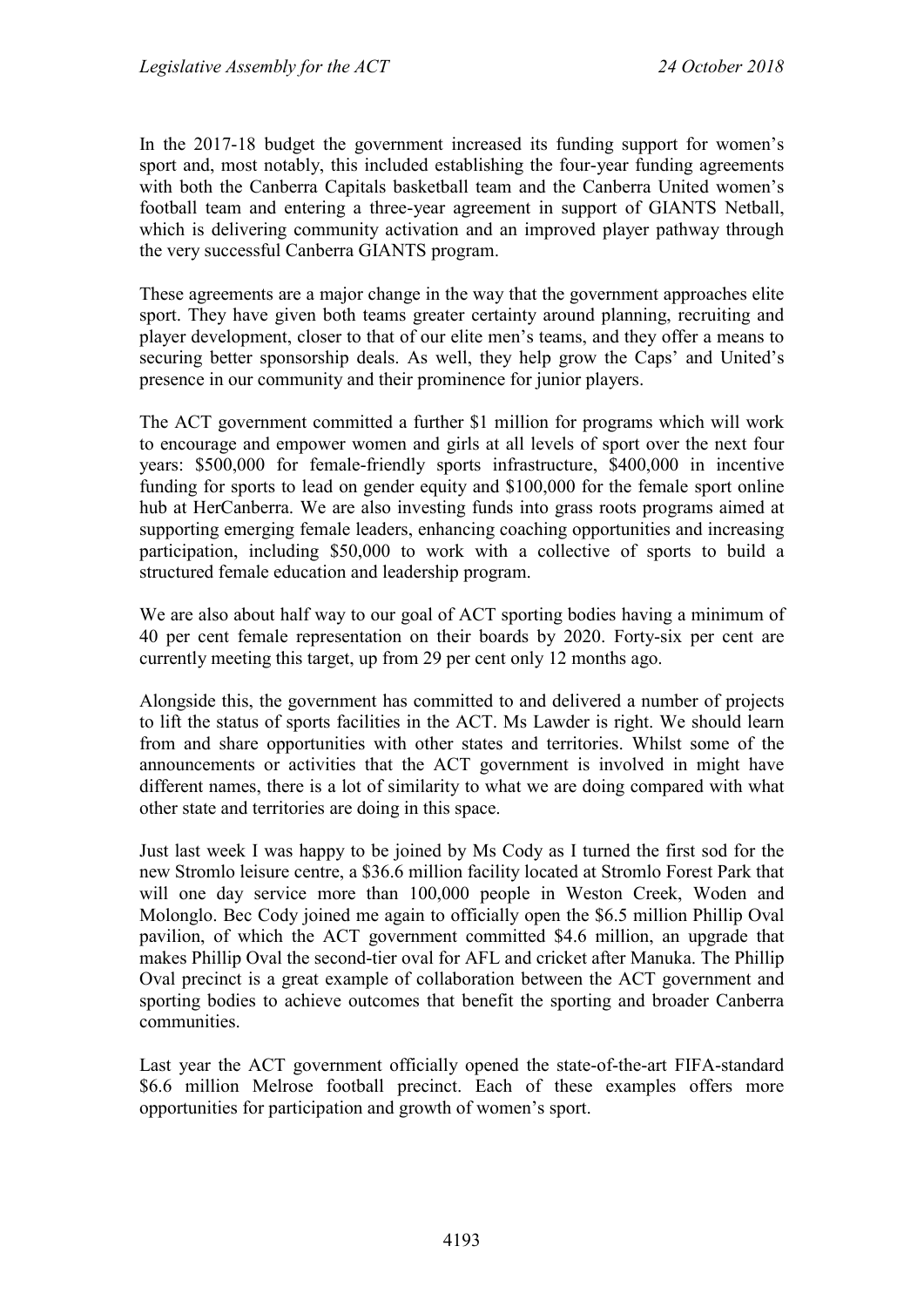In the 2017-18 budget the government increased its funding support for women's sport and, most notably, this included establishing the four-year funding agreements with both the Canberra Capitals basketball team and the Canberra United women's football team and entering a three-year agreement in support of GIANTS Netball, which is delivering community activation and an improved player pathway through the very successful Canberra GIANTS program.

These agreements are a major change in the way that the government approaches elite sport. They have given both teams greater certainty around planning, recruiting and player development, closer to that of our elite men's teams, and they offer a means to securing better sponsorship deals. As well, they help grow the Caps' and United's presence in our community and their prominence for junior players.

The ACT government committed a further \$1 million for programs which will work to encourage and empower women and girls at all levels of sport over the next four years: \$500,000 for female-friendly sports infrastructure, \$400,000 in incentive funding for sports to lead on gender equity and \$100,000 for the female sport online hub at HerCanberra. We are also investing funds into grass roots programs aimed at supporting emerging female leaders, enhancing coaching opportunities and increasing participation, including \$50,000 to work with a collective of sports to build a structured female education and leadership program.

We are also about half way to our goal of ACT sporting bodies having a minimum of 40 per cent female representation on their boards by 2020. Forty-six per cent are currently meeting this target, up from 29 per cent only 12 months ago.

Alongside this, the government has committed to and delivered a number of projects to lift the status of sports facilities in the ACT. Ms Lawder is right. We should learn from and share opportunities with other states and territories. Whilst some of the announcements or activities that the ACT government is involved in might have different names, there is a lot of similarity to what we are doing compared with what other state and territories are doing in this space.

Just last week I was happy to be joined by Ms Cody as I turned the first sod for the new Stromlo leisure centre, a \$36.6 million facility located at Stromlo Forest Park that will one day service more than 100,000 people in Weston Creek, Woden and Molonglo. Bec Cody joined me again to officially open the \$6.5 million Phillip Oval pavilion, of which the ACT government committed \$4.6 million, an upgrade that makes Phillip Oval the second-tier oval for AFL and cricket after Manuka. The Phillip Oval precinct is a great example of collaboration between the ACT government and sporting bodies to achieve outcomes that benefit the sporting and broader Canberra communities.

Last year the ACT government officially opened the state-of-the-art FIFA-standard \$6.6 million Melrose football precinct. Each of these examples offers more opportunities for participation and growth of women's sport.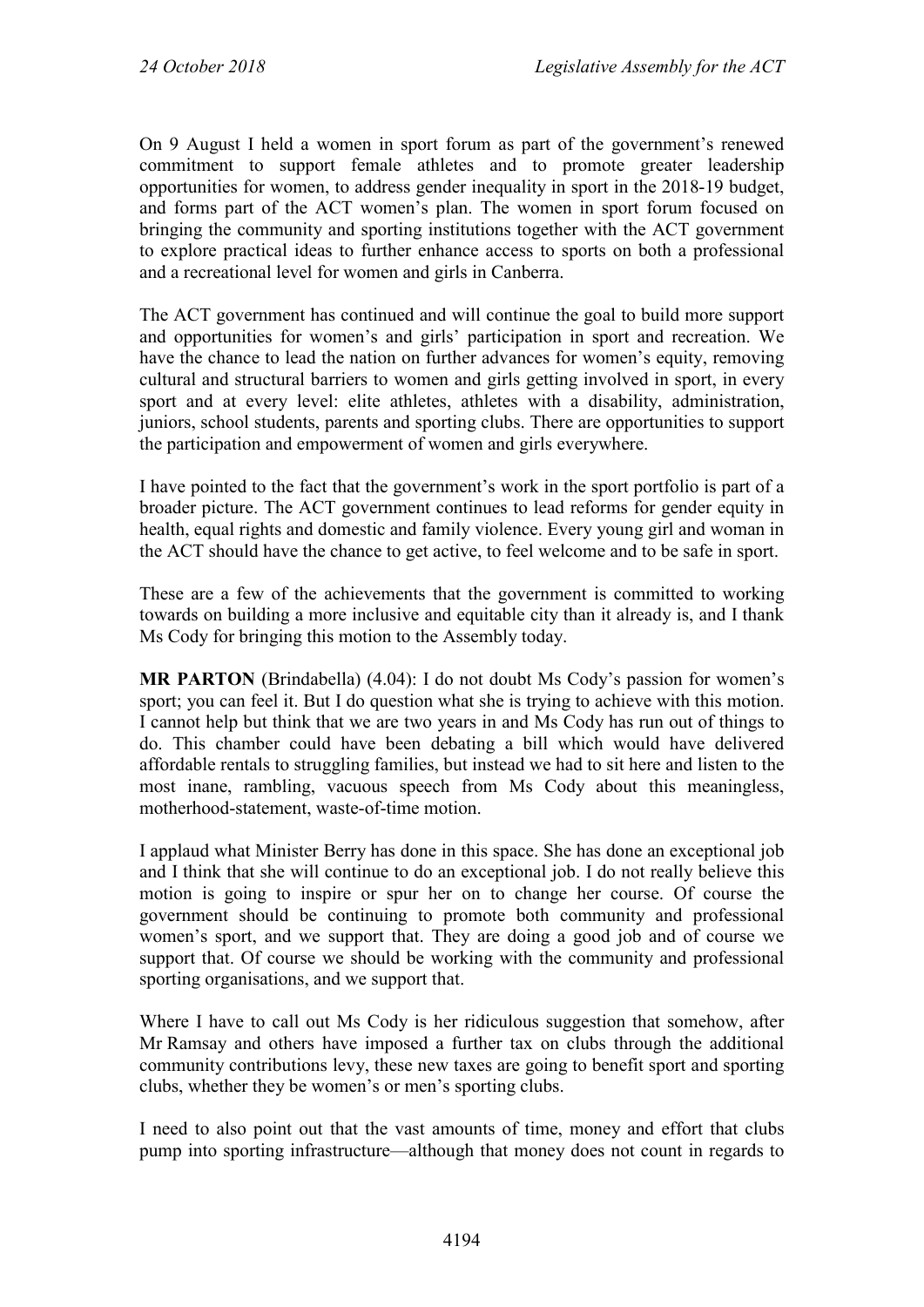On 9 August I held a women in sport forum as part of the government's renewed commitment to support female athletes and to promote greater leadership opportunities for women, to address gender inequality in sport in the 2018-19 budget, and forms part of the ACT women's plan. The women in sport forum focused on bringing the community and sporting institutions together with the ACT government to explore practical ideas to further enhance access to sports on both a professional and a recreational level for women and girls in Canberra.

The ACT government has continued and will continue the goal to build more support and opportunities for women's and girls' participation in sport and recreation. We have the chance to lead the nation on further advances for women's equity, removing cultural and structural barriers to women and girls getting involved in sport, in every sport and at every level: elite athletes, athletes with a disability, administration, juniors, school students, parents and sporting clubs. There are opportunities to support the participation and empowerment of women and girls everywhere.

I have pointed to the fact that the government's work in the sport portfolio is part of a broader picture. The ACT government continues to lead reforms for gender equity in health, equal rights and domestic and family violence. Every young girl and woman in the ACT should have the chance to get active, to feel welcome and to be safe in sport.

These are a few of the achievements that the government is committed to working towards on building a more inclusive and equitable city than it already is, and I thank Ms Cody for bringing this motion to the Assembly today.

**MR PARTON** (Brindabella) (4.04): I do not doubt Ms Cody's passion for women's sport; you can feel it. But I do question what she is trying to achieve with this motion. I cannot help but think that we are two years in and Ms Cody has run out of things to do. This chamber could have been debating a bill which would have delivered affordable rentals to struggling families, but instead we had to sit here and listen to the most inane, rambling, vacuous speech from Ms Cody about this meaningless, motherhood-statement, waste-of-time motion.

I applaud what Minister Berry has done in this space. She has done an exceptional job and I think that she will continue to do an exceptional job. I do not really believe this motion is going to inspire or spur her on to change her course. Of course the government should be continuing to promote both community and professional women's sport, and we support that. They are doing a good job and of course we support that. Of course we should be working with the community and professional sporting organisations, and we support that.

Where I have to call out Ms Cody is her ridiculous suggestion that somehow, after Mr Ramsay and others have imposed a further tax on clubs through the additional community contributions levy, these new taxes are going to benefit sport and sporting clubs, whether they be women's or men's sporting clubs.

I need to also point out that the vast amounts of time, money and effort that clubs pump into sporting infrastructure—although that money does not count in regards to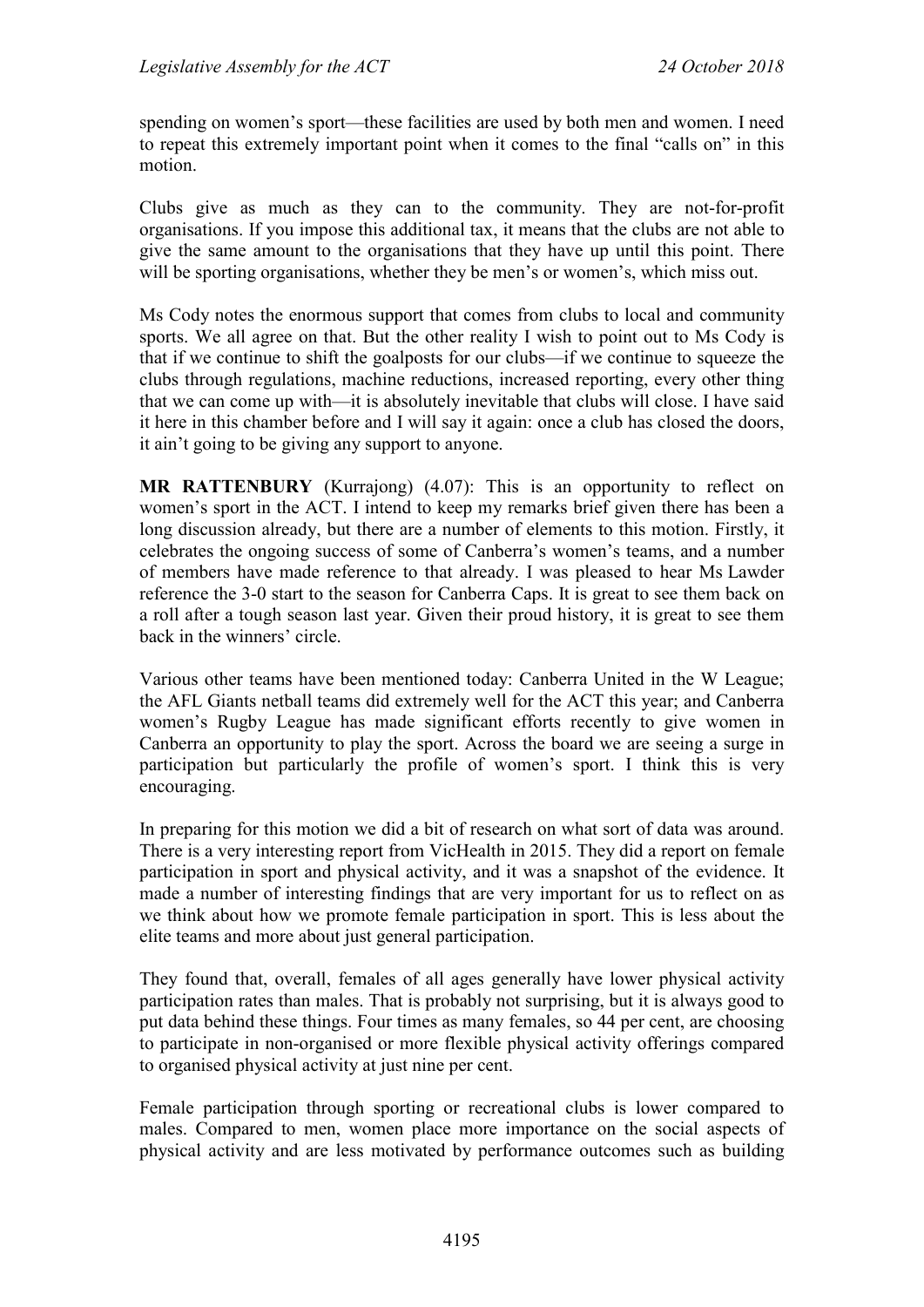spending on women's sport—these facilities are used by both men and women. I need to repeat this extremely important point when it comes to the final "calls on" in this motion.

Clubs give as much as they can to the community. They are not-for-profit organisations. If you impose this additional tax, it means that the clubs are not able to give the same amount to the organisations that they have up until this point. There will be sporting organisations, whether they be men's or women's, which miss out.

Ms Cody notes the enormous support that comes from clubs to local and community sports. We all agree on that. But the other reality I wish to point out to Ms Cody is that if we continue to shift the goalposts for our clubs—if we continue to squeeze the clubs through regulations, machine reductions, increased reporting, every other thing that we can come up with—it is absolutely inevitable that clubs will close. I have said it here in this chamber before and I will say it again: once a club has closed the doors, it ain't going to be giving any support to anyone.

**MR RATTENBURY** (Kurrajong) (4.07): This is an opportunity to reflect on women's sport in the ACT. I intend to keep my remarks brief given there has been a long discussion already, but there are a number of elements to this motion. Firstly, it celebrates the ongoing success of some of Canberra's women's teams, and a number of members have made reference to that already. I was pleased to hear Ms Lawder reference the 3-0 start to the season for Canberra Caps. It is great to see them back on a roll after a tough season last year. Given their proud history, it is great to see them back in the winners' circle.

Various other teams have been mentioned today: Canberra United in the W League; the AFL Giants netball teams did extremely well for the ACT this year; and Canberra women's Rugby League has made significant efforts recently to give women in Canberra an opportunity to play the sport. Across the board we are seeing a surge in participation but particularly the profile of women's sport. I think this is very encouraging.

In preparing for this motion we did a bit of research on what sort of data was around. There is a very interesting report from VicHealth in 2015. They did a report on female participation in sport and physical activity, and it was a snapshot of the evidence. It made a number of interesting findings that are very important for us to reflect on as we think about how we promote female participation in sport. This is less about the elite teams and more about just general participation.

They found that, overall, females of all ages generally have lower physical activity participation rates than males. That is probably not surprising, but it is always good to put data behind these things. Four times as many females, so 44 per cent, are choosing to participate in non-organised or more flexible physical activity offerings compared to organised physical activity at just nine per cent.

Female participation through sporting or recreational clubs is lower compared to males. Compared to men, women place more importance on the social aspects of physical activity and are less motivated by performance outcomes such as building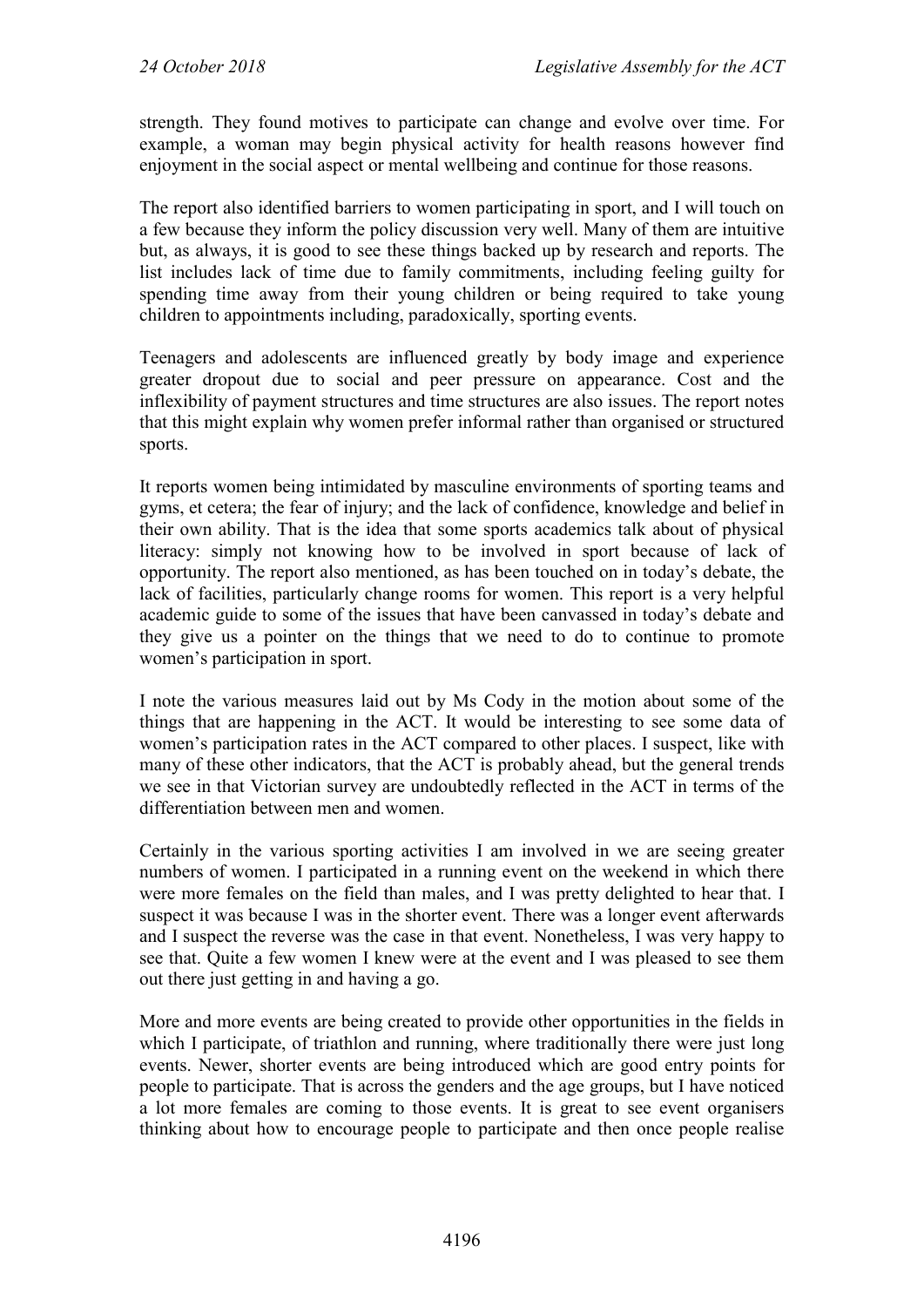strength. They found motives to participate can change and evolve over time. For example, a woman may begin physical activity for health reasons however find enjoyment in the social aspect or mental wellbeing and continue for those reasons.

The report also identified barriers to women participating in sport, and I will touch on a few because they inform the policy discussion very well. Many of them are intuitive but, as always, it is good to see these things backed up by research and reports. The list includes lack of time due to family commitments, including feeling guilty for spending time away from their young children or being required to take young children to appointments including, paradoxically, sporting events.

Teenagers and adolescents are influenced greatly by body image and experience greater dropout due to social and peer pressure on appearance. Cost and the inflexibility of payment structures and time structures are also issues. The report notes that this might explain why women prefer informal rather than organised or structured sports.

It reports women being intimidated by masculine environments of sporting teams and gyms, et cetera; the fear of injury; and the lack of confidence, knowledge and belief in their own ability. That is the idea that some sports academics talk about of physical literacy: simply not knowing how to be involved in sport because of lack of opportunity. The report also mentioned, as has been touched on in today's debate, the lack of facilities, particularly change rooms for women. This report is a very helpful academic guide to some of the issues that have been canvassed in today's debate and they give us a pointer on the things that we need to do to continue to promote women's participation in sport.

I note the various measures laid out by Ms Cody in the motion about some of the things that are happening in the ACT. It would be interesting to see some data of women's participation rates in the ACT compared to other places. I suspect, like with many of these other indicators, that the ACT is probably ahead, but the general trends we see in that Victorian survey are undoubtedly reflected in the ACT in terms of the differentiation between men and women.

Certainly in the various sporting activities I am involved in we are seeing greater numbers of women. I participated in a running event on the weekend in which there were more females on the field than males, and I was pretty delighted to hear that. I suspect it was because I was in the shorter event. There was a longer event afterwards and I suspect the reverse was the case in that event. Nonetheless, I was very happy to see that. Quite a few women I knew were at the event and I was pleased to see them out there just getting in and having a go.

More and more events are being created to provide other opportunities in the fields in which I participate, of triathlon and running, where traditionally there were just long events. Newer, shorter events are being introduced which are good entry points for people to participate. That is across the genders and the age groups, but I have noticed a lot more females are coming to those events. It is great to see event organisers thinking about how to encourage people to participate and then once people realise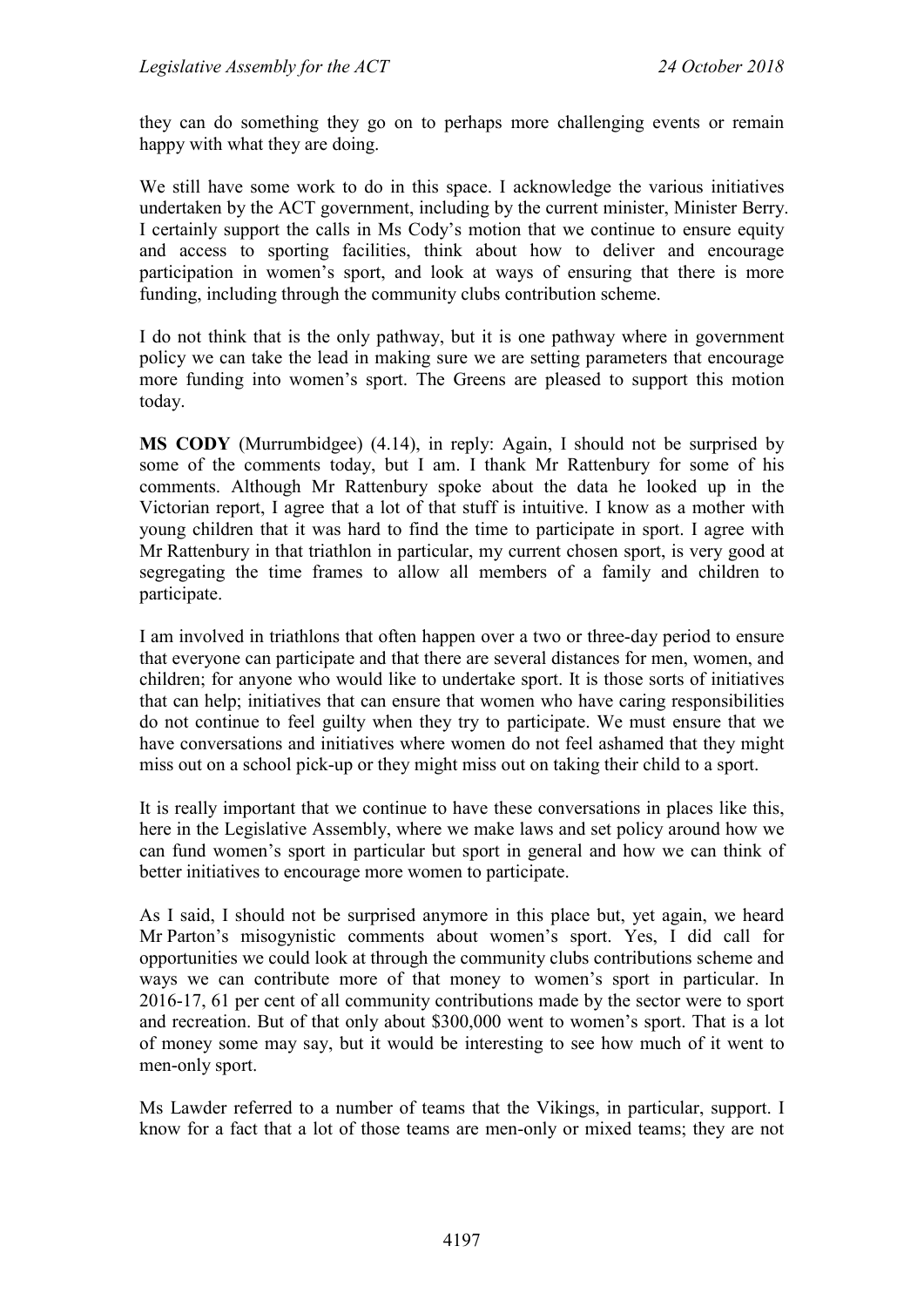they can do something they go on to perhaps more challenging events or remain happy with what they are doing.

We still have some work to do in this space. I acknowledge the various initiatives undertaken by the ACT government, including by the current minister, Minister Berry. I certainly support the calls in Ms Cody's motion that we continue to ensure equity and access to sporting facilities, think about how to deliver and encourage participation in women's sport, and look at ways of ensuring that there is more funding, including through the community clubs contribution scheme.

I do not think that is the only pathway, but it is one pathway where in government policy we can take the lead in making sure we are setting parameters that encourage more funding into women's sport. The Greens are pleased to support this motion today.

**MS CODY** (Murrumbidgee) (4.14), in reply: Again, I should not be surprised by some of the comments today, but I am. I thank Mr Rattenbury for some of his comments. Although Mr Rattenbury spoke about the data he looked up in the Victorian report, I agree that a lot of that stuff is intuitive. I know as a mother with young children that it was hard to find the time to participate in sport. I agree with Mr Rattenbury in that triathlon in particular, my current chosen sport, is very good at segregating the time frames to allow all members of a family and children to participate.

I am involved in triathlons that often happen over a two or three-day period to ensure that everyone can participate and that there are several distances for men, women, and children; for anyone who would like to undertake sport. It is those sorts of initiatives that can help; initiatives that can ensure that women who have caring responsibilities do not continue to feel guilty when they try to participate. We must ensure that we have conversations and initiatives where women do not feel ashamed that they might miss out on a school pick-up or they might miss out on taking their child to a sport.

It is really important that we continue to have these conversations in places like this, here in the Legislative Assembly, where we make laws and set policy around how we can fund women's sport in particular but sport in general and how we can think of better initiatives to encourage more women to participate.

As I said, I should not be surprised anymore in this place but, yet again, we heard Mr Parton's misogynistic comments about women's sport. Yes, I did call for opportunities we could look at through the community clubs contributions scheme and ways we can contribute more of that money to women's sport in particular. In 2016-17, 61 per cent of all community contributions made by the sector were to sport and recreation. But of that only about \$300,000 went to women's sport. That is a lot of money some may say, but it would be interesting to see how much of it went to men-only sport.

Ms Lawder referred to a number of teams that the Vikings, in particular, support. I know for a fact that a lot of those teams are men-only or mixed teams; they are not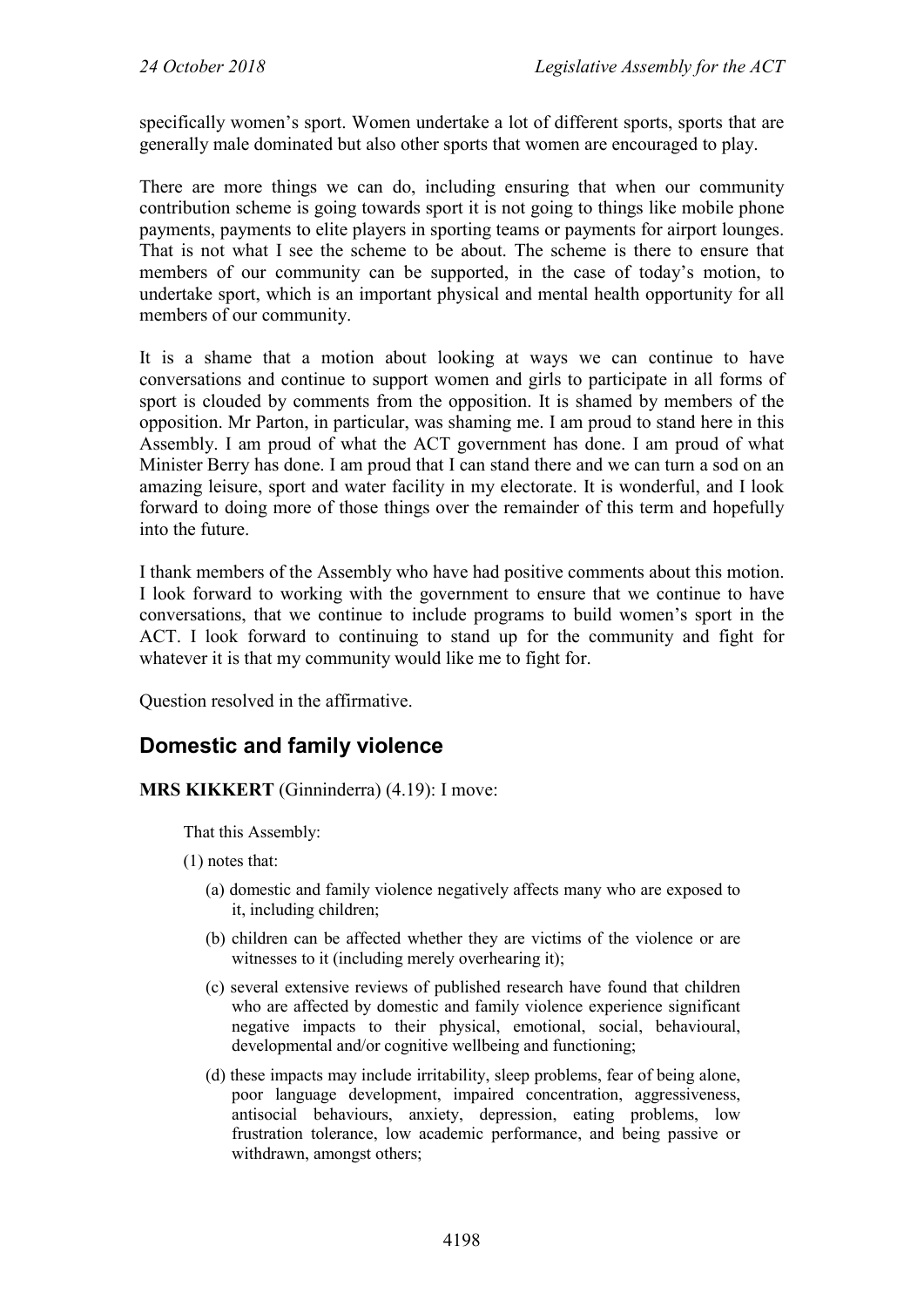specifically women's sport. Women undertake a lot of different sports, sports that are generally male dominated but also other sports that women are encouraged to play.

There are more things we can do, including ensuring that when our community contribution scheme is going towards sport it is not going to things like mobile phone payments, payments to elite players in sporting teams or payments for airport lounges. That is not what I see the scheme to be about. The scheme is there to ensure that members of our community can be supported, in the case of today's motion, to undertake sport, which is an important physical and mental health opportunity for all members of our community.

It is a shame that a motion about looking at ways we can continue to have conversations and continue to support women and girls to participate in all forms of sport is clouded by comments from the opposition. It is shamed by members of the opposition. Mr Parton, in particular, was shaming me. I am proud to stand here in this Assembly. I am proud of what the ACT government has done. I am proud of what Minister Berry has done. I am proud that I can stand there and we can turn a sod on an amazing leisure, sport and water facility in my electorate. It is wonderful, and I look forward to doing more of those things over the remainder of this term and hopefully into the future.

I thank members of the Assembly who have had positive comments about this motion. I look forward to working with the government to ensure that we continue to have conversations, that we continue to include programs to build women's sport in the ACT. I look forward to continuing to stand up for the community and fight for whatever it is that my community would like me to fight for.

Question resolved in the affirmative.

## **Domestic and family violence**

**MRS KIKKERT** (Ginninderra) (4.19): I move:

That this Assembly:

- (1) notes that:
	- (a) domestic and family violence negatively affects many who are exposed to it, including children;
	- (b) children can be affected whether they are victims of the violence or are witnesses to it (including merely overhearing it);
	- (c) several extensive reviews of published research have found that children who are affected by domestic and family violence experience significant negative impacts to their physical, emotional, social, behavioural, developmental and/or cognitive wellbeing and functioning;
	- (d) these impacts may include irritability, sleep problems, fear of being alone, poor language development, impaired concentration, aggressiveness, antisocial behaviours, anxiety, depression, eating problems, low frustration tolerance, low academic performance, and being passive or withdrawn, amongst others;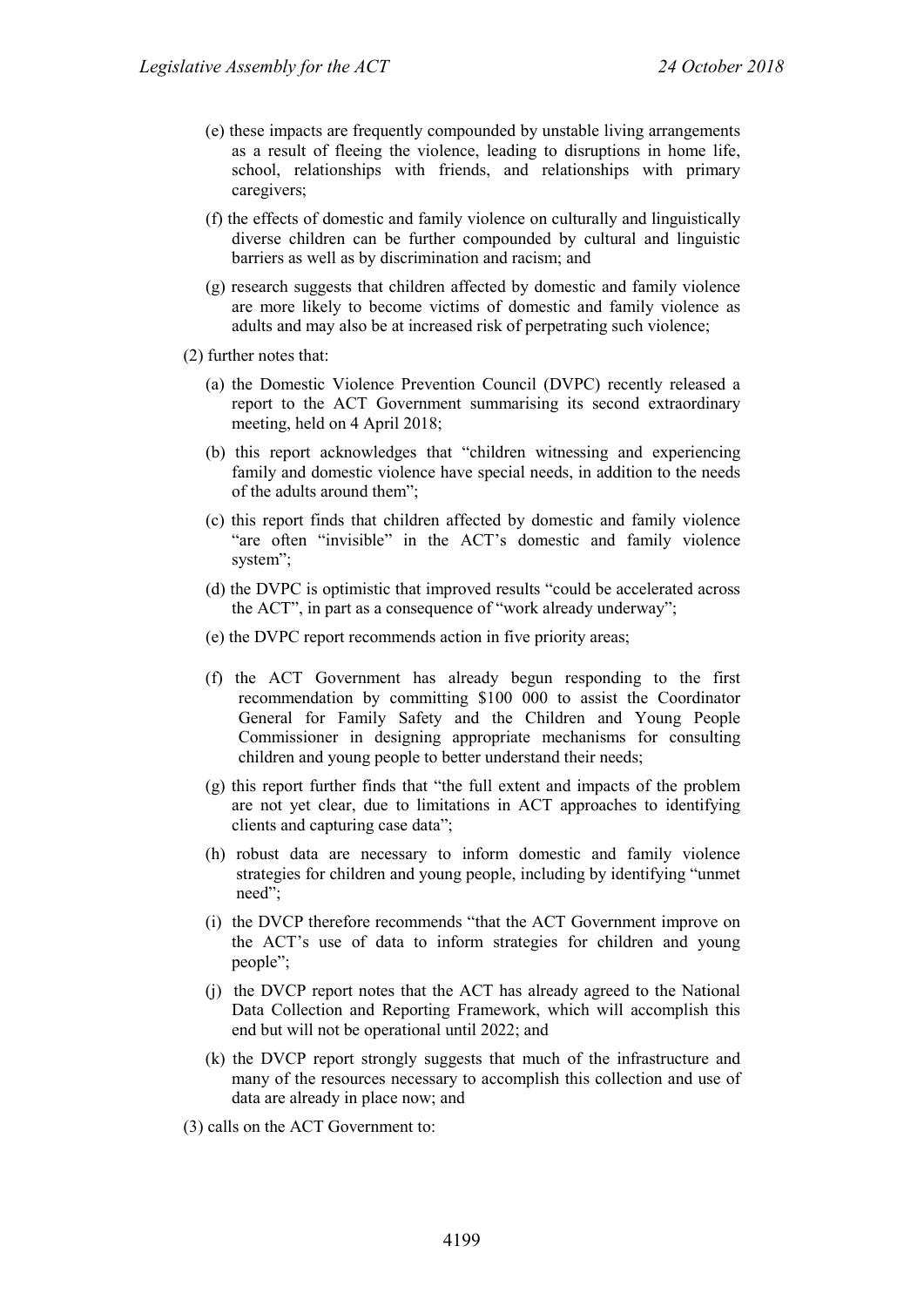- (e) these impacts are frequently compounded by unstable living arrangements as a result of fleeing the violence, leading to disruptions in home life, school, relationships with friends, and relationships with primary caregivers;
- (f) the effects of domestic and family violence on culturally and linguistically diverse children can be further compounded by cultural and linguistic barriers as well as by discrimination and racism; and
- (g) research suggests that children affected by domestic and family violence are more likely to become victims of domestic and family violence as adults and may also be at increased risk of perpetrating such violence;
- (2) further notes that:
	- (a) the Domestic Violence Prevention Council (DVPC) recently released a report to the ACT Government summarising its second extraordinary meeting, held on 4 April 2018;
	- (b) this report acknowledges that "children witnessing and experiencing family and domestic violence have special needs, in addition to the needs of the adults around them";
	- (c) this report finds that children affected by domestic and family violence "are often "invisible" in the ACT's domestic and family violence system";
	- (d) the DVPC is optimistic that improved results "could be accelerated across the ACT", in part as a consequence of "work already underway";
	- (e) the DVPC report recommends action in five priority areas;
	- (f) the ACT Government has already begun responding to the first recommendation by committing \$100 000 to assist the Coordinator General for Family Safety and the Children and Young People Commissioner in designing appropriate mechanisms for consulting children and young people to better understand their needs;
	- (g) this report further finds that "the full extent and impacts of the problem are not yet clear, due to limitations in ACT approaches to identifying clients and capturing case data";
	- (h) robust data are necessary to inform domestic and family violence strategies for children and young people, including by identifying "unmet need";
	- (i) the DVCP therefore recommends "that the ACT Government improve on the ACT's use of data to inform strategies for children and young people";
	- (j) the DVCP report notes that the ACT has already agreed to the National Data Collection and Reporting Framework, which will accomplish this end but will not be operational until 2022; and
	- (k) the DVCP report strongly suggests that much of the infrastructure and many of the resources necessary to accomplish this collection and use of data are already in place now; and
- (3) calls on the ACT Government to: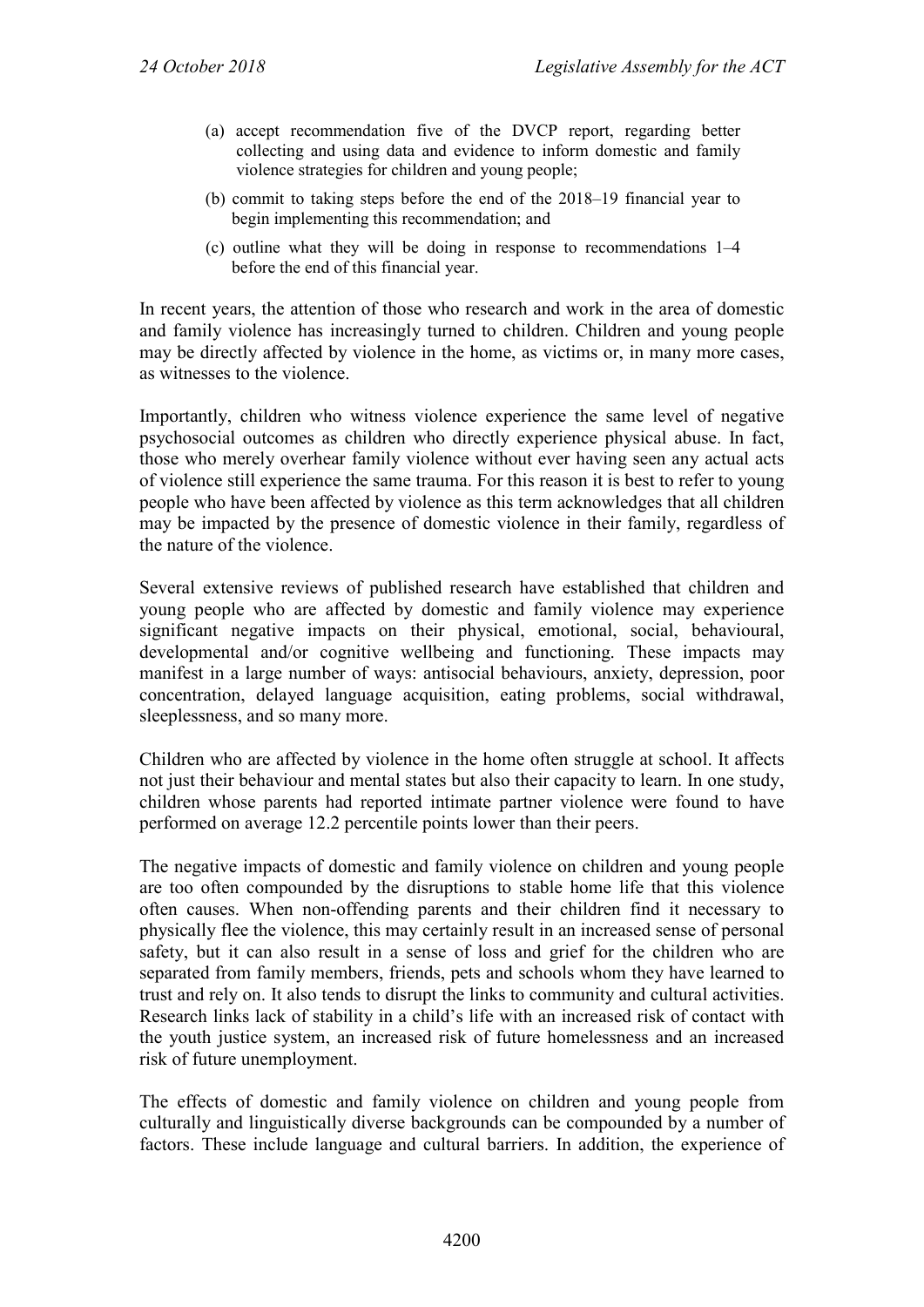- (a) accept recommendation five of the DVCP report, regarding better collecting and using data and evidence to inform domestic and family violence strategies for children and young people;
- (b) commit to taking steps before the end of the 2018–19 financial year to begin implementing this recommendation; and
- (c) outline what they will be doing in response to recommendations 1–4 before the end of this financial year.

In recent years, the attention of those who research and work in the area of domestic and family violence has increasingly turned to children. Children and young people may be directly affected by violence in the home, as victims or, in many more cases, as witnesses to the violence.

Importantly, children who witness violence experience the same level of negative psychosocial outcomes as children who directly experience physical abuse. In fact, those who merely overhear family violence without ever having seen any actual acts of violence still experience the same trauma. For this reason it is best to refer to young people who have been affected by violence as this term acknowledges that all children may be impacted by the presence of domestic violence in their family, regardless of the nature of the violence.

Several extensive reviews of published research have established that children and young people who are affected by domestic and family violence may experience significant negative impacts on their physical, emotional, social, behavioural, developmental and/or cognitive wellbeing and functioning. These impacts may manifest in a large number of ways: antisocial behaviours, anxiety, depression, poor concentration, delayed language acquisition, eating problems, social withdrawal, sleeplessness, and so many more.

Children who are affected by violence in the home often struggle at school. It affects not just their behaviour and mental states but also their capacity to learn. In one study, children whose parents had reported intimate partner violence were found to have performed on average 12.2 percentile points lower than their peers.

The negative impacts of domestic and family violence on children and young people are too often compounded by the disruptions to stable home life that this violence often causes. When non-offending parents and their children find it necessary to physically flee the violence, this may certainly result in an increased sense of personal safety, but it can also result in a sense of loss and grief for the children who are separated from family members, friends, pets and schools whom they have learned to trust and rely on. It also tends to disrupt the links to community and cultural activities. Research links lack of stability in a child's life with an increased risk of contact with the youth justice system, an increased risk of future homelessness and an increased risk of future unemployment.

The effects of domestic and family violence on children and young people from culturally and linguistically diverse backgrounds can be compounded by a number of factors. These include language and cultural barriers. In addition, the experience of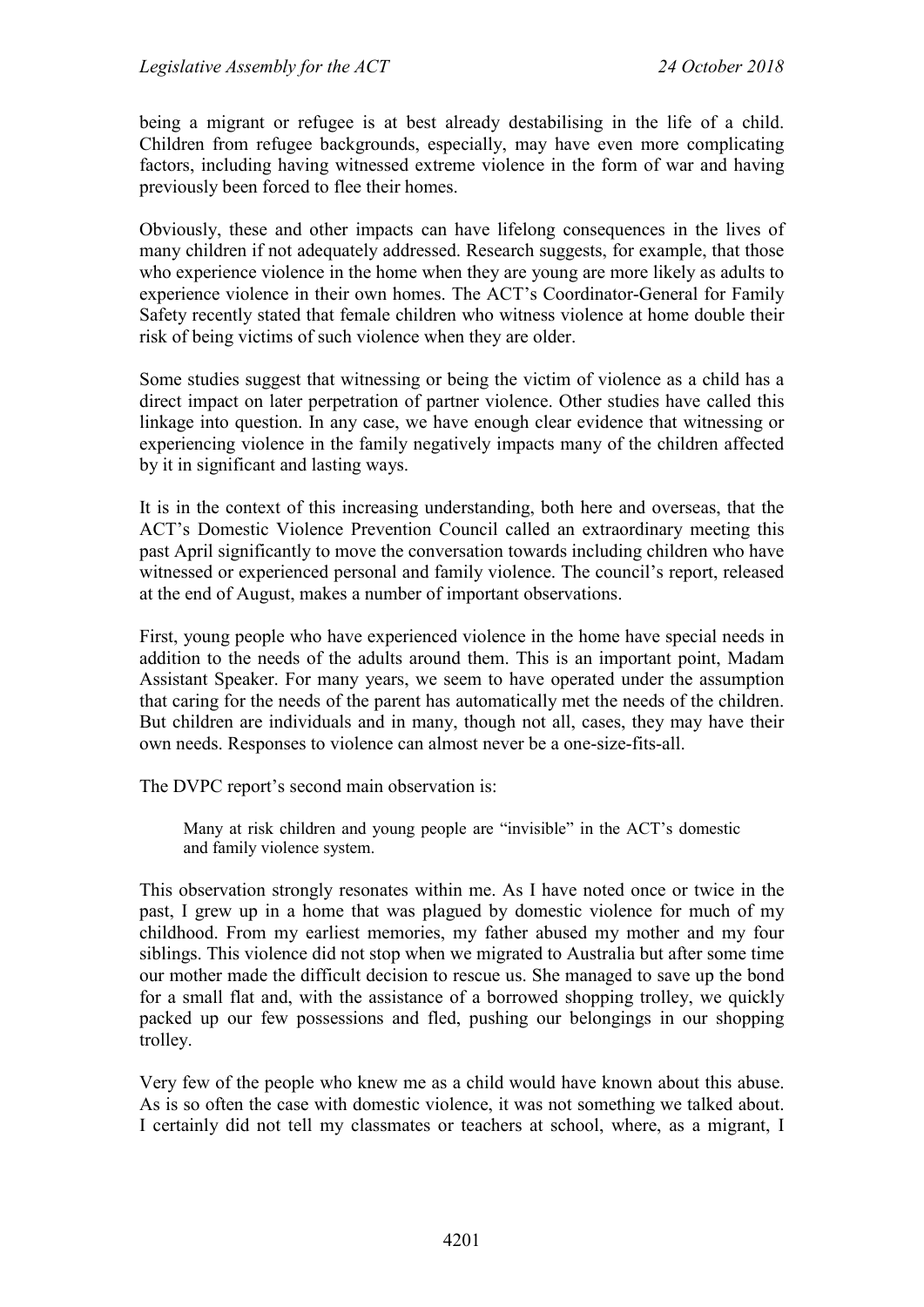being a migrant or refugee is at best already destabilising in the life of a child. Children from refugee backgrounds, especially, may have even more complicating factors, including having witnessed extreme violence in the form of war and having previously been forced to flee their homes.

Obviously, these and other impacts can have lifelong consequences in the lives of many children if not adequately addressed. Research suggests, for example, that those who experience violence in the home when they are young are more likely as adults to experience violence in their own homes. The ACT's Coordinator-General for Family Safety recently stated that female children who witness violence at home double their risk of being victims of such violence when they are older.

Some studies suggest that witnessing or being the victim of violence as a child has a direct impact on later perpetration of partner violence. Other studies have called this linkage into question. In any case, we have enough clear evidence that witnessing or experiencing violence in the family negatively impacts many of the children affected by it in significant and lasting ways.

It is in the context of this increasing understanding, both here and overseas, that the ACT's Domestic Violence Prevention Council called an extraordinary meeting this past April significantly to move the conversation towards including children who have witnessed or experienced personal and family violence. The council's report, released at the end of August, makes a number of important observations.

First, young people who have experienced violence in the home have special needs in addition to the needs of the adults around them. This is an important point, Madam Assistant Speaker. For many years, we seem to have operated under the assumption that caring for the needs of the parent has automatically met the needs of the children. But children are individuals and in many, though not all, cases, they may have their own needs. Responses to violence can almost never be a one-size-fits-all.

The DVPC report's second main observation is:

Many at risk children and young people are "invisible" in the ACT's domestic and family violence system.

This observation strongly resonates within me. As I have noted once or twice in the past, I grew up in a home that was plagued by domestic violence for much of my childhood. From my earliest memories, my father abused my mother and my four siblings. This violence did not stop when we migrated to Australia but after some time our mother made the difficult decision to rescue us. She managed to save up the bond for a small flat and, with the assistance of a borrowed shopping trolley, we quickly packed up our few possessions and fled, pushing our belongings in our shopping trolley.

Very few of the people who knew me as a child would have known about this abuse. As is so often the case with domestic violence, it was not something we talked about. I certainly did not tell my classmates or teachers at school, where, as a migrant, I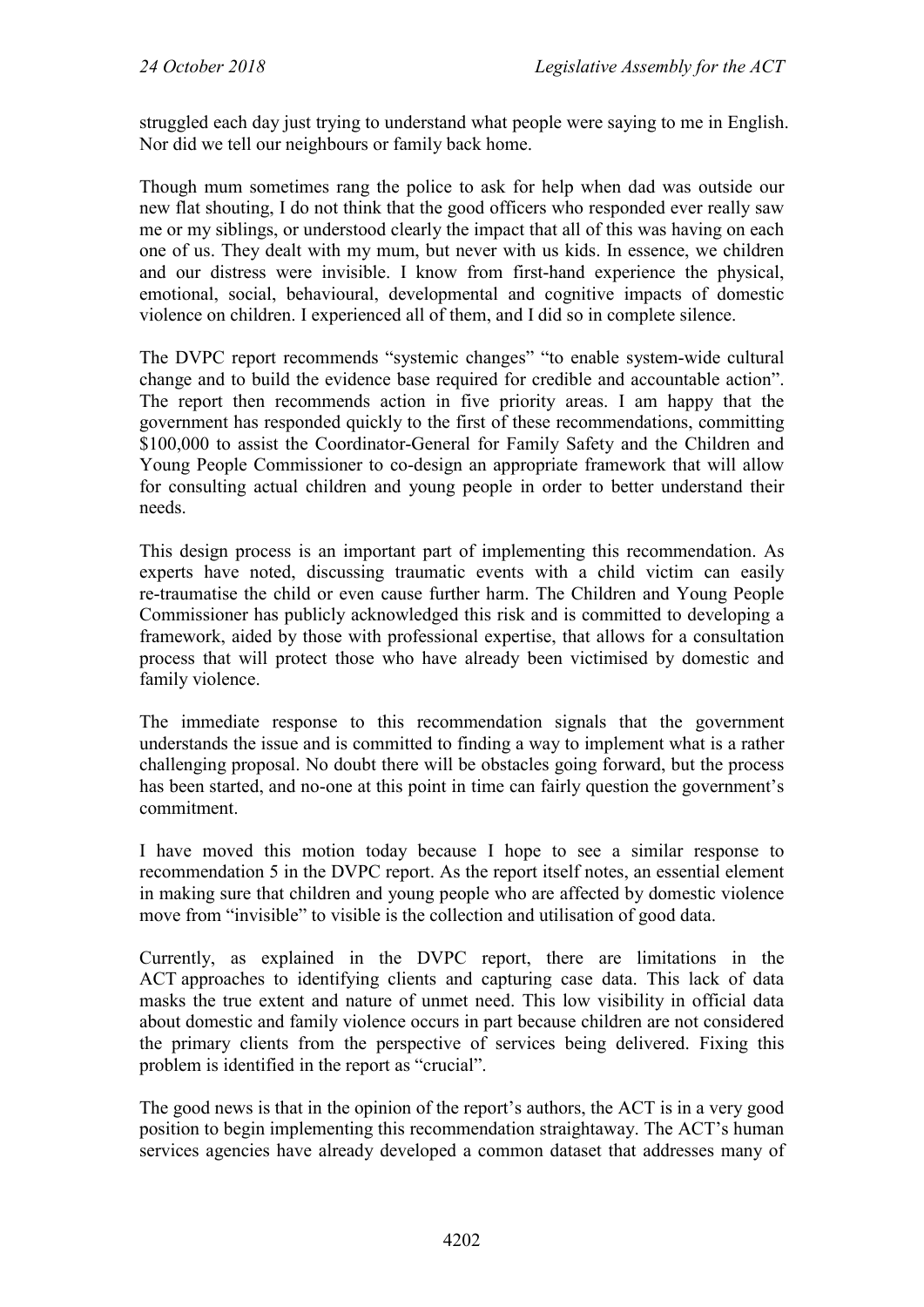struggled each day just trying to understand what people were saying to me in English. Nor did we tell our neighbours or family back home.

Though mum sometimes rang the police to ask for help when dad was outside our new flat shouting, I do not think that the good officers who responded ever really saw me or my siblings, or understood clearly the impact that all of this was having on each one of us. They dealt with my mum, but never with us kids. In essence, we children and our distress were invisible. I know from first-hand experience the physical, emotional, social, behavioural, developmental and cognitive impacts of domestic violence on children. I experienced all of them, and I did so in complete silence.

The DVPC report recommends "systemic changes" "to enable system-wide cultural change and to build the evidence base required for credible and accountable action". The report then recommends action in five priority areas. I am happy that the government has responded quickly to the first of these recommendations, committing \$100,000 to assist the Coordinator-General for Family Safety and the Children and Young People Commissioner to co-design an appropriate framework that will allow for consulting actual children and young people in order to better understand their needs.

This design process is an important part of implementing this recommendation. As experts have noted, discussing traumatic events with a child victim can easily re-traumatise the child or even cause further harm. The Children and Young People Commissioner has publicly acknowledged this risk and is committed to developing a framework, aided by those with professional expertise, that allows for a consultation process that will protect those who have already been victimised by domestic and family violence.

The immediate response to this recommendation signals that the government understands the issue and is committed to finding a way to implement what is a rather challenging proposal. No doubt there will be obstacles going forward, but the process has been started, and no-one at this point in time can fairly question the government's commitment.

I have moved this motion today because I hope to see a similar response to recommendation 5 in the DVPC report. As the report itself notes, an essential element in making sure that children and young people who are affected by domestic violence move from "invisible" to visible is the collection and utilisation of good data.

Currently, as explained in the DVPC report, there are limitations in the ACT approaches to identifying clients and capturing case data. This lack of data masks the true extent and nature of unmet need. This low visibility in official data about domestic and family violence occurs in part because children are not considered the primary clients from the perspective of services being delivered. Fixing this problem is identified in the report as "crucial".

The good news is that in the opinion of the report's authors, the ACT is in a very good position to begin implementing this recommendation straightaway. The ACT's human services agencies have already developed a common dataset that addresses many of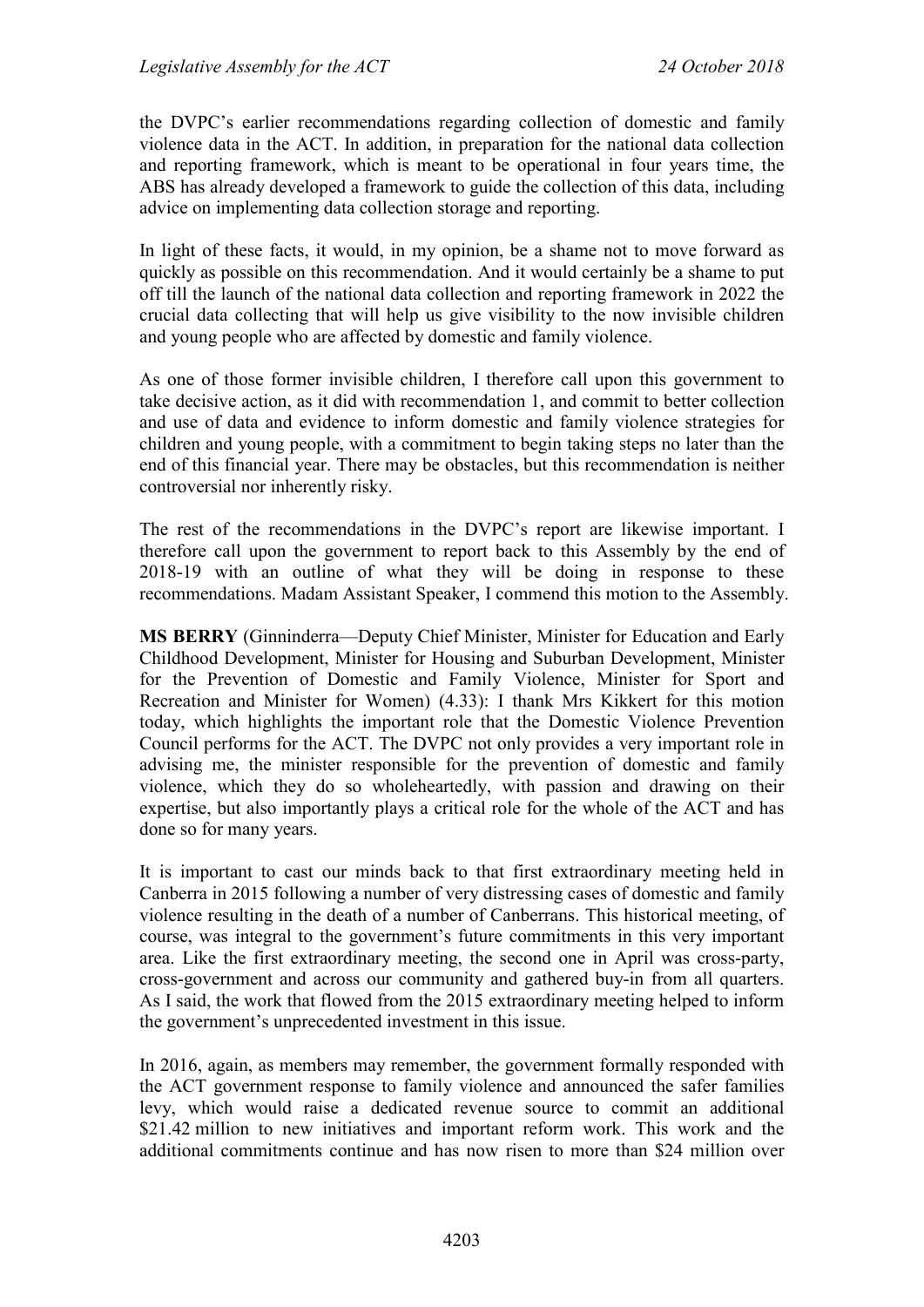the DVPC's earlier recommendations regarding collection of domestic and family violence data in the ACT. In addition, in preparation for the national data collection and reporting framework, which is meant to be operational in four years time, the ABS has already developed a framework to guide the collection of this data, including advice on implementing data collection storage and reporting.

In light of these facts, it would, in my opinion, be a shame not to move forward as quickly as possible on this recommendation. And it would certainly be a shame to put off till the launch of the national data collection and reporting framework in 2022 the crucial data collecting that will help us give visibility to the now invisible children and young people who are affected by domestic and family violence.

As one of those former invisible children, I therefore call upon this government to take decisive action, as it did with recommendation 1, and commit to better collection and use of data and evidence to inform domestic and family violence strategies for children and young people, with a commitment to begin taking steps no later than the end of this financial year. There may be obstacles, but this recommendation is neither controversial nor inherently risky.

The rest of the recommendations in the DVPC's report are likewise important. I therefore call upon the government to report back to this Assembly by the end of 2018-19 with an outline of what they will be doing in response to these recommendations. Madam Assistant Speaker, I commend this motion to the Assembly.

**MS BERRY** (Ginninderra—Deputy Chief Minister, Minister for Education and Early Childhood Development, Minister for Housing and Suburban Development, Minister for the Prevention of Domestic and Family Violence, Minister for Sport and Recreation and Minister for Women) (4.33): I thank Mrs Kikkert for this motion today, which highlights the important role that the Domestic Violence Prevention Council performs for the ACT. The DVPC not only provides a very important role in advising me, the minister responsible for the prevention of domestic and family violence, which they do so wholeheartedly, with passion and drawing on their expertise, but also importantly plays a critical role for the whole of the ACT and has done so for many years.

It is important to cast our minds back to that first extraordinary meeting held in Canberra in 2015 following a number of very distressing cases of domestic and family violence resulting in the death of a number of Canberrans. This historical meeting, of course, was integral to the government's future commitments in this very important area. Like the first extraordinary meeting, the second one in April was cross-party, cross-government and across our community and gathered buy-in from all quarters. As I said, the work that flowed from the 2015 extraordinary meeting helped to inform the government's unprecedented investment in this issue.

In 2016, again, as members may remember, the government formally responded with the ACT government response to family violence and announced the safer families levy, which would raise a dedicated revenue source to commit an additional \$21.42 million to new initiatives and important reform work. This work and the additional commitments continue and has now risen to more than \$24 million over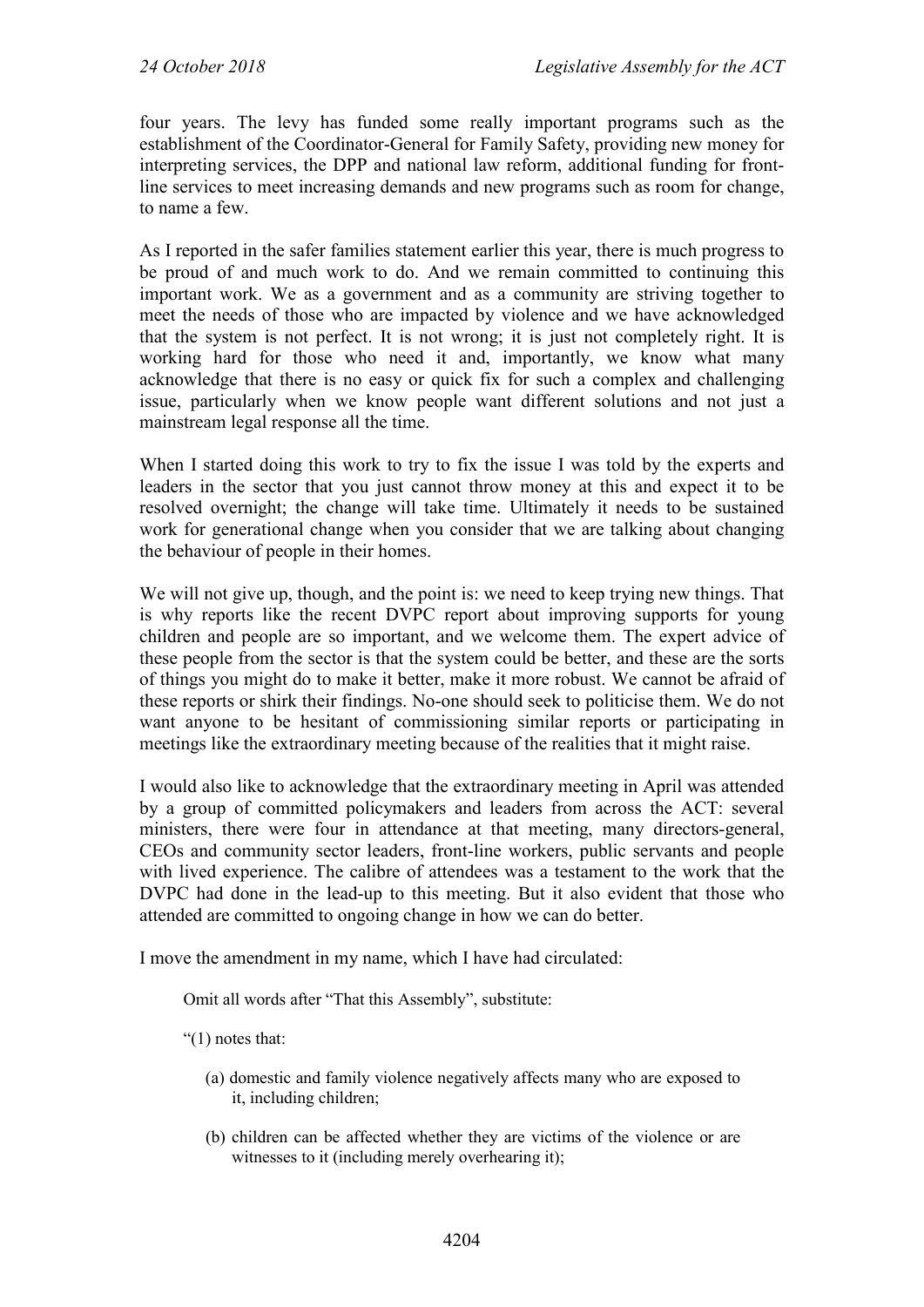four years. The levy has funded some really important programs such as the establishment of the Coordinator-General for Family Safety, providing new money for interpreting services, the DPP and national law reform, additional funding for frontline services to meet increasing demands and new programs such as room for change, to name a few.

As I reported in the safer families statement earlier this year, there is much progress to be proud of and much work to do. And we remain committed to continuing this important work. We as a government and as a community are striving together to meet the needs of those who are impacted by violence and we have acknowledged that the system is not perfect. It is not wrong; it is just not completely right. It is working hard for those who need it and, importantly, we know what many acknowledge that there is no easy or quick fix for such a complex and challenging issue, particularly when we know people want different solutions and not just a mainstream legal response all the time.

When I started doing this work to try to fix the issue I was told by the experts and leaders in the sector that you just cannot throw money at this and expect it to be resolved overnight; the change will take time. Ultimately it needs to be sustained work for generational change when you consider that we are talking about changing the behaviour of people in their homes.

We will not give up, though, and the point is: we need to keep trying new things. That is why reports like the recent DVPC report about improving supports for young children and people are so important, and we welcome them. The expert advice of these people from the sector is that the system could be better, and these are the sorts of things you might do to make it better, make it more robust. We cannot be afraid of these reports or shirk their findings. No-one should seek to politicise them. We do not want anyone to be hesitant of commissioning similar reports or participating in meetings like the extraordinary meeting because of the realities that it might raise.

I would also like to acknowledge that the extraordinary meeting in April was attended by a group of committed policymakers and leaders from across the ACT: several ministers, there were four in attendance at that meeting, many directors-general, CEOs and community sector leaders, front-line workers, public servants and people with lived experience. The calibre of attendees was a testament to the work that the DVPC had done in the lead-up to this meeting. But it also evident that those who attended are committed to ongoing change in how we can do better.

I move the amendment in my name, which I have had circulated:

Omit all words after "That this Assembly", substitute:

"(1) notes that:

- (a) domestic and family violence negatively affects many who are exposed to it, including children;
- (b) children can be affected whether they are victims of the violence or are witnesses to it (including merely overhearing it);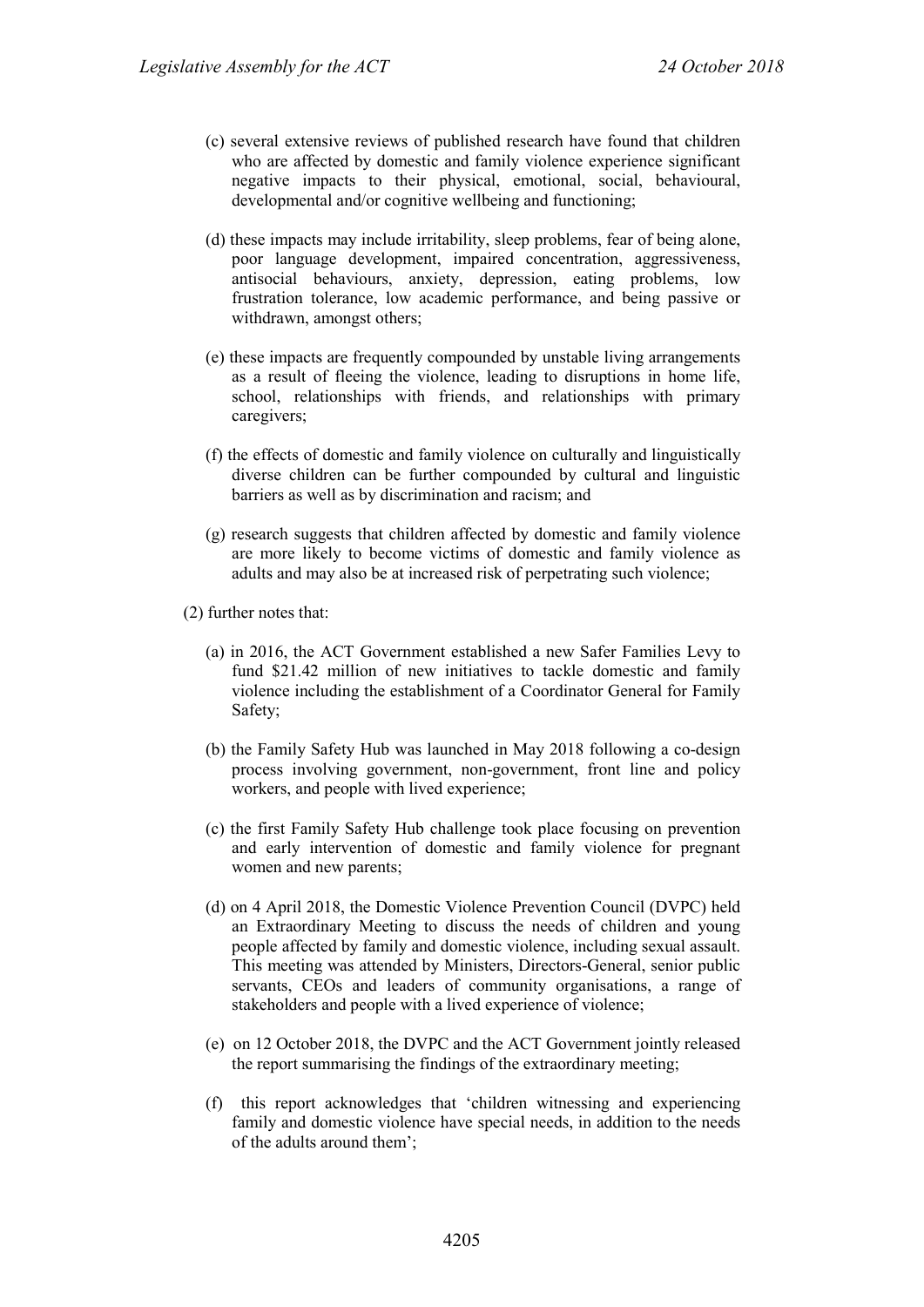- (c) several extensive reviews of published research have found that children who are affected by domestic and family violence experience significant negative impacts to their physical, emotional, social, behavioural, developmental and/or cognitive wellbeing and functioning;
- (d) these impacts may include irritability, sleep problems, fear of being alone, poor language development, impaired concentration, aggressiveness, antisocial behaviours, anxiety, depression, eating problems, low frustration tolerance, low academic performance, and being passive or withdrawn, amongst others;
- (e) these impacts are frequently compounded by unstable living arrangements as a result of fleeing the violence, leading to disruptions in home life, school, relationships with friends, and relationships with primary caregivers;
- (f) the effects of domestic and family violence on culturally and linguistically diverse children can be further compounded by cultural and linguistic barriers as well as by discrimination and racism; and
- (g) research suggests that children affected by domestic and family violence are more likely to become victims of domestic and family violence as adults and may also be at increased risk of perpetrating such violence;

(2) further notes that:

- (a) in 2016, the ACT Government established a new Safer Families Levy to fund \$21.42 million of new initiatives to tackle domestic and family violence including the establishment of a Coordinator General for Family Safety;
- (b) the Family Safety Hub was launched in May 2018 following a co-design process involving government, non-government, front line and policy workers, and people with lived experience;
- (c) the first Family Safety Hub challenge took place focusing on prevention and early intervention of domestic and family violence for pregnant women and new parents;
- (d) on 4 April 2018, the Domestic Violence Prevention Council (DVPC) held an Extraordinary Meeting to discuss the needs of children and young people affected by family and domestic violence, including sexual assault. This meeting was attended by Ministers, Directors-General, senior public servants, CEOs and leaders of community organisations, a range of stakeholders and people with a lived experience of violence;
- (e) on 12 October 2018, the DVPC and the ACT Government jointly released the report summarising the findings of the extraordinary meeting;
- (f) this report acknowledges that 'children witnessing and experiencing family and domestic violence have special needs, in addition to the needs of the adults around them';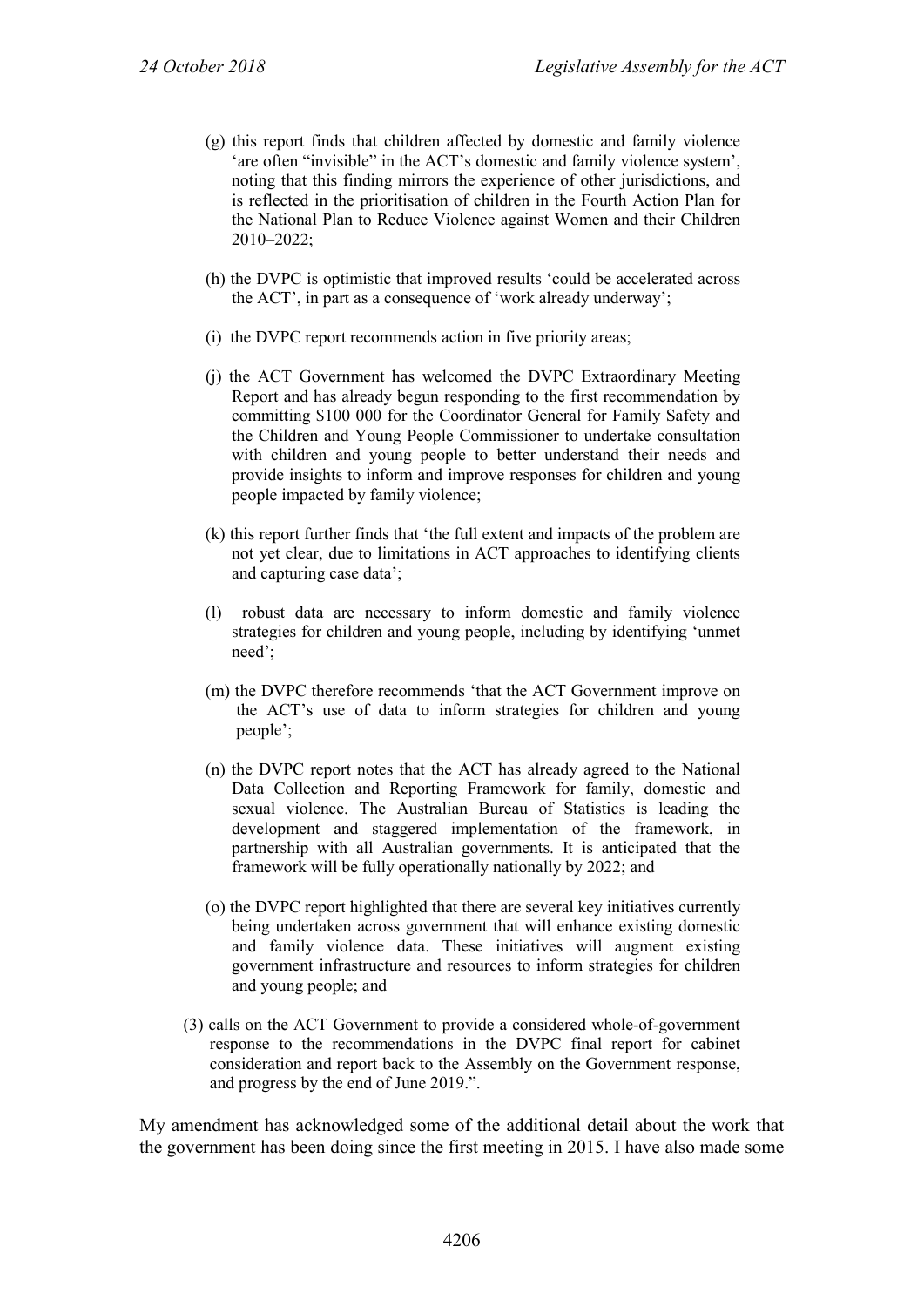- (g) this report finds that children affected by domestic and family violence 'are often "invisible" in the ACT's domestic and family violence system', noting that this finding mirrors the experience of other jurisdictions, and is reflected in the prioritisation of children in the Fourth Action Plan for the National Plan to Reduce Violence against Women and their Children 2010–2022;
- (h) the DVPC is optimistic that improved results 'could be accelerated across the ACT', in part as a consequence of 'work already underway';
- (i) the DVPC report recommends action in five priority areas;
- (j) the ACT Government has welcomed the DVPC Extraordinary Meeting Report and has already begun responding to the first recommendation by committing \$100 000 for the Coordinator General for Family Safety and the Children and Young People Commissioner to undertake consultation with children and young people to better understand their needs and provide insights to inform and improve responses for children and young people impacted by family violence;
- (k) this report further finds that 'the full extent and impacts of the problem are not yet clear, due to limitations in ACT approaches to identifying clients and capturing case data';
- (l) robust data are necessary to inform domestic and family violence strategies for children and young people, including by identifying 'unmet need';
- (m) the DVPC therefore recommends 'that the ACT Government improve on the ACT's use of data to inform strategies for children and young people';
- (n) the DVPC report notes that the ACT has already agreed to the National Data Collection and Reporting Framework for family, domestic and sexual violence. The Australian Bureau of Statistics is leading the development and staggered implementation of the framework, in partnership with all Australian governments. It is anticipated that the framework will be fully operationally nationally by 2022; and
- (o) the DVPC report highlighted that there are several key initiatives currently being undertaken across government that will enhance existing domestic and family violence data. These initiatives will augment existing government infrastructure and resources to inform strategies for children and young people; and
- (3) calls on the ACT Government to provide a considered whole-of-government response to the recommendations in the DVPC final report for cabinet consideration and report back to the Assembly on the Government response, and progress by the end of June 2019.".

My amendment has acknowledged some of the additional detail about the work that the government has been doing since the first meeting in 2015. I have also made some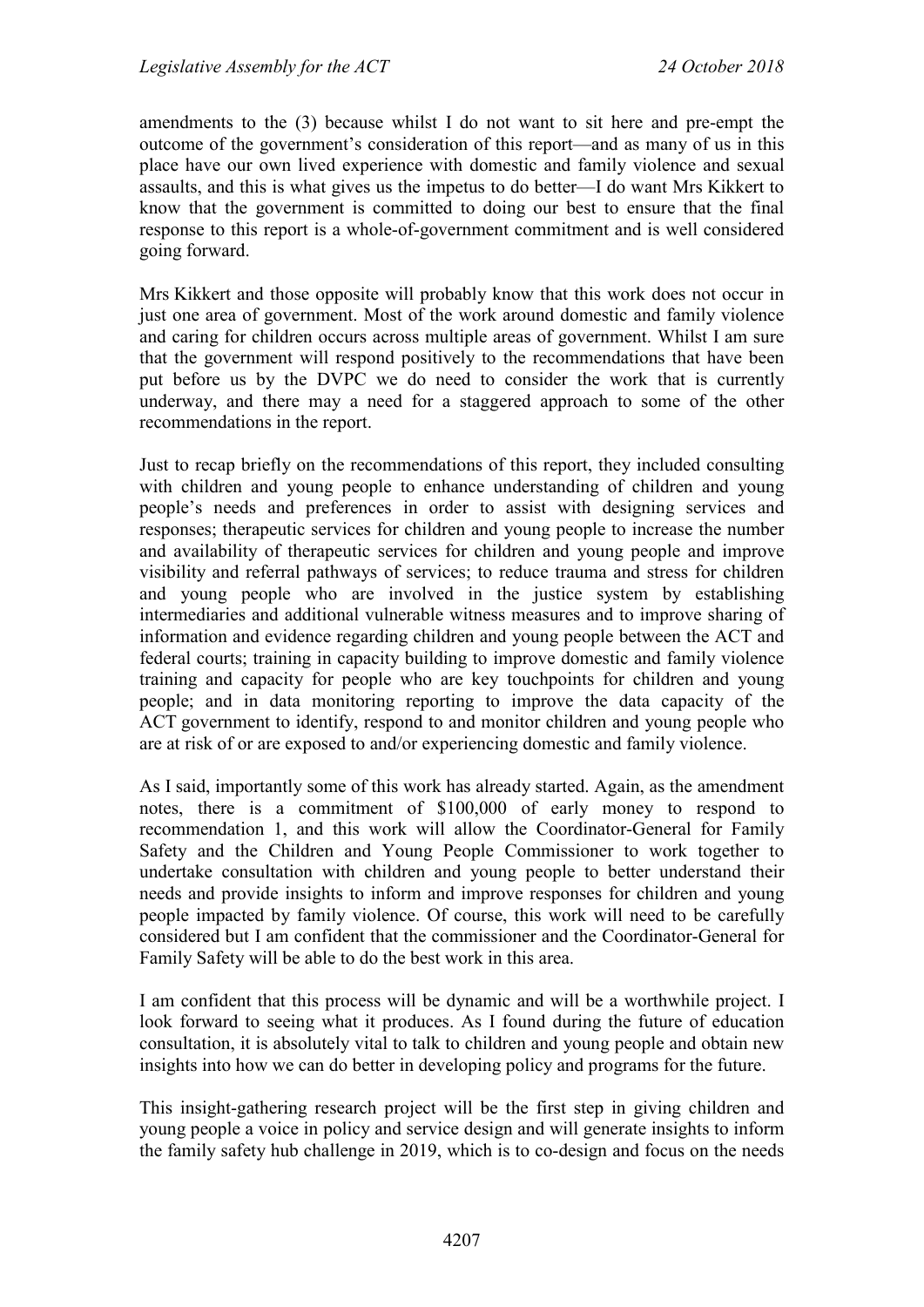amendments to the (3) because whilst I do not want to sit here and pre-empt the outcome of the government's consideration of this report—and as many of us in this place have our own lived experience with domestic and family violence and sexual assaults, and this is what gives us the impetus to do better—I do want Mrs Kikkert to know that the government is committed to doing our best to ensure that the final response to this report is a whole-of-government commitment and is well considered going forward.

Mrs Kikkert and those opposite will probably know that this work does not occur in just one area of government. Most of the work around domestic and family violence and caring for children occurs across multiple areas of government. Whilst I am sure that the government will respond positively to the recommendations that have been put before us by the DVPC we do need to consider the work that is currently underway, and there may a need for a staggered approach to some of the other recommendations in the report.

Just to recap briefly on the recommendations of this report, they included consulting with children and young people to enhance understanding of children and young people's needs and preferences in order to assist with designing services and responses; therapeutic services for children and young people to increase the number and availability of therapeutic services for children and young people and improve visibility and referral pathways of services; to reduce trauma and stress for children and young people who are involved in the justice system by establishing intermediaries and additional vulnerable witness measures and to improve sharing of information and evidence regarding children and young people between the ACT and federal courts; training in capacity building to improve domestic and family violence training and capacity for people who are key touchpoints for children and young people; and in data monitoring reporting to improve the data capacity of the ACT government to identify, respond to and monitor children and young people who are at risk of or are exposed to and/or experiencing domestic and family violence.

As I said, importantly some of this work has already started. Again, as the amendment notes, there is a commitment of \$100,000 of early money to respond to recommendation 1, and this work will allow the Coordinator-General for Family Safety and the Children and Young People Commissioner to work together to undertake consultation with children and young people to better understand their needs and provide insights to inform and improve responses for children and young people impacted by family violence. Of course, this work will need to be carefully considered but I am confident that the commissioner and the Coordinator-General for Family Safety will be able to do the best work in this area.

I am confident that this process will be dynamic and will be a worthwhile project. I look forward to seeing what it produces. As I found during the future of education consultation, it is absolutely vital to talk to children and young people and obtain new insights into how we can do better in developing policy and programs for the future.

This insight-gathering research project will be the first step in giving children and young people a voice in policy and service design and will generate insights to inform the family safety hub challenge in 2019, which is to co-design and focus on the needs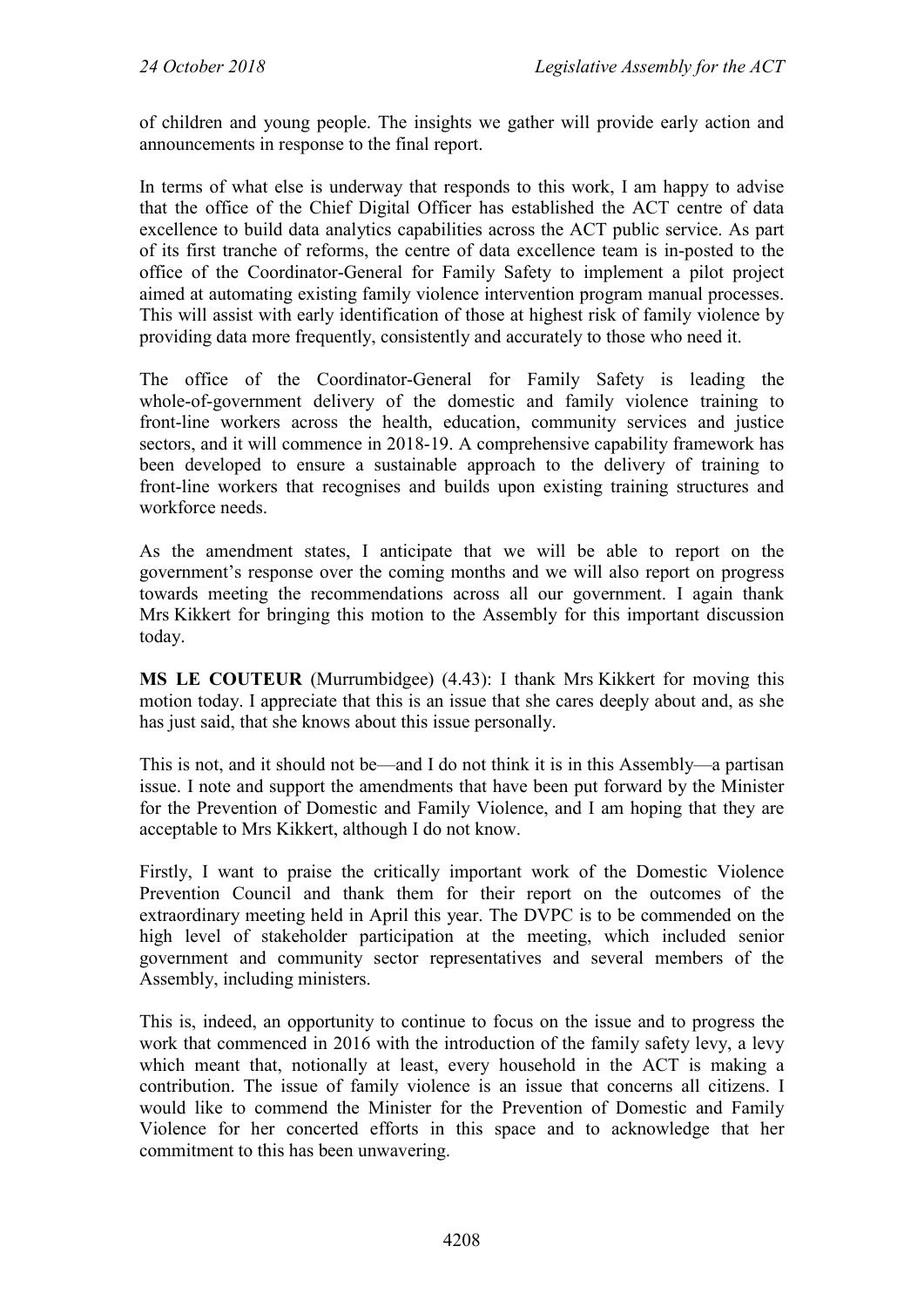of children and young people. The insights we gather will provide early action and announcements in response to the final report.

In terms of what else is underway that responds to this work, I am happy to advise that the office of the Chief Digital Officer has established the ACT centre of data excellence to build data analytics capabilities across the ACT public service. As part of its first tranche of reforms, the centre of data excellence team is in-posted to the office of the Coordinator-General for Family Safety to implement a pilot project aimed at automating existing family violence intervention program manual processes. This will assist with early identification of those at highest risk of family violence by providing data more frequently, consistently and accurately to those who need it.

The office of the Coordinator-General for Family Safety is leading the whole-of-government delivery of the domestic and family violence training to front-line workers across the health, education, community services and justice sectors, and it will commence in 2018-19. A comprehensive capability framework has been developed to ensure a sustainable approach to the delivery of training to front-line workers that recognises and builds upon existing training structures and workforce needs.

As the amendment states, I anticipate that we will be able to report on the government's response over the coming months and we will also report on progress towards meeting the recommendations across all our government. I again thank Mrs Kikkert for bringing this motion to the Assembly for this important discussion today.

**MS LE COUTEUR** (Murrumbidgee) (4.43): I thank Mrs Kikkert for moving this motion today. I appreciate that this is an issue that she cares deeply about and, as she has just said, that she knows about this issue personally.

This is not, and it should not be—and I do not think it is in this Assembly—a partisan issue. I note and support the amendments that have been put forward by the Minister for the Prevention of Domestic and Family Violence, and I am hoping that they are acceptable to Mrs Kikkert, although I do not know.

Firstly, I want to praise the critically important work of the Domestic Violence Prevention Council and thank them for their report on the outcomes of the extraordinary meeting held in April this year. The DVPC is to be commended on the high level of stakeholder participation at the meeting, which included senior government and community sector representatives and several members of the Assembly, including ministers.

This is, indeed, an opportunity to continue to focus on the issue and to progress the work that commenced in 2016 with the introduction of the family safety levy, a levy which meant that, notionally at least, every household in the ACT is making a contribution. The issue of family violence is an issue that concerns all citizens. I would like to commend the Minister for the Prevention of Domestic and Family Violence for her concerted efforts in this space and to acknowledge that her commitment to this has been unwavering.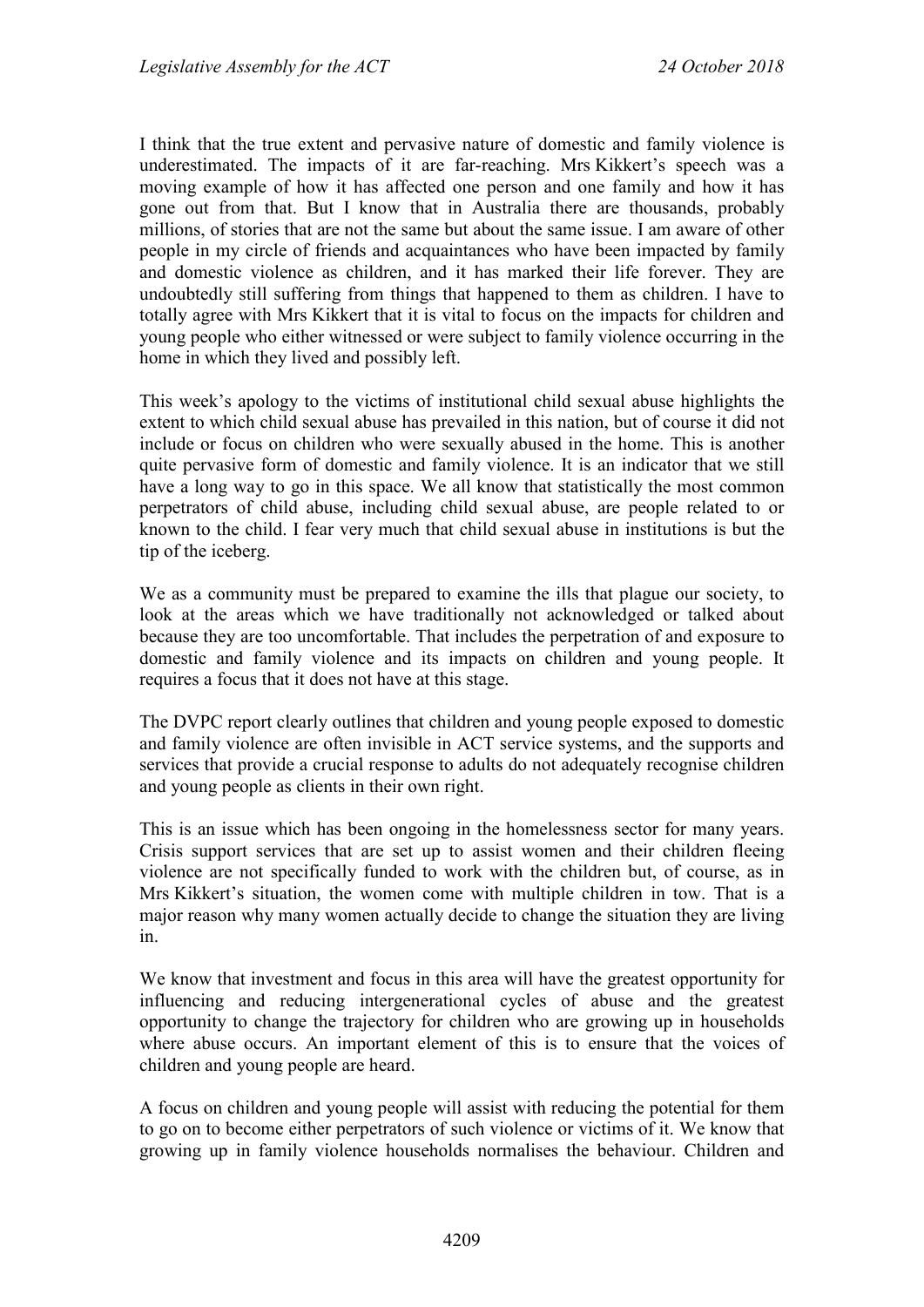I think that the true extent and pervasive nature of domestic and family violence is underestimated. The impacts of it are far-reaching. Mrs Kikkert's speech was a moving example of how it has affected one person and one family and how it has gone out from that. But I know that in Australia there are thousands, probably millions, of stories that are not the same but about the same issue. I am aware of other people in my circle of friends and acquaintances who have been impacted by family and domestic violence as children, and it has marked their life forever. They are undoubtedly still suffering from things that happened to them as children. I have to totally agree with Mrs Kikkert that it is vital to focus on the impacts for children and young people who either witnessed or were subject to family violence occurring in the home in which they lived and possibly left.

This week's apology to the victims of institutional child sexual abuse highlights the extent to which child sexual abuse has prevailed in this nation, but of course it did not include or focus on children who were sexually abused in the home. This is another quite pervasive form of domestic and family violence. It is an indicator that we still have a long way to go in this space. We all know that statistically the most common perpetrators of child abuse, including child sexual abuse, are people related to or known to the child. I fear very much that child sexual abuse in institutions is but the tip of the iceberg.

We as a community must be prepared to examine the ills that plague our society, to look at the areas which we have traditionally not acknowledged or talked about because they are too uncomfortable. That includes the perpetration of and exposure to domestic and family violence and its impacts on children and young people. It requires a focus that it does not have at this stage.

The DVPC report clearly outlines that children and young people exposed to domestic and family violence are often invisible in ACT service systems, and the supports and services that provide a crucial response to adults do not adequately recognise children and young people as clients in their own right.

This is an issue which has been ongoing in the homelessness sector for many years. Crisis support services that are set up to assist women and their children fleeing violence are not specifically funded to work with the children but, of course, as in Mrs Kikkert's situation, the women come with multiple children in tow. That is a major reason why many women actually decide to change the situation they are living in.

We know that investment and focus in this area will have the greatest opportunity for influencing and reducing intergenerational cycles of abuse and the greatest opportunity to change the trajectory for children who are growing up in households where abuse occurs. An important element of this is to ensure that the voices of children and young people are heard.

A focus on children and young people will assist with reducing the potential for them to go on to become either perpetrators of such violence or victims of it. We know that growing up in family violence households normalises the behaviour. Children and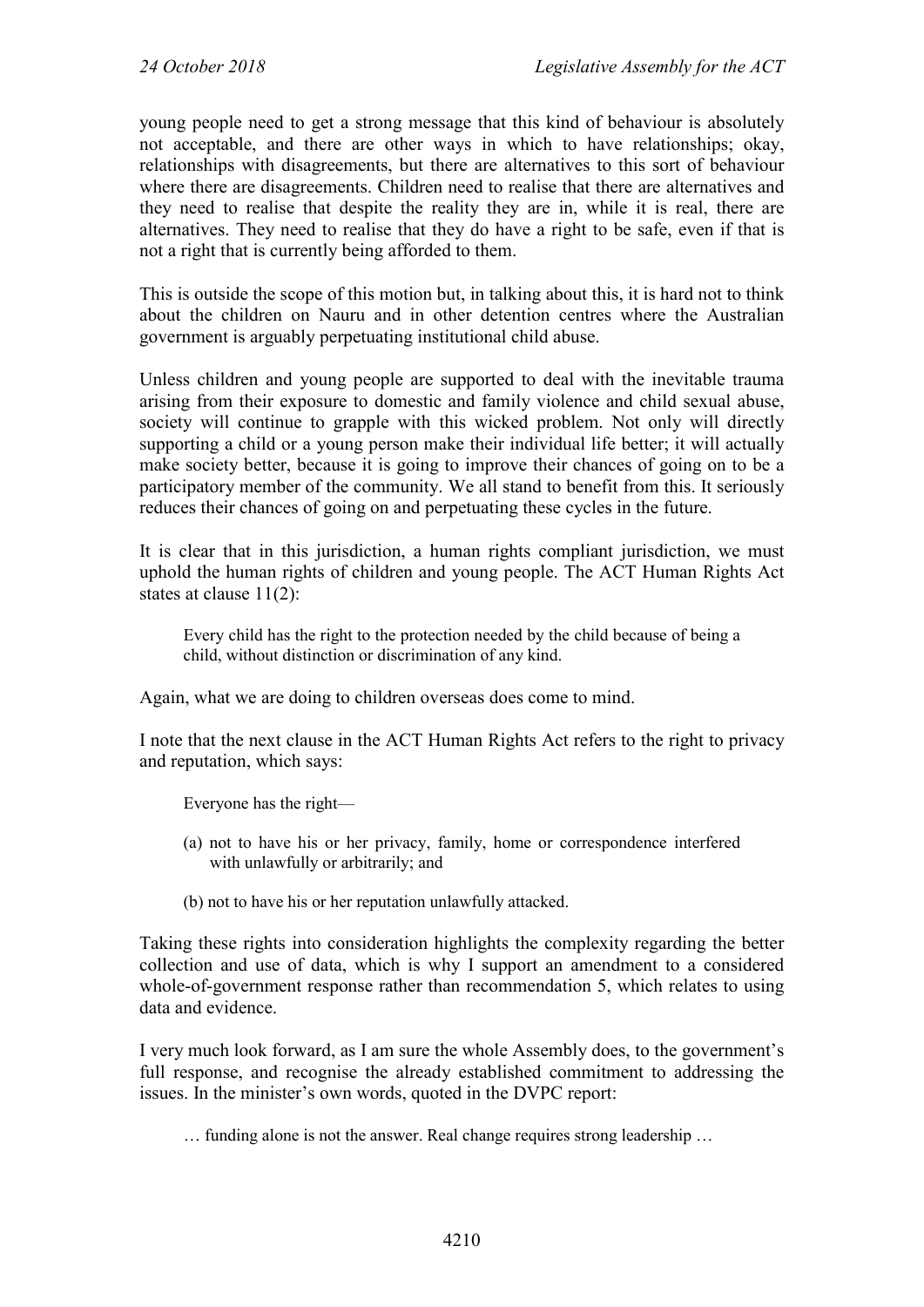young people need to get a strong message that this kind of behaviour is absolutely not acceptable, and there are other ways in which to have relationships; okay, relationships with disagreements, but there are alternatives to this sort of behaviour where there are disagreements. Children need to realise that there are alternatives and they need to realise that despite the reality they are in, while it is real, there are alternatives. They need to realise that they do have a right to be safe, even if that is not a right that is currently being afforded to them.

This is outside the scope of this motion but, in talking about this, it is hard not to think about the children on Nauru and in other detention centres where the Australian government is arguably perpetuating institutional child abuse.

Unless children and young people are supported to deal with the inevitable trauma arising from their exposure to domestic and family violence and child sexual abuse, society will continue to grapple with this wicked problem. Not only will directly supporting a child or a young person make their individual life better; it will actually make society better, because it is going to improve their chances of going on to be a participatory member of the community. We all stand to benefit from this. It seriously reduces their chances of going on and perpetuating these cycles in the future.

It is clear that in this jurisdiction, a human rights compliant jurisdiction, we must uphold the human rights of children and young people. The ACT Human Rights Act states at clause 11(2):

Every child has the right to the protection needed by the child because of being a child, without distinction or discrimination of any kind.

Again, what we are doing to children overseas does come to mind.

I note that the next clause in the ACT Human Rights Act refers to the right to privacy and reputation, which says:

Everyone has the right—

- (a) not to have his or her privacy, family, home or correspondence interfered with unlawfully or arbitrarily; and
- (b) not to have his or her reputation unlawfully attacked.

Taking these rights into consideration highlights the complexity regarding the better collection and use of data, which is why I support an amendment to a considered whole-of-government response rather than recommendation 5, which relates to using data and evidence.

I very much look forward, as I am sure the whole Assembly does, to the government's full response, and recognise the already established commitment to addressing the issues. In the minister's own words, quoted in the DVPC report:

… funding alone is not the answer. Real change requires strong leadership …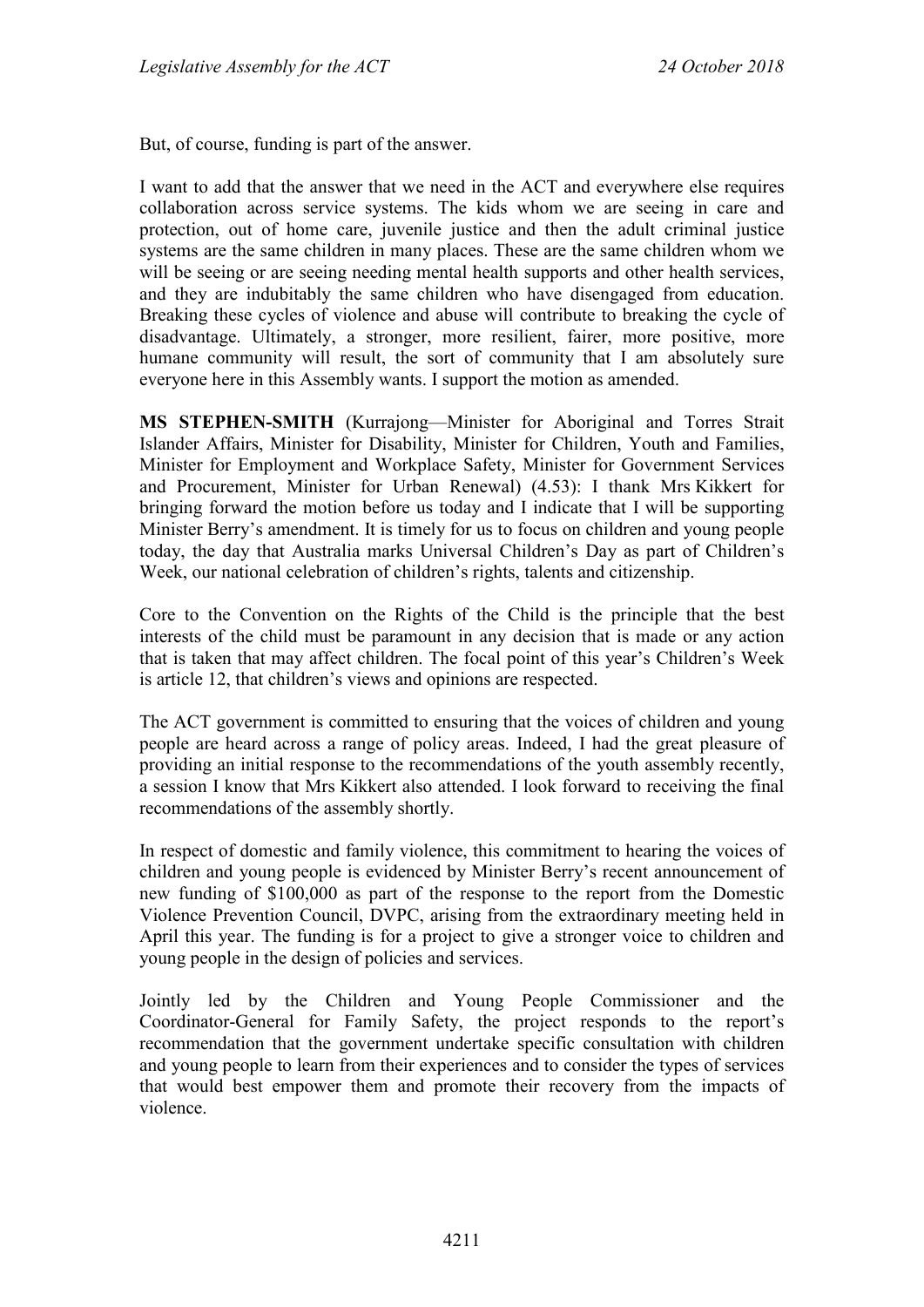But, of course, funding is part of the answer.

I want to add that the answer that we need in the ACT and everywhere else requires collaboration across service systems. The kids whom we are seeing in care and protection, out of home care, juvenile justice and then the adult criminal justice systems are the same children in many places. These are the same children whom we will be seeing or are seeing needing mental health supports and other health services, and they are indubitably the same children who have disengaged from education. Breaking these cycles of violence and abuse will contribute to breaking the cycle of disadvantage. Ultimately, a stronger, more resilient, fairer, more positive, more humane community will result, the sort of community that I am absolutely sure everyone here in this Assembly wants. I support the motion as amended.

**MS STEPHEN-SMITH** (Kurrajong—Minister for Aboriginal and Torres Strait Islander Affairs, Minister for Disability, Minister for Children, Youth and Families, Minister for Employment and Workplace Safety, Minister for Government Services and Procurement, Minister for Urban Renewal) (4.53): I thank Mrs Kikkert for bringing forward the motion before us today and I indicate that I will be supporting Minister Berry's amendment. It is timely for us to focus on children and young people today, the day that Australia marks Universal Children's Day as part of Children's Week, our national celebration of children's rights, talents and citizenship.

Core to the Convention on the Rights of the Child is the principle that the best interests of the child must be paramount in any decision that is made or any action that is taken that may affect children. The focal point of this year's Children's Week is article 12, that children's views and opinions are respected.

The ACT government is committed to ensuring that the voices of children and young people are heard across a range of policy areas. Indeed, I had the great pleasure of providing an initial response to the recommendations of the youth assembly recently, a session I know that Mrs Kikkert also attended. I look forward to receiving the final recommendations of the assembly shortly.

In respect of domestic and family violence, this commitment to hearing the voices of children and young people is evidenced by Minister Berry's recent announcement of new funding of \$100,000 as part of the response to the report from the Domestic Violence Prevention Council, DVPC, arising from the extraordinary meeting held in April this year. The funding is for a project to give a stronger voice to children and young people in the design of policies and services.

Jointly led by the Children and Young People Commissioner and the Coordinator-General for Family Safety, the project responds to the report's recommendation that the government undertake specific consultation with children and young people to learn from their experiences and to consider the types of services that would best empower them and promote their recovery from the impacts of violence.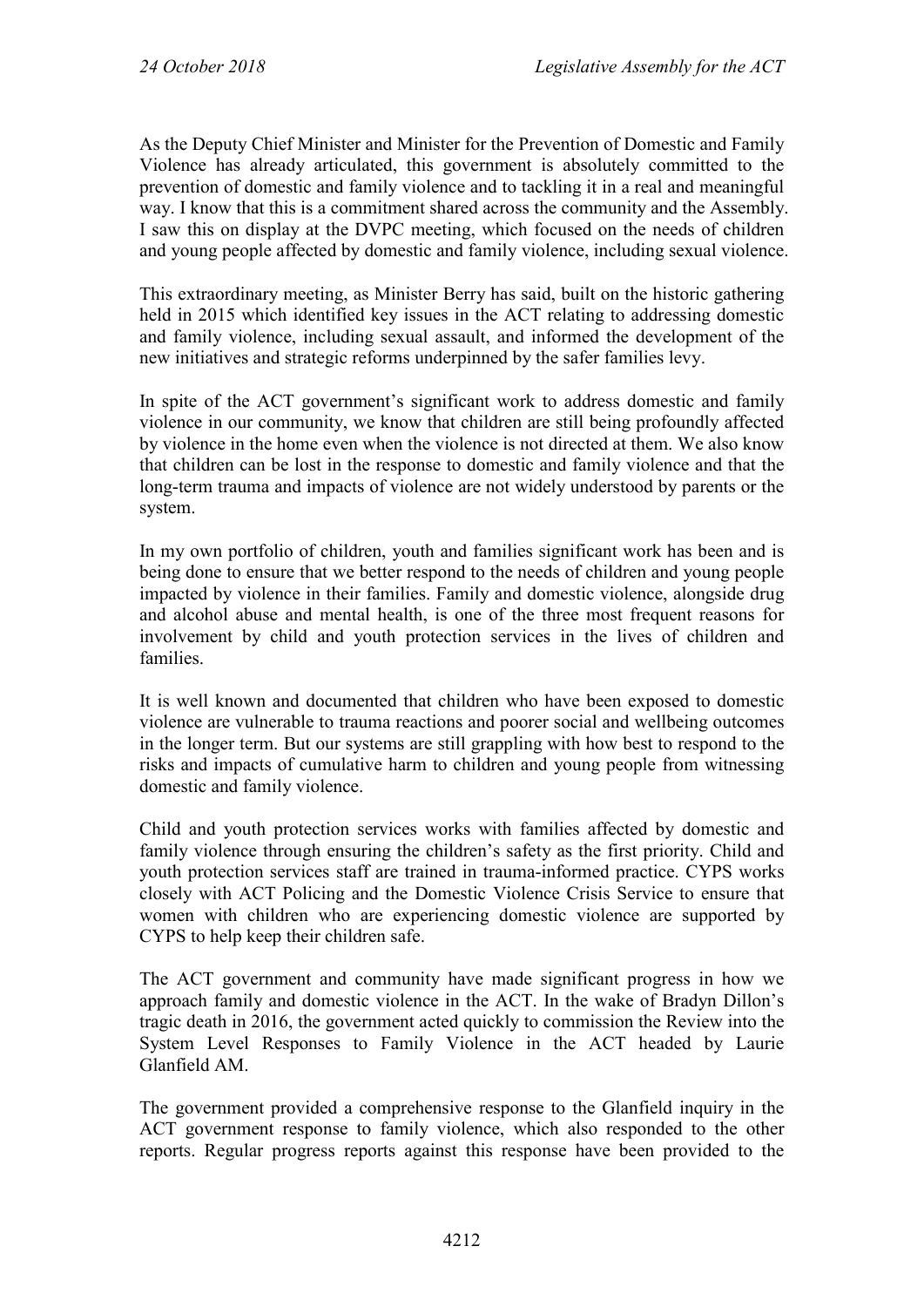As the Deputy Chief Minister and Minister for the Prevention of Domestic and Family Violence has already articulated, this government is absolutely committed to the prevention of domestic and family violence and to tackling it in a real and meaningful way. I know that this is a commitment shared across the community and the Assembly. I saw this on display at the DVPC meeting, which focused on the needs of children and young people affected by domestic and family violence, including sexual violence.

This extraordinary meeting, as Minister Berry has said, built on the historic gathering held in 2015 which identified key issues in the ACT relating to addressing domestic and family violence, including sexual assault, and informed the development of the new initiatives and strategic reforms underpinned by the safer families levy.

In spite of the ACT government's significant work to address domestic and family violence in our community, we know that children are still being profoundly affected by violence in the home even when the violence is not directed at them. We also know that children can be lost in the response to domestic and family violence and that the long-term trauma and impacts of violence are not widely understood by parents or the system.

In my own portfolio of children, youth and families significant work has been and is being done to ensure that we better respond to the needs of children and young people impacted by violence in their families. Family and domestic violence, alongside drug and alcohol abuse and mental health, is one of the three most frequent reasons for involvement by child and youth protection services in the lives of children and families.

It is well known and documented that children who have been exposed to domestic violence are vulnerable to trauma reactions and poorer social and wellbeing outcomes in the longer term. But our systems are still grappling with how best to respond to the risks and impacts of cumulative harm to children and young people from witnessing domestic and family violence.

Child and youth protection services works with families affected by domestic and family violence through ensuring the children's safety as the first priority. Child and youth protection services staff are trained in trauma-informed practice. CYPS works closely with ACT Policing and the Domestic Violence Crisis Service to ensure that women with children who are experiencing domestic violence are supported by CYPS to help keep their children safe.

The ACT government and community have made significant progress in how we approach family and domestic violence in the ACT. In the wake of Bradyn Dillon's tragic death in 2016, the government acted quickly to commission the Review into the System Level Responses to Family Violence in the ACT headed by Laurie Glanfield AM.

The government provided a comprehensive response to the Glanfield inquiry in the ACT government response to family violence, which also responded to the other reports. Regular progress reports against this response have been provided to the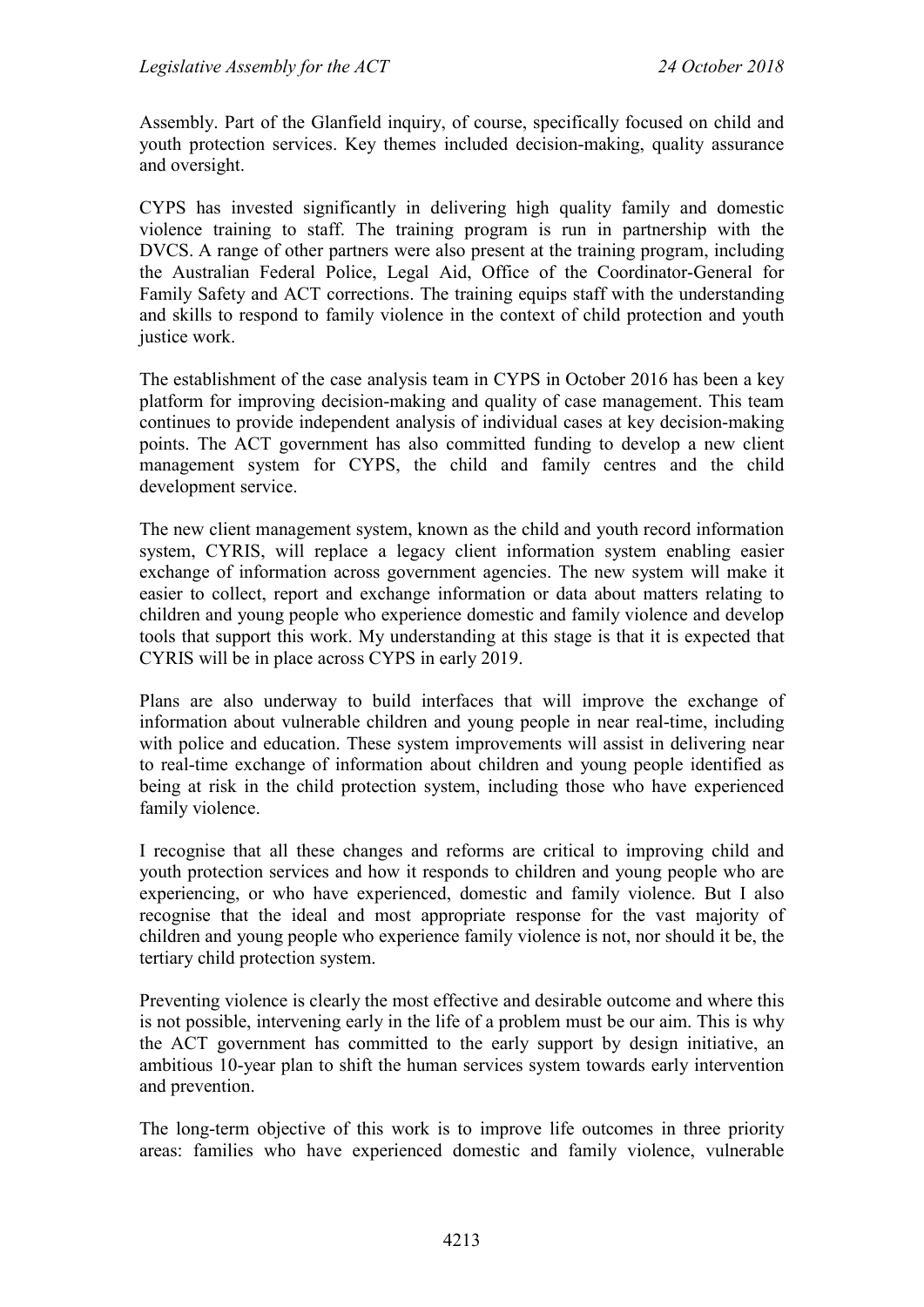Assembly. Part of the Glanfield inquiry, of course, specifically focused on child and youth protection services. Key themes included decision-making, quality assurance and oversight.

CYPS has invested significantly in delivering high quality family and domestic violence training to staff. The training program is run in partnership with the DVCS. A range of other partners were also present at the training program, including the Australian Federal Police, Legal Aid, Office of the Coordinator-General for Family Safety and ACT corrections. The training equips staff with the understanding and skills to respond to family violence in the context of child protection and youth justice work.

The establishment of the case analysis team in CYPS in October 2016 has been a key platform for improving decision-making and quality of case management. This team continues to provide independent analysis of individual cases at key decision-making points. The ACT government has also committed funding to develop a new client management system for CYPS, the child and family centres and the child development service.

The new client management system, known as the child and youth record information system, CYRIS, will replace a legacy client information system enabling easier exchange of information across government agencies. The new system will make it easier to collect, report and exchange information or data about matters relating to children and young people who experience domestic and family violence and develop tools that support this work. My understanding at this stage is that it is expected that CYRIS will be in place across CYPS in early 2019.

Plans are also underway to build interfaces that will improve the exchange of information about vulnerable children and young people in near real-time, including with police and education. These system improvements will assist in delivering near to real-time exchange of information about children and young people identified as being at risk in the child protection system, including those who have experienced family violence.

I recognise that all these changes and reforms are critical to improving child and youth protection services and how it responds to children and young people who are experiencing, or who have experienced, domestic and family violence. But I also recognise that the ideal and most appropriate response for the vast majority of children and young people who experience family violence is not, nor should it be, the tertiary child protection system.

Preventing violence is clearly the most effective and desirable outcome and where this is not possible, intervening early in the life of a problem must be our aim. This is why the ACT government has committed to the early support by design initiative, an ambitious 10-year plan to shift the human services system towards early intervention and prevention.

The long-term objective of this work is to improve life outcomes in three priority areas: families who have experienced domestic and family violence, vulnerable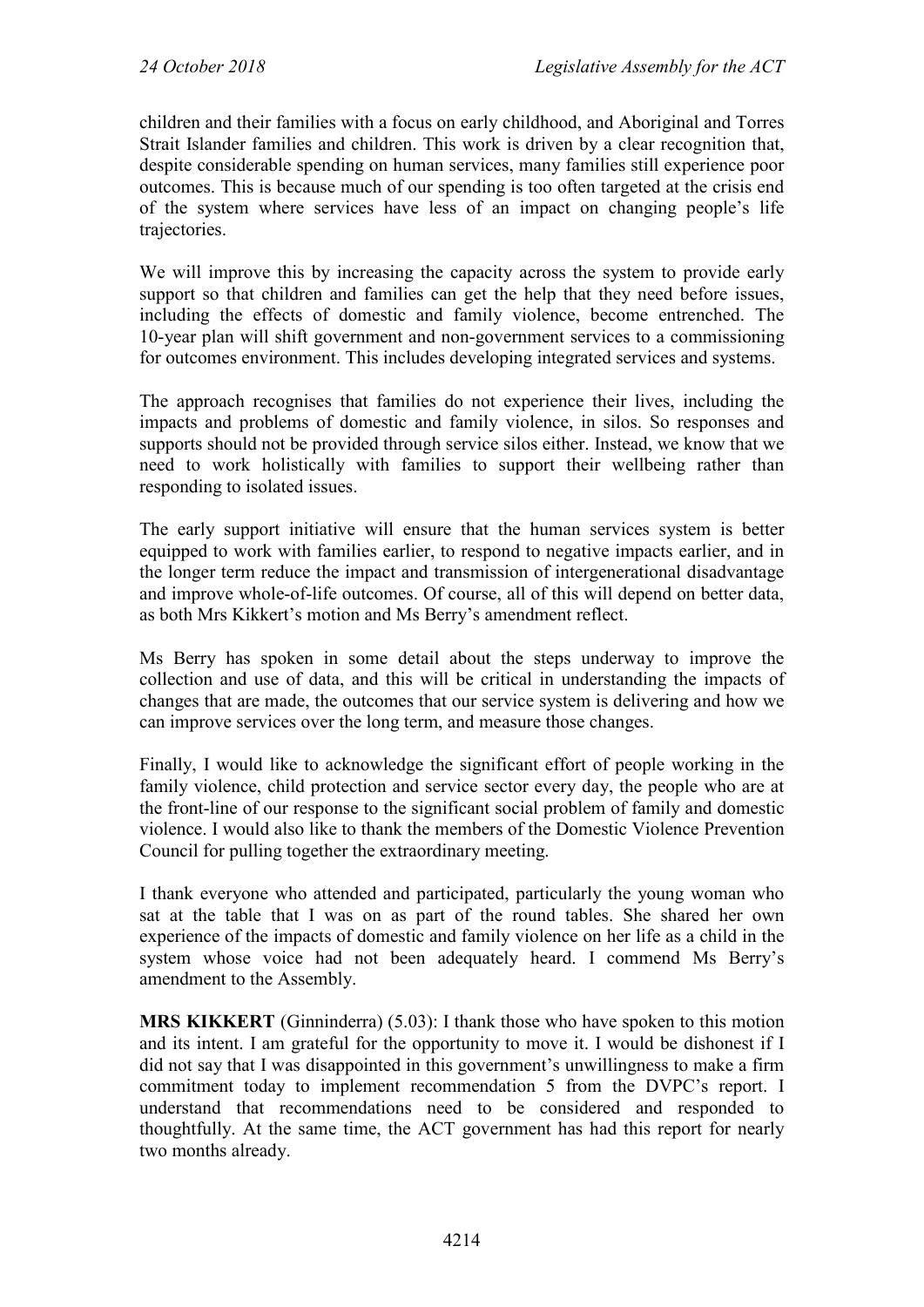children and their families with a focus on early childhood, and Aboriginal and Torres Strait Islander families and children. This work is driven by a clear recognition that, despite considerable spending on human services, many families still experience poor outcomes. This is because much of our spending is too often targeted at the crisis end of the system where services have less of an impact on changing people's life trajectories.

We will improve this by increasing the capacity across the system to provide early support so that children and families can get the help that they need before issues, including the effects of domestic and family violence, become entrenched. The 10-year plan will shift government and non-government services to a commissioning for outcomes environment. This includes developing integrated services and systems.

The approach recognises that families do not experience their lives, including the impacts and problems of domestic and family violence, in silos. So responses and supports should not be provided through service silos either. Instead, we know that we need to work holistically with families to support their wellbeing rather than responding to isolated issues.

The early support initiative will ensure that the human services system is better equipped to work with families earlier, to respond to negative impacts earlier, and in the longer term reduce the impact and transmission of intergenerational disadvantage and improve whole-of-life outcomes. Of course, all of this will depend on better data, as both Mrs Kikkert's motion and Ms Berry's amendment reflect.

Ms Berry has spoken in some detail about the steps underway to improve the collection and use of data, and this will be critical in understanding the impacts of changes that are made, the outcomes that our service system is delivering and how we can improve services over the long term, and measure those changes.

Finally, I would like to acknowledge the significant effort of people working in the family violence, child protection and service sector every day, the people who are at the front-line of our response to the significant social problem of family and domestic violence. I would also like to thank the members of the Domestic Violence Prevention Council for pulling together the extraordinary meeting.

I thank everyone who attended and participated, particularly the young woman who sat at the table that I was on as part of the round tables. She shared her own experience of the impacts of domestic and family violence on her life as a child in the system whose voice had not been adequately heard. I commend Ms Berry's amendment to the Assembly.

**MRS KIKKERT** (Ginninderra) (5.03): I thank those who have spoken to this motion and its intent. I am grateful for the opportunity to move it. I would be dishonest if I did not say that I was disappointed in this government's unwillingness to make a firm commitment today to implement recommendation 5 from the DVPC's report. I understand that recommendations need to be considered and responded to thoughtfully. At the same time, the ACT government has had this report for nearly two months already.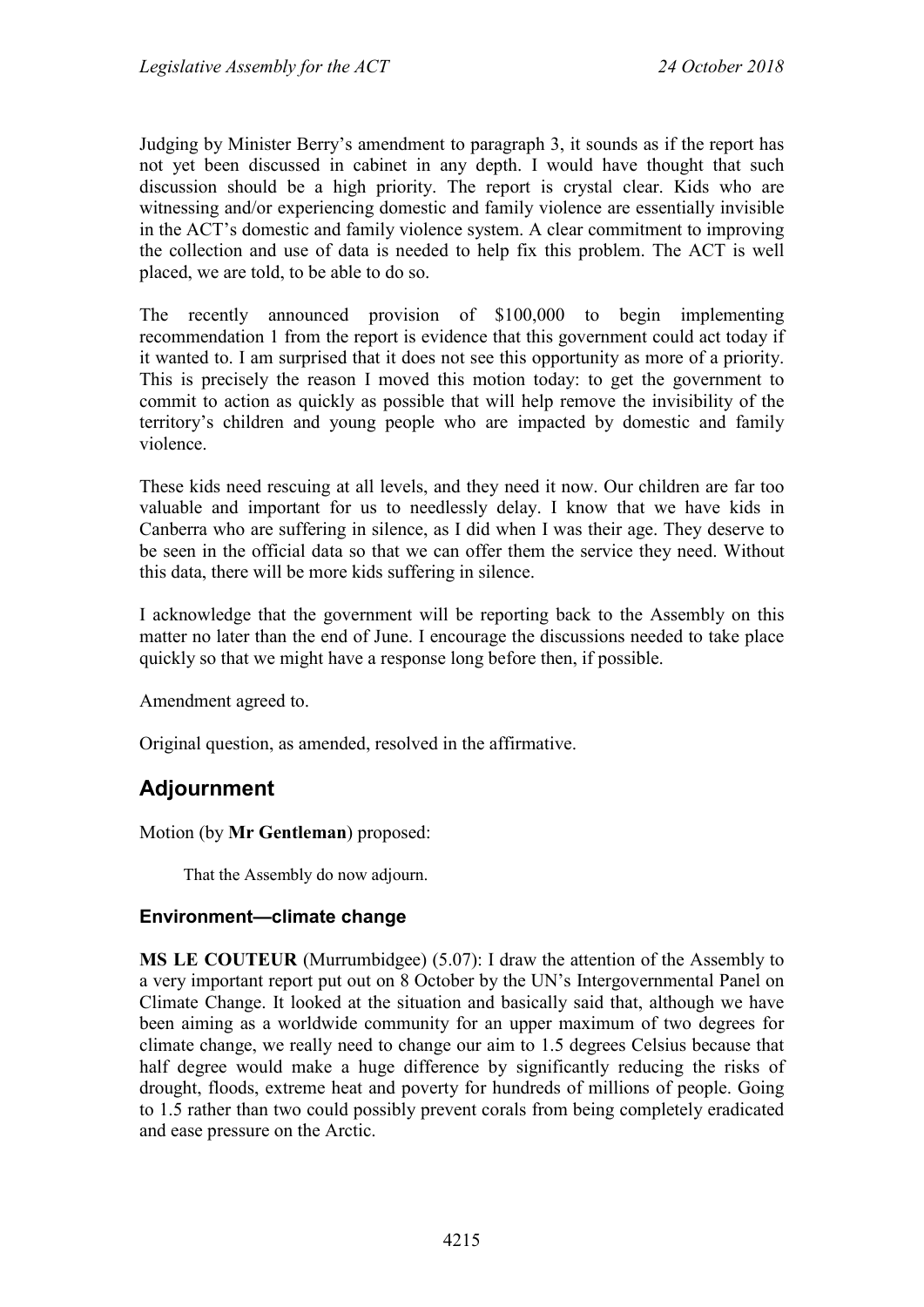Judging by Minister Berry's amendment to paragraph 3, it sounds as if the report has not yet been discussed in cabinet in any depth. I would have thought that such discussion should be a high priority. The report is crystal clear. Kids who are witnessing and/or experiencing domestic and family violence are essentially invisible in the ACT's domestic and family violence system. A clear commitment to improving the collection and use of data is needed to help fix this problem. The ACT is well placed, we are told, to be able to do so.

The recently announced provision of \$100,000 to begin implementing recommendation 1 from the report is evidence that this government could act today if it wanted to. I am surprised that it does not see this opportunity as more of a priority. This is precisely the reason I moved this motion today: to get the government to commit to action as quickly as possible that will help remove the invisibility of the territory's children and young people who are impacted by domestic and family violence.

These kids need rescuing at all levels, and they need it now. Our children are far too valuable and important for us to needlessly delay. I know that we have kids in Canberra who are suffering in silence, as I did when I was their age. They deserve to be seen in the official data so that we can offer them the service they need. Without this data, there will be more kids suffering in silence.

I acknowledge that the government will be reporting back to the Assembly on this matter no later than the end of June. I encourage the discussions needed to take place quickly so that we might have a response long before then, if possible.

Amendment agreed to.

Original question, as amended, resolved in the affirmative.

# **Adjournment**

Motion (by **Mr Gentleman**) proposed:

That the Assembly do now adjourn.

#### **Environment—climate change**

**MS LE COUTEUR** (Murrumbidgee) (5.07): I draw the attention of the Assembly to a very important report put out on 8 October by the UN's Intergovernmental Panel on Climate Change. It looked at the situation and basically said that, although we have been aiming as a worldwide community for an upper maximum of two degrees for climate change, we really need to change our aim to 1.5 degrees Celsius because that half degree would make a huge difference by significantly reducing the risks of drought, floods, extreme heat and poverty for hundreds of millions of people. Going to 1.5 rather than two could possibly prevent corals from being completely eradicated and ease pressure on the Arctic.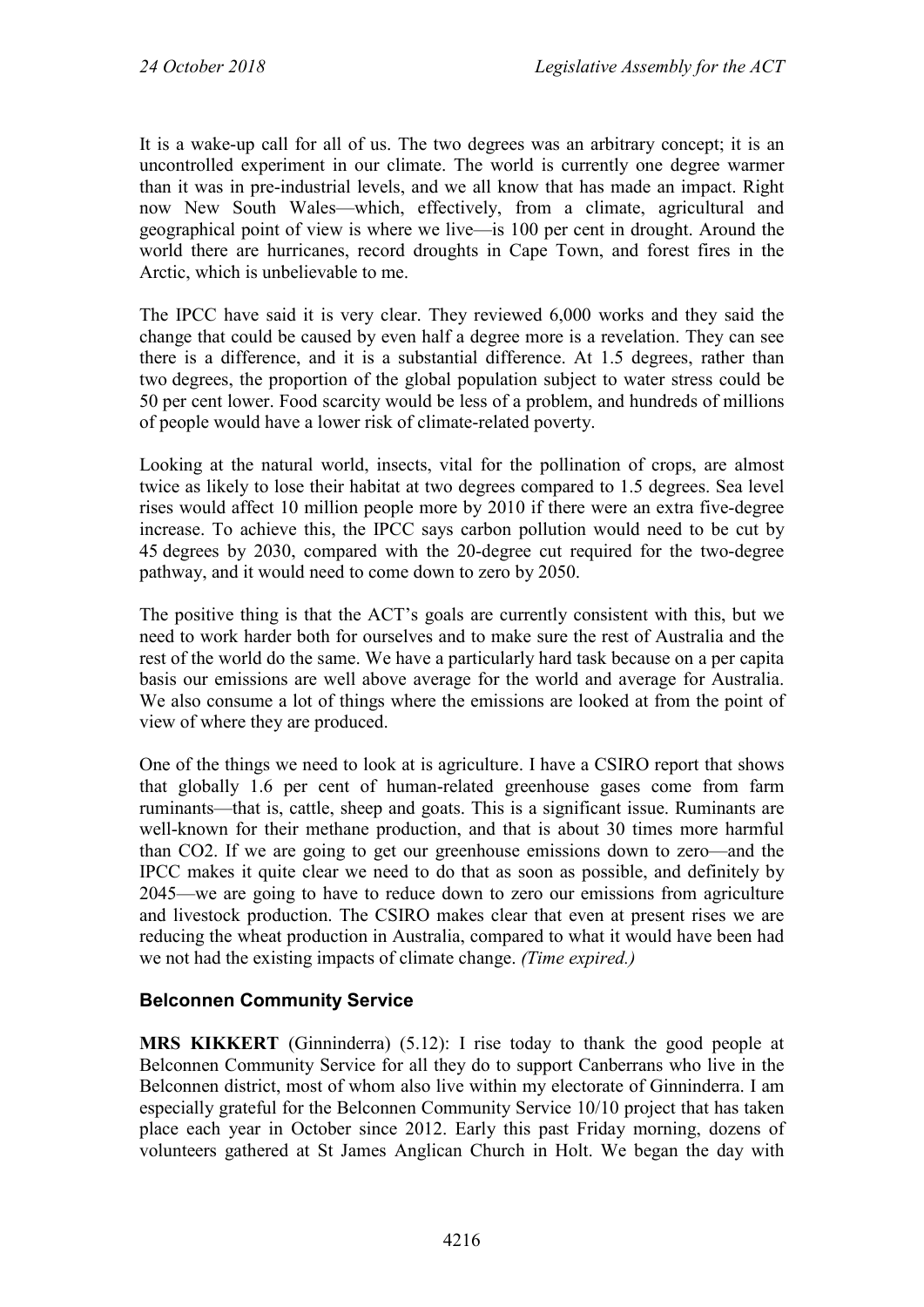It is a wake-up call for all of us. The two degrees was an arbitrary concept; it is an uncontrolled experiment in our climate. The world is currently one degree warmer than it was in pre-industrial levels, and we all know that has made an impact. Right now New South Wales—which, effectively, from a climate, agricultural and geographical point of view is where we live—is 100 per cent in drought. Around the world there are hurricanes, record droughts in Cape Town, and forest fires in the Arctic, which is unbelievable to me.

The IPCC have said it is very clear. They reviewed 6,000 works and they said the change that could be caused by even half a degree more is a revelation. They can see there is a difference, and it is a substantial difference. At 1.5 degrees, rather than two degrees, the proportion of the global population subject to water stress could be 50 per cent lower. Food scarcity would be less of a problem, and hundreds of millions of people would have a lower risk of climate-related poverty.

Looking at the natural world, insects, vital for the pollination of crops, are almost twice as likely to lose their habitat at two degrees compared to 1.5 degrees. Sea level rises would affect 10 million people more by 2010 if there were an extra five-degree increase. To achieve this, the IPCC says carbon pollution would need to be cut by 45 degrees by 2030, compared with the 20-degree cut required for the two-degree pathway, and it would need to come down to zero by 2050.

The positive thing is that the ACT's goals are currently consistent with this, but we need to work harder both for ourselves and to make sure the rest of Australia and the rest of the world do the same. We have a particularly hard task because on a per capita basis our emissions are well above average for the world and average for Australia. We also consume a lot of things where the emissions are looked at from the point of view of where they are produced.

One of the things we need to look at is agriculture. I have a CSIRO report that shows that globally 1.6 per cent of human-related greenhouse gases come from farm ruminants—that is, cattle, sheep and goats. This is a significant issue. Ruminants are well-known for their methane production, and that is about 30 times more harmful than CO2. If we are going to get our greenhouse emissions down to zero—and the IPCC makes it quite clear we need to do that as soon as possible, and definitely by 2045—we are going to have to reduce down to zero our emissions from agriculture and livestock production. The CSIRO makes clear that even at present rises we are reducing the wheat production in Australia, compared to what it would have been had we not had the existing impacts of climate change. *(Time expired.)*

#### **Belconnen Community Service**

**MRS KIKKERT** (Ginninderra) (5.12): I rise today to thank the good people at Belconnen Community Service for all they do to support Canberrans who live in the Belconnen district, most of whom also live within my electorate of Ginninderra. I am especially grateful for the Belconnen Community Service 10/10 project that has taken place each year in October since 2012. Early this past Friday morning, dozens of volunteers gathered at St James Anglican Church in Holt. We began the day with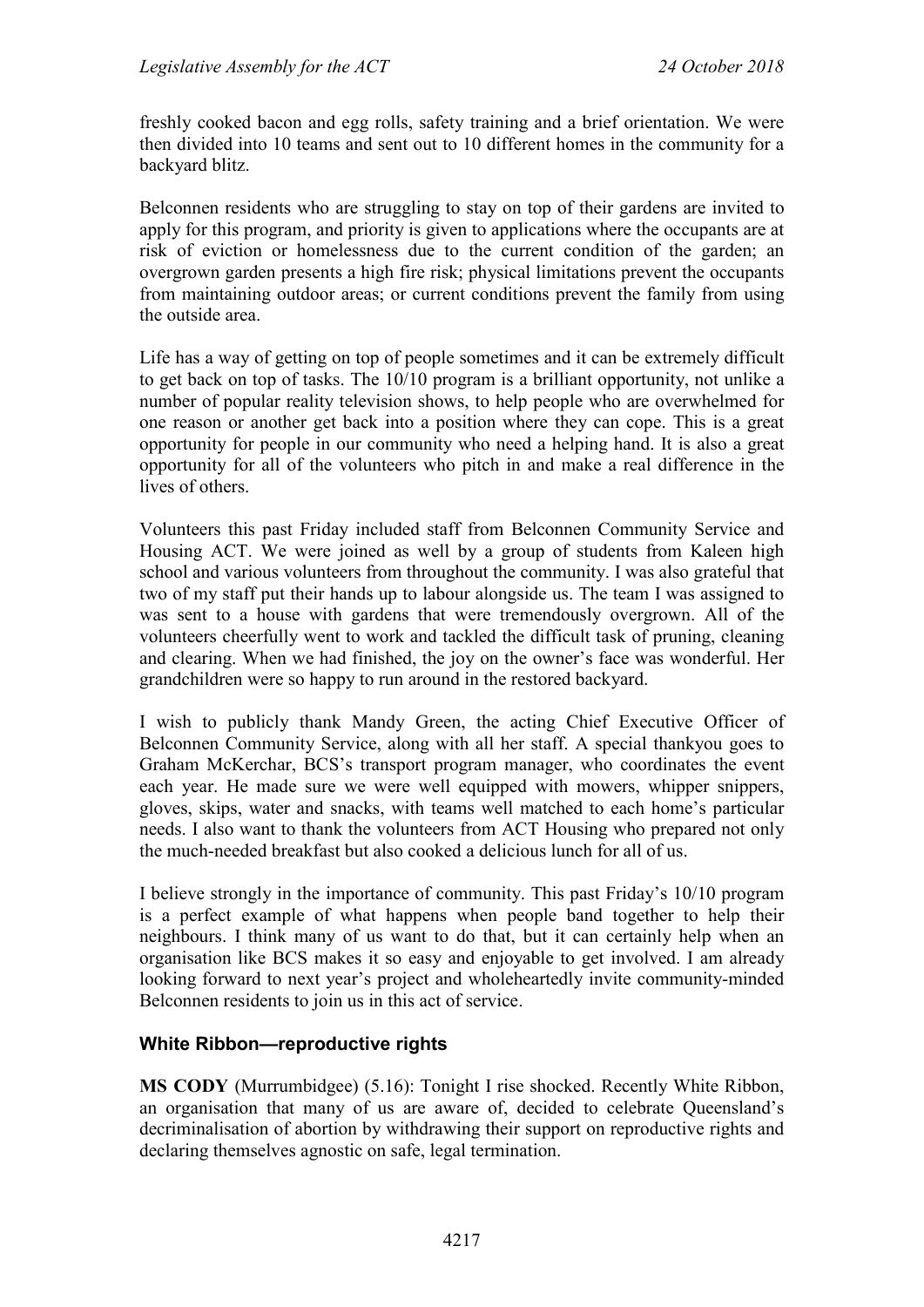freshly cooked bacon and egg rolls, safety training and a brief orientation. We were then divided into 10 teams and sent out to 10 different homes in the community for a backyard blitz.

Belconnen residents who are struggling to stay on top of their gardens are invited to apply for this program, and priority is given to applications where the occupants are at risk of eviction or homelessness due to the current condition of the garden; an overgrown garden presents a high fire risk; physical limitations prevent the occupants from maintaining outdoor areas; or current conditions prevent the family from using the outside area.

Life has a way of getting on top of people sometimes and it can be extremely difficult to get back on top of tasks. The 10/10 program is a brilliant opportunity, not unlike a number of popular reality television shows, to help people who are overwhelmed for one reason or another get back into a position where they can cope. This is a great opportunity for people in our community who need a helping hand. It is also a great opportunity for all of the volunteers who pitch in and make a real difference in the lives of others.

Volunteers this past Friday included staff from Belconnen Community Service and Housing ACT. We were joined as well by a group of students from Kaleen high school and various volunteers from throughout the community. I was also grateful that two of my staff put their hands up to labour alongside us. The team I was assigned to was sent to a house with gardens that were tremendously overgrown. All of the volunteers cheerfully went to work and tackled the difficult task of pruning, cleaning and clearing. When we had finished, the joy on the owner's face was wonderful. Her grandchildren were so happy to run around in the restored backyard.

I wish to publicly thank Mandy Green, the acting Chief Executive Officer of Belconnen Community Service, along with all her staff. A special thankyou goes to Graham McKerchar, BCS's transport program manager, who coordinates the event each year. He made sure we were well equipped with mowers, whipper snippers, gloves, skips, water and snacks, with teams well matched to each home's particular needs. I also want to thank the volunteers from ACT Housing who prepared not only the much-needed breakfast but also cooked a delicious lunch for all of us.

I believe strongly in the importance of community. This past Friday's 10/10 program is a perfect example of what happens when people band together to help their neighbours. I think many of us want to do that, but it can certainly help when an organisation like BCS makes it so easy and enjoyable to get involved. I am already looking forward to next year's project and wholeheartedly invite community-minded Belconnen residents to join us in this act of service.

#### **White Ribbon—reproductive rights**

**MS CODY** (Murrumbidgee) (5.16): Tonight I rise shocked. Recently White Ribbon, an organisation that many of us are aware of, decided to celebrate Queensland's decriminalisation of abortion by withdrawing their support on reproductive rights and declaring themselves agnostic on safe, legal termination.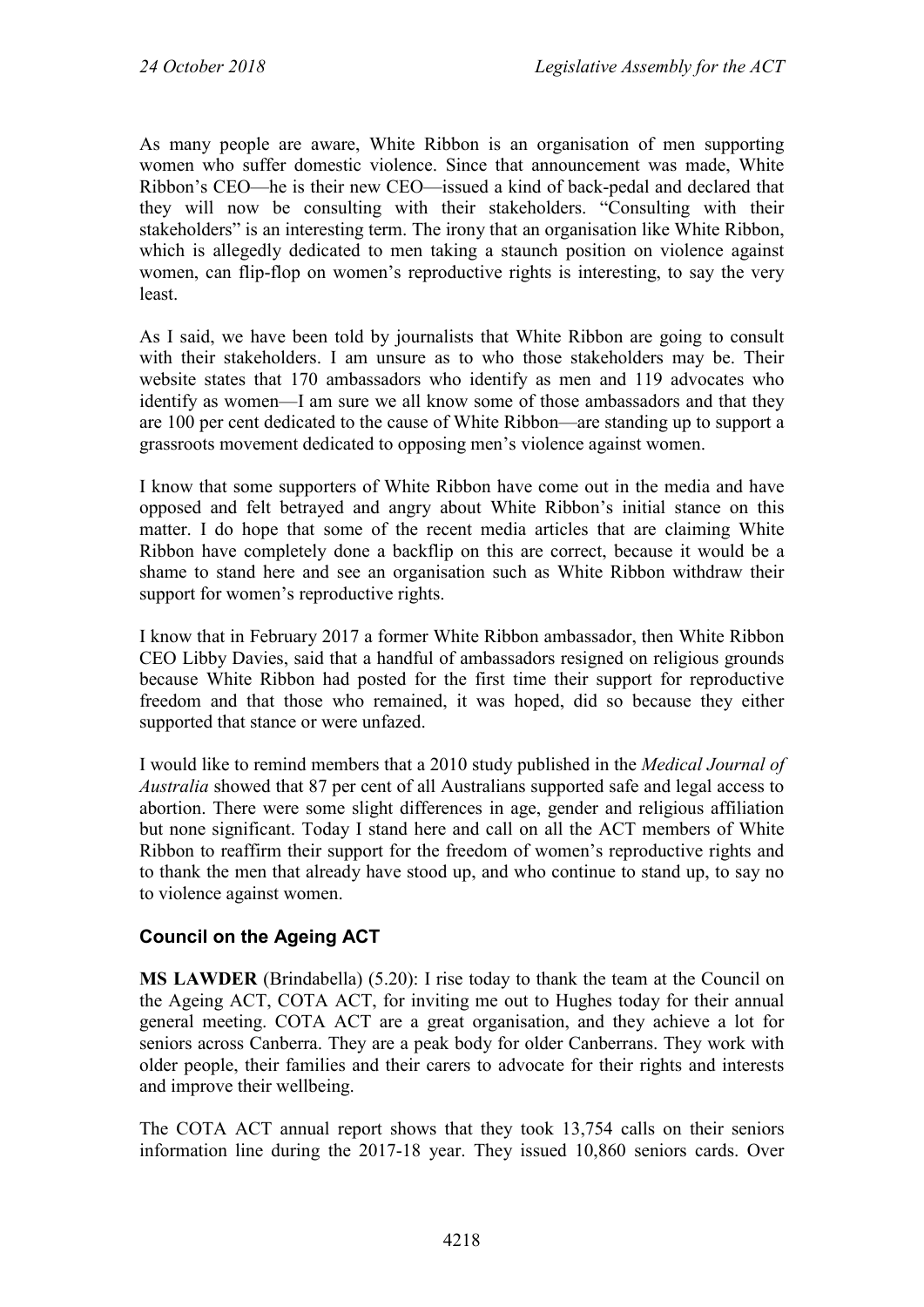As many people are aware, White Ribbon is an organisation of men supporting women who suffer domestic violence. Since that announcement was made, White Ribbon's CEO—he is their new CEO—issued a kind of back-pedal and declared that they will now be consulting with their stakeholders. "Consulting with their stakeholders" is an interesting term. The irony that an organisation like White Ribbon, which is allegedly dedicated to men taking a staunch position on violence against women, can flip-flop on women's reproductive rights is interesting, to say the very least.

As I said, we have been told by journalists that White Ribbon are going to consult with their stakeholders. I am unsure as to who those stakeholders may be. Their website states that 170 ambassadors who identify as men and 119 advocates who identify as women—I am sure we all know some of those ambassadors and that they are 100 per cent dedicated to the cause of White Ribbon—are standing up to support a grassroots movement dedicated to opposing men's violence against women.

I know that some supporters of White Ribbon have come out in the media and have opposed and felt betrayed and angry about White Ribbon's initial stance on this matter. I do hope that some of the recent media articles that are claiming White Ribbon have completely done a backflip on this are correct, because it would be a shame to stand here and see an organisation such as White Ribbon withdraw their support for women's reproductive rights.

I know that in February 2017 a former White Ribbon ambassador, then White Ribbon CEO Libby Davies, said that a handful of ambassadors resigned on religious grounds because White Ribbon had posted for the first time their support for reproductive freedom and that those who remained, it was hoped, did so because they either supported that stance or were unfazed.

I would like to remind members that a 2010 study published in the *Medical Journal of Australia* showed that 87 per cent of all Australians supported safe and legal access to abortion. There were some slight differences in age, gender and religious affiliation but none significant. Today I stand here and call on all the ACT members of White Ribbon to reaffirm their support for the freedom of women's reproductive rights and to thank the men that already have stood up, and who continue to stand up, to say no to violence against women.

### **Council on the Ageing ACT**

**MS LAWDER** (Brindabella) (5.20): I rise today to thank the team at the Council on the Ageing ACT, COTA ACT, for inviting me out to Hughes today for their annual general meeting. COTA ACT are a great organisation, and they achieve a lot for seniors across Canberra. They are a peak body for older Canberrans. They work with older people, their families and their carers to advocate for their rights and interests and improve their wellbeing.

The COTA ACT annual report shows that they took 13,754 calls on their seniors information line during the 2017-18 year. They issued 10,860 seniors cards. Over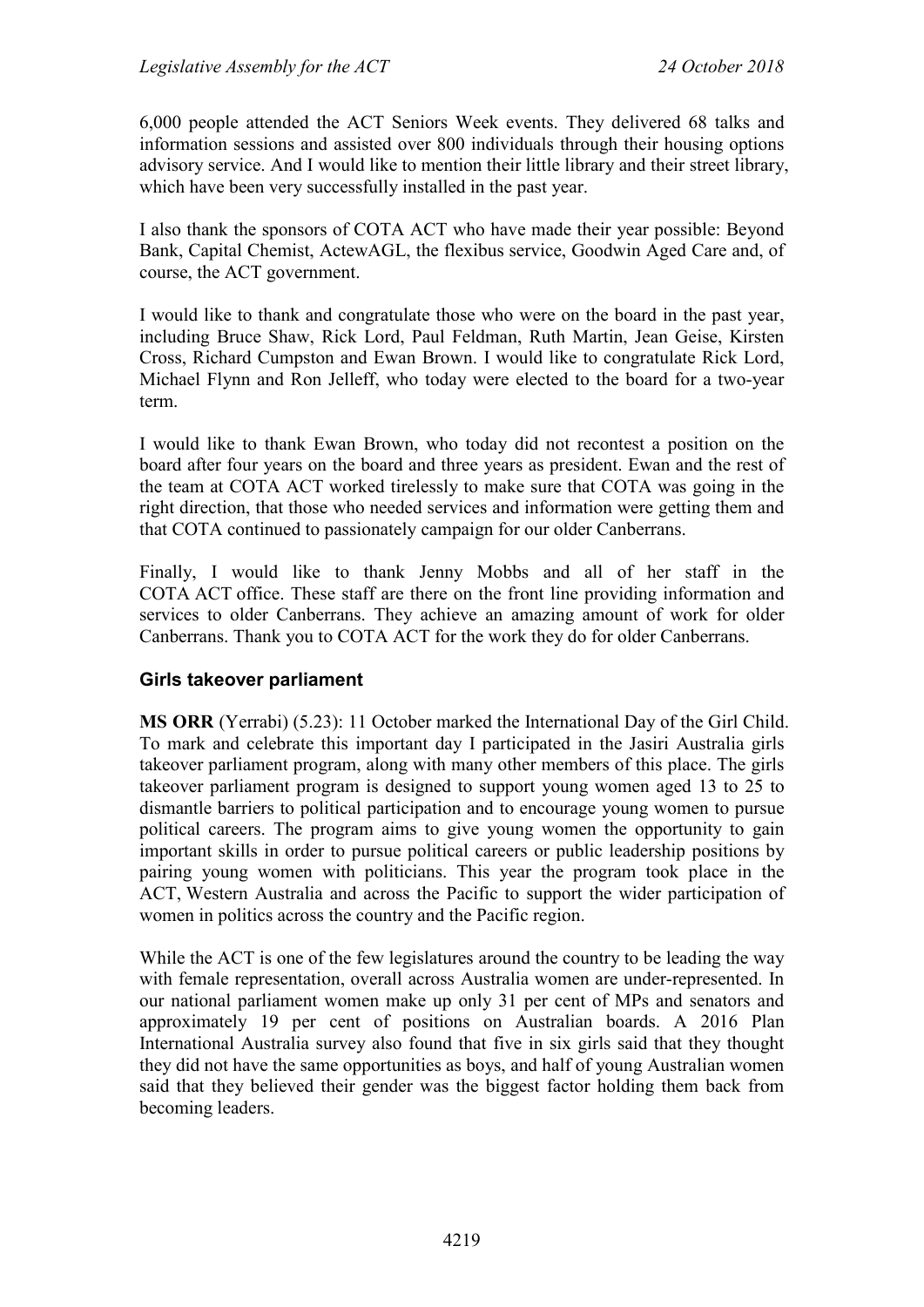6,000 people attended the ACT Seniors Week events. They delivered 68 talks and information sessions and assisted over 800 individuals through their housing options advisory service. And I would like to mention their little library and their street library, which have been very successfully installed in the past year.

I also thank the sponsors of COTA ACT who have made their year possible: Beyond Bank, Capital Chemist, ActewAGL, the flexibus service, Goodwin Aged Care and, of course, the ACT government.

I would like to thank and congratulate those who were on the board in the past year, including Bruce Shaw, Rick Lord, Paul Feldman, Ruth Martin, Jean Geise, Kirsten Cross, Richard Cumpston and Ewan Brown. I would like to congratulate Rick Lord, Michael Flynn and Ron Jelleff, who today were elected to the board for a two-year term.

I would like to thank Ewan Brown, who today did not recontest a position on the board after four years on the board and three years as president. Ewan and the rest of the team at COTA ACT worked tirelessly to make sure that COTA was going in the right direction, that those who needed services and information were getting them and that COTA continued to passionately campaign for our older Canberrans.

Finally, I would like to thank Jenny Mobbs and all of her staff in the COTA ACT office. These staff are there on the front line providing information and services to older Canberrans. They achieve an amazing amount of work for older Canberrans. Thank you to COTA ACT for the work they do for older Canberrans.

#### **Girls takeover parliament**

**MS ORR** (Yerrabi) (5.23): 11 October marked the International Day of the Girl Child. To mark and celebrate this important day I participated in the Jasiri Australia girls takeover parliament program, along with many other members of this place. The girls takeover parliament program is designed to support young women aged 13 to 25 to dismantle barriers to political participation and to encourage young women to pursue political careers. The program aims to give young women the opportunity to gain important skills in order to pursue political careers or public leadership positions by pairing young women with politicians. This year the program took place in the ACT, Western Australia and across the Pacific to support the wider participation of women in politics across the country and the Pacific region.

While the ACT is one of the few legislatures around the country to be leading the way with female representation, overall across Australia women are under-represented. In our national parliament women make up only 31 per cent of MPs and senators and approximately 19 per cent of positions on Australian boards. A 2016 Plan International Australia survey also found that five in six girls said that they thought they did not have the same opportunities as boys, and half of young Australian women said that they believed their gender was the biggest factor holding them back from becoming leaders.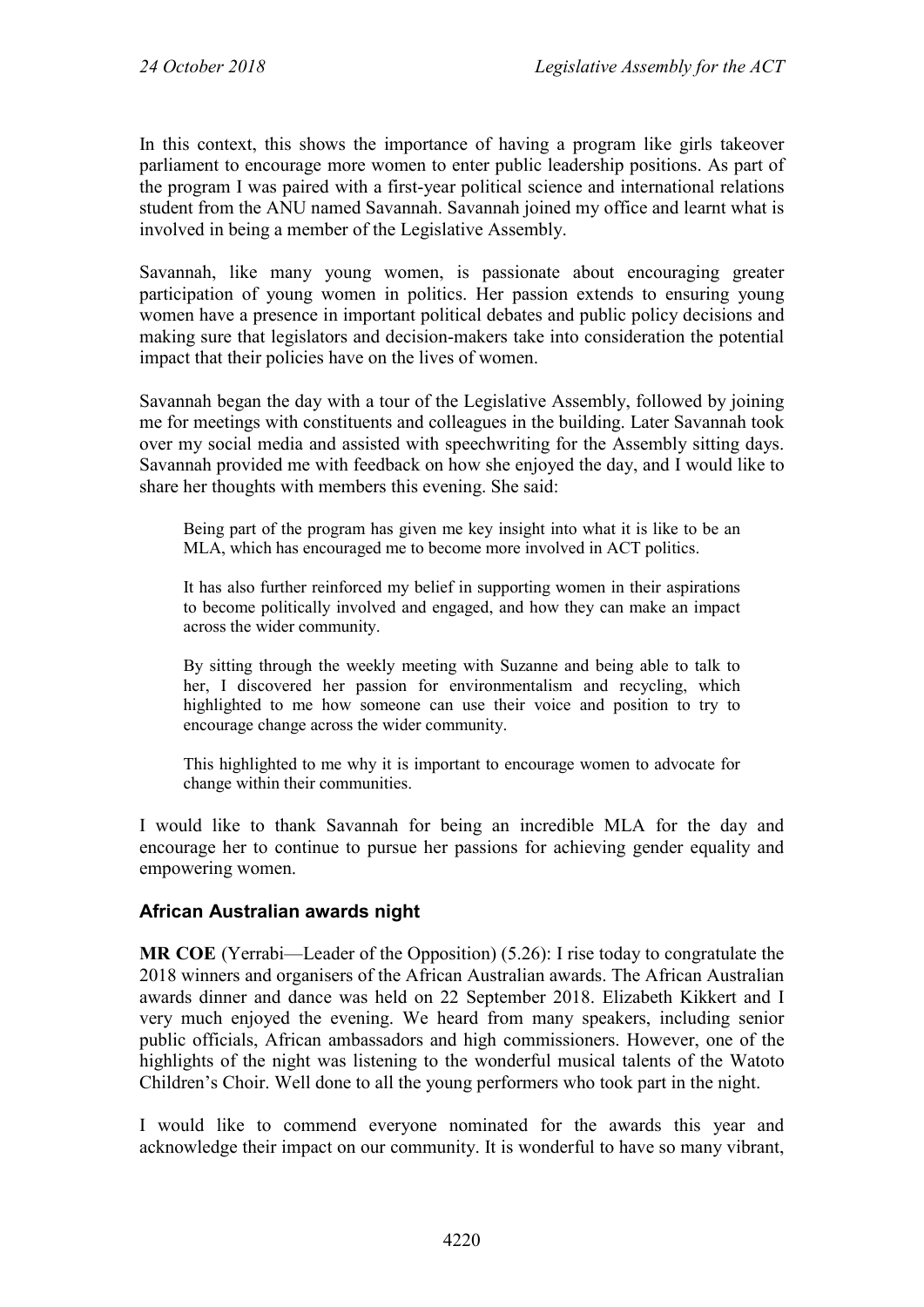In this context, this shows the importance of having a program like girls takeover parliament to encourage more women to enter public leadership positions. As part of the program I was paired with a first-year political science and international relations student from the ANU named Savannah. Savannah joined my office and learnt what is involved in being a member of the Legislative Assembly.

Savannah, like many young women, is passionate about encouraging greater participation of young women in politics. Her passion extends to ensuring young women have a presence in important political debates and public policy decisions and making sure that legislators and decision-makers take into consideration the potential impact that their policies have on the lives of women.

Savannah began the day with a tour of the Legislative Assembly, followed by joining me for meetings with constituents and colleagues in the building. Later Savannah took over my social media and assisted with speechwriting for the Assembly sitting days. Savannah provided me with feedback on how she enjoyed the day, and I would like to share her thoughts with members this evening. She said:

Being part of the program has given me key insight into what it is like to be an MLA, which has encouraged me to become more involved in ACT politics.

It has also further reinforced my belief in supporting women in their aspirations to become politically involved and engaged, and how they can make an impact across the wider community.

By sitting through the weekly meeting with Suzanne and being able to talk to her, I discovered her passion for environmentalism and recycling, which highlighted to me how someone can use their voice and position to try to encourage change across the wider community.

This highlighted to me why it is important to encourage women to advocate for change within their communities.

I would like to thank Savannah for being an incredible MLA for the day and encourage her to continue to pursue her passions for achieving gender equality and empowering women.

#### **African Australian awards night**

**MR COE** (Yerrabi—Leader of the Opposition) (5.26): I rise today to congratulate the 2018 winners and organisers of the African Australian awards. The African Australian awards dinner and dance was held on 22 September 2018. Elizabeth Kikkert and I very much enjoyed the evening. We heard from many speakers, including senior public officials, African ambassadors and high commissioners. However, one of the highlights of the night was listening to the wonderful musical talents of the Watoto Children's Choir. Well done to all the young performers who took part in the night.

I would like to commend everyone nominated for the awards this year and acknowledge their impact on our community. It is wonderful to have so many vibrant,